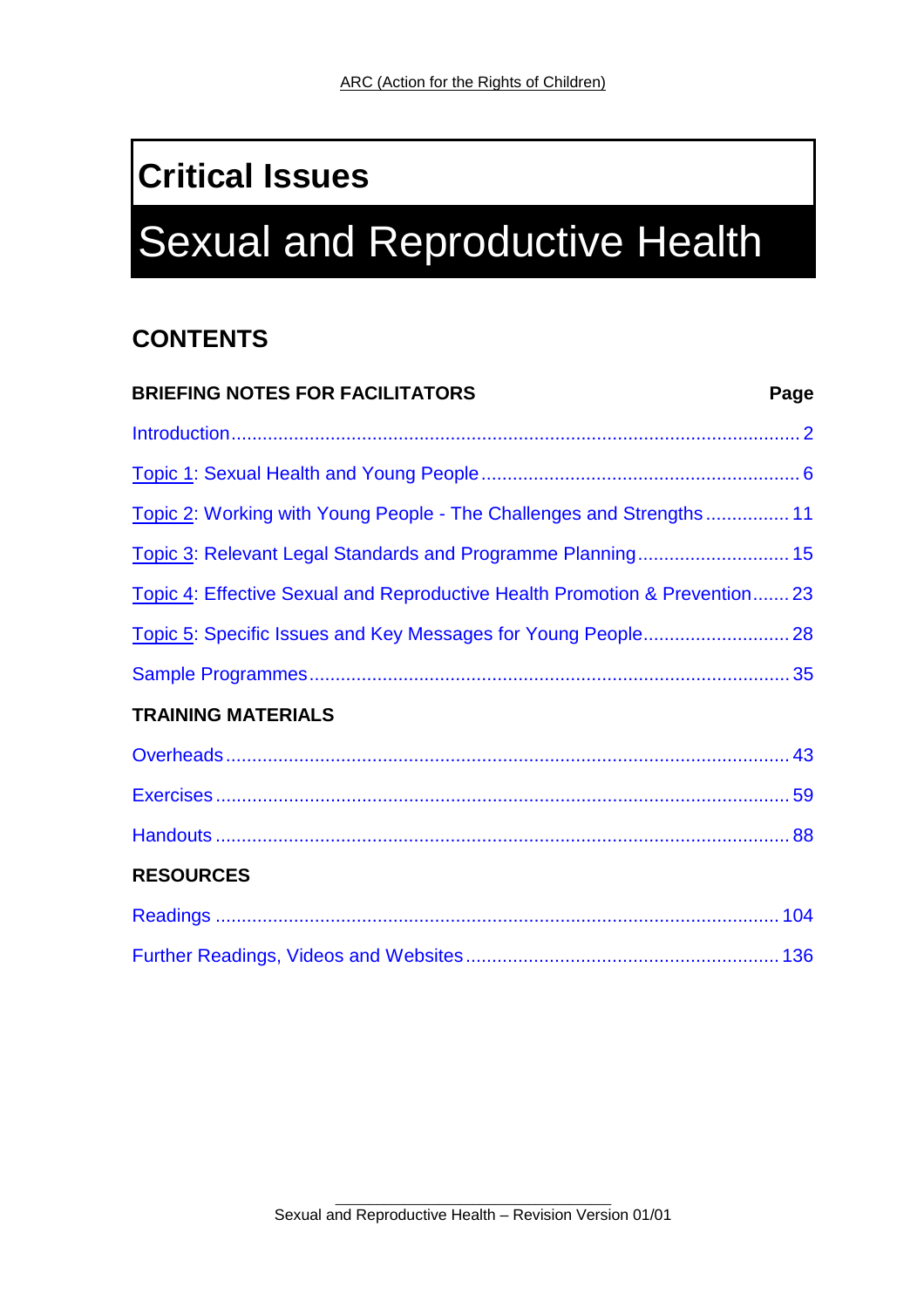## **Critical Issues**

# Sexual and Reproductive Health

## **CONTENTS**

| <b>BRIEFING NOTES FOR FACILITATORS</b>                                      | Page |
|-----------------------------------------------------------------------------|------|
|                                                                             |      |
|                                                                             |      |
| Topic 2: Working with Young People - The Challenges and Strengths 11        |      |
| Topic 3: Relevant Legal Standards and Programme Planning 15                 |      |
| Topic 4: Effective Sexual and Reproductive Health Promotion & Prevention 23 |      |
| Topic 5: Specific Issues and Key Messages for Young People 28               |      |
|                                                                             |      |
| <b>TRAINING MATERIALS</b>                                                   |      |
|                                                                             |      |
|                                                                             |      |
|                                                                             |      |
| <b>RESOURCES</b>                                                            |      |
|                                                                             |      |
|                                                                             |      |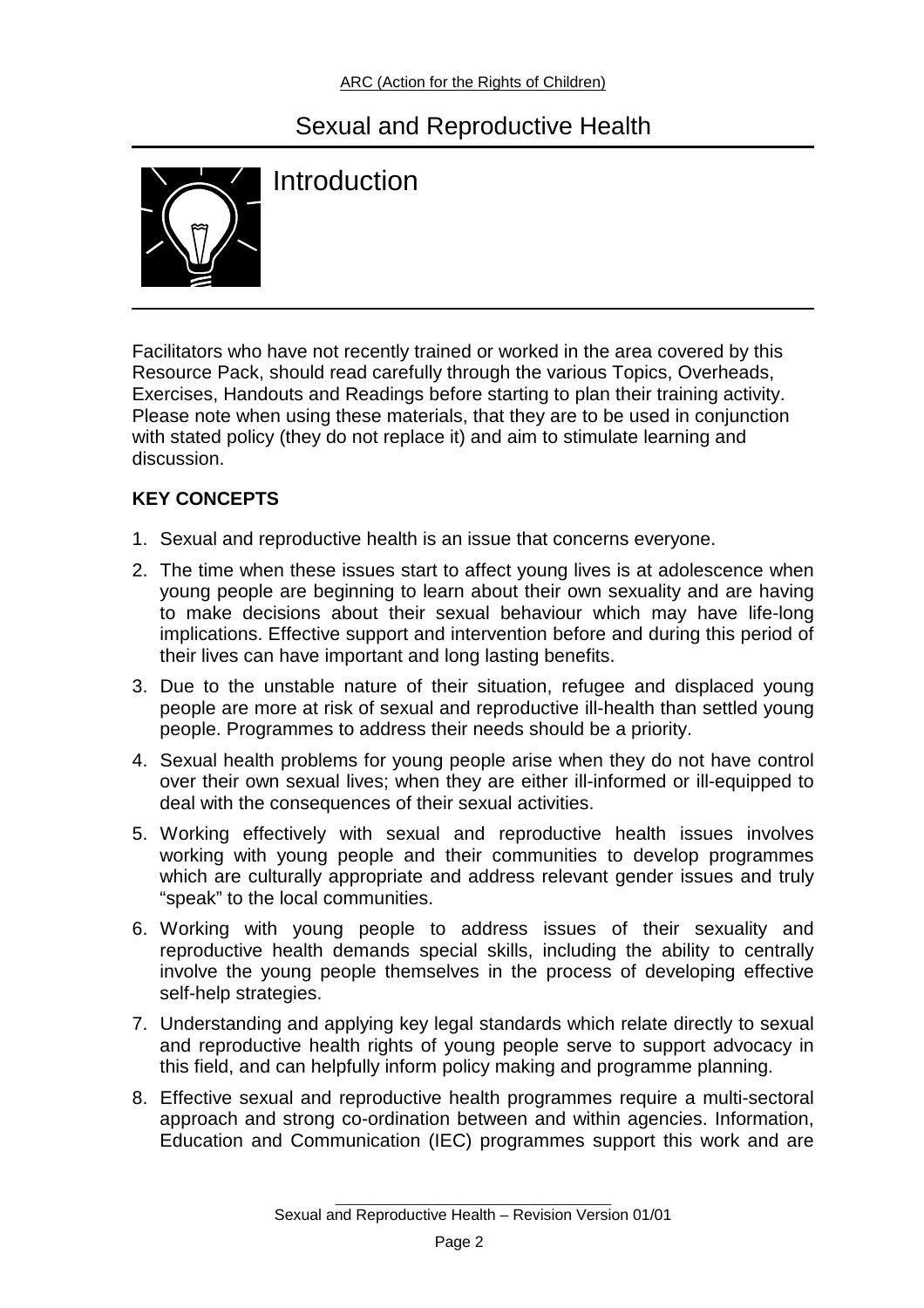## Sexual and Reproductive Health

<span id="page-1-0"></span>

Introduction

Facilitators who have not recently trained or worked in the area covered by this Resource Pack, should read carefully through the various Topics, Overheads, Exercises, Handouts and Readings before starting to plan their training activity. Please note when using these materials, that they are to be used in conjunction with stated policy (they do not replace it) and aim to stimulate learning and discussion.

## **KEY CONCEPTS**

- 1. Sexual and reproductive health is an issue that concerns everyone.
- 2. The time when these issues start to affect young lives is at adolescence when young people are beginning to learn about their own sexuality and are having to make decisions about their sexual behaviour which may have life-long implications. Effective support and intervention before and during this period of their lives can have important and long lasting benefits.
- 3. Due to the unstable nature of their situation, refugee and displaced young people are more at risk of sexual and reproductive ill-health than settled young people. Programmes to address their needs should be a priority.
- 4. Sexual health problems for young people arise when they do not have control over their own sexual lives; when they are either ill-informed or ill-equipped to deal with the consequences of their sexual activities.
- 5. Working effectively with sexual and reproductive health issues involves working with young people and their communities to develop programmes which are culturally appropriate and address relevant gender issues and truly "speak" to the local communities.
- 6. Working with young people to address issues of their sexuality and reproductive health demands special skills, including the ability to centrally involve the young people themselves in the process of developing effective self-help strategies.
- 7. Understanding and applying key legal standards which relate directly to sexual and reproductive health rights of young people serve to support advocacy in this field, and can helpfully inform policy making and programme planning.
- 8. Effective sexual and reproductive health programmes require a multi-sectoral approach and strong co-ordination between and within agencies. Information, Education and Communication (IEC) programmes support this work and are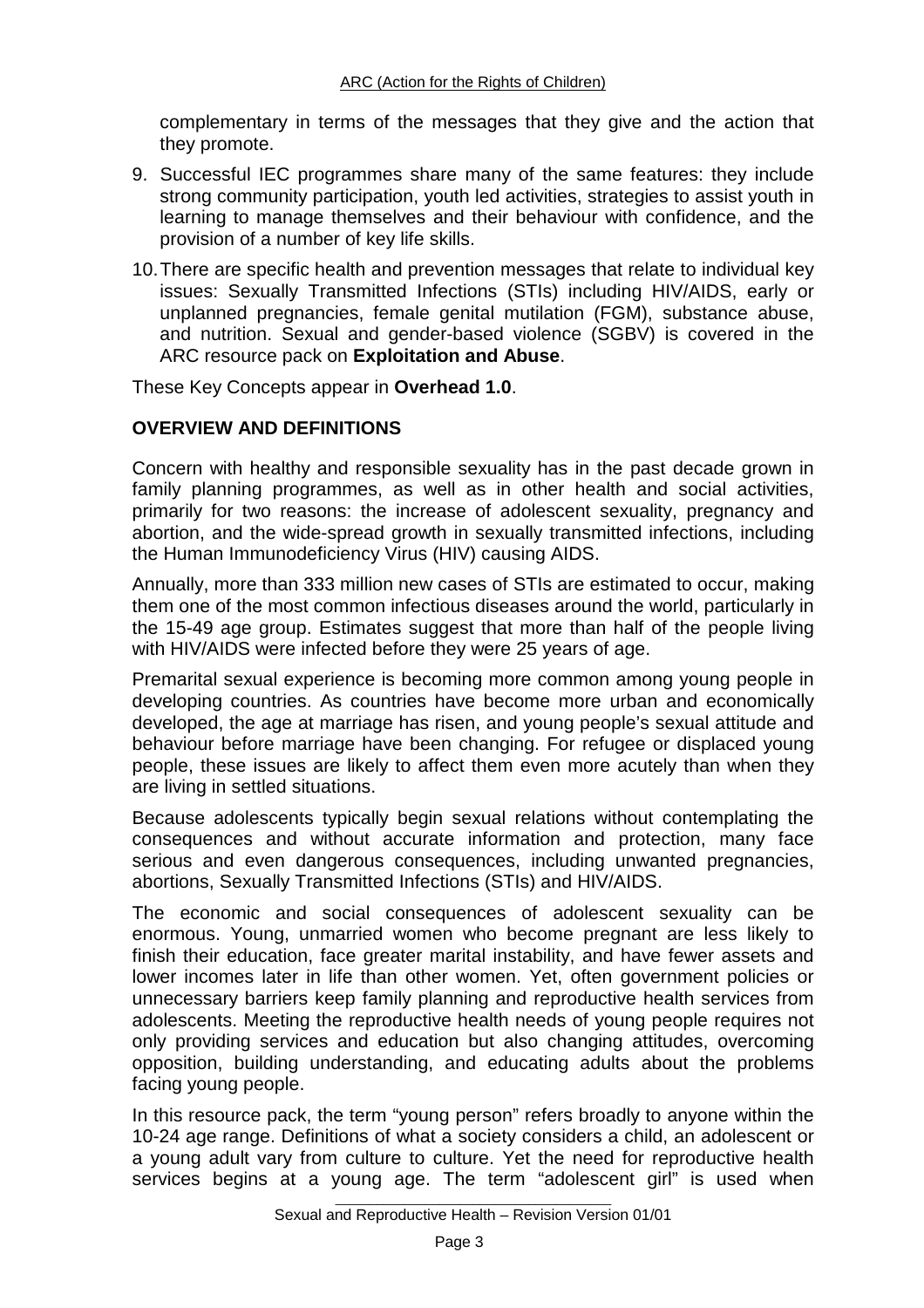complementary in terms of the messages that they give and the action that they promote.

- 9. Successful IEC programmes share many of the same features: they include strong community participation, youth led activities, strategies to assist youth in learning to manage themselves and their behaviour with confidence, and the provision of a number of key life skills.
- 10. There are specific health and prevention messages that relate to individual key issues: Sexually Transmitted Infections (STIs) including HIV/AIDS, early or unplanned pregnancies, female genital mutilation (FGM), substance abuse, and nutrition. Sexual and gender-based violence (SGBV) is covered in the ARC resource pack on **Exploitation and Abuse**.

These Key Concepts appear in **Overhead 1.0**.

## **OVERVIEW AND DEFINITIONS**

Concern with healthy and responsible sexuality has in the past decade grown in family planning programmes, as well as in other health and social activities, primarily for two reasons: the increase of adolescent sexuality, pregnancy and abortion, and the wide-spread growth in sexually transmitted infections, including the Human Immunodeficiency Virus (HIV) causing AIDS.

Annually, more than 333 million new cases of STIs are estimated to occur, making them one of the most common infectious diseases around the world, particularly in the 15-49 age group. Estimates suggest that more than half of the people living with HIV/AIDS were infected before they were 25 years of age.

Premarital sexual experience is becoming more common among young people in developing countries. As countries have become more urban and economically developed, the age at marriage has risen, and young people's sexual attitude and behaviour before marriage have been changing. For refugee or displaced young people, these issues are likely to affect them even more acutely than when they are living in settled situations.

Because adolescents typically begin sexual relations without contemplating the consequences and without accurate information and protection, many face serious and even dangerous consequences, including unwanted pregnancies, abortions, Sexually Transmitted Infections (STIs) and HIV/AIDS.

The economic and social consequences of adolescent sexuality can be enormous. Young, unmarried women who become pregnant are less likely to finish their education, face greater marital instability, and have fewer assets and lower incomes later in life than other women. Yet, often government policies or unnecessary barriers keep family planning and reproductive health services from adolescents. Meeting the reproductive health needs of young people requires not only providing services and education but also changing attitudes, overcoming opposition, building understanding, and educating adults about the problems facing young people.

In this resource pack, the term "young person" refers broadly to anyone within the 10-24 age range. Definitions of what a society considers a child, an adolescent or a young adult vary from culture to culture. Yet the need for reproductive health services begins at a young age. The term "adolescent girl" is used when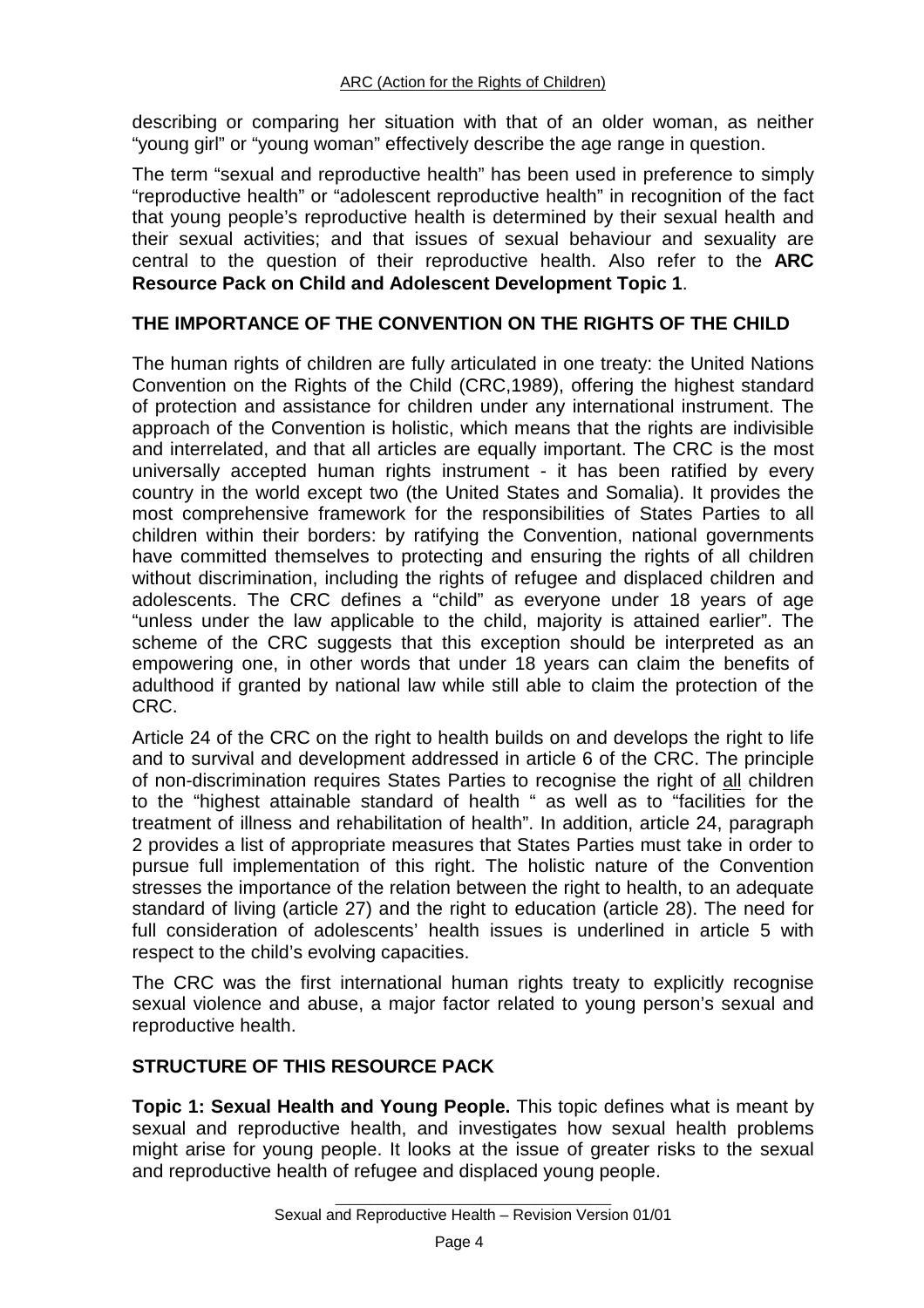describing or comparing her situation with that of an older woman, as neither "young girl" or "young woman" effectively describe the age range in question.

The term "sexual and reproductive health" has been used in preference to simply "reproductive health" or "adolescent reproductive health" in recognition of the fact that young people's reproductive health is determined by their sexual health and their sexual activities; and that issues of sexual behaviour and sexuality are central to the question of their reproductive health. Also refer to the **ARC Resource Pack on Child and Adolescent Development Topic 1**.

## **THE IMPORTANCE OF THE CONVENTION ON THE RIGHTS OF THE CHILD**

The human rights of children are fully articulated in one treaty: the United Nations Convention on the Rights of the Child (CRC,1989), offering the highest standard of protection and assistance for children under any international instrument. The approach of the Convention is holistic, which means that the rights are indivisible and interrelated, and that all articles are equally important. The CRC is the most universally accepted human rights instrument - it has been ratified by every country in the world except two (the United States and Somalia). It provides the most comprehensive framework for the responsibilities of States Parties to all children within their borders: by ratifying the Convention, national governments have committed themselves to protecting and ensuring the rights of all children without discrimination, including the rights of refugee and displaced children and adolescents. The CRC defines a "child" as everyone under 18 years of age "unless under the law applicable to the child, majority is attained earlier". The scheme of the CRC suggests that this exception should be interpreted as an empowering one, in other words that under 18 years can claim the benefits of adulthood if granted by national law while still able to claim the protection of the CRC.

Article 24 of the CRC on the right to health builds on and develops the right to life and to survival and development addressed in article 6 of the CRC. The principle of non-discrimination requires States Parties to recognise the right of all children to the "highest attainable standard of health " as well as to "facilities for the treatment of illness and rehabilitation of health". In addition, article 24, paragraph 2 provides a list of appropriate measures that States Parties must take in order to pursue full implementation of this right. The holistic nature of the Convention stresses the importance of the relation between the right to health, to an adequate standard of living (article 27) and the right to education (article 28). The need for full consideration of adolescents' health issues is underlined in article 5 with respect to the child's evolving capacities.

The CRC was the first international human rights treaty to explicitly recognise sexual violence and abuse, a major factor related to young person's sexual and reproductive health.

## **STRUCTURE OF THIS RESOURCE PACK**

**Topic 1: Sexual Health and Young People.** This topic defines what is meant by sexual and reproductive health, and investigates how sexual health problems might arise for young people. It looks at the issue of greater risks to the sexual and reproductive health of refugee and displaced young people.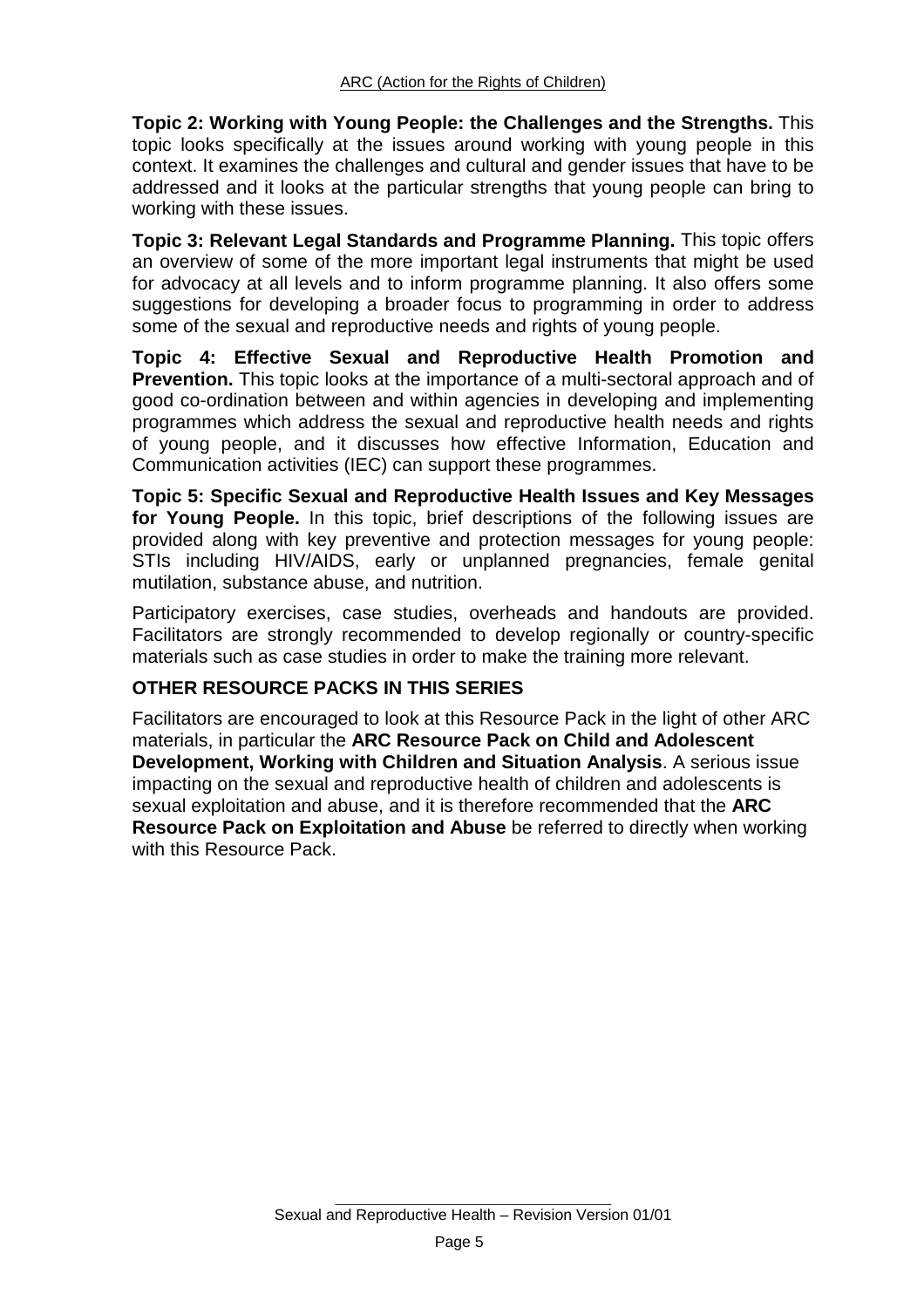**Topic 2: Working with Young People: the Challenges and the Strengths.** This topic looks specifically at the issues around working with young people in this context. It examines the challenges and cultural and gender issues that have to be addressed and it looks at the particular strengths that young people can bring to working with these issues.

**Topic 3: Relevant Legal Standards and Programme Planning.** This topic offers an overview of some of the more important legal instruments that might be used for advocacy at all levels and to inform programme planning. It also offers some suggestions for developing a broader focus to programming in order to address some of the sexual and reproductive needs and rights of young people.

**Topic 4: Effective Sexual and Reproductive Health Promotion and Prevention.** This topic looks at the importance of a multi-sectoral approach and of good co-ordination between and within agencies in developing and implementing programmes which address the sexual and reproductive health needs and rights of young people, and it discusses how effective Information, Education and Communication activities (IEC) can support these programmes.

**Topic 5: Specific Sexual and Reproductive Health Issues and Key Messages for Young People.** In this topic, brief descriptions of the following issues are provided along with key preventive and protection messages for young people: STIs including HIV/AIDS, early or unplanned pregnancies, female genital mutilation, substance abuse, and nutrition.

Participatory exercises, case studies, overheads and handouts are provided. Facilitators are strongly recommended to develop regionally or country-specific materials such as case studies in order to make the training more relevant.

## **OTHER RESOURCE PACKS IN THIS SERIES**

Facilitators are encouraged to look at this Resource Pack in the light of other ARC materials, in particular the **ARC Resource Pack on Child and Adolescent Development, Working with Children and Situation Analysis**. A serious issue impacting on the sexual and reproductive health of children and adolescents is sexual exploitation and abuse, and it is therefore recommended that the **ARC Resource Pack on Exploitation and Abuse** be referred to directly when working with this Resource Pack.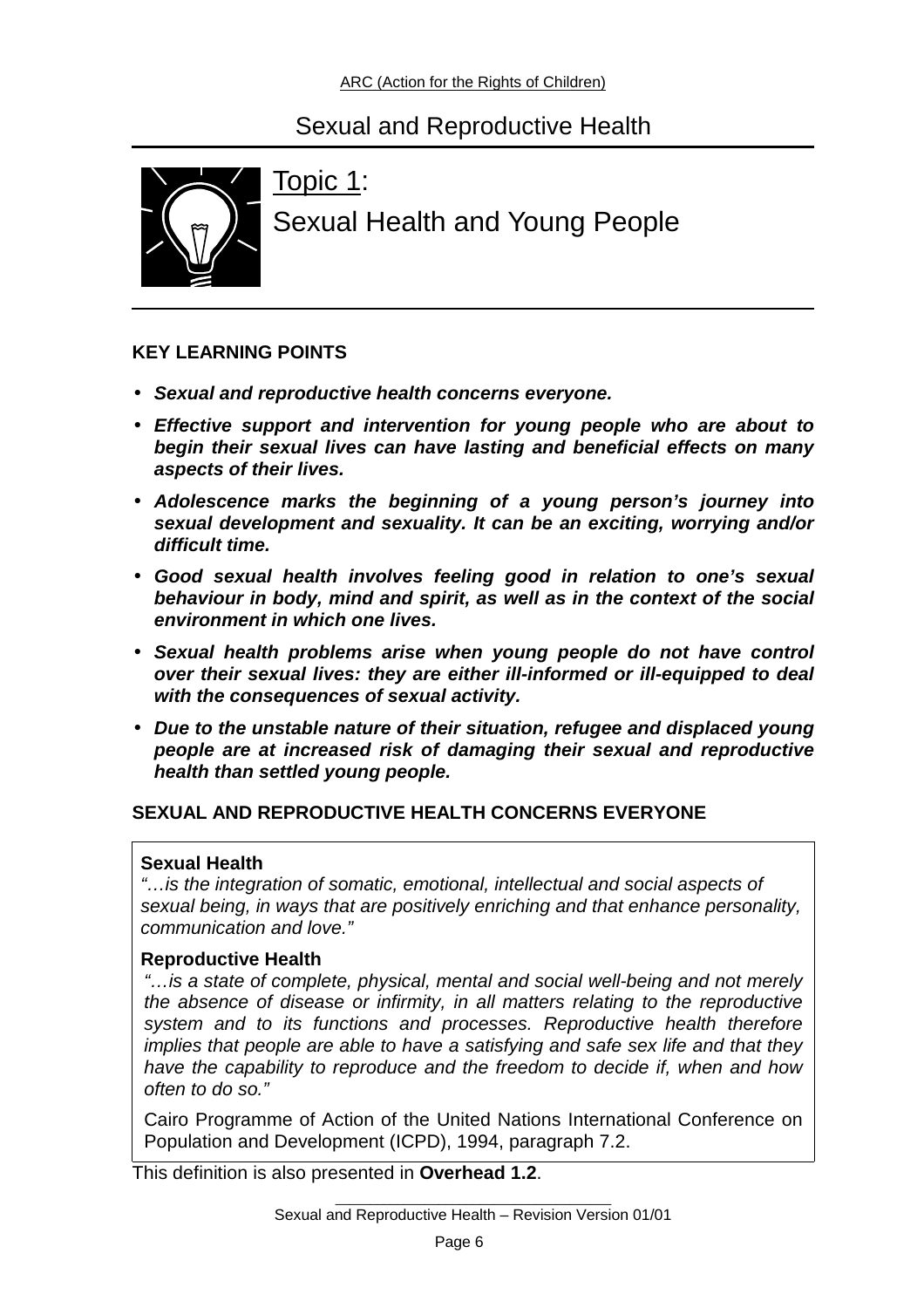## Sexual and Reproductive Health

<span id="page-5-0"></span>

Topic 1:

## Sexual Health and Young People

## **KEY LEARNING POINTS**

- *Sexual and reproductive health concerns everyone.*
- *Effective support and intervention for young people who are about to begin their sexual lives can have lasting and beneficial effects on many aspects of their lives.*
- *Adolescence marks the beginning of a young person's journey into sexual development and sexuality. It can be an exciting, worrying and/or difficult time.*
- *Good sexual health involves feeling good in relation to one's sexual behaviour in body, mind and spirit, as well as in the context of the social environment in which one lives.*
- *Sexual health problems arise when young people do not have control over their sexual lives: they are either ill-informed or ill-equipped to deal with the consequences of sexual activity.*
- *Due to the unstable nature of their situation, refugee and displaced young people are at increased risk of damaging their sexual and reproductive health than settled young people.*

## **SEXUAL AND REPRODUCTIVE HEALTH CONCERNS EVERYONE**

## **Sexual Health**

*"…is the integration of somatic, emotional, intellectual and social aspects of sexual being, in ways that are positively enriching and that enhance personality, communication and love."*

## **Reproductive Health**

*"…is a state of complete, physical, mental and social well-being and not merely the absence of disease or infirmity, in all matters relating to the reproductive system and to its functions and processes. Reproductive health therefore implies that people are able to have a satisfying and safe sex life and that they have the capability to reproduce and the freedom to decide if, when and how often to do so."*

Cairo Programme of Action of the United Nations International Conference on Population and Development (ICPD), 1994, paragraph 7.2.

This definition is also presented in **Overhead 1.2**.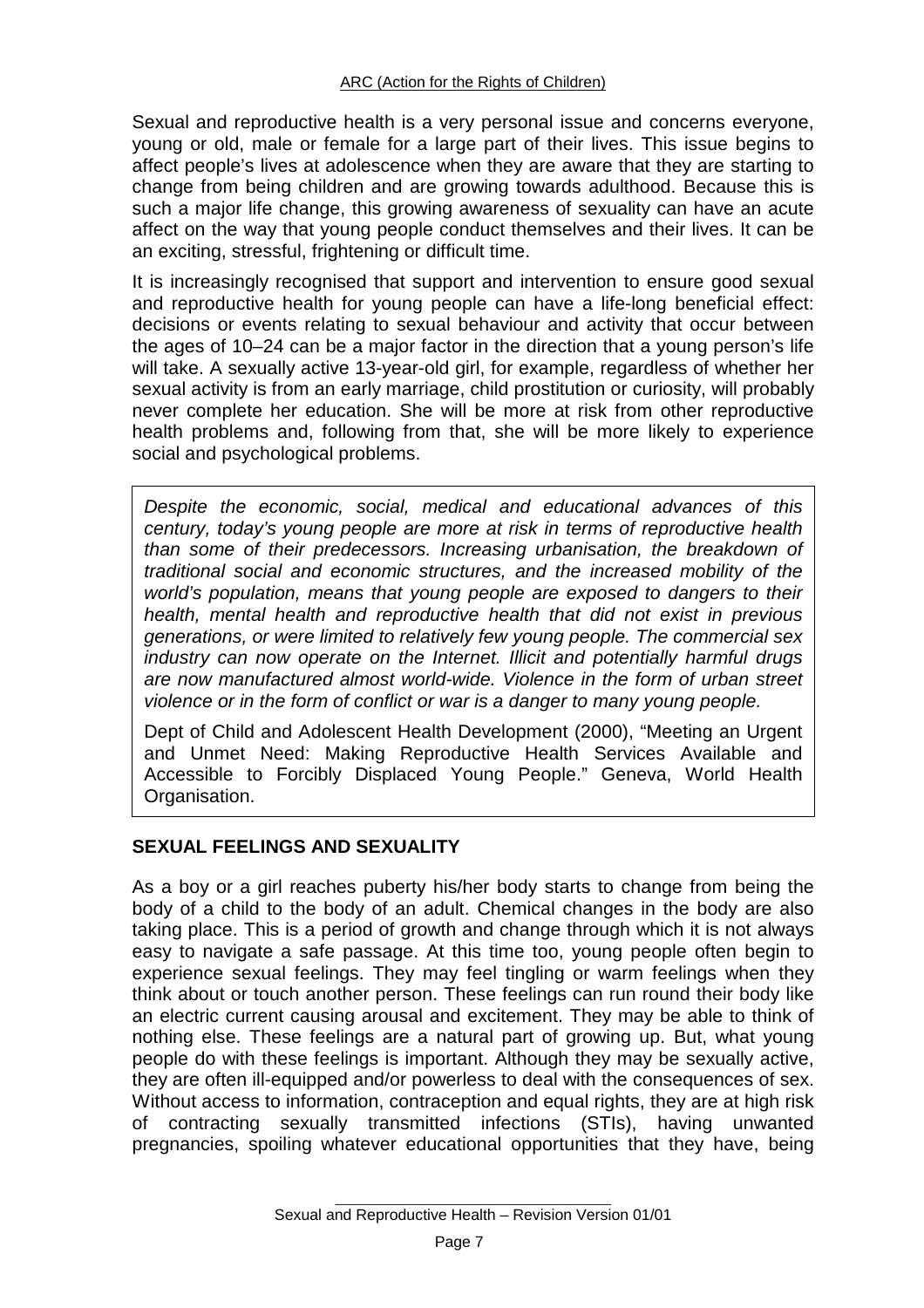Sexual and reproductive health is a very personal issue and concerns everyone, young or old, male or female for a large part of their lives. This issue begins to affect people's lives at adolescence when they are aware that they are starting to change from being children and are growing towards adulthood. Because this is such a major life change, this growing awareness of sexuality can have an acute affect on the way that young people conduct themselves and their lives. It can be an exciting, stressful, frightening or difficult time.

It is increasingly recognised that support and intervention to ensure good sexual and reproductive health for young people can have a life-long beneficial effect: decisions or events relating to sexual behaviour and activity that occur between the ages of 10–24 can be a major factor in the direction that a young person's life will take. A sexually active 13-year-old girl, for example, regardless of whether her sexual activity is from an early marriage, child prostitution or curiosity, will probably never complete her education. She will be more at risk from other reproductive health problems and, following from that, she will be more likely to experience social and psychological problems.

*Despite the economic, social, medical and educational advances of this century, today's young people are more at risk in terms of reproductive health than some of their predecessors. Increasing urbanisation, the breakdown of traditional social and economic structures, and the increased mobility of the world's population, means that young people are exposed to dangers to their health, mental health and reproductive health that did not exist in previous generations, or were limited to relatively few young people. The commercial sex industry can now operate on the Internet. Illicit and potentially harmful drugs are now manufactured almost world-wide. Violence in the form of urban street violence or in the form of conflict or war is a danger to many young people.*

Dept of Child and Adolescent Health Development (2000), "Meeting an Urgent and Unmet Need: Making Reproductive Health Services Available and Accessible to Forcibly Displaced Young People." Geneva, World Health Organisation.

## **SEXUAL FEELINGS AND SEXUALITY**

As a boy or a girl reaches puberty his/her body starts to change from being the body of a child to the body of an adult. Chemical changes in the body are also taking place. This is a period of growth and change through which it is not always easy to navigate a safe passage. At this time too, young people often begin to experience sexual feelings. They may feel tingling or warm feelings when they think about or touch another person. These feelings can run round their body like an electric current causing arousal and excitement. They may be able to think of nothing else. These feelings are a natural part of growing up. But, what young people do with these feelings is important. Although they may be sexually active, they are often ill-equipped and/or powerless to deal with the consequences of sex. Without access to information, contraception and equal rights, they are at high risk of contracting sexually transmitted infections (STIs), having unwanted pregnancies, spoiling whatever educational opportunities that they have, being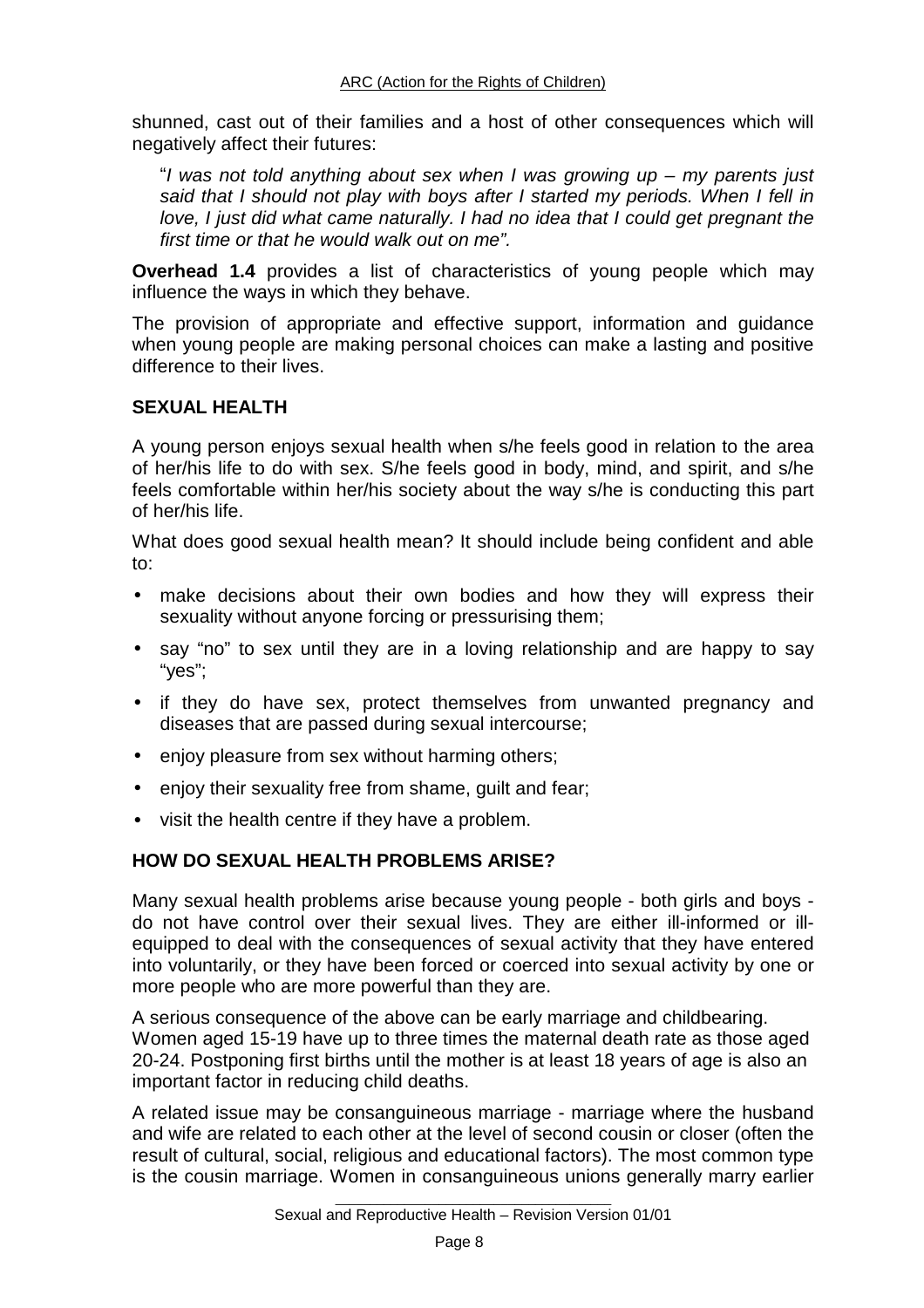shunned, cast out of their families and a host of other consequences which will negatively affect their futures:

"*I was not told anything about sex when I was growing up – my parents just said that I should not play with boys after I started my periods. When I fell in love, I just did what came naturally. I had no idea that I could get pregnant the first time or that he would walk out on me".*

**Overhead 1.4** provides a list of characteristics of young people which may influence the ways in which they behave.

The provision of appropriate and effective support, information and guidance when young people are making personal choices can make a lasting and positive difference to their lives.

## **SEXUAL HEALTH**

A young person enjoys sexual health when s/he feels good in relation to the area of her/his life to do with sex. S/he feels good in body, mind, and spirit, and s/he feels comfortable within her/his society about the way s/he is conducting this part of her/his life.

What does good sexual health mean? It should include being confident and able to:

- make decisions about their own bodies and how they will express their sexuality without anyone forcing or pressurising them;
- say "no" to sex until they are in a loving relationship and are happy to say "yes";
- if they do have sex, protect themselves from unwanted pregnancy and diseases that are passed during sexual intercourse;
- enjoy pleasure from sex without harming others;
- enjoy their sexuality free from shame, guilt and fear;
- visit the health centre if they have a problem.

## **HOW DO SEXUAL HEALTH PROBLEMS ARISE?**

Many sexual health problems arise because young people - both girls and boys do not have control over their sexual lives. They are either ill-informed or illequipped to deal with the consequences of sexual activity that they have entered into voluntarily, or they have been forced or coerced into sexual activity by one or more people who are more powerful than they are.

A serious consequence of the above can be early marriage and childbearing. Women aged 15-19 have up to three times the maternal death rate as those aged 20-24. Postponing first births until the mother is at least 18 years of age is also an important factor in reducing child deaths.

A related issue may be consanguineous marriage - marriage where the husband and wife are related to each other at the level of second cousin or closer (often the result of cultural, social, religious and educational factors). The most common type is the cousin marriage. Women in consanguineous unions generally marry earlier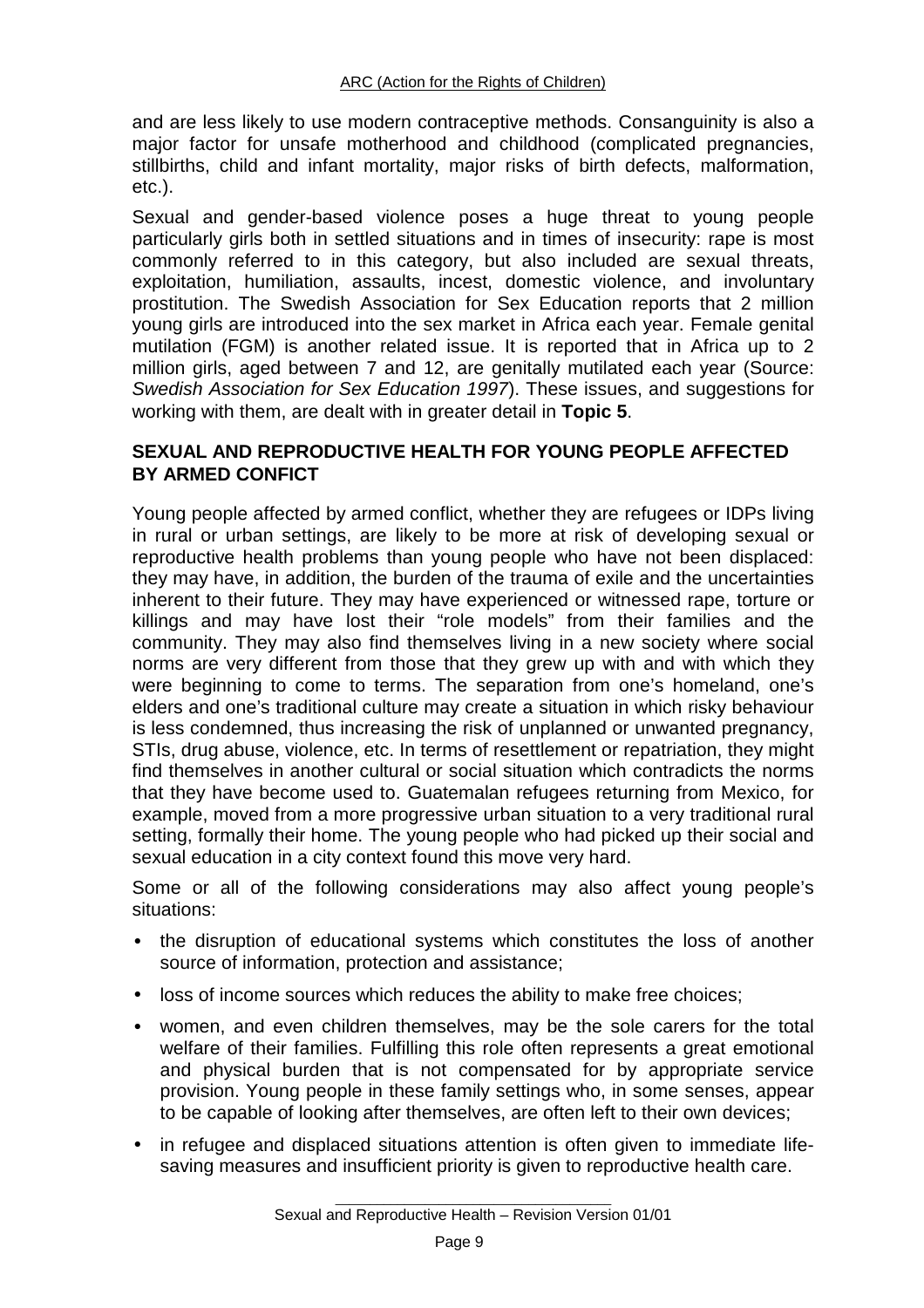and are less likely to use modern contraceptive methods. Consanguinity is also a major factor for unsafe motherhood and childhood (complicated pregnancies, stillbirths, child and infant mortality, major risks of birth defects, malformation, etc.).

Sexual and gender-based violence poses a huge threat to young people particularly girls both in settled situations and in times of insecurity: rape is most commonly referred to in this category, but also included are sexual threats, exploitation, humiliation, assaults, incest, domestic violence, and involuntary prostitution. The Swedish Association for Sex Education reports that 2 million young girls are introduced into the sex market in Africa each year. Female genital mutilation (FGM) is another related issue. It is reported that in Africa up to 2 million girls, aged between 7 and 12, are genitally mutilated each year (Source: *Swedish Association for Sex Education 1997*). These issues, and suggestions for working with them, are dealt with in greater detail in **Topic 5**.

## **SEXUAL AND REPRODUCTIVE HEALTH FOR YOUNG PEOPLE AFFECTED BY ARMED CONFICT**

Young people affected by armed conflict, whether they are refugees or IDPs living in rural or urban settings, are likely to be more at risk of developing sexual or reproductive health problems than young people who have not been displaced: they may have, in addition, the burden of the trauma of exile and the uncertainties inherent to their future. They may have experienced or witnessed rape, torture or killings and may have lost their "role models" from their families and the community. They may also find themselves living in a new society where social norms are very different from those that they grew up with and with which they were beginning to come to terms. The separation from one's homeland, one's elders and one's traditional culture may create a situation in which risky behaviour is less condemned, thus increasing the risk of unplanned or unwanted pregnancy, STIs, drug abuse, violence, etc. In terms of resettlement or repatriation, they might find themselves in another cultural or social situation which contradicts the norms that they have become used to. Guatemalan refugees returning from Mexico, for example, moved from a more progressive urban situation to a very traditional rural setting, formally their home. The young people who had picked up their social and sexual education in a city context found this move very hard.

Some or all of the following considerations may also affect young people's situations:

- the disruption of educational systems which constitutes the loss of another source of information, protection and assistance;
- loss of income sources which reduces the ability to make free choices;
- women, and even children themselves, may be the sole carers for the total welfare of their families. Fulfilling this role often represents a great emotional and physical burden that is not compensated for by appropriate service provision. Young people in these family settings who, in some senses, appear to be capable of looking after themselves, are often left to their own devices;
- in refugee and displaced situations attention is often given to immediate lifesaving measures and insufficient priority is given to reproductive health care.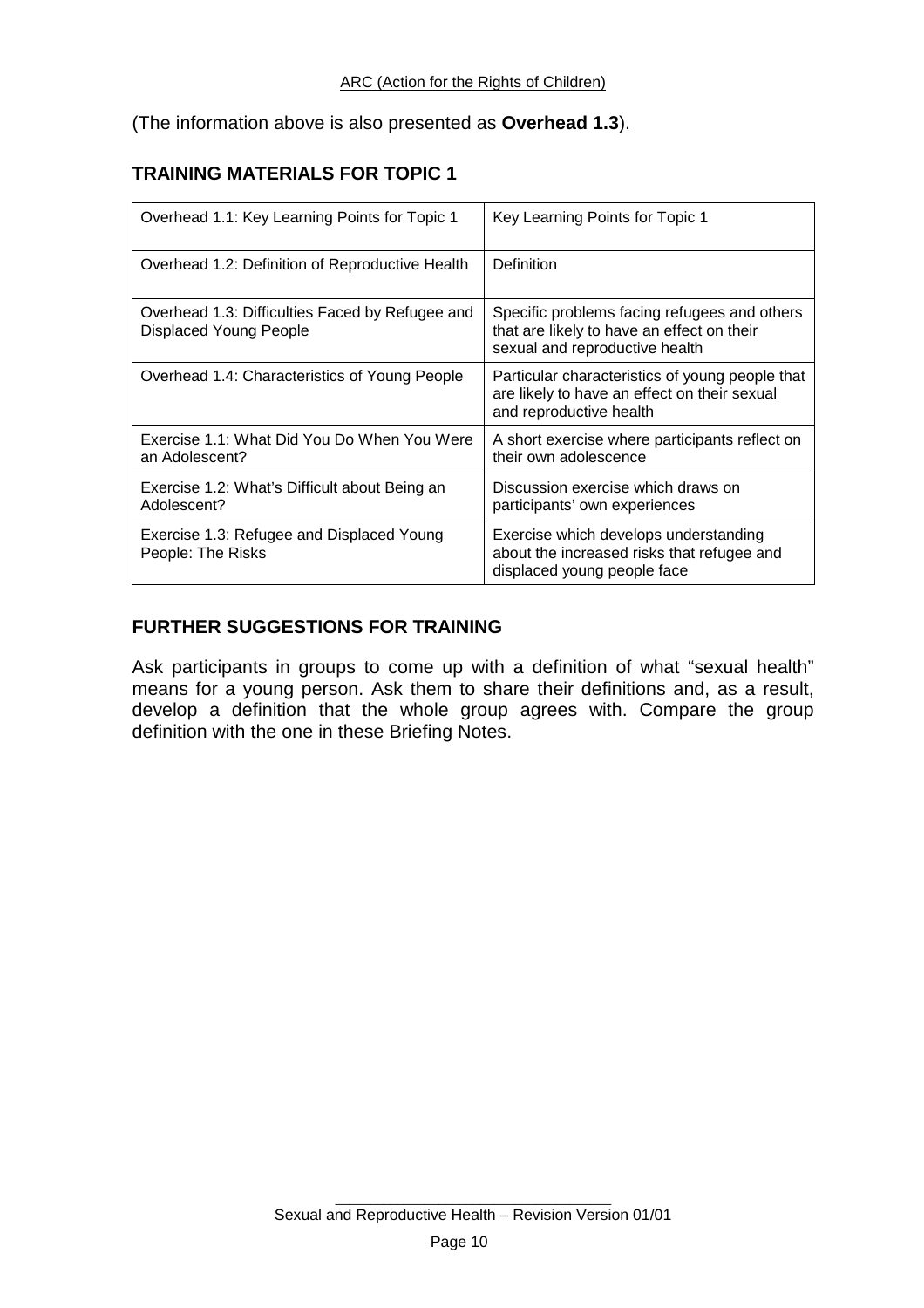## (The information above is also presented as **Overhead 1.3**).

## **TRAINING MATERIALS FOR TOPIC 1**

| Overhead 1.1: Key Learning Points for Topic 1                                    | Key Learning Points for Topic 1                                                                                              |
|----------------------------------------------------------------------------------|------------------------------------------------------------------------------------------------------------------------------|
| Overhead 1.2: Definition of Reproductive Health                                  | Definition                                                                                                                   |
| Overhead 1.3: Difficulties Faced by Refugee and<br><b>Displaced Young People</b> | Specific problems facing refugees and others<br>that are likely to have an effect on their<br>sexual and reproductive health |
| Overhead 1.4: Characteristics of Young People                                    | Particular characteristics of young people that<br>are likely to have an effect on their sexual<br>and reproductive health   |
| Exercise 1.1: What Did You Do When You Were<br>an Adolescent?                    | A short exercise where participants reflect on<br>their own adolescence                                                      |
| Exercise 1.2: What's Difficult about Being an<br>Adolescent?                     | Discussion exercise which draws on<br>participants' own experiences                                                          |
| Exercise 1.3: Refugee and Displaced Young<br>People: The Risks                   | Exercise which develops understanding<br>about the increased risks that refugee and<br>displaced young people face           |

## **FURTHER SUGGESTIONS FOR TRAINING**

Ask participants in groups to come up with a definition of what "sexual health" means for a young person. Ask them to share their definitions and, as a result, develop a definition that the whole group agrees with. Compare the group definition with the one in these Briefing Notes.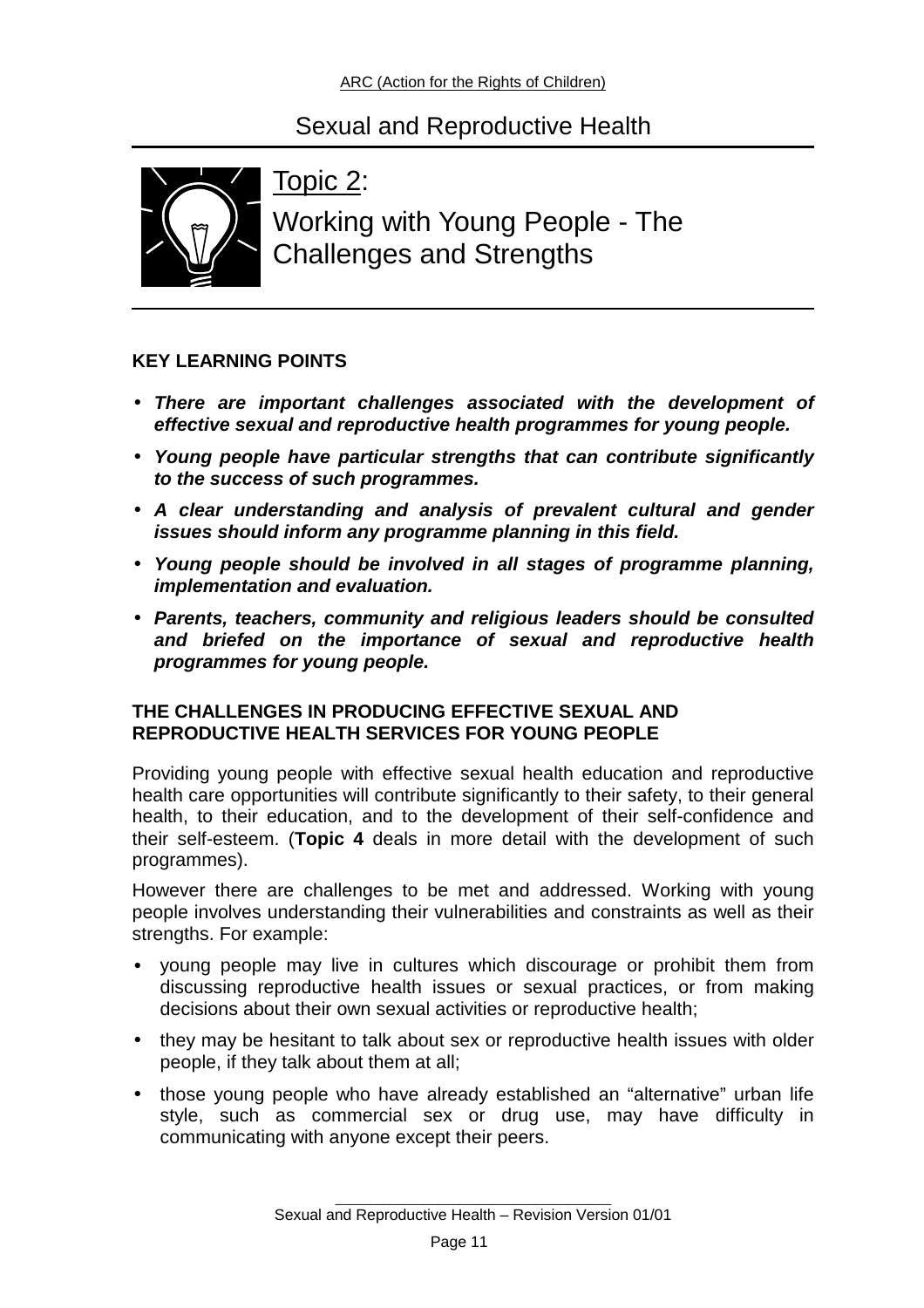## Sexual and Reproductive Health

<span id="page-10-0"></span>

Topic 2:

Working with Young People - The Challenges and Strengths

#### **KEY LEARNING POINTS**

- *There are important challenges associated with the development of effective sexual and reproductive health programmes for young people.*
- *Young people have particular strengths that can contribute significantly to the success of such programmes.*
- *A clear understanding and analysis of prevalent cultural and gender issues should inform any programme planning in this field.*
- *Young people should be involved in all stages of programme planning, implementation and evaluation.*
- *Parents, teachers, community and religious leaders should be consulted and briefed on the importance of sexual and reproductive health programmes for young people.*

## **THE CHALLENGES IN PRODUCING EFFECTIVE SEXUAL AND REPRODUCTIVE HEALTH SERVICES FOR YOUNG PEOPLE**

Providing young people with effective sexual health education and reproductive health care opportunities will contribute significantly to their safety, to their general health, to their education, and to the development of their self-confidence and their self-esteem. (**Topic 4** deals in more detail with the development of such programmes).

However there are challenges to be met and addressed. Working with young people involves understanding their vulnerabilities and constraints as well as their strengths. For example:

- young people may live in cultures which discourage or prohibit them from discussing reproductive health issues or sexual practices, or from making decisions about their own sexual activities or reproductive health;
- they may be hesitant to talk about sex or reproductive health issues with older people, if they talk about them at all;
- those young people who have already established an "alternative" urban life style, such as commercial sex or drug use, may have difficulty in communicating with anyone except their peers.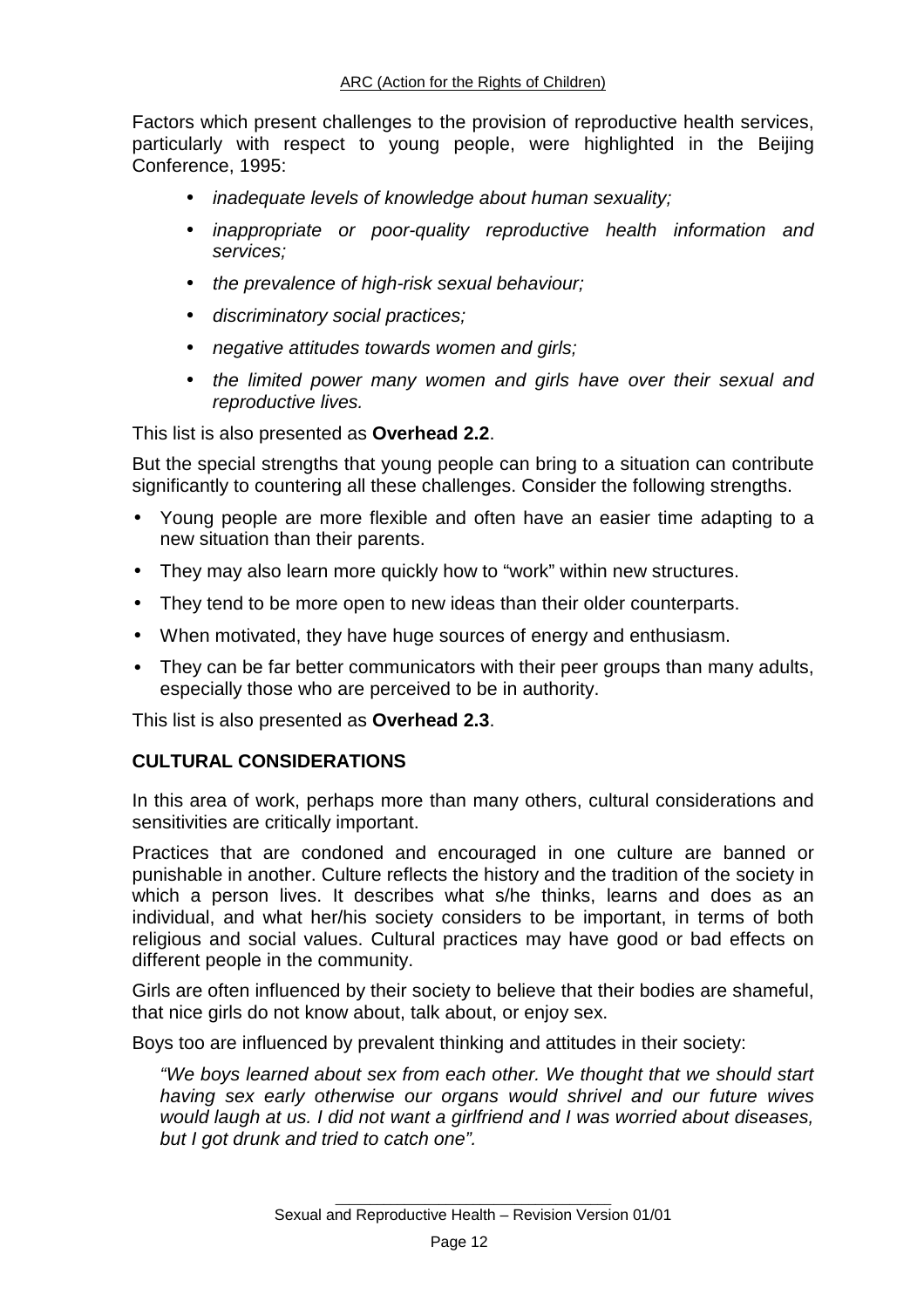Factors which present challenges to the provision of reproductive health services, particularly with respect to young people, were highlighted in the Beijing Conference, 1995:

- *inadequate levels of knowledge about human sexuality;*
- *inappropriate or poor-quality reproductive health information and services;*
- *the prevalence of high-risk sexual behaviour;*
- *discriminatory social practices;*
- *negative attitudes towards women and girls;*
- *the limited power many women and girls have over their sexual and reproductive lives.*

## This list is also presented as **Overhead 2.2**.

But the special strengths that young people can bring to a situation can contribute significantly to countering all these challenges. Consider the following strengths.

- Young people are more flexible and often have an easier time adapting to a new situation than their parents.
- They may also learn more quickly how to "work" within new structures.
- They tend to be more open to new ideas than their older counterparts.
- When motivated, they have huge sources of energy and enthusiasm.
- They can be far better communicators with their peer groups than many adults, especially those who are perceived to be in authority.

This list is also presented as **Overhead 2.3**.

## **CULTURAL CONSIDERATIONS**

In this area of work, perhaps more than many others, cultural considerations and sensitivities are critically important.

Practices that are condoned and encouraged in one culture are banned or punishable in another. Culture reflects the history and the tradition of the society in which a person lives. It describes what s/he thinks, learns and does as an individual, and what her/his society considers to be important, in terms of both religious and social values. Cultural practices may have good or bad effects on different people in the community.

Girls are often influenced by their society to believe that their bodies are shameful, that nice girls do not know about, talk about, or enjoy sex.

Boys too are influenced by prevalent thinking and attitudes in their society:

*"We boys learned about sex from each other. We thought that we should start having sex early otherwise our organs would shrivel and our future wives would laugh at us. I did not want a girlfriend and I was worried about diseases, but I got drunk and tried to catch one".*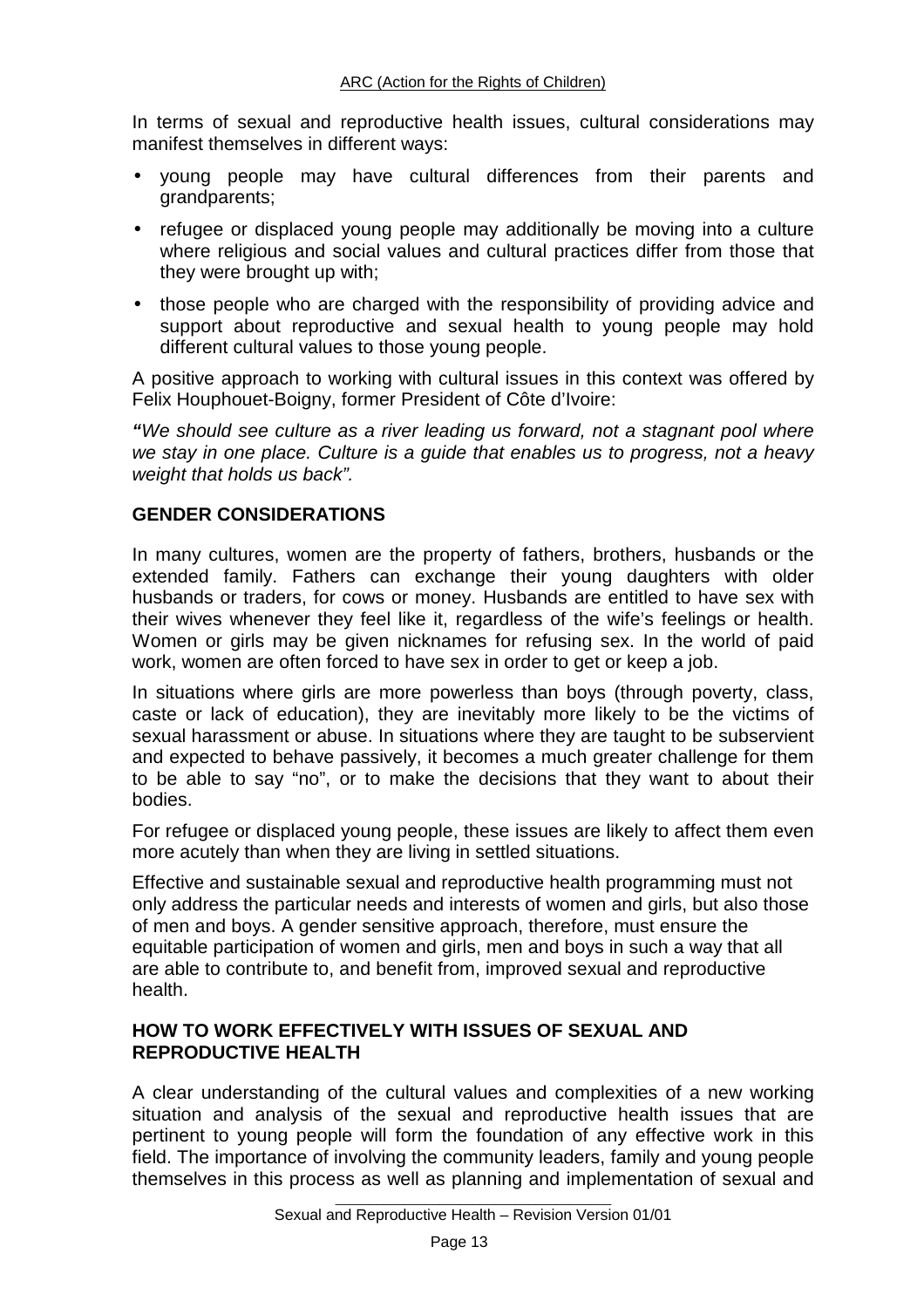In terms of sexual and reproductive health issues, cultural considerations may manifest themselves in different ways:

- young people may have cultural differences from their parents and grandparents;
- refugee or displaced young people may additionally be moving into a culture where religious and social values and cultural practices differ from those that they were brought up with;
- those people who are charged with the responsibility of providing advice and support about reproductive and sexual health to young people may hold different cultural values to those young people.

A positive approach to working with cultural issues in this context was offered by Felix Houphouet-Boigny, former President of Côte d'Ivoire:

*"We should see culture as a river leading us forward, not a stagnant pool where we stay in one place. Culture is a guide that enables us to progress, not a heavy weight that holds us back".*

## **GENDER CONSIDERATIONS**

In many cultures, women are the property of fathers, brothers, husbands or the extended family. Fathers can exchange their young daughters with older husbands or traders, for cows or money. Husbands are entitled to have sex with their wives whenever they feel like it, regardless of the wife's feelings or health. Women or girls may be given nicknames for refusing sex. In the world of paid work, women are often forced to have sex in order to get or keep a job.

In situations where girls are more powerless than boys (through poverty, class, caste or lack of education), they are inevitably more likely to be the victims of sexual harassment or abuse. In situations where they are taught to be subservient and expected to behave passively, it becomes a much greater challenge for them to be able to say "no", or to make the decisions that they want to about their bodies.

For refugee or displaced young people, these issues are likely to affect them even more acutely than when they are living in settled situations.

Effective and sustainable sexual and reproductive health programming must not only address the particular needs and interests of women and girls, but also those of men and boys. A gender sensitive approach, therefore, must ensure the equitable participation of women and girls, men and boys in such a way that all are able to contribute to, and benefit from, improved sexual and reproductive health.

## **HOW TO WORK EFFECTIVELY WITH ISSUES OF SEXUAL AND REPRODUCTIVE HEALTH**

A clear understanding of the cultural values and complexities of a new working situation and analysis of the sexual and reproductive health issues that are pertinent to young people will form the foundation of any effective work in this field. The importance of involving the community leaders, family and young people themselves in this process as well as planning and implementation of sexual and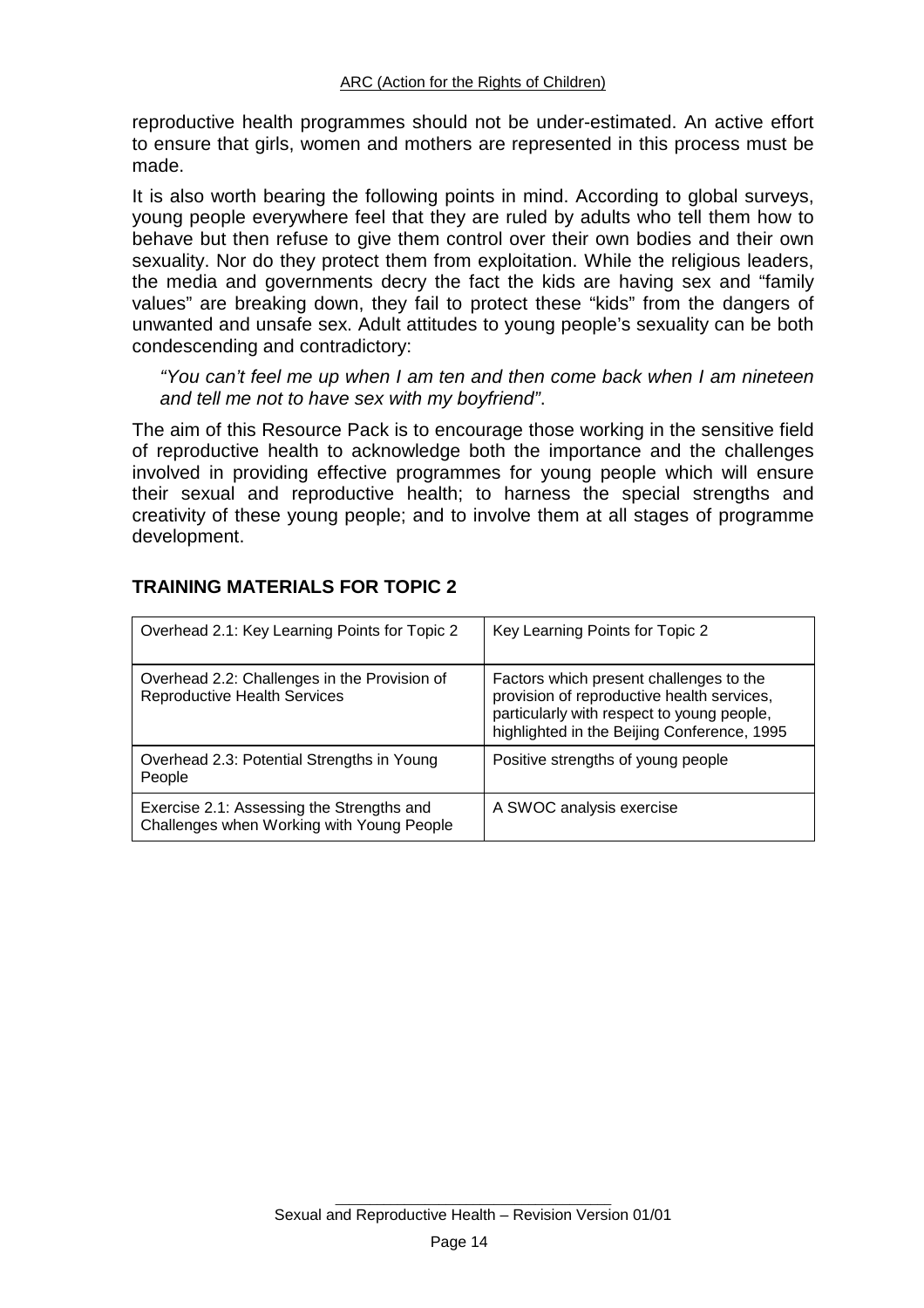reproductive health programmes should not be under-estimated. An active effort to ensure that girls, women and mothers are represented in this process must be made.

It is also worth bearing the following points in mind. According to global surveys, young people everywhere feel that they are ruled by adults who tell them how to behave but then refuse to give them control over their own bodies and their own sexuality. Nor do they protect them from exploitation. While the religious leaders, the media and governments decry the fact the kids are having sex and "family values" are breaking down, they fail to protect these "kids" from the dangers of unwanted and unsafe sex. Adult attitudes to young people's sexuality can be both condescending and contradictory:

*"You can't feel me up when I am ten and then come back when I am nineteen and tell me not to have sex with my boyfriend"*.

The aim of this Resource Pack is to encourage those working in the sensitive field of reproductive health to acknowledge both the importance and the challenges involved in providing effective programmes for young people which will ensure their sexual and reproductive health; to harness the special strengths and creativity of these young people; and to involve them at all stages of programme development.

| Overhead 2.1: Key Learning Points for Topic 2                                          | Key Learning Points for Topic 2                                                                                                                                                    |
|----------------------------------------------------------------------------------------|------------------------------------------------------------------------------------------------------------------------------------------------------------------------------------|
| Overhead 2.2: Challenges in the Provision of<br><b>Reproductive Health Services</b>    | Factors which present challenges to the<br>provision of reproductive health services,<br>particularly with respect to young people,<br>highlighted in the Beijing Conference, 1995 |
| Overhead 2.3: Potential Strengths in Young<br>People                                   | Positive strengths of young people                                                                                                                                                 |
| Exercise 2.1: Assessing the Strengths and<br>Challenges when Working with Young People | A SWOC analysis exercise                                                                                                                                                           |

## **TRAINING MATERIALS FOR TOPIC 2**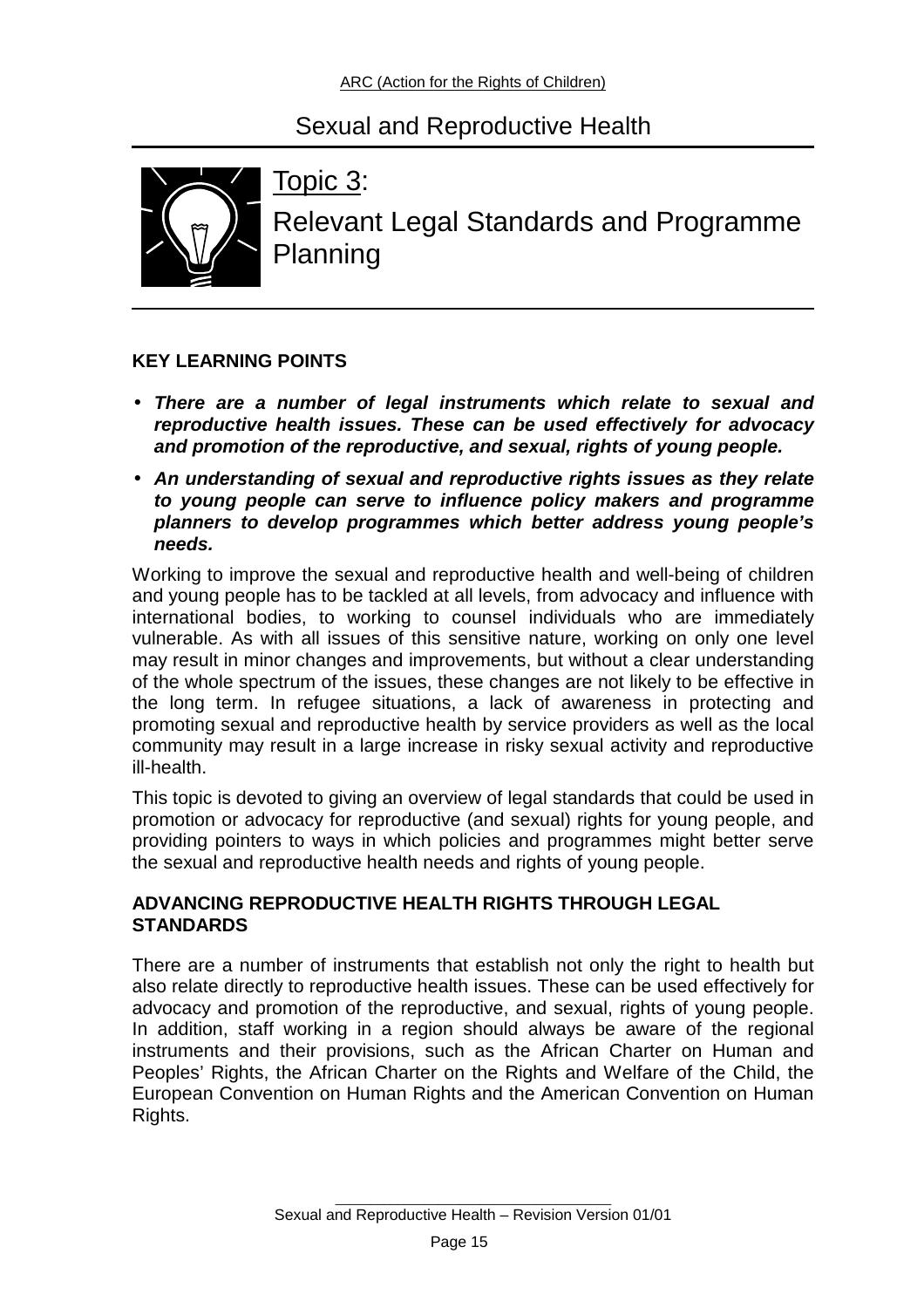## Sexual and Reproductive Health

<span id="page-14-0"></span>

Topic 3:

Relevant Legal Standards and Programme Planning

## **KEY LEARNING POINTS**

- *There are a number of legal instruments which relate to sexual and reproductive health issues. These can be used effectively for advocacy and promotion of the reproductive, and sexual, rights of young people.*
- *An understanding of sexual and reproductive rights issues as they relate to young people can serve to influence policy makers and programme planners to develop programmes which better address young people's needs.*

Working to improve the sexual and reproductive health and well-being of children and young people has to be tackled at all levels, from advocacy and influence with international bodies, to working to counsel individuals who are immediately vulnerable. As with all issues of this sensitive nature, working on only one level may result in minor changes and improvements, but without a clear understanding of the whole spectrum of the issues, these changes are not likely to be effective in the long term. In refugee situations, a lack of awareness in protecting and promoting sexual and reproductive health by service providers as well as the local community may result in a large increase in risky sexual activity and reproductive ill-health.

This topic is devoted to giving an overview of legal standards that could be used in promotion or advocacy for reproductive (and sexual) rights for young people, and providing pointers to ways in which policies and programmes might better serve the sexual and reproductive health needs and rights of young people.

## **ADVANCING REPRODUCTIVE HEALTH RIGHTS THROUGH LEGAL STANDARDS**

There are a number of instruments that establish not only the right to health but also relate directly to reproductive health issues. These can be used effectively for advocacy and promotion of the reproductive, and sexual, rights of young people. In addition, staff working in a region should always be aware of the regional instruments and their provisions, such as the African Charter on Human and Peoples' Rights, the African Charter on the Rights and Welfare of the Child, the European Convention on Human Rights and the American Convention on Human Rights.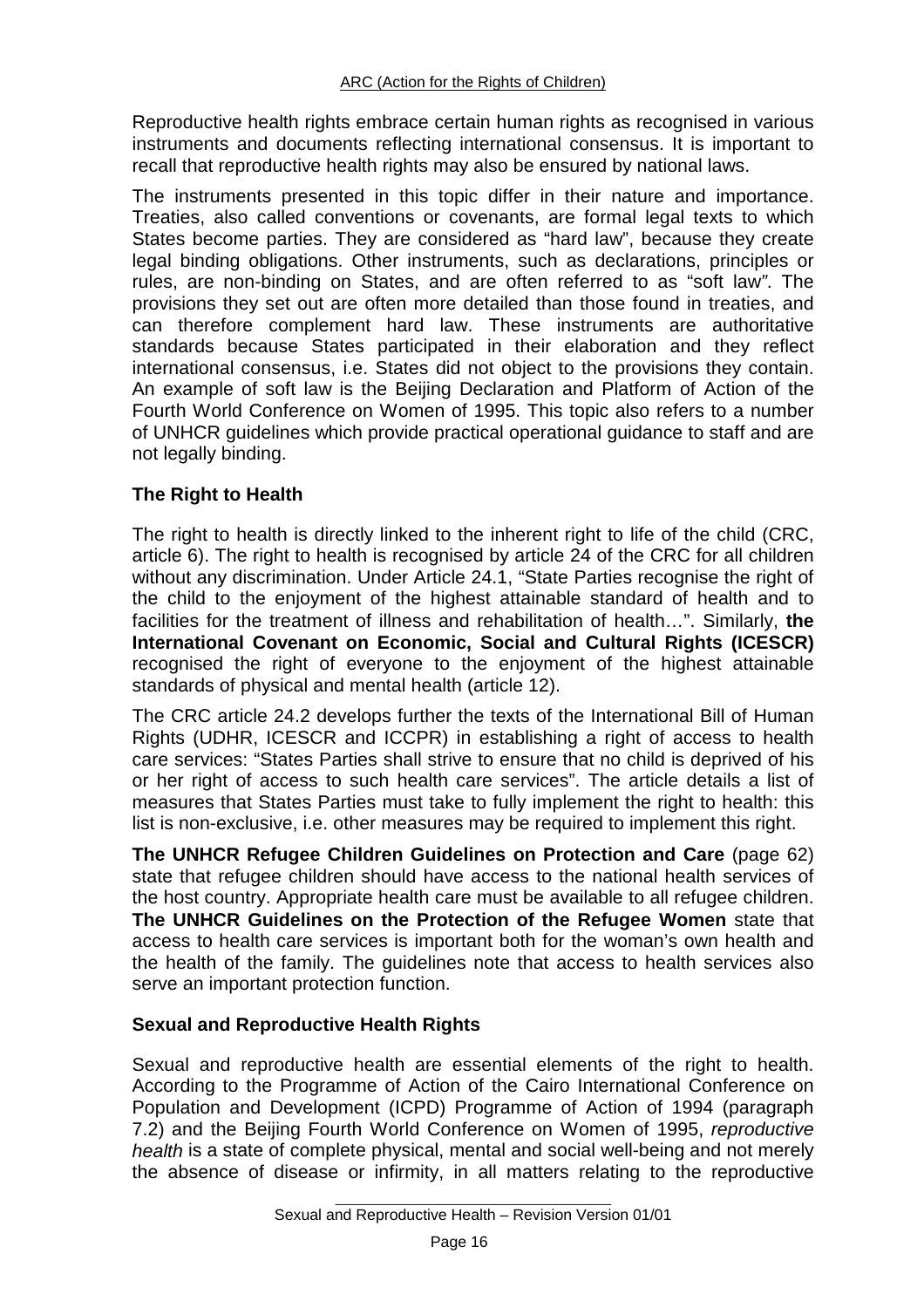Reproductive health rights embrace certain human rights as recognised in various instruments and documents reflecting international consensus. It is important to recall that reproductive health rights may also be ensured by national laws.

The instruments presented in this topic differ in their nature and importance. Treaties, also called conventions or covenants, are formal legal texts to which States become parties. They are considered as "hard law", because they create legal binding obligations. Other instruments, such as declarations, principles or rules, are non-binding on States, and are often referred to as "soft law*"*. The provisions they set out are often more detailed than those found in treaties, and can therefore complement hard law. These instruments are authoritative standards because States participated in their elaboration and they reflect international consensus, i.e. States did not object to the provisions they contain. An example of soft law is the Beijing Declaration and Platform of Action of the Fourth World Conference on Women of 1995. This topic also refers to a number of UNHCR guidelines which provide practical operational guidance to staff and are not legally binding.

## **The Right to Health**

The right to health is directly linked to the inherent right to life of the child (CRC, article 6). The right to health is recognised by article 24 of the CRC for all children without any discrimination. Under Article 24.1, "State Parties recognise the right of the child to the enjoyment of the highest attainable standard of health and to facilities for the treatment of illness and rehabilitation of health…". Similarly, **the International Covenant on Economic, Social and Cultural Rights (ICESCR)** recognised the right of everyone to the enjoyment of the highest attainable standards of physical and mental health (article 12).

The CRC article 24.2 develops further the texts of the International Bill of Human Rights (UDHR, ICESCR and ICCPR) in establishing a right of access to health care services: "States Parties shall strive to ensure that no child is deprived of his or her right of access to such health care services". The article details a list of measures that States Parties must take to fully implement the right to health: this list is non-exclusive, i.e. other measures may be required to implement this right.

**The UNHCR Refugee Children Guidelines on Protection and Care** (page 62) state that refugee children should have access to the national health services of the host country. Appropriate health care must be available to all refugee children. **The UNHCR Guidelines on the Protection of the Refugee Women** state that access to health care services is important both for the woman's own health and the health of the family. The guidelines note that access to health services also serve an important protection function.

## **Sexual and Reproductive Health Rights**

Sexual and reproductive health are essential elements of the right to health. According to the Programme of Action of the Cairo International Conference on Population and Development (ICPD) Programme of Action of 1994 (paragraph 7.2) and the Beijing Fourth World Conference on Women of 1995, *reproductive health* is a state of complete physical, mental and social well-being and not merely the absence of disease or infirmity, in all matters relating to the reproductive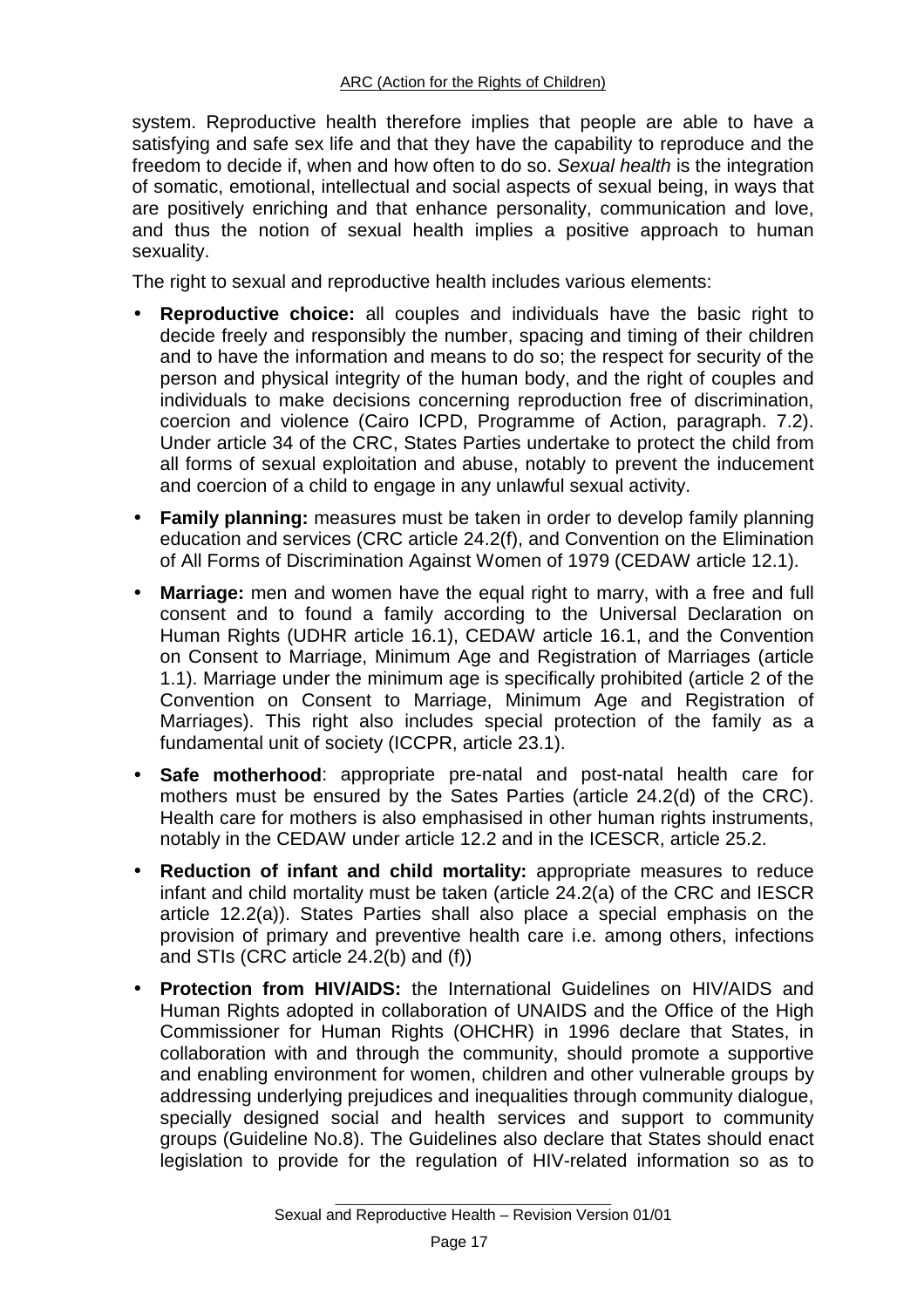system. Reproductive health therefore implies that people are able to have a satisfying and safe sex life and that they have the capability to reproduce and the freedom to decide if, when and how often to do so. *Sexual health* is the integration of somatic, emotional, intellectual and social aspects of sexual being, in ways that are positively enriching and that enhance personality, communication and love, and thus the notion of sexual health implies a positive approach to human sexuality.

The right to sexual and reproductive health includes various elements:

- **Reproductive choice:** all couples and individuals have the basic right to decide freely and responsibly the number, spacing and timing of their children and to have the information and means to do so; the respect for security of the person and physical integrity of the human body, and the right of couples and individuals to make decisions concerning reproduction free of discrimination, coercion and violence (Cairo ICPD, Programme of Action, paragraph. 7.2). Under article 34 of the CRC, States Parties undertake to protect the child from all forms of sexual exploitation and abuse, notably to prevent the inducement and coercion of a child to engage in any unlawful sexual activity.
- **Family planning:** measures must be taken in order to develop family planning education and services (CRC article 24.2(f), and Convention on the Elimination of All Forms of Discrimination Against Women of 1979 (CEDAW article 12.1).
- **Marriage:** men and women have the equal right to marry, with a free and full consent and to found a family according to the Universal Declaration on Human Rights (UDHR article 16.1), CEDAW article 16.1, and the Convention on Consent to Marriage, Minimum Age and Registration of Marriages (article 1.1). Marriage under the minimum age is specifically prohibited (article 2 of the Convention on Consent to Marriage, Minimum Age and Registration of Marriages). This right also includes special protection of the family as a fundamental unit of society (ICCPR, article 23.1).
- **Safe motherhood**: appropriate pre-natal and post-natal health care for mothers must be ensured by the Sates Parties (article 24.2(d) of the CRC). Health care for mothers is also emphasised in other human rights instruments, notably in the CEDAW under article 12.2 and in the ICESCR, article 25.2.
- **Reduction of infant and child mortality:** appropriate measures to reduce infant and child mortality must be taken (article 24.2(a) of the CRC and IESCR article 12.2(a)). States Parties shall also place a special emphasis on the provision of primary and preventive health care i.e. among others, infections and STIs (CRC article 24.2(b) and (f))
- **Protection from HIV/AIDS:** the International Guidelines on HIV/AIDS and Human Rights adopted in collaboration of UNAIDS and the Office of the High Commissioner for Human Rights (OHCHR) in 1996 declare that States, in collaboration with and through the community, should promote a supportive and enabling environment for women, children and other vulnerable groups by addressing underlying prejudices and inequalities through community dialogue, specially designed social and health services and support to community groups (Guideline No.8). The Guidelines also declare that States should enact legislation to provide for the regulation of HIV-related information so as to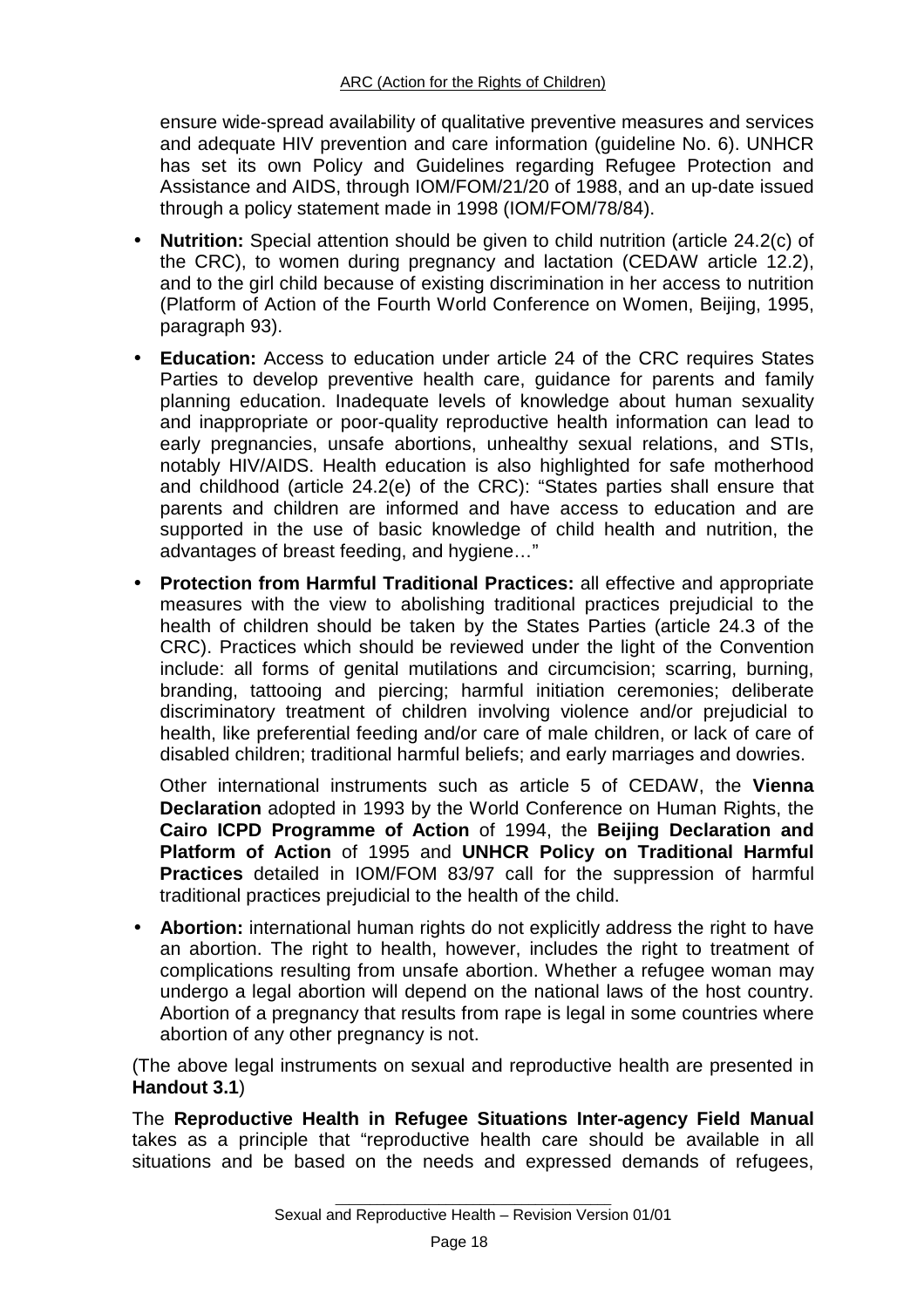ensure wide-spread availability of qualitative preventive measures and services and adequate HIV prevention and care information (guideline No. 6). UNHCR has set its own Policy and Guidelines regarding Refugee Protection and Assistance and AIDS, through IOM/FOM/21/20 of 1988, and an up-date issued through a policy statement made in 1998 (IOM/FOM/78/84).

- **Nutrition:** Special attention should be given to child nutrition (article 24.2(c) of the CRC), to women during pregnancy and lactation (CEDAW article 12.2), and to the girl child because of existing discrimination in her access to nutrition (Platform of Action of the Fourth World Conference on Women, Beijing, 1995, paragraph 93).
- **Education:** Access to education under article 24 of the CRC requires States Parties to develop preventive health care, guidance for parents and family planning education. Inadequate levels of knowledge about human sexuality and inappropriate or poor-quality reproductive health information can lead to early pregnancies, unsafe abortions, unhealthy sexual relations, and STIs, notably HIV/AIDS. Health education is also highlighted for safe motherhood and childhood (article 24.2(e) of the CRC): "States parties shall ensure that parents and children are informed and have access to education and are supported in the use of basic knowledge of child health and nutrition, the advantages of breast feeding, and hygiene…"
- **Protection from Harmful Traditional Practices:** all effective and appropriate measures with the view to abolishing traditional practices prejudicial to the health of children should be taken by the States Parties (article 24.3 of the CRC). Practices which should be reviewed under the light of the Convention include: all forms of genital mutilations and circumcision; scarring, burning, branding, tattooing and piercing; harmful initiation ceremonies; deliberate discriminatory treatment of children involving violence and/or prejudicial to health, like preferential feeding and/or care of male children, or lack of care of disabled children; traditional harmful beliefs; and early marriages and dowries.

Other international instruments such as article 5 of CEDAW, the **Vienna Declaration** adopted in 1993 by the World Conference on Human Rights, the **Cairo ICPD Programme of Action** of 1994, the **Beijing Declaration and Platform of Action** of 1995 and **UNHCR Policy on Traditional Harmful Practices** detailed in IOM/FOM 83/97 call for the suppression of harmful traditional practices prejudicial to the health of the child.

• **Abortion:** international human rights do not explicitly address the right to have an abortion. The right to health, however, includes the right to treatment of complications resulting from unsafe abortion. Whether a refugee woman may undergo a legal abortion will depend on the national laws of the host country. Abortion of a pregnancy that results from rape is legal in some countries where abortion of any other pregnancy is not.

(The above legal instruments on sexual and reproductive health are presented in **Handout 3.1**)

The **Reproductive Health in Refugee Situations Inter-agency Field Manual** takes as a principle that "reproductive health care should be available in all situations and be based on the needs and expressed demands of refugees,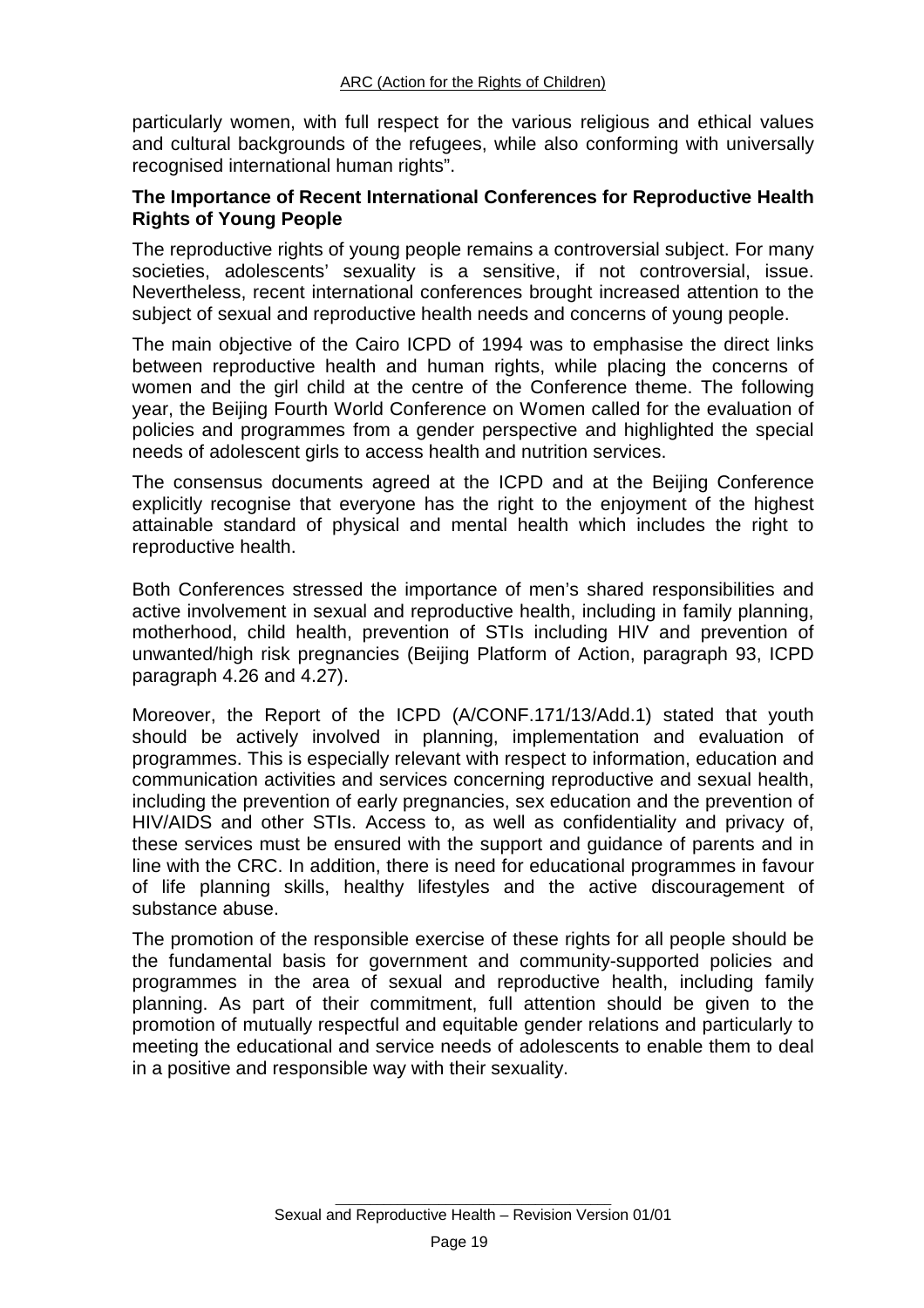particularly women, with full respect for the various religious and ethical values and cultural backgrounds of the refugees, while also conforming with universally recognised international human rights".

## **The Importance of Recent International Conferences for Reproductive Health Rights of Young People**

The reproductive rights of young people remains a controversial subject. For many societies, adolescents' sexuality is a sensitive, if not controversial, issue. Nevertheless, recent international conferences brought increased attention to the subject of sexual and reproductive health needs and concerns of young people.

The main objective of the Cairo ICPD of 1994 was to emphasise the direct links between reproductive health and human rights, while placing the concerns of women and the girl child at the centre of the Conference theme. The following year, the Beijing Fourth World Conference on Women called for the evaluation of policies and programmes from a gender perspective and highlighted the special needs of adolescent girls to access health and nutrition services.

The consensus documents agreed at the ICPD and at the Beijing Conference explicitly recognise that everyone has the right to the enjoyment of the highest attainable standard of physical and mental health which includes the right to reproductive health.

Both Conferences stressed the importance of men's shared responsibilities and active involvement in sexual and reproductive health, including in family planning, motherhood, child health, prevention of STIs including HIV and prevention of unwanted/high risk pregnancies (Beijing Platform of Action, paragraph 93, ICPD paragraph 4.26 and 4.27).

Moreover, the Report of the ICPD (A/CONF.171/13/Add.1) stated that youth should be actively involved in planning, implementation and evaluation of programmes. This is especially relevant with respect to information, education and communication activities and services concerning reproductive and sexual health, including the prevention of early pregnancies, sex education and the prevention of HIV/AIDS and other STIs. Access to, as well as confidentiality and privacy of, these services must be ensured with the support and guidance of parents and in line with the CRC. In addition, there is need for educational programmes in favour of life planning skills, healthy lifestyles and the active discouragement of substance abuse.

The promotion of the responsible exercise of these rights for all people should be the fundamental basis for government and community-supported policies and programmes in the area of sexual and reproductive health, including family planning. As part of their commitment, full attention should be given to the promotion of mutually respectful and equitable gender relations and particularly to meeting the educational and service needs of adolescents to enable them to deal in a positive and responsible way with their sexuality.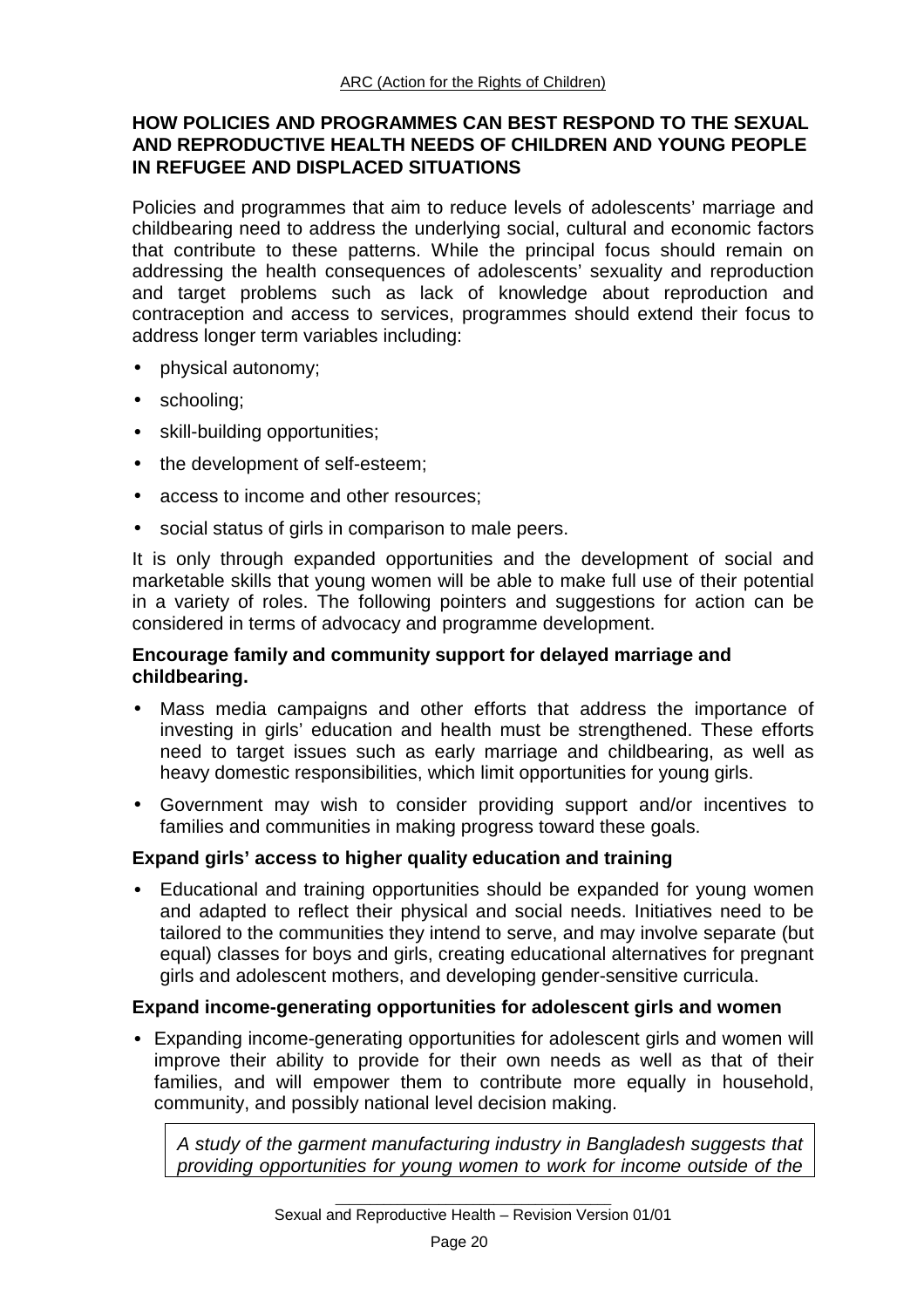## **HOW POLICIES AND PROGRAMMES CAN BEST RESPOND TO THE SEXUAL AND REPRODUCTIVE HEALTH NEEDS OF CHILDREN AND YOUNG PEOPLE IN REFUGEE AND DISPLACED SITUATIONS**

Policies and programmes that aim to reduce levels of adolescents' marriage and childbearing need to address the underlying social, cultural and economic factors that contribute to these patterns. While the principal focus should remain on addressing the health consequences of adolescents' sexuality and reproduction and target problems such as lack of knowledge about reproduction and contraception and access to services, programmes should extend their focus to address longer term variables including:

- physical autonomy;
- schooling;
- skill-building opportunities;
- the development of self-esteem;
- access to income and other resources:
- social status of girls in comparison to male peers.

It is only through expanded opportunities and the development of social and marketable skills that young women will be able to make full use of their potential in a variety of roles. The following pointers and suggestions for action can be considered in terms of advocacy and programme development.

## **Encourage family and community support for delayed marriage and childbearing.**

- Mass media campaigns and other efforts that address the importance of investing in girls' education and health must be strengthened. These efforts need to target issues such as early marriage and childbearing, as well as heavy domestic responsibilities, which limit opportunities for young girls.
- Government may wish to consider providing support and/or incentives to families and communities in making progress toward these goals.

## **Expand girls' access to higher quality education and training**

• Educational and training opportunities should be expanded for young women and adapted to reflect their physical and social needs. Initiatives need to be tailored to the communities they intend to serve, and may involve separate (but equal) classes for boys and girls, creating educational alternatives for pregnant girls and adolescent mothers, and developing gender-sensitive curricula.

#### **Expand income-generating opportunities for adolescent girls and women**

• Expanding income-generating opportunities for adolescent girls and women will improve their ability to provide for their own needs as well as that of their families, and will empower them to contribute more equally in household, community, and possibly national level decision making.

*A study of the garment manufacturing industry in Bangladesh suggests that providing opportunities for young women to work for income outside of the*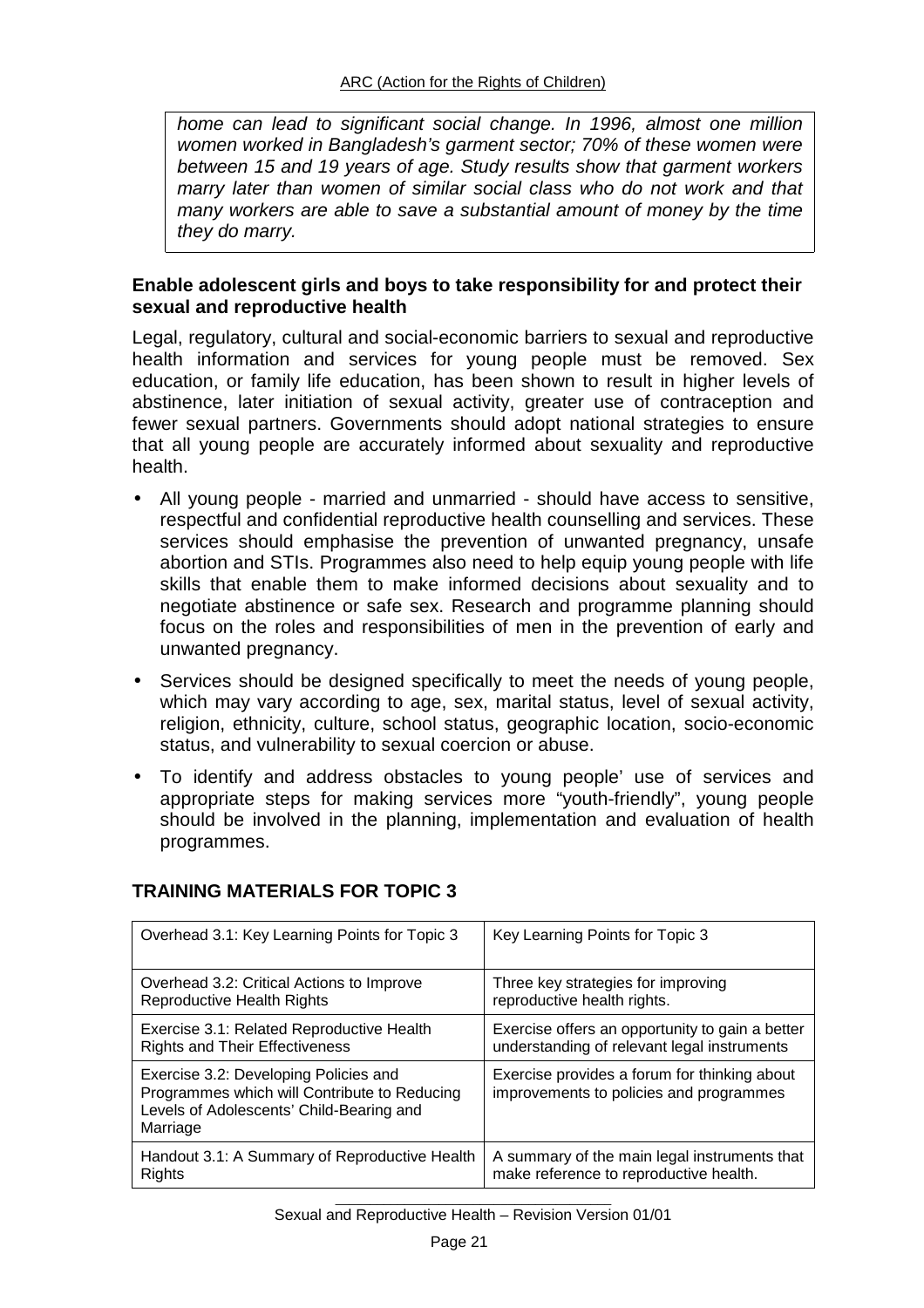*home can lead to significant social change. In 1996, almost one million women worked in Bangladesh's garment sector; 70% of these women were between 15 and 19 years of age. Study results show that garment workers marry later than women of similar social class who do not work and that many workers are able to save a substantial amount of money by the time they do marry.*

## **Enable adolescent girls and boys to take responsibility for and protect their sexual and reproductive health**

Legal, regulatory, cultural and social-economic barriers to sexual and reproductive health information and services for young people must be removed. Sex education, or family life education, has been shown to result in higher levels of abstinence, later initiation of sexual activity, greater use of contraception and fewer sexual partners. Governments should adopt national strategies to ensure that all young people are accurately informed about sexuality and reproductive health.

- All young people married and unmarried should have access to sensitive, respectful and confidential reproductive health counselling and services. These services should emphasise the prevention of unwanted pregnancy, unsafe abortion and STIs. Programmes also need to help equip young people with life skills that enable them to make informed decisions about sexuality and to negotiate abstinence or safe sex. Research and programme planning should focus on the roles and responsibilities of men in the prevention of early and unwanted pregnancy.
- Services should be designed specifically to meet the needs of young people, which may vary according to age, sex, marital status, level of sexual activity, religion, ethnicity, culture, school status, geographic location, socio-economic status, and vulnerability to sexual coercion or abuse.
- To identify and address obstacles to young people' use of services and appropriate steps for making services more "youth-friendly", young people should be involved in the planning, implementation and evaluation of health programmes.

| Overhead 3.1: Key Learning Points for Topic 3                                                                                                 | Key Learning Points for Topic 3                                                         |
|-----------------------------------------------------------------------------------------------------------------------------------------------|-----------------------------------------------------------------------------------------|
| Overhead 3.2: Critical Actions to Improve                                                                                                     | Three key strategies for improving                                                      |
| Reproductive Health Rights                                                                                                                    | reproductive health rights.                                                             |
| Exercise 3.1: Related Reproductive Health                                                                                                     | Exercise offers an opportunity to gain a better                                         |
| <b>Rights and Their Effectiveness</b>                                                                                                         | understanding of relevant legal instruments                                             |
| Exercise 3.2: Developing Policies and<br>Programmes which will Contribute to Reducing<br>Levels of Adolescents' Child-Bearing and<br>Marriage | Exercise provides a forum for thinking about<br>improvements to policies and programmes |
| Handout 3.1: A Summary of Reproductive Health                                                                                                 | A summary of the main legal instruments that                                            |
| Rights                                                                                                                                        | make reference to reproductive health.                                                  |

## **TRAINING MATERIALS FOR TOPIC 3**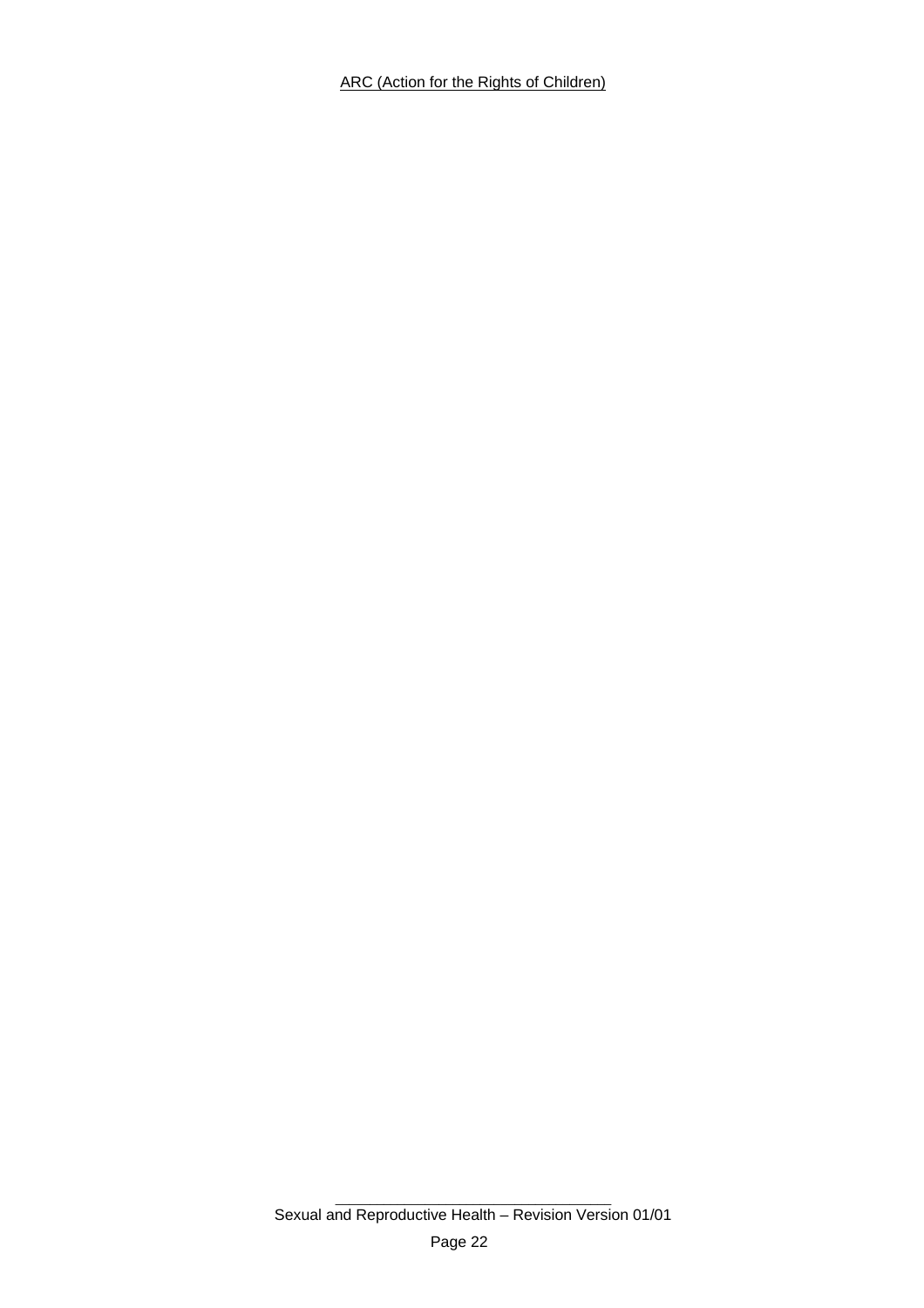ARC (Action for the Rights of Children)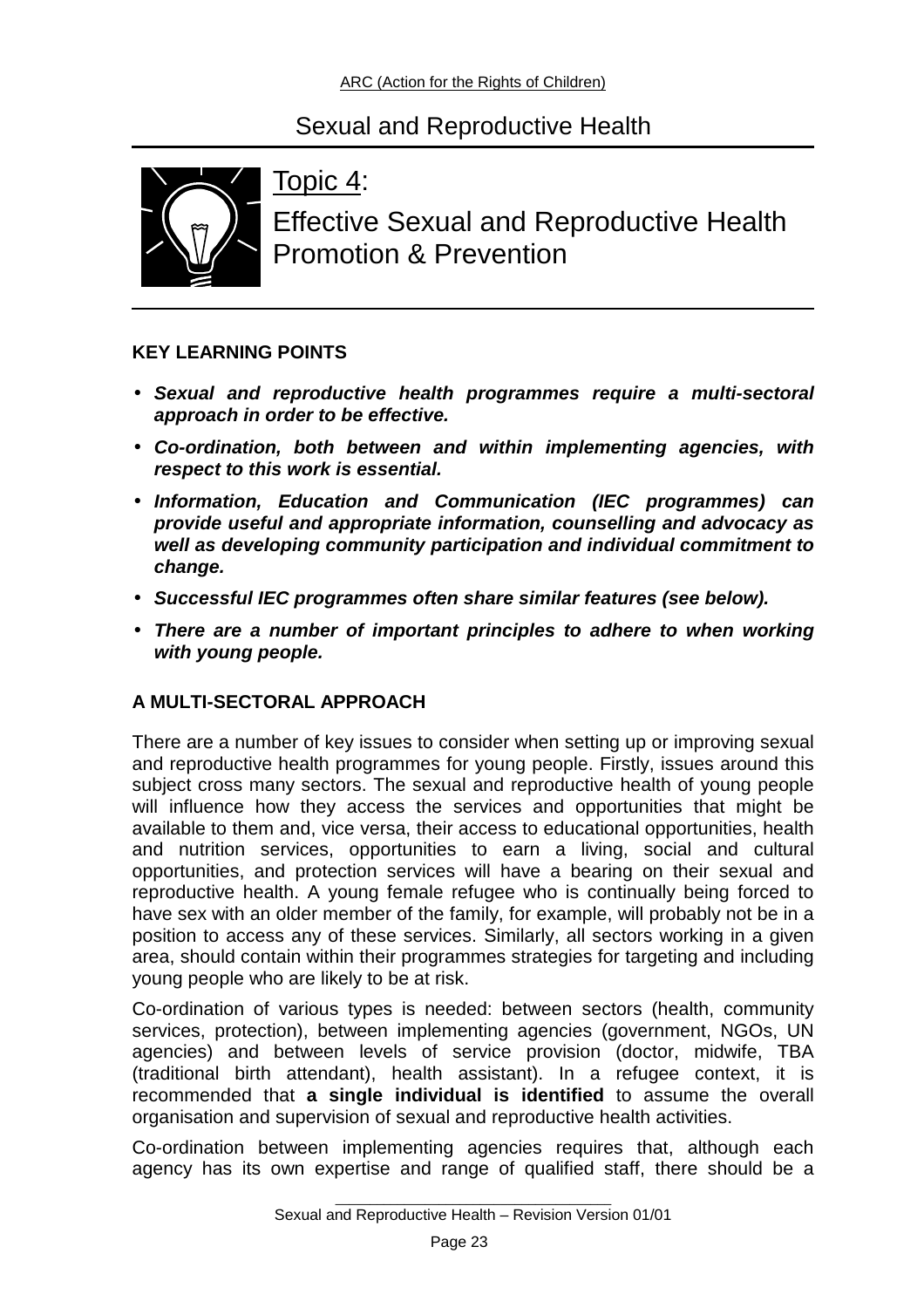## Sexual and Reproductive Health

<span id="page-22-0"></span>

Topic 4:

Effective Sexual and Reproductive Health Promotion & Prevention

## **KEY LEARNING POINTS**

- *Sexual and reproductive health programmes require a multi-sectoral approach in order to be effective.*
- *Co-ordination, both between and within implementing agencies, with respect to this work is essential.*
- *Information, Education and Communication (IEC programmes) can provide useful and appropriate information, counselling and advocacy as well as developing community participation and individual commitment to change.*
- *Successful IEC programmes often share similar features (see below).*
- *There are a number of important principles to adhere to when working with young people.*

## **A MULTI-SECTORAL APPROACH**

There are a number of key issues to consider when setting up or improving sexual and reproductive health programmes for young people. Firstly, issues around this subject cross many sectors. The sexual and reproductive health of young people will influence how they access the services and opportunities that might be available to them and, vice versa, their access to educational opportunities, health and nutrition services, opportunities to earn a living, social and cultural opportunities, and protection services will have a bearing on their sexual and reproductive health. A young female refugee who is continually being forced to have sex with an older member of the family, for example, will probably not be in a position to access any of these services. Similarly, all sectors working in a given area, should contain within their programmes strategies for targeting and including young people who are likely to be at risk.

Co-ordination of various types is needed: between sectors (health, community services, protection), between implementing agencies (government, NGOs, UN agencies) and between levels of service provision (doctor, midwife, TBA (traditional birth attendant), health assistant). In a refugee context, it is recommended that **a single individual is identified** to assume the overall organisation and supervision of sexual and reproductive health activities.

Co-ordination between implementing agencies requires that, although each agency has its own expertise and range of qualified staff, there should be a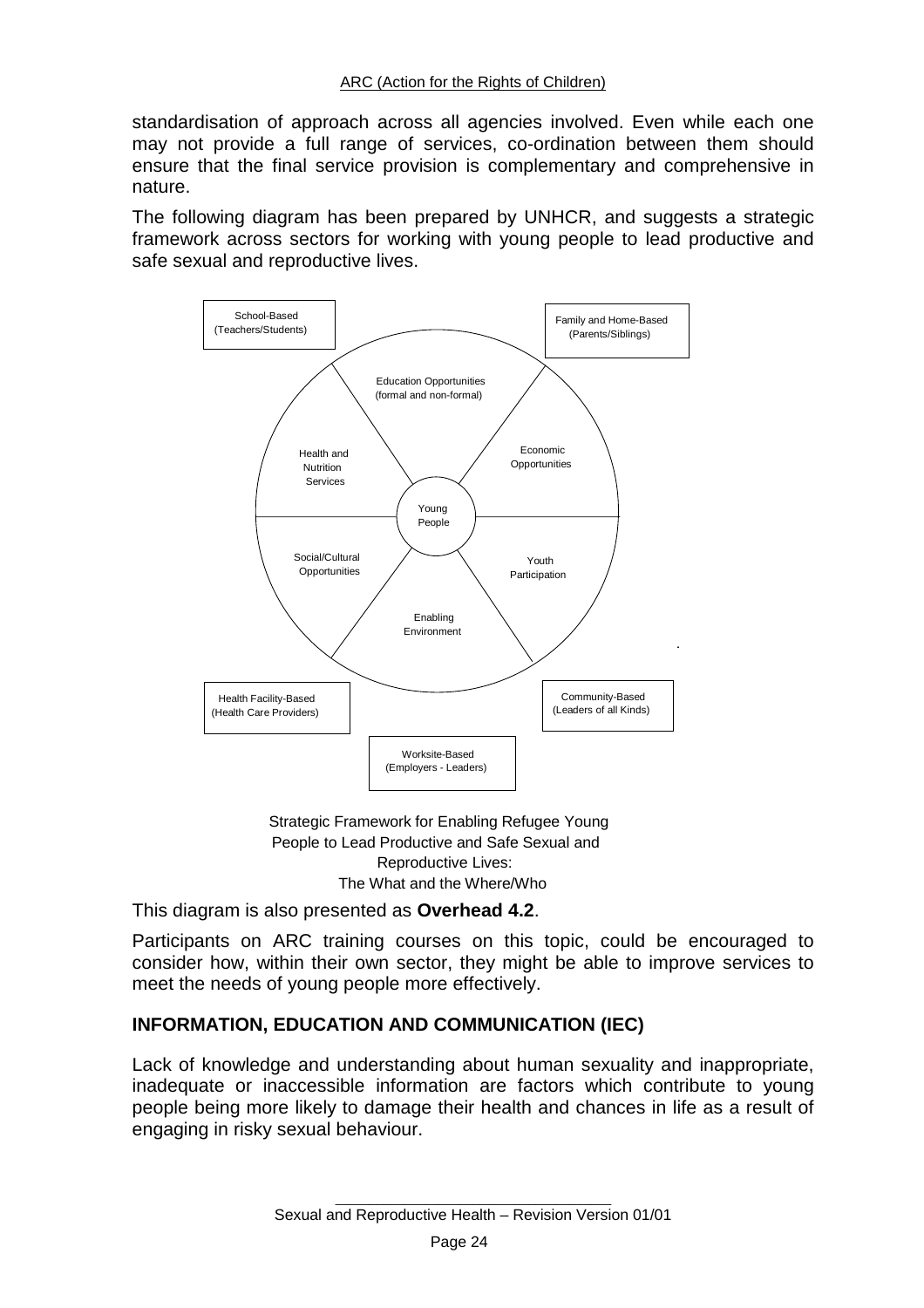standardisation of approach across all agencies involved. Even while each one may not provide a full range of services, co-ordination between them should ensure that the final service provision is complementary and comprehensive in nature.

The following diagram has been prepared by UNHCR, and suggests a strategic framework across sectors for working with young people to lead productive and safe sexual and reproductive lives.



Strategic Framework for Enabling Refugee Young People to Lead Productive and Safe Sexual and Reproductive Lives: The What and the Where/Who

This diagram is also presented as **Overhead 4.2**.

Participants on ARC training courses on this topic, could be encouraged to consider how, within their own sector, they might be able to improve services to meet the needs of young people more effectively.

## **INFORMATION, EDUCATION AND COMMUNICATION (IEC)**

Lack of knowledge and understanding about human sexuality and inappropriate, inadequate or inaccessible information are factors which contribute to young people being more likely to damage their health and chances in life as a result of engaging in risky sexual behaviour.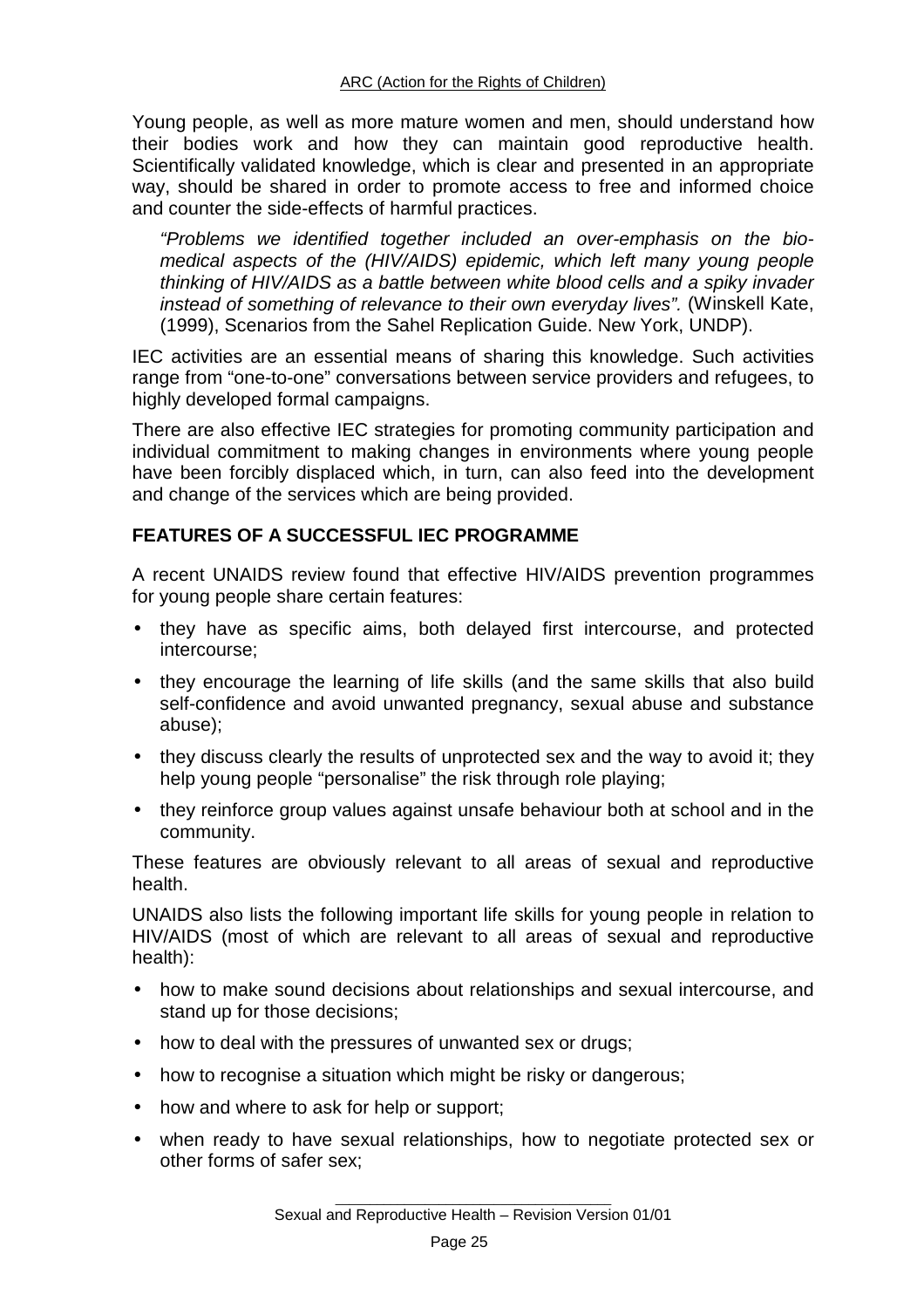Young people, as well as more mature women and men, should understand how their bodies work and how they can maintain good reproductive health. Scientifically validated knowledge, which is clear and presented in an appropriate way, should be shared in order to promote access to free and informed choice and counter the side-effects of harmful practices.

*"Problems we identified together included an over-emphasis on the biomedical aspects of the (HIV/AIDS) epidemic, which left many young people thinking of HIV/AIDS as a battle between white blood cells and a spiky invader instead of something of relevance to their own everyday lives".* (Winskell Kate, (1999), Scenarios from the Sahel Replication Guide. New York, UNDP).

IEC activities are an essential means of sharing this knowledge. Such activities range from "one-to-one" conversations between service providers and refugees, to highly developed formal campaigns.

There are also effective IEC strategies for promoting community participation and individual commitment to making changes in environments where young people have been forcibly displaced which, in turn, can also feed into the development and change of the services which are being provided.

## **FEATURES OF A SUCCESSFUL IEC PROGRAMME**

A recent UNAIDS review found that effective HIV/AIDS prevention programmes for young people share certain features:

- they have as specific aims, both delayed first intercourse, and protected intercourse;
- they encourage the learning of life skills (and the same skills that also build self-confidence and avoid unwanted pregnancy, sexual abuse and substance abuse);
- they discuss clearly the results of unprotected sex and the way to avoid it: they help young people "personalise" the risk through role playing;
- they reinforce group values against unsafe behaviour both at school and in the community.

These features are obviously relevant to all areas of sexual and reproductive health.

UNAIDS also lists the following important life skills for young people in relation to HIV/AIDS (most of which are relevant to all areas of sexual and reproductive health):

- how to make sound decisions about relationships and sexual intercourse, and stand up for those decisions;
- how to deal with the pressures of unwanted sex or drugs;
- how to recognise a situation which might be risky or dangerous;
- how and where to ask for help or support;
- when ready to have sexual relationships, how to negotiate protected sex or other forms of safer sex;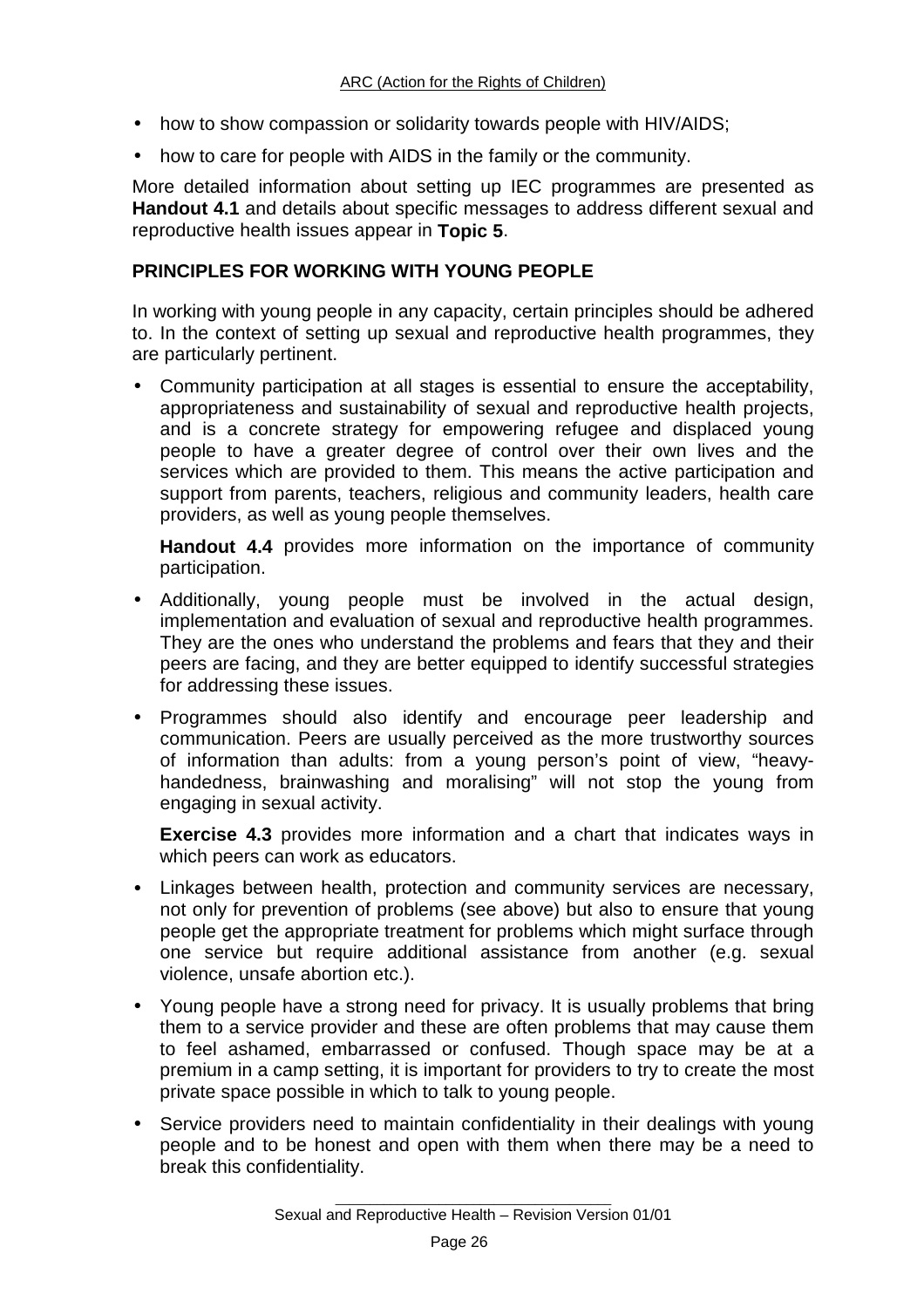- how to show compassion or solidarity towards people with HIV/AIDS;
- how to care for people with AIDS in the family or the community.

More detailed information about setting up IEC programmes are presented as **Handout 4.1** and details about specific messages to address different sexual and reproductive health issues appear in **Topic 5**.

#### **PRINCIPLES FOR WORKING WITH YOUNG PEOPLE**

In working with young people in any capacity, certain principles should be adhered to. In the context of setting up sexual and reproductive health programmes, they are particularly pertinent.

• Community participation at all stages is essential to ensure the acceptability, appropriateness and sustainability of sexual and reproductive health projects, and is a concrete strategy for empowering refugee and displaced young people to have a greater degree of control over their own lives and the services which are provided to them. This means the active participation and support from parents, teachers, religious and community leaders, health care providers, as well as young people themselves.

**Handout 4.4** provides more information on the importance of community participation.

- Additionally, young people must be involved in the actual design, implementation and evaluation of sexual and reproductive health programmes. They are the ones who understand the problems and fears that they and their peers are facing, and they are better equipped to identify successful strategies for addressing these issues.
- Programmes should also identify and encourage peer leadership and communication. Peers are usually perceived as the more trustworthy sources of information than adults: from a young person's point of view, "heavyhandedness, brainwashing and moralising" will not stop the young from engaging in sexual activity.

**Exercise 4.3** provides more information and a chart that indicates ways in which peers can work as educators.

- Linkages between health, protection and community services are necessary, not only for prevention of problems (see above) but also to ensure that young people get the appropriate treatment for problems which might surface through one service but require additional assistance from another (e.g. sexual violence, unsafe abortion etc.).
- Young people have a strong need for privacy. It is usually problems that bring them to a service provider and these are often problems that may cause them to feel ashamed, embarrassed or confused. Though space may be at a premium in a camp setting, it is important for providers to try to create the most private space possible in which to talk to young people.
- Service providers need to maintain confidentiality in their dealings with young people and to be honest and open with them when there may be a need to break this confidentiality.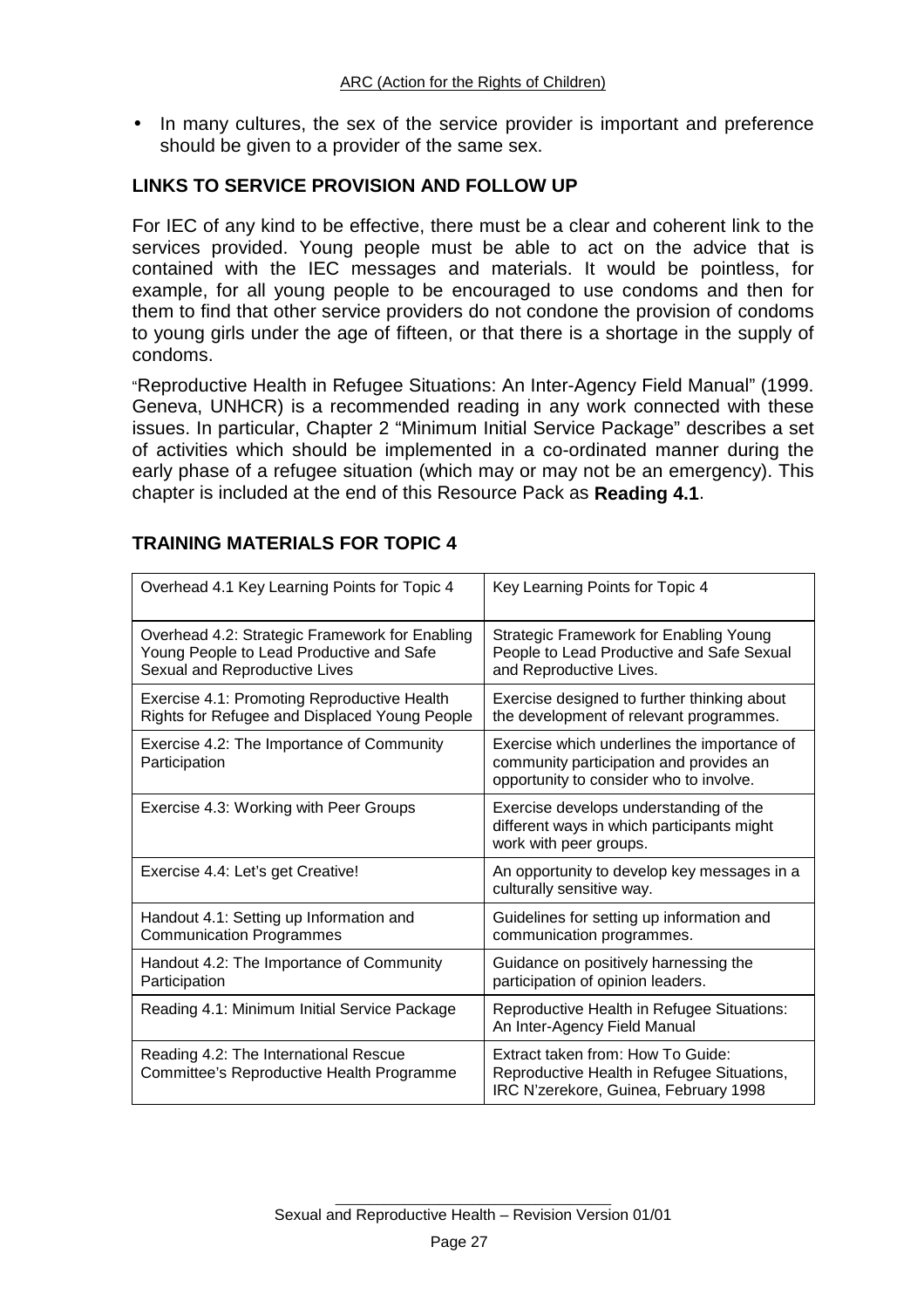• In many cultures, the sex of the service provider is important and preference should be given to a provider of the same sex.

## **LINKS TO SERVICE PROVISION AND FOLLOW UP**

For IEC of any kind to be effective, there must be a clear and coherent link to the services provided. Young people must be able to act on the advice that is contained with the IEC messages and materials. It would be pointless, for example, for all young people to be encouraged to use condoms and then for them to find that other service providers do not condone the provision of condoms to young girls under the age of fifteen, or that there is a shortage in the supply of condoms.

"Reproductive Health in Refugee Situations: An Inter-Agency Field Manual" (1999. Geneva, UNHCR) is a recommended reading in any work connected with these issues. In particular, Chapter 2 "Minimum Initial Service Package" describes a set of activities which should be implemented in a co-ordinated manner during the early phase of a refugee situation (which may or may not be an emergency). This chapter is included at the end of this Resource Pack as **Reading 4.1**.

| Overhead 4.1 Key Learning Points for Topic 4                                                                                | Key Learning Points for Topic 4                                                                                                   |
|-----------------------------------------------------------------------------------------------------------------------------|-----------------------------------------------------------------------------------------------------------------------------------|
| Overhead 4.2: Strategic Framework for Enabling<br>Young People to Lead Productive and Safe<br>Sexual and Reproductive Lives | Strategic Framework for Enabling Young<br>People to Lead Productive and Safe Sexual<br>and Reproductive Lives.                    |
| Exercise 4.1: Promoting Reproductive Health<br>Rights for Refugee and Displaced Young People                                | Exercise designed to further thinking about<br>the development of relevant programmes.                                            |
| Exercise 4.2: The Importance of Community<br>Participation                                                                  | Exercise which underlines the importance of<br>community participation and provides an<br>opportunity to consider who to involve. |
| Exercise 4.3: Working with Peer Groups                                                                                      | Exercise develops understanding of the<br>different ways in which participants might<br>work with peer groups.                    |
| Exercise 4.4: Let's get Creative!                                                                                           | An opportunity to develop key messages in a<br>culturally sensitive way.                                                          |
| Handout 4.1: Setting up Information and<br><b>Communication Programmes</b>                                                  | Guidelines for setting up information and<br>communication programmes.                                                            |
| Handout 4.2: The Importance of Community<br>Participation                                                                   | Guidance on positively harnessing the<br>participation of opinion leaders.                                                        |
| Reading 4.1: Minimum Initial Service Package                                                                                | Reproductive Health in Refugee Situations:<br>An Inter-Agency Field Manual                                                        |
| Reading 4.2: The International Rescue<br>Committee's Reproductive Health Programme                                          | Extract taken from: How To Guide:<br>Reproductive Health in Refugee Situations,<br>IRC N'zerekore, Guinea, February 1998          |

## **TRAINING MATERIALS FOR TOPIC 4**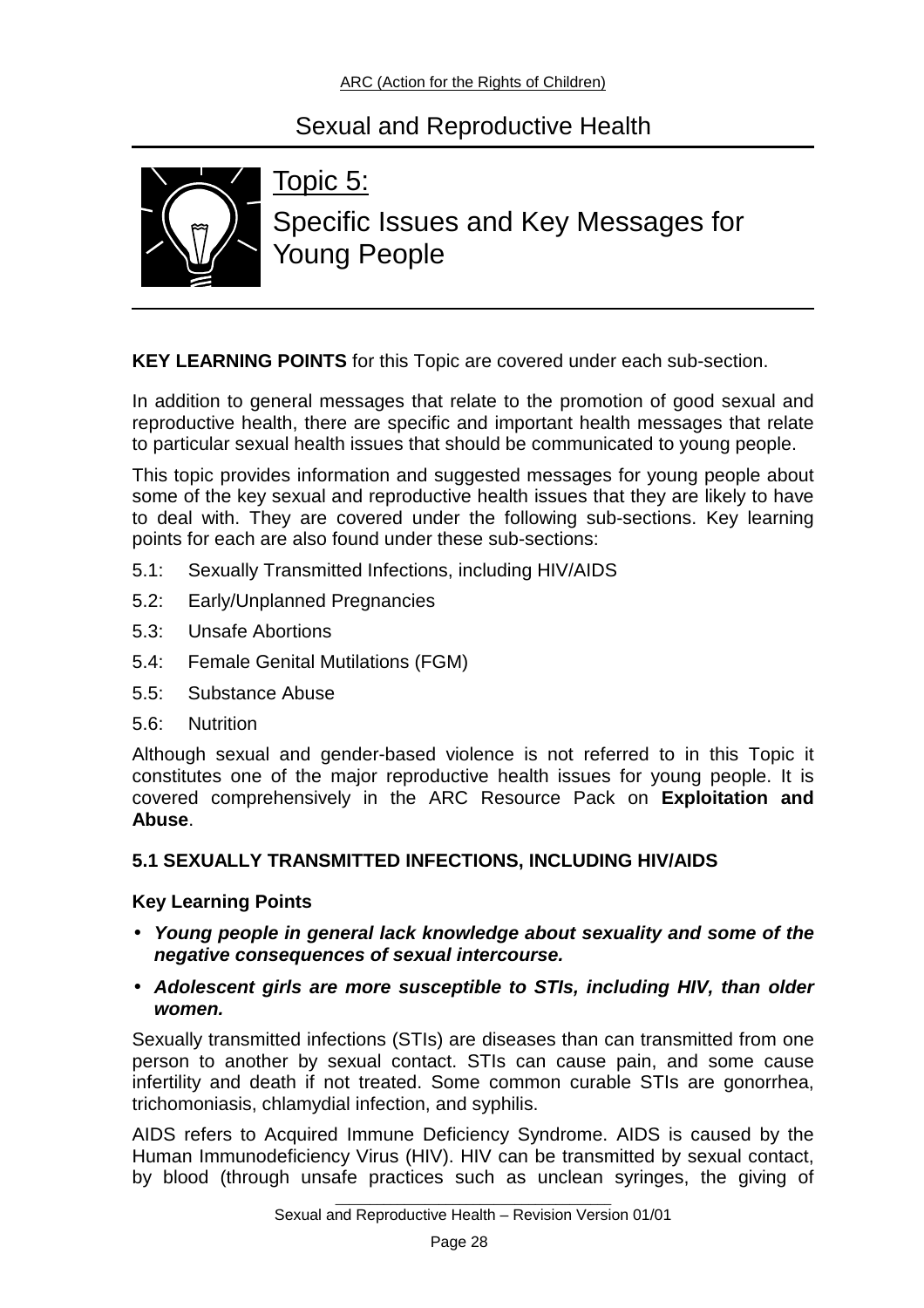## Sexual and Reproductive Health

<span id="page-27-0"></span>

Topic 5:

Specific Issues and Key Messages for Young People

**KEY LEARNING POINTS** for this Topic are covered under each sub-section.

In addition to general messages that relate to the promotion of good sexual and reproductive health, there are specific and important health messages that relate to particular sexual health issues that should be communicated to young people.

This topic provides information and suggested messages for young people about some of the key sexual and reproductive health issues that they are likely to have to deal with. They are covered under the following sub-sections. Key learning points for each are also found under these sub-sections:

- 5.1: Sexually Transmitted Infections, including HIV/AIDS
- 5.2: Early/Unplanned Pregnancies
- 5.3: Unsafe Abortions
- 5.4: Female Genital Mutilations (FGM)
- 5.5: Substance Abuse
- 5.6: Nutrition

Although sexual and gender-based violence is not referred to in this Topic it constitutes one of the major reproductive health issues for young people. It is covered comprehensively in the ARC Resource Pack on **Exploitation and Abuse**.

## **5.1 SEXUALLY TRANSMITTED INFECTIONS, INCLUDING HIV/AIDS**

## **Key Learning Points**

- *Young people in general lack knowledge about sexuality and some of the negative consequences of sexual intercourse.*
- *Adolescent girls are more susceptible to STIs, including HIV, than older women.*

Sexually transmitted infections (STIs) are diseases than can transmitted from one person to another by sexual contact. STIs can cause pain, and some cause infertility and death if not treated. Some common curable STIs are gonorrhea, trichomoniasis, chlamydial infection, and syphilis.

AIDS refers to Acquired Immune Deficiency Syndrome. AIDS is caused by the Human Immunodeficiency Virus (HIV). HIV can be transmitted by sexual contact, by blood (through unsafe practices such as unclean syringes, the giving of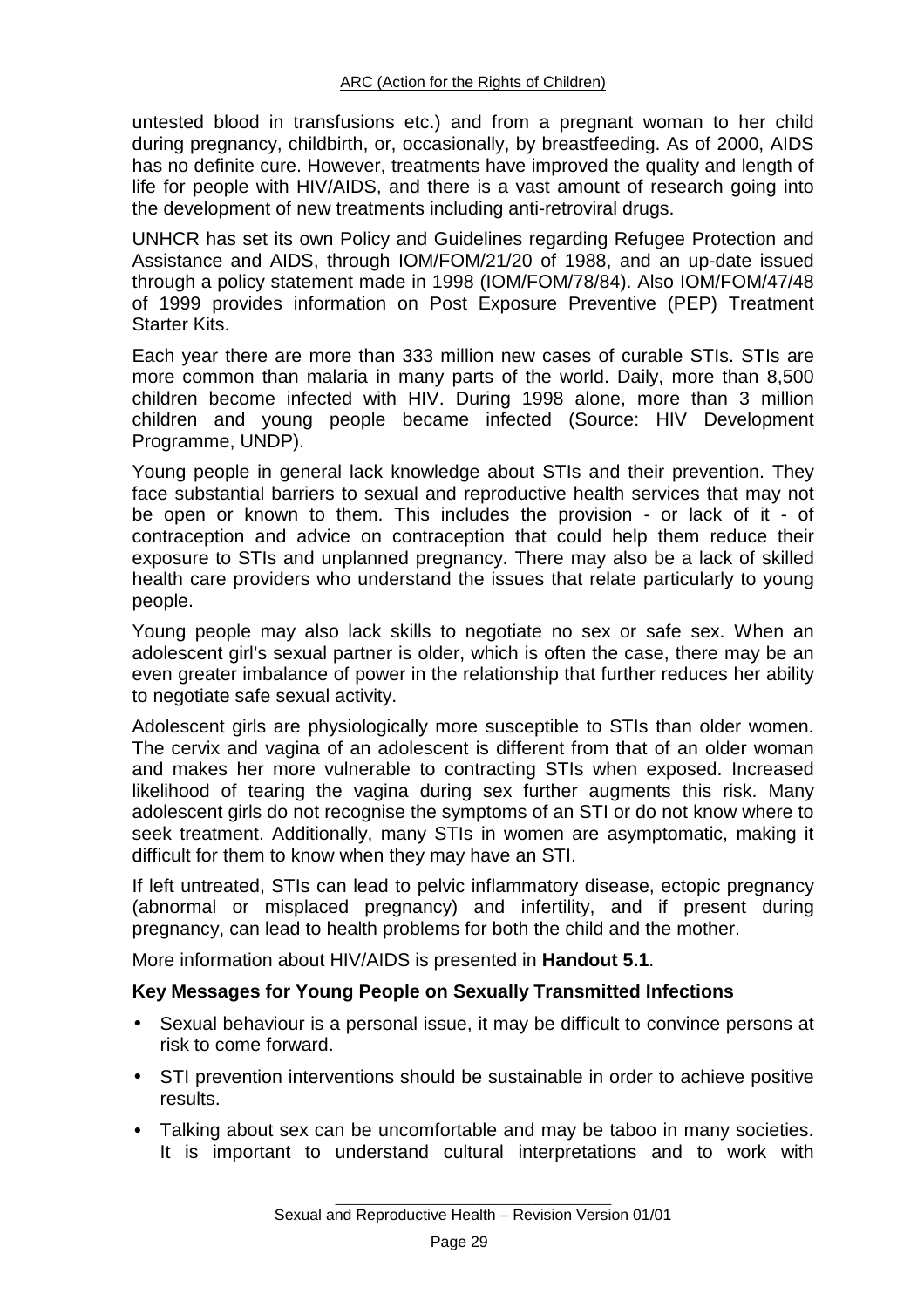untested blood in transfusions etc.) and from a pregnant woman to her child during pregnancy, childbirth, or, occasionally, by breastfeeding. As of 2000, AIDS has no definite cure. However, treatments have improved the quality and length of life for people with HIV/AIDS, and there is a vast amount of research going into the development of new treatments including anti-retroviral drugs.

UNHCR has set its own Policy and Guidelines regarding Refugee Protection and Assistance and AIDS, through IOM/FOM/21/20 of 1988, and an up-date issued through a policy statement made in 1998 (IOM/FOM/78/84). Also IOM/FOM/47/48 of 1999 provides information on Post Exposure Preventive (PEP) Treatment Starter Kits.

Each year there are more than 333 million new cases of curable STIs. STIs are more common than malaria in many parts of the world. Daily, more than 8,500 children become infected with HIV. During 1998 alone, more than 3 million children and young people became infected (Source: HIV Development Programme, UNDP).

Young people in general lack knowledge about STIs and their prevention. They face substantial barriers to sexual and reproductive health services that may not be open or known to them. This includes the provision - or lack of it - of contraception and advice on contraception that could help them reduce their exposure to STIs and unplanned pregnancy. There may also be a lack of skilled health care providers who understand the issues that relate particularly to young people.

Young people may also lack skills to negotiate no sex or safe sex. When an adolescent girl's sexual partner is older, which is often the case, there may be an even greater imbalance of power in the relationship that further reduces her ability to negotiate safe sexual activity.

Adolescent girls are physiologically more susceptible to STIs than older women. The cervix and vagina of an adolescent is different from that of an older woman and makes her more vulnerable to contracting STIs when exposed. Increased likelihood of tearing the vagina during sex further augments this risk. Many adolescent girls do not recognise the symptoms of an STI or do not know where to seek treatment. Additionally, many STIs in women are asymptomatic, making it difficult for them to know when they may have an STI.

If left untreated, STIs can lead to pelvic inflammatory disease, ectopic pregnancy (abnormal or misplaced pregnancy) and infertility, and if present during pregnancy, can lead to health problems for both the child and the mother.

More information about HIV/AIDS is presented in **Handout 5.1**.

## **Key Messages for Young People on Sexually Transmitted Infections**

- Sexual behaviour is a personal issue, it may be difficult to convince persons at risk to come forward.
- STI prevention interventions should be sustainable in order to achieve positive results.
- Talking about sex can be uncomfortable and may be taboo in many societies. It is important to understand cultural interpretations and to work with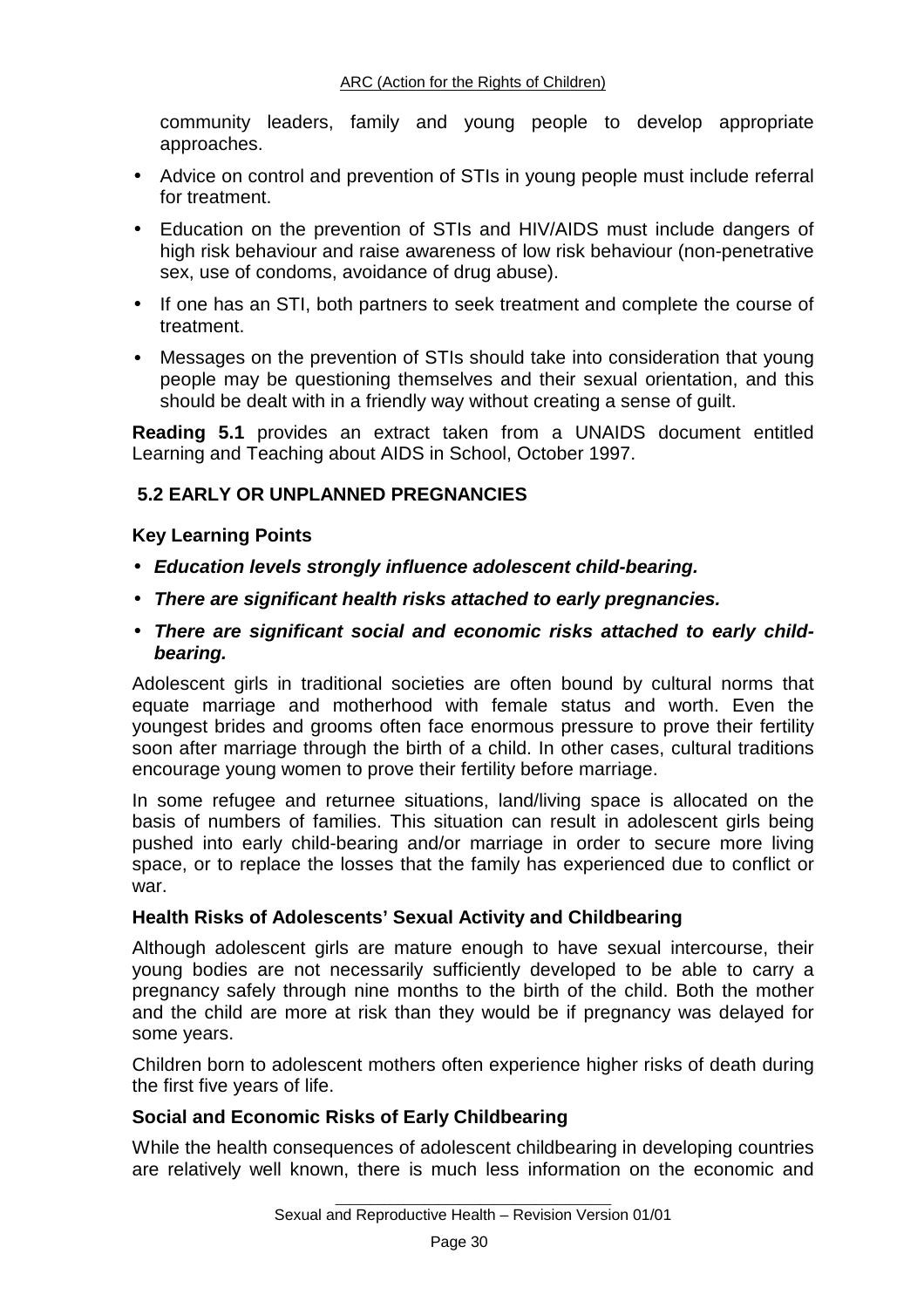community leaders, family and young people to develop appropriate approaches.

- Advice on control and prevention of STIs in young people must include referral for treatment.
- Education on the prevention of STIs and HIV/AIDS must include dangers of high risk behaviour and raise awareness of low risk behaviour (non-penetrative sex, use of condoms, avoidance of drug abuse).
- If one has an STI, both partners to seek treatment and complete the course of treatment.
- Messages on the prevention of STIs should take into consideration that young people may be questioning themselves and their sexual orientation, and this should be dealt with in a friendly way without creating a sense of guilt.

**Reading 5.1** provides an extract taken from a UNAIDS document entitled Learning and Teaching about AIDS in School, October 1997.

## **5.2 EARLY OR UNPLANNED PREGNANCIES**

## **Key Learning Points**

- *Education levels strongly influence adolescent child-bearing.*
- *There are significant health risks attached to early pregnancies.*
- *There are significant social and economic risks attached to early childbearing.*

Adolescent girls in traditional societies are often bound by cultural norms that equate marriage and motherhood with female status and worth. Even the youngest brides and grooms often face enormous pressure to prove their fertility soon after marriage through the birth of a child. In other cases, cultural traditions encourage young women to prove their fertility before marriage.

In some refugee and returnee situations, land/living space is allocated on the basis of numbers of families. This situation can result in adolescent girls being pushed into early child-bearing and/or marriage in order to secure more living space, or to replace the losses that the family has experienced due to conflict or war.

## **Health Risks of Adolescents' Sexual Activity and Childbearing**

Although adolescent girls are mature enough to have sexual intercourse, their young bodies are not necessarily sufficiently developed to be able to carry a pregnancy safely through nine months to the birth of the child. Both the mother and the child are more at risk than they would be if pregnancy was delayed for some years.

Children born to adolescent mothers often experience higher risks of death during the first five years of life.

## **Social and Economic Risks of Early Childbearing**

While the health consequences of adolescent childbearing in developing countries are relatively well known, there is much less information on the economic and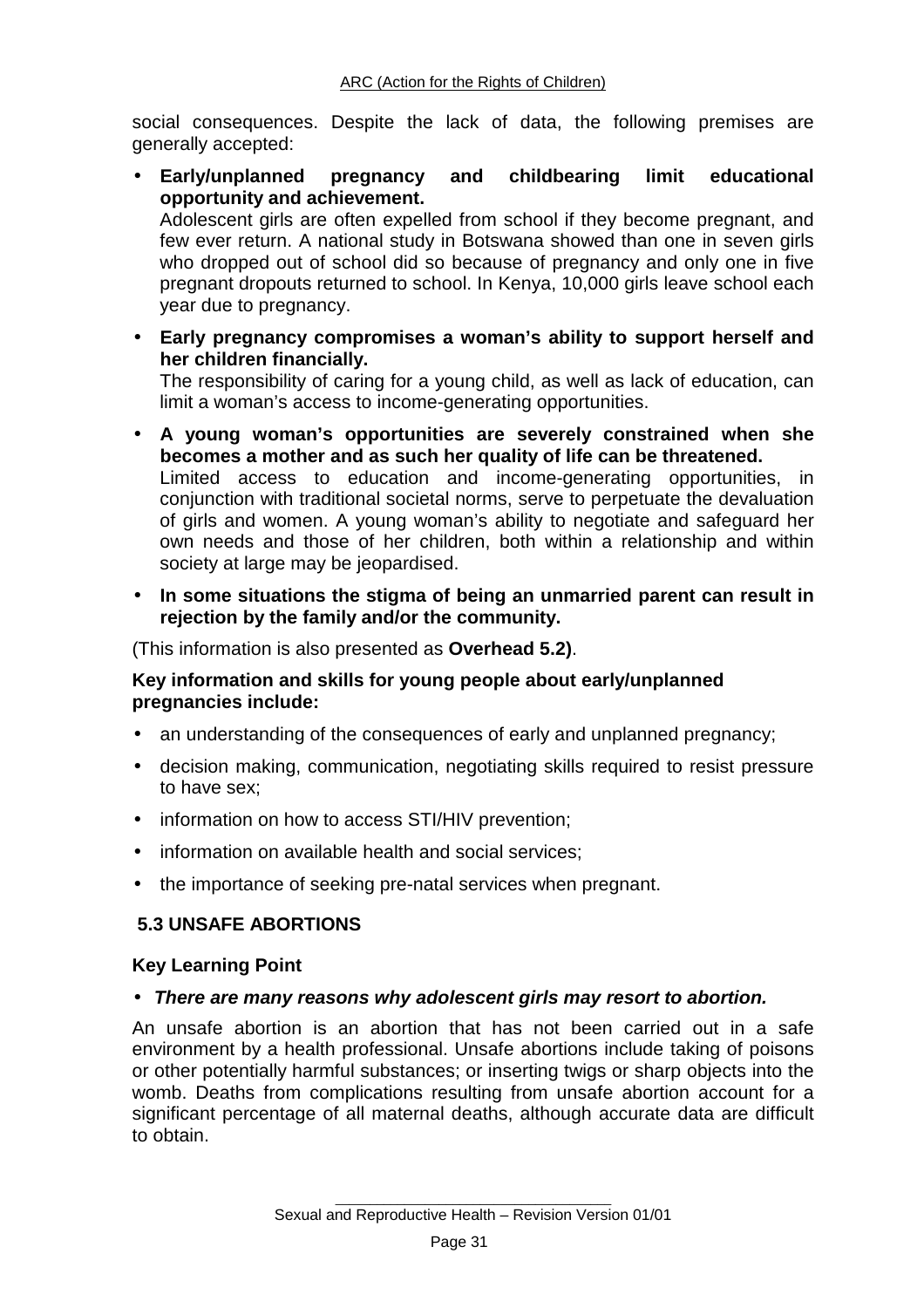social consequences. Despite the lack of data, the following premises are generally accepted:

• **Early/unplanned pregnancy and childbearing limit educational opportunity and achievement.**

Adolescent girls are often expelled from school if they become pregnant, and few ever return. A national study in Botswana showed than one in seven girls who dropped out of school did so because of pregnancy and only one in five pregnant dropouts returned to school. In Kenya, 10,000 girls leave school each year due to pregnancy.

• **Early pregnancy compromises a woman's ability to support herself and her children financially.**

The responsibility of caring for a young child, as well as lack of education, can limit a woman's access to income-generating opportunities.

- **A young woman's opportunities are severely constrained when she becomes a mother and as such her quality of life can be threatened.** Limited access to education and income-generating opportunities, in conjunction with traditional societal norms, serve to perpetuate the devaluation of girls and women. A young woman's ability to negotiate and safeguard her own needs and those of her children, both within a relationship and within society at large may be jeopardised.
- **In some situations the stigma of being an unmarried parent can result in rejection by the family and/or the community.**

(This information is also presented as **Overhead 5.2)**.

## **Key information and skills for young people about early/unplanned pregnancies include:**

- an understanding of the consequences of early and unplanned pregnancy;
- decision making, communication, negotiating skills required to resist pressure to have sex;
- information on how to access STI/HIV prevention:
- information on available health and social services;
- the importance of seeking pre-natal services when pregnant.

## **5.3 UNSAFE ABORTIONS**

## **Key Learning Point**

## • *There are many reasons why adolescent girls may resort to abortion.*

An unsafe abortion is an abortion that has not been carried out in a safe environment by a health professional. Unsafe abortions include taking of poisons or other potentially harmful substances; or inserting twigs or sharp objects into the womb. Deaths from complications resulting from unsafe abortion account for a significant percentage of all maternal deaths, although accurate data are difficult to obtain.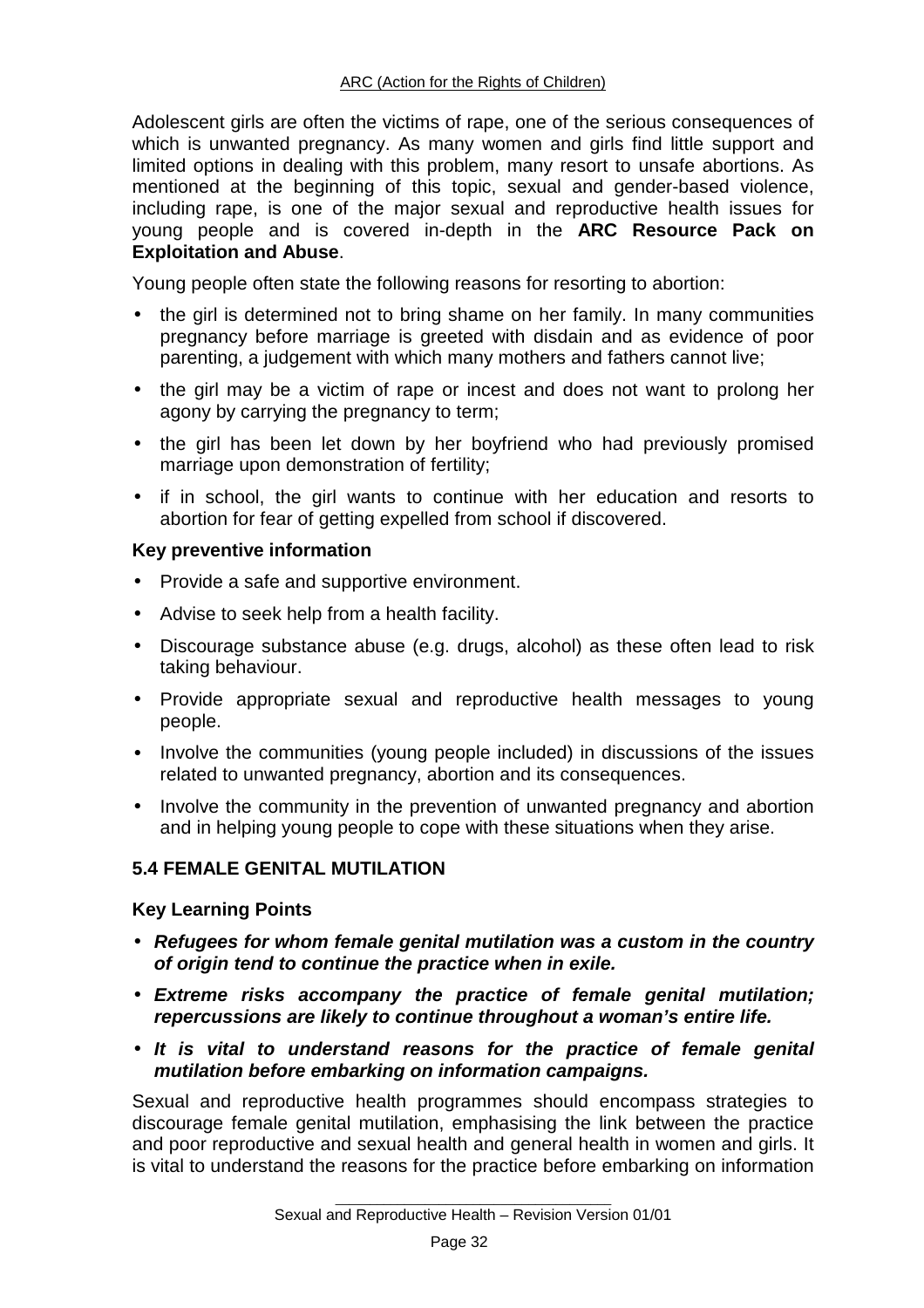Adolescent girls are often the victims of rape, one of the serious consequences of which is unwanted pregnancy. As many women and girls find little support and limited options in dealing with this problem, many resort to unsafe abortions. As mentioned at the beginning of this topic, sexual and gender-based violence, including rape, is one of the major sexual and reproductive health issues for young people and is covered in-depth in the **ARC Resource Pack on Exploitation and Abuse**.

Young people often state the following reasons for resorting to abortion:

- the girl is determined not to bring shame on her family. In many communities pregnancy before marriage is greeted with disdain and as evidence of poor parenting, a judgement with which many mothers and fathers cannot live;
- the girl may be a victim of rape or incest and does not want to prolong her agony by carrying the pregnancy to term;
- the girl has been let down by her boyfriend who had previously promised marriage upon demonstration of fertility;
- if in school, the girl wants to continue with her education and resorts to abortion for fear of getting expelled from school if discovered.

## **Key preventive information**

- Provide a safe and supportive environment.
- Advise to seek help from a health facility.
- Discourage substance abuse (e.g. drugs, alcohol) as these often lead to risk taking behaviour.
- Provide appropriate sexual and reproductive health messages to young people.
- Involve the communities (young people included) in discussions of the issues related to unwanted pregnancy, abortion and its consequences.
- Involve the community in the prevention of unwanted pregnancy and abortion and in helping young people to cope with these situations when they arise.

## **5.4 FEMALE GENITAL MUTILATION**

## **Key Learning Points**

- *Refugees for whom female genital mutilation was a custom in the country of origin tend to continue the practice when in exile.*
- *Extreme risks accompany the practice of female genital mutilation; repercussions are likely to continue throughout a woman's entire life.*
- *It is vital to understand reasons for the practice of female genital mutilation before embarking on information campaigns.*

Sexual and reproductive health programmes should encompass strategies to discourage female genital mutilation, emphasising the link between the practice and poor reproductive and sexual health and general health in women and girls. It is vital to understand the reasons for the practice before embarking on information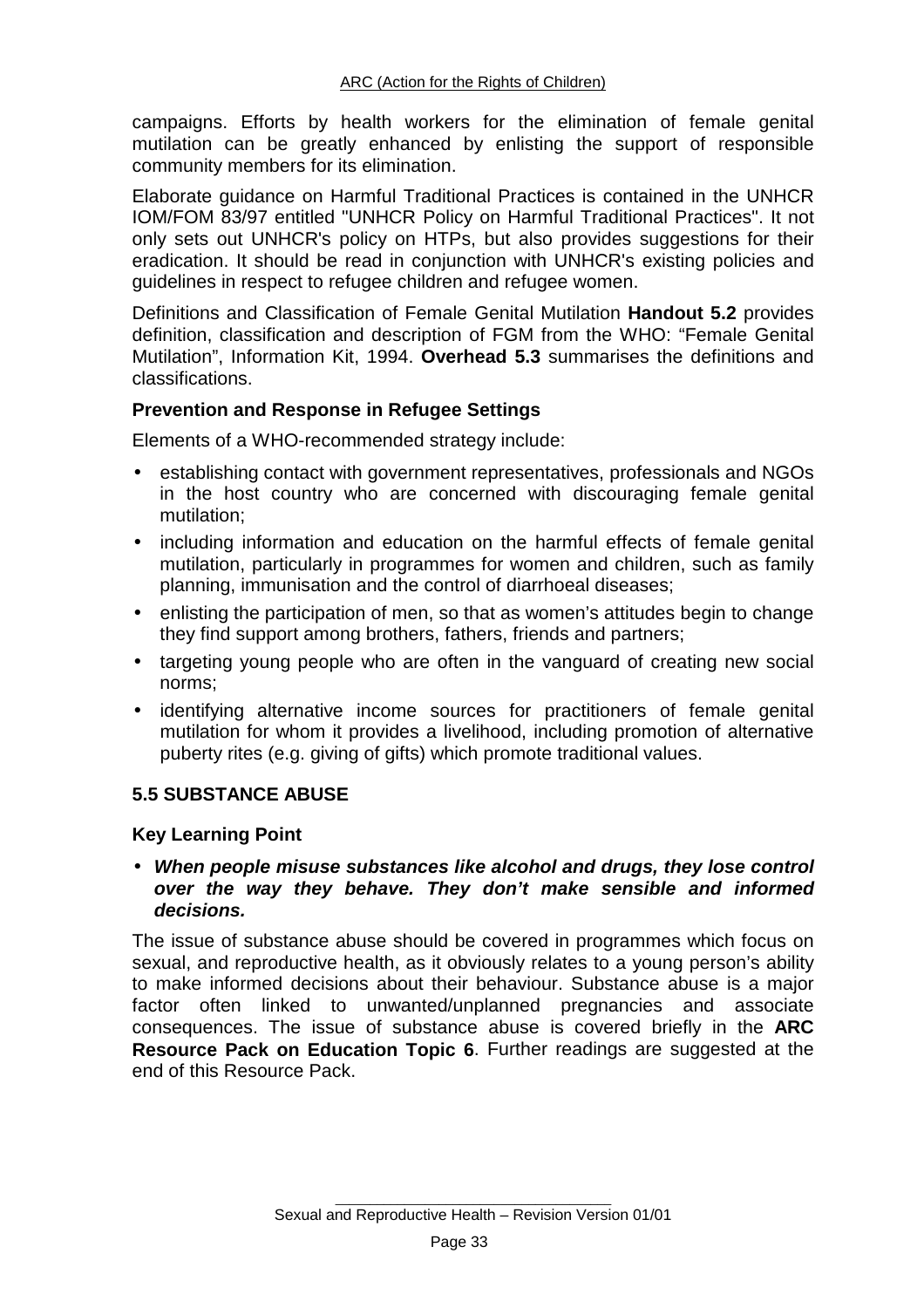campaigns. Efforts by health workers for the elimination of female genital mutilation can be greatly enhanced by enlisting the support of responsible community members for its elimination.

Elaborate guidance on Harmful Traditional Practices is contained in the UNHCR IOM/FOM 83/97 entitled "UNHCR Policy on Harmful Traditional Practices". It not only sets out UNHCR's policy on HTPs, but also provides suggestions for their eradication. It should be read in conjunction with UNHCR's existing policies and guidelines in respect to refugee children and refugee women.

Definitions and Classification of Female Genital Mutilation **Handout 5.2** provides definition, classification and description of FGM from the WHO: "Female Genital Mutilation", Information Kit, 1994. **Overhead 5.3** summarises the definitions and classifications.

## **Prevention and Response in Refugee Settings**

Elements of a WHO-recommended strategy include:

- establishing contact with government representatives, professionals and NGOs in the host country who are concerned with discouraging female genital mutilation;
- including information and education on the harmful effects of female genital mutilation, particularly in programmes for women and children, such as family planning, immunisation and the control of diarrhoeal diseases;
- enlisting the participation of men, so that as women's attitudes begin to change they find support among brothers, fathers, friends and partners;
- targeting young people who are often in the vanguard of creating new social norms;
- identifying alternative income sources for practitioners of female genital mutilation for whom it provides a livelihood, including promotion of alternative puberty rites (e.g. giving of gifts) which promote traditional values.

## **5.5 SUBSTANCE ABUSE**

## **Key Learning Point**

## • *When people misuse substances like alcohol and drugs, they lose control over the way they behave. They don't make sensible and informed decisions.*

The issue of substance abuse should be covered in programmes which focus on sexual, and reproductive health, as it obviously relates to a young person's ability to make informed decisions about their behaviour. Substance abuse is a major factor often linked to unwanted/unplanned pregnancies and associate consequences. The issue of substance abuse is covered briefly in the **ARC Resource Pack on Education Topic 6**. Further readings are suggested at the end of this Resource Pack.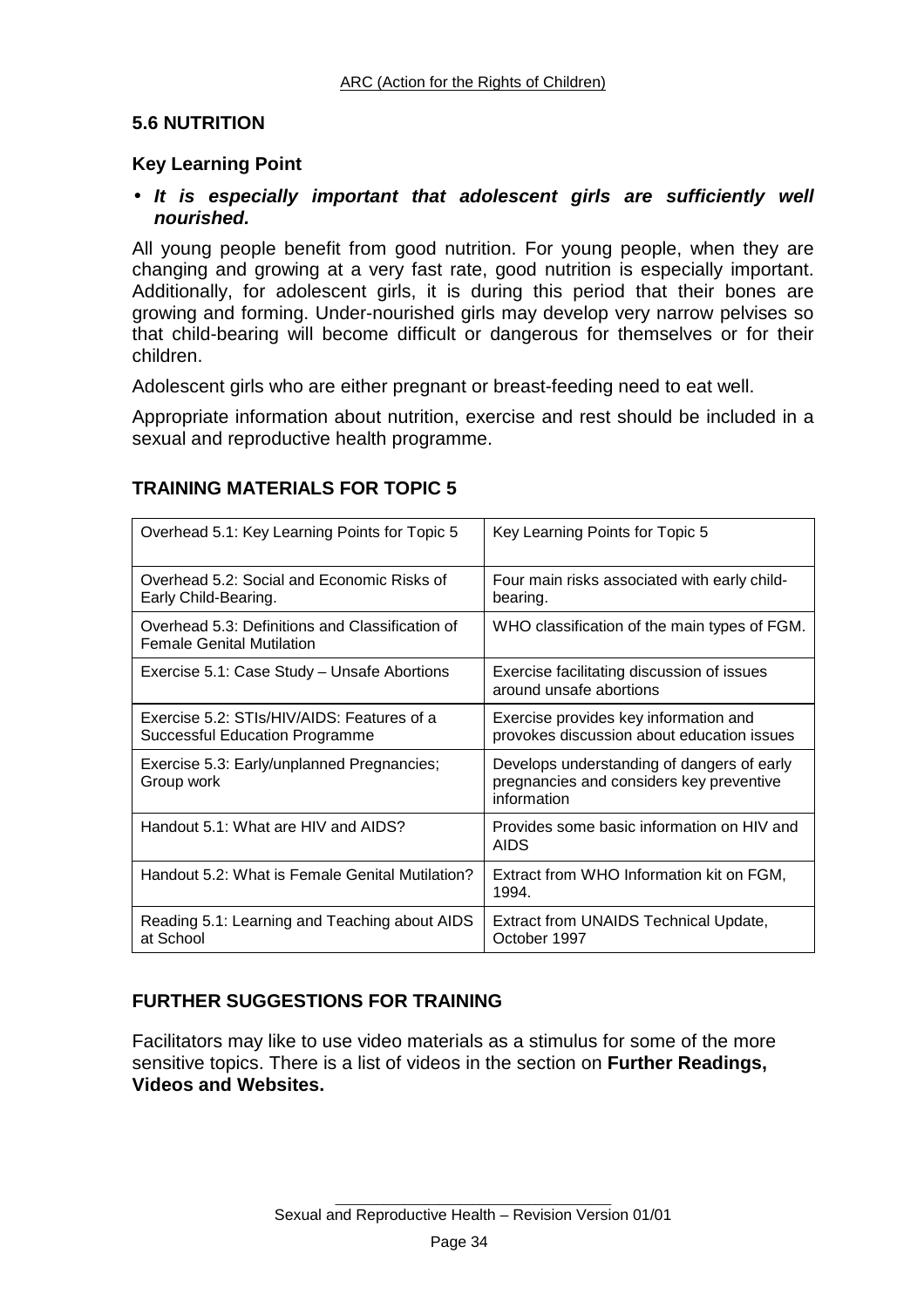## **5.6 NUTRITION**

#### **Key Learning Point**

## • *It is especially important that adolescent girls are sufficiently well nourished.*

All young people benefit from good nutrition. For young people, when they are changing and growing at a very fast rate, good nutrition is especially important. Additionally, for adolescent girls, it is during this period that their bones are growing and forming. Under-nourished girls may develop very narrow pelvises so that child-bearing will become difficult or dangerous for themselves or for their children.

Adolescent girls who are either pregnant or breast-feeding need to eat well.

Appropriate information about nutrition, exercise and rest should be included in a sexual and reproductive health programme.

| Overhead 5.1: Key Learning Points for Topic 5                                       | Key Learning Points for Topic 5                                                                       |
|-------------------------------------------------------------------------------------|-------------------------------------------------------------------------------------------------------|
| Overhead 5.2: Social and Economic Risks of<br>Early Child-Bearing.                  | Four main risks associated with early child-<br>bearing.                                              |
| Overhead 5.3: Definitions and Classification of<br><b>Female Genital Mutilation</b> | WHO classification of the main types of FGM.                                                          |
| Exercise 5.1: Case Study - Unsafe Abortions                                         | Exercise facilitating discussion of issues<br>around unsafe abortions                                 |
| Exercise 5.2: STIs/HIV/AIDS: Features of a<br>Successful Education Programme        | Exercise provides key information and<br>provokes discussion about education issues                   |
| Exercise 5.3: Early/unplanned Pregnancies;<br>Group work                            | Develops understanding of dangers of early<br>pregnancies and considers key preventive<br>information |
| Handout 5.1: What are HIV and AIDS?                                                 | Provides some basic information on HIV and<br><b>AIDS</b>                                             |
| Handout 5.2: What is Female Genital Mutilation?                                     | Extract from WHO Information kit on FGM,<br>1994.                                                     |
| Reading 5.1: Learning and Teaching about AIDS<br>at School                          | Extract from UNAIDS Technical Update,<br>October 1997                                                 |

## **TRAINING MATERIALS FOR TOPIC 5**

## **FURTHER SUGGESTIONS FOR TRAINING**

Facilitators may like to use video materials as a stimulus for some of the more sensitive topics. There is a list of videos in the section on **Further Readings, Videos and Websites.**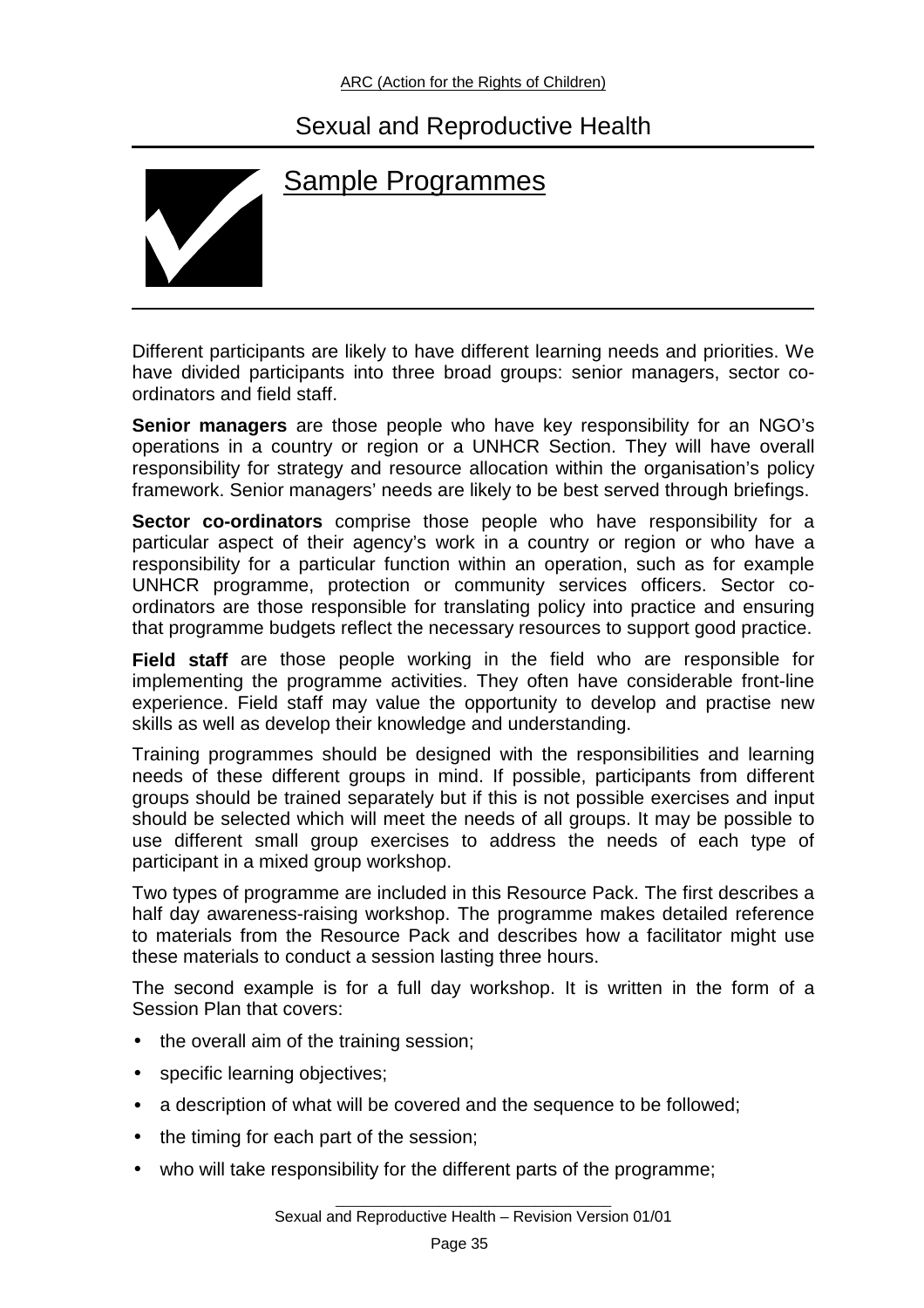## Sexual and Reproductive Health

<span id="page-34-0"></span>

Different participants are likely to have different learning needs and priorities. We have divided participants into three broad groups: senior managers, sector coordinators and field staff.

**Senior managers** are those people who have key responsibility for an NGO's operations in a country or region or a UNHCR Section. They will have overall responsibility for strategy and resource allocation within the organisation's policy framework. Senior managers' needs are likely to be best served through briefings.

**Sector co-ordinators** comprise those people who have responsibility for a particular aspect of their agency's work in a country or region or who have a responsibility for a particular function within an operation, such as for example UNHCR programme, protection or community services officers. Sector coordinators are those responsible for translating policy into practice and ensuring that programme budgets reflect the necessary resources to support good practice.

**Field staff** are those people working in the field who are responsible for implementing the programme activities. They often have considerable front-line experience. Field staff may value the opportunity to develop and practise new skills as well as develop their knowledge and understanding.

Training programmes should be designed with the responsibilities and learning needs of these different groups in mind. If possible, participants from different groups should be trained separately but if this is not possible exercises and input should be selected which will meet the needs of all groups. It may be possible to use different small group exercises to address the needs of each type of participant in a mixed group workshop.

Two types of programme are included in this Resource Pack. The first describes a half day awareness-raising workshop. The programme makes detailed reference to materials from the Resource Pack and describes how a facilitator might use these materials to conduct a session lasting three hours.

The second example is for a full day workshop. It is written in the form of a Session Plan that covers:

- the overall aim of the training session;
- specific learning objectives;
- a description of what will be covered and the sequence to be followed;
- the timing for each part of the session;
- who will take responsibility for the different parts of the programme;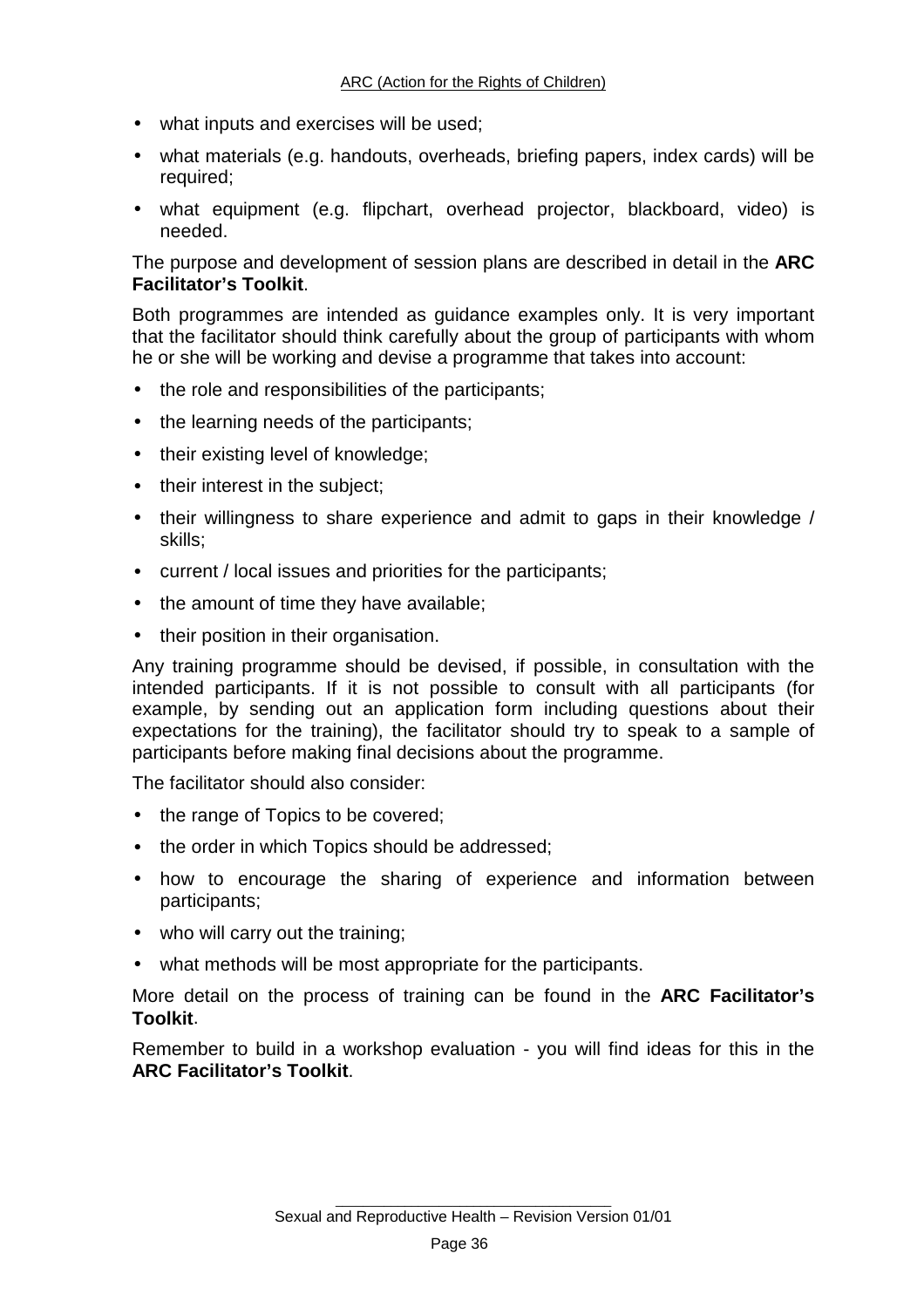- what inputs and exercises will be used;
- what materials (e.g. handouts, overheads, briefing papers, index cards) will be required;
- what equipment (e.g. flipchart, overhead projector, blackboard, video) is needed.

The purpose and development of session plans are described in detail in the **ARC Facilitator's Toolkit**.

Both programmes are intended as guidance examples only. It is very important that the facilitator should think carefully about the group of participants with whom he or she will be working and devise a programme that takes into account:

- the role and responsibilities of the participants;
- the learning needs of the participants;
- their existing level of knowledge;
- their interest in the subject;
- their willingness to share experience and admit to gaps in their knowledge / skills;
- current / local issues and priorities for the participants;
- the amount of time they have available;
- their position in their organisation.

Any training programme should be devised, if possible, in consultation with the intended participants. If it is not possible to consult with all participants (for example, by sending out an application form including questions about their expectations for the training), the facilitator should try to speak to a sample of participants before making final decisions about the programme.

The facilitator should also consider:

- the range of Topics to be covered:
- the order in which Topics should be addressed;
- how to encourage the sharing of experience and information between participants;
- who will carry out the training:
- what methods will be most appropriate for the participants.

More detail on the process of training can be found in the **ARC Facilitator's Toolkit**.

Remember to build in a workshop evaluation - you will find ideas for this in the **ARC Facilitator's Toolkit**.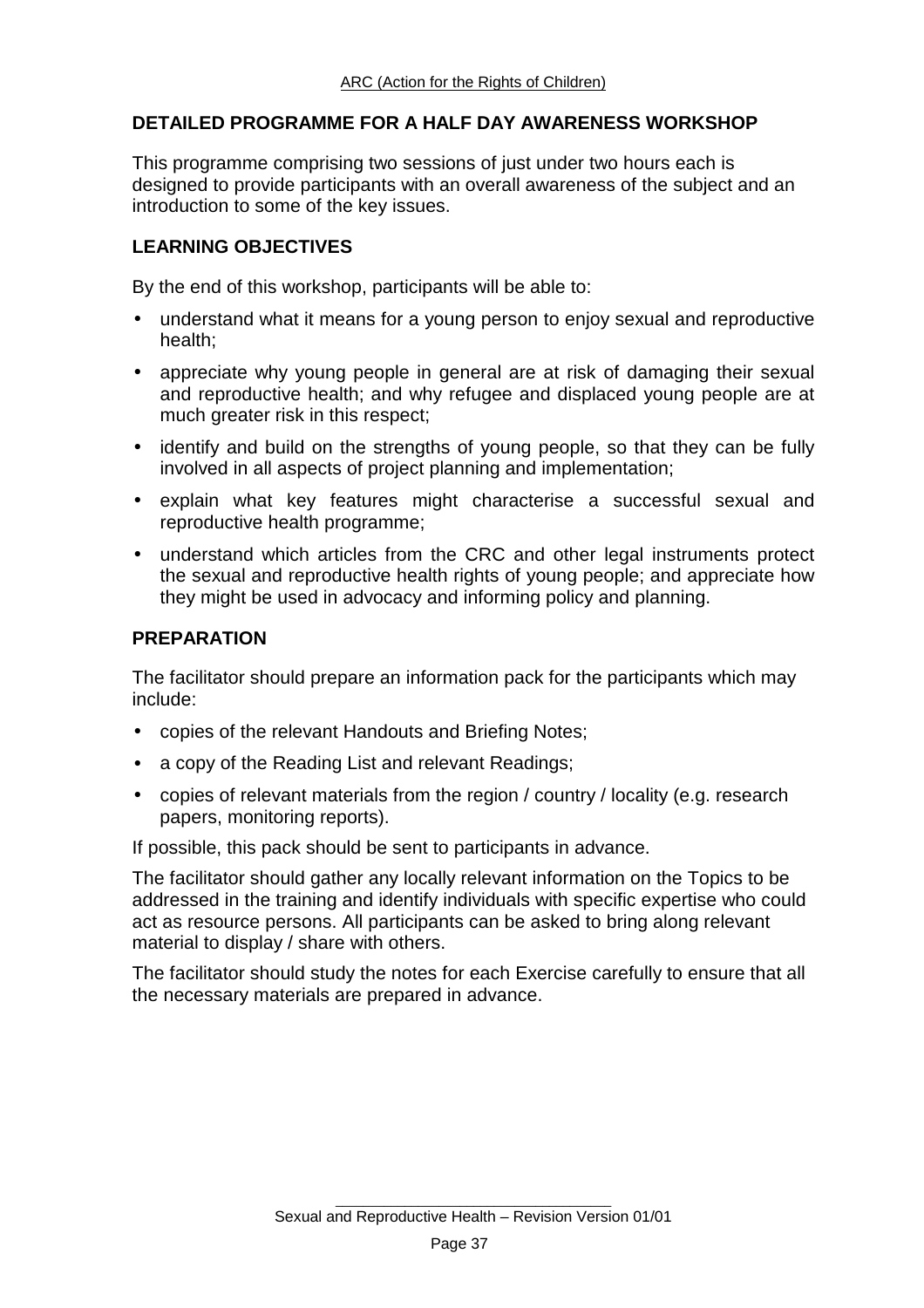## **DETAILED PROGRAMME FOR A HALF DAY AWARENESS WORKSHOP**

This programme comprising two sessions of just under two hours each is designed to provide participants with an overall awareness of the subject and an introduction to some of the key issues.

## **LEARNING OBJECTIVES**

By the end of this workshop, participants will be able to:

- understand what it means for a young person to enjoy sexual and reproductive health;
- appreciate why young people in general are at risk of damaging their sexual and reproductive health; and why refugee and displaced young people are at much greater risk in this respect;
- identify and build on the strengths of young people, so that they can be fully involved in all aspects of project planning and implementation;
- explain what key features might characterise a successful sexual and reproductive health programme;
- understand which articles from the CRC and other legal instruments protect the sexual and reproductive health rights of young people; and appreciate how they might be used in advocacy and informing policy and planning.

## **PREPARATION**

The facilitator should prepare an information pack for the participants which may include:

- copies of the relevant Handouts and Briefing Notes;
- a copy of the Reading List and relevant Readings;
- copies of relevant materials from the region / country / locality (e.g. research papers, monitoring reports).

If possible, this pack should be sent to participants in advance.

The facilitator should gather any locally relevant information on the Topics to be addressed in the training and identify individuals with specific expertise who could act as resource persons. All participants can be asked to bring along relevant material to display / share with others.

The facilitator should study the notes for each Exercise carefully to ensure that all the necessary materials are prepared in advance.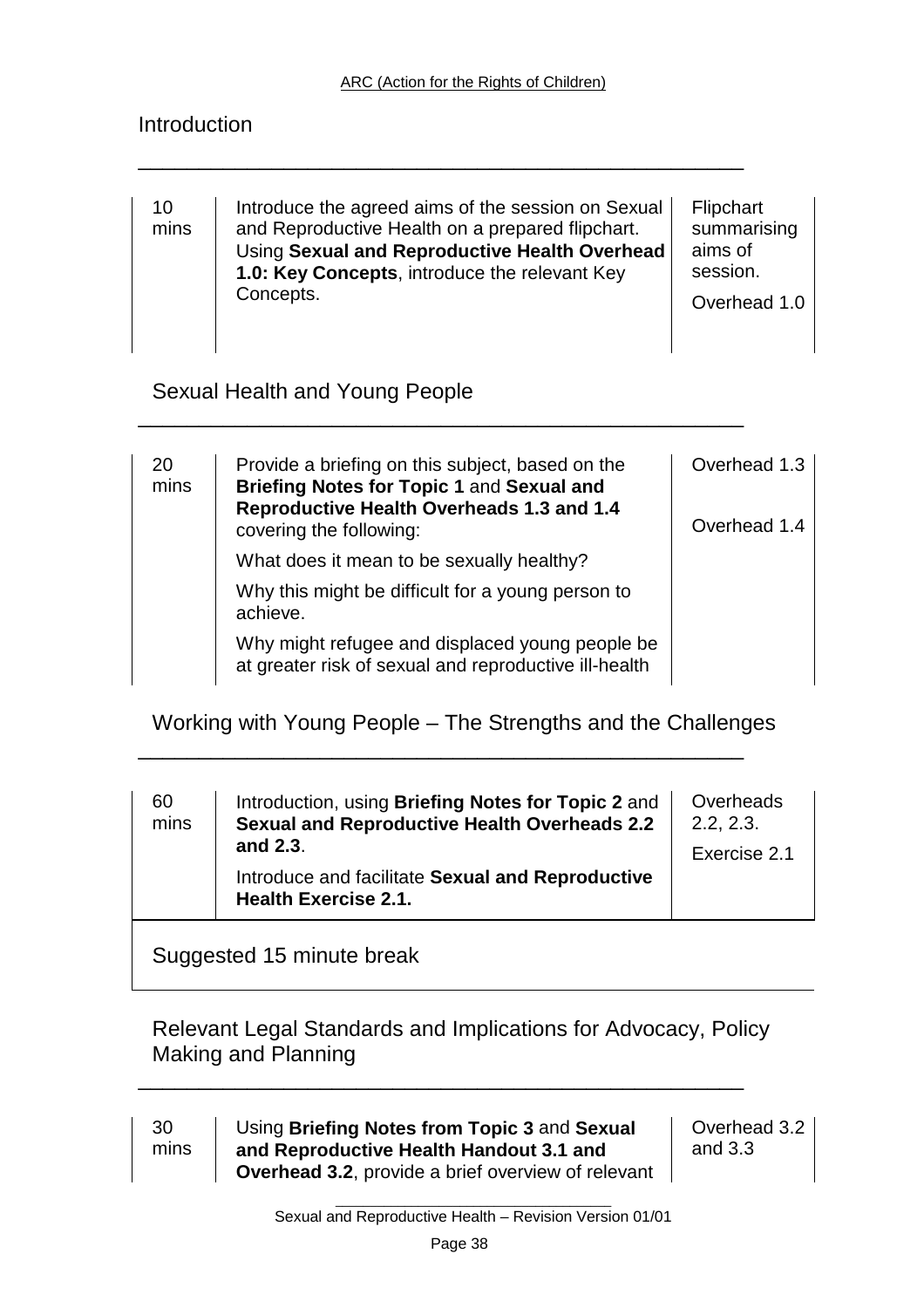\_\_\_\_\_\_\_\_\_\_\_\_\_\_\_\_\_\_\_\_\_\_\_\_\_\_\_\_\_\_\_\_\_\_\_\_\_\_\_\_\_\_\_\_\_\_\_\_\_\_

\_\_\_\_\_\_\_\_\_\_\_\_\_\_\_\_\_\_\_\_\_\_\_\_\_\_\_\_\_\_\_\_\_\_\_\_\_\_\_\_\_\_\_\_\_\_\_\_\_\_

| 10<br>mins | Introduce the agreed aims of the session on Sexual<br>and Reproductive Health on a prepared flipchart.<br>Using Sexual and Reproductive Health Overhead<br>1.0: Key Concepts, introduce the relevant Key<br>Concepts. | Flipchart<br>summarising<br>aims of<br>session.<br>Overhead 1.0 |
|------------|-----------------------------------------------------------------------------------------------------------------------------------------------------------------------------------------------------------------------|-----------------------------------------------------------------|
|------------|-----------------------------------------------------------------------------------------------------------------------------------------------------------------------------------------------------------------------|-----------------------------------------------------------------|

# Sexual Health and Young People

| 20<br>mins | Provide a briefing on this subject, based on the<br>Briefing Notes for Topic 1 and Sexual and<br>Reproductive Health Overheads 1.3 and 1.4<br>covering the following: | Overhead 1.3<br>Overhead 1.4 |
|------------|-----------------------------------------------------------------------------------------------------------------------------------------------------------------------|------------------------------|
|            | What does it mean to be sexually healthy?                                                                                                                             |                              |
|            | Why this might be difficult for a young person to<br>achieve.                                                                                                         |                              |
|            | Why might refugee and displaced young people be<br>at greater risk of sexual and reproductive ill-health                                                              |                              |

Working with Young People – The Strengths and the Challenges

\_\_\_\_\_\_\_\_\_\_\_\_\_\_\_\_\_\_\_\_\_\_\_\_\_\_\_\_\_\_\_\_\_\_\_\_\_\_\_\_\_\_\_\_\_\_\_\_\_\_

| 60<br>mins | Introduction, using Briefing Notes for Topic 2 and<br><b>Sexual and Reproductive Health Overheads 2.2</b> | Overheads<br>2.2, 2.3. |
|------------|-----------------------------------------------------------------------------------------------------------|------------------------|
|            | and 2.3.                                                                                                  | Exercise 2.1           |
|            | Introduce and facilitate Sexual and Reproductive<br><b>Health Exercise 2.1.</b>                           |                        |

Suggested 15 minute break

Relevant Legal Standards and Implications for Advocacy, Policy Making and Planning

30 mins

Using **Briefing Notes from Topic 3** and **Sexual and Reproductive Health Handout 3.1 and Overhead 3.2**, provide a brief overview of relevant

\_\_\_\_\_\_\_\_\_\_\_\_\_\_\_\_\_\_\_\_\_\_\_\_\_\_\_\_\_\_\_\_\_\_\_\_\_\_\_\_\_\_\_\_\_\_\_\_\_\_

Overhead 3.2 and 3.3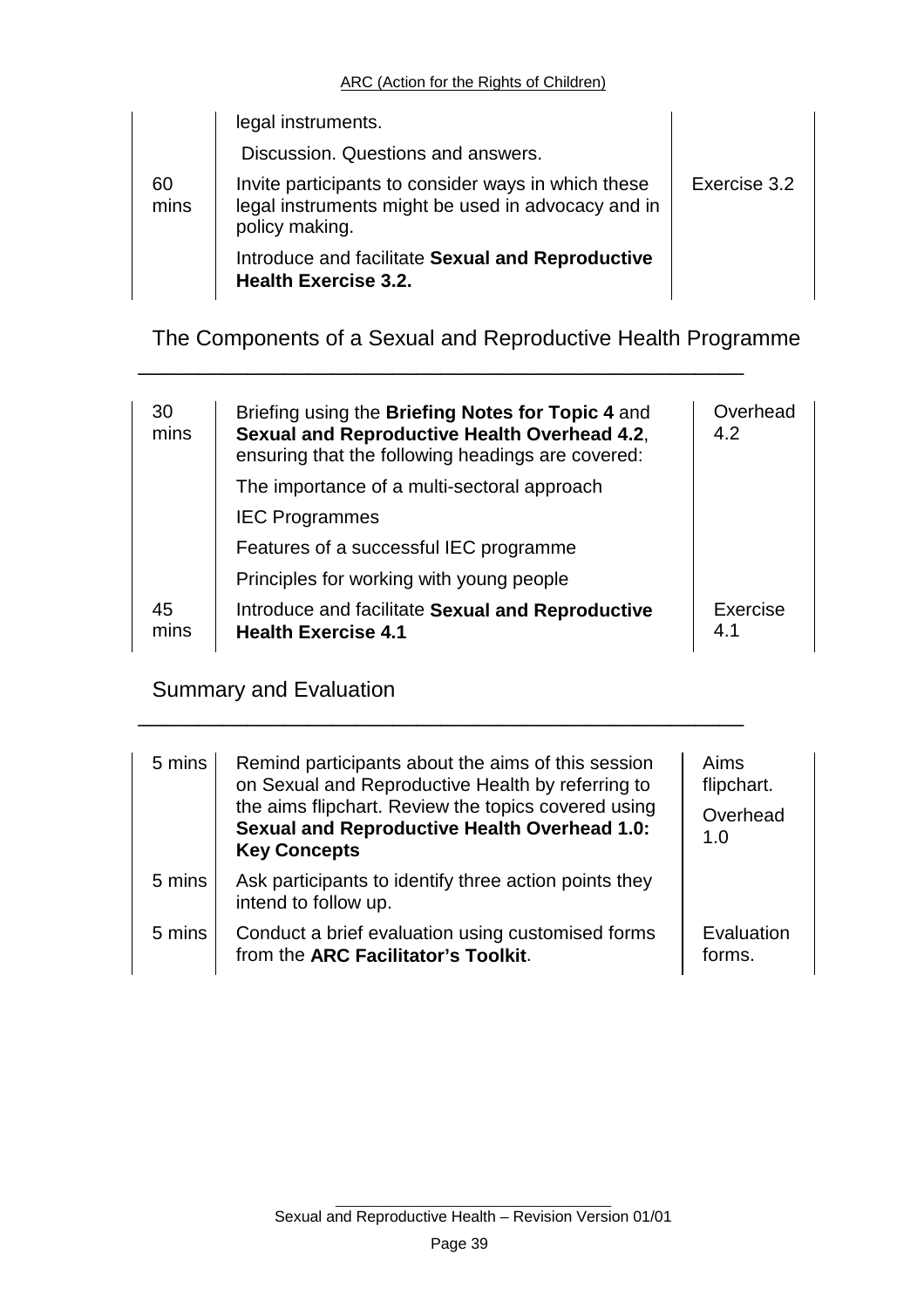|            | legal instruments.<br>Discussion. Questions and answers.                                                                    |              |
|------------|-----------------------------------------------------------------------------------------------------------------------------|--------------|
| 60<br>mins | Invite participants to consider ways in which these<br>legal instruments might be used in advocacy and in<br>policy making. | Exercise 3.2 |
|            | Introduce and facilitate Sexual and Reproductive<br><b>Health Exercise 3.2.</b>                                             |              |

The Components of a Sexual and Reproductive Health Programme

\_\_\_\_\_\_\_\_\_\_\_\_\_\_\_\_\_\_\_\_\_\_\_\_\_\_\_\_\_\_\_\_\_\_\_\_\_\_\_\_\_\_\_\_\_\_\_\_\_\_

| 30<br>mins | Briefing using the <b>Briefing Notes for Topic 4</b> and<br>Sexual and Reproductive Health Overhead 4.2,<br>ensuring that the following headings are covered: | Overhead<br>4.2 |
|------------|---------------------------------------------------------------------------------------------------------------------------------------------------------------|-----------------|
|            | The importance of a multi-sectoral approach                                                                                                                   |                 |
|            | <b>IEC Programmes</b>                                                                                                                                         |                 |
|            | Features of a successful IEC programme                                                                                                                        |                 |
|            | Principles for working with young people                                                                                                                      |                 |
| 45<br>mins | Introduce and facilitate Sexual and Reproductive<br><b>Health Exercise 4.1</b>                                                                                | Exercise<br>4.1 |

# Summary and Evaluation

| 5 mins | Remind participants about the aims of this session<br>on Sexual and Reproductive Health by referring to<br>the aims flipchart. Review the topics covered using<br><b>Sexual and Reproductive Health Overhead 1.0:</b><br><b>Key Concepts</b> | Aims<br>flipchart.<br>Overhead<br>1.0 |  |
|--------|----------------------------------------------------------------------------------------------------------------------------------------------------------------------------------------------------------------------------------------------|---------------------------------------|--|
| 5 mins | Ask participants to identify three action points they<br>intend to follow up.                                                                                                                                                                |                                       |  |
| 5 mins | Conduct a brief evaluation using customised forms<br>from the ARC Facilitator's Toolkit.                                                                                                                                                     | Evaluation<br>forms.                  |  |

\_\_\_\_\_\_\_\_\_\_\_\_\_\_\_\_\_\_\_\_\_\_\_\_\_\_\_\_\_\_\_\_\_\_\_\_\_\_\_\_\_\_\_\_\_\_\_\_\_\_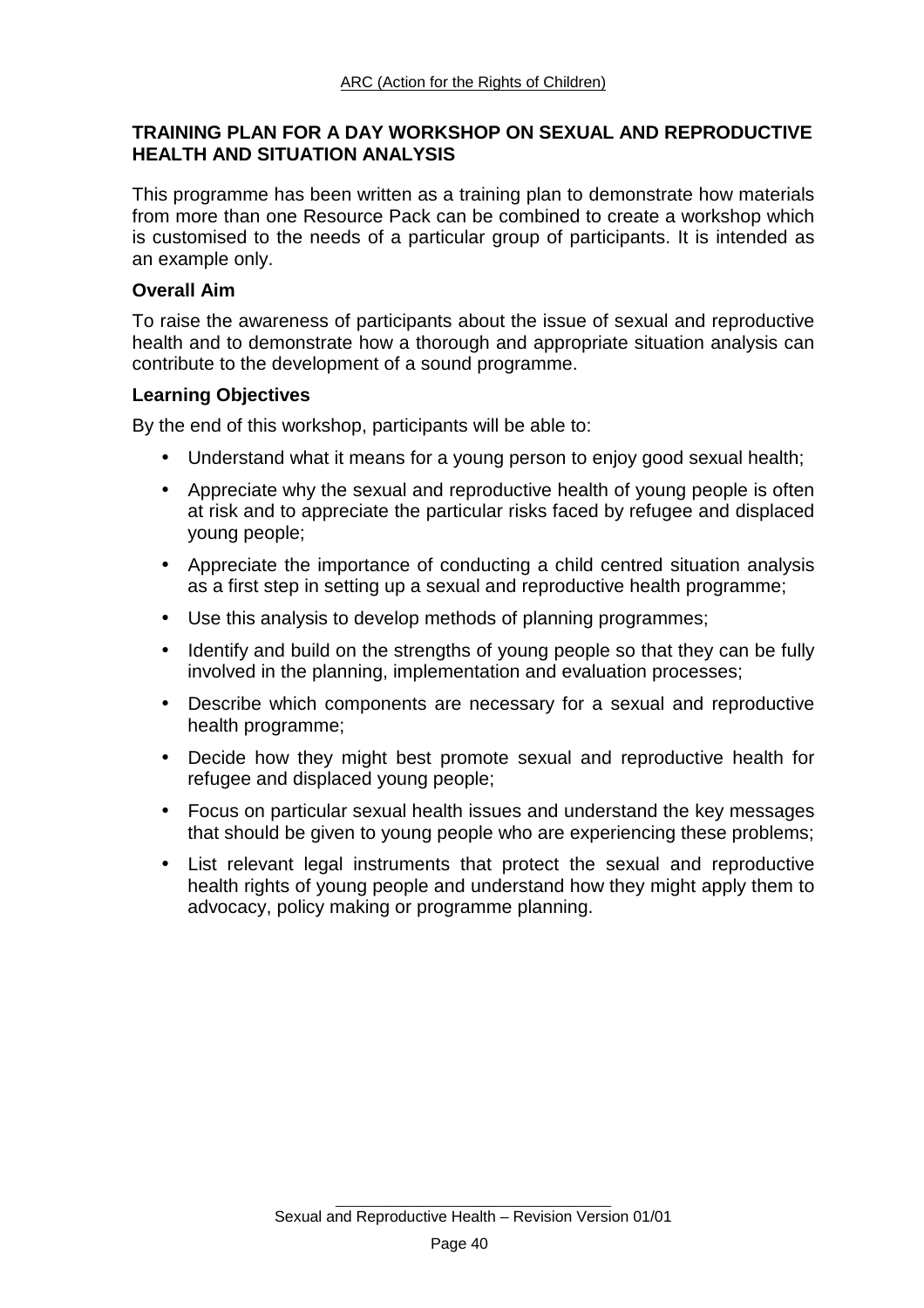### **TRAINING PLAN FOR A DAY WORKSHOP ON SEXUAL AND REPRODUCTIVE HEALTH AND SITUATION ANALYSIS**

This programme has been written as a training plan to demonstrate how materials from more than one Resource Pack can be combined to create a workshop which is customised to the needs of a particular group of participants. It is intended as an example only.

### **Overall Aim**

To raise the awareness of participants about the issue of sexual and reproductive health and to demonstrate how a thorough and appropriate situation analysis can contribute to the development of a sound programme.

### **Learning Objectives**

By the end of this workshop, participants will be able to:

- Understand what it means for a young person to enjoy good sexual health;
- Appreciate why the sexual and reproductive health of young people is often at risk and to appreciate the particular risks faced by refugee and displaced young people;
- Appreciate the importance of conducting a child centred situation analysis as a first step in setting up a sexual and reproductive health programme;
- Use this analysis to develop methods of planning programmes;
- Identify and build on the strengths of young people so that they can be fully involved in the planning, implementation and evaluation processes;
- Describe which components are necessary for a sexual and reproductive health programme;
- Decide how they might best promote sexual and reproductive health for refugee and displaced young people;
- Focus on particular sexual health issues and understand the key messages that should be given to young people who are experiencing these problems;
- List relevant legal instruments that protect the sexual and reproductive health rights of young people and understand how they might apply them to advocacy, policy making or programme planning.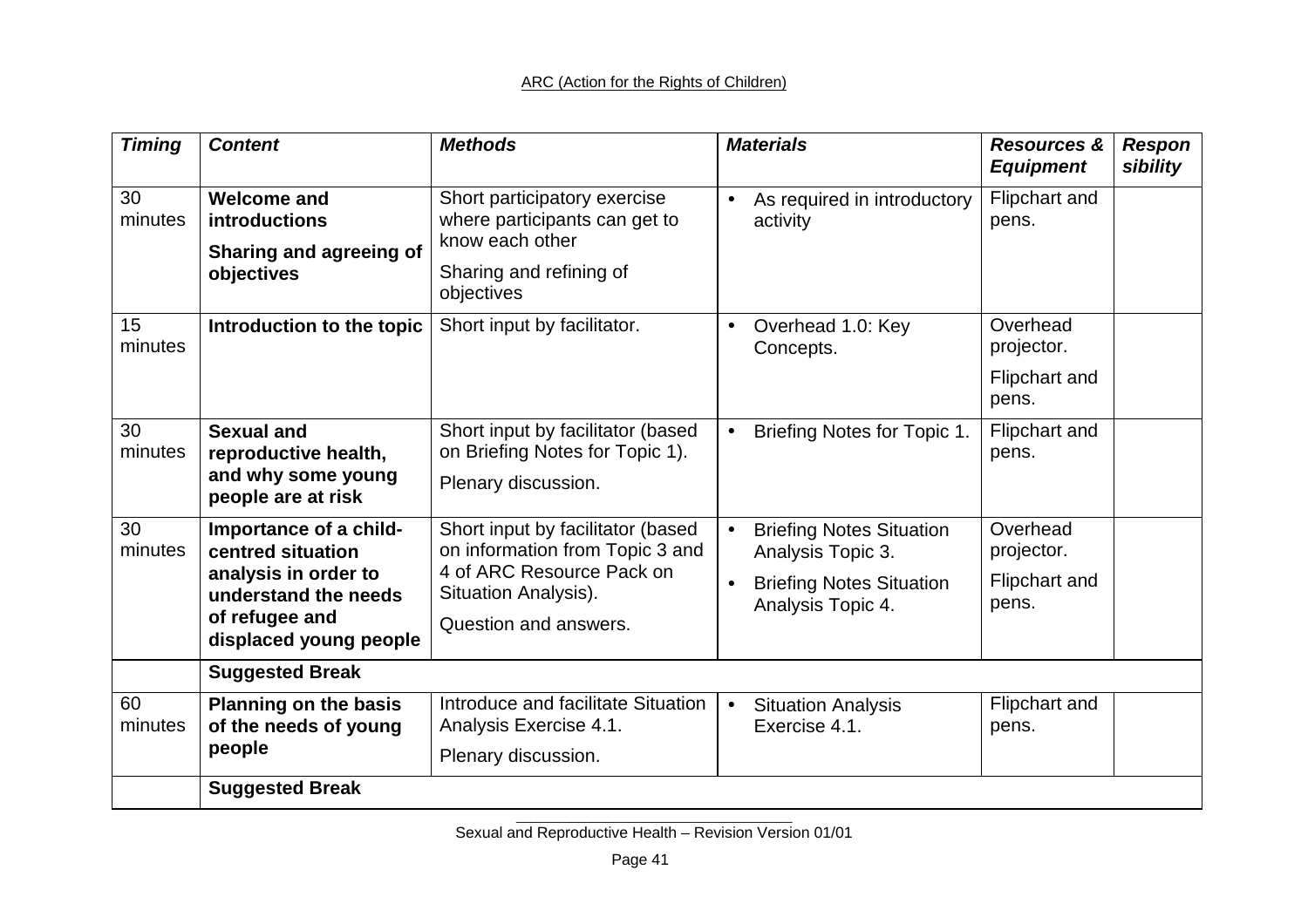| <b>Timing</b> | <b>Content</b>                                                                                                                          | <b>Methods</b>                                                                                                                                     | <b>Materials</b>                                                                                                                       | <b>Resources &amp;</b><br><b>Equipment</b>              | <b>Respon</b><br>sibility |
|---------------|-----------------------------------------------------------------------------------------------------------------------------------------|----------------------------------------------------------------------------------------------------------------------------------------------------|----------------------------------------------------------------------------------------------------------------------------------------|---------------------------------------------------------|---------------------------|
| 30<br>minutes | <b>Welcome and</b><br>introductions<br>Sharing and agreeing of<br>objectives                                                            | Short participatory exercise<br>where participants can get to<br>know each other<br>Sharing and refining of<br>objectives                          | As required in introductory<br>$\bullet$<br>activity                                                                                   | Flipchart and<br>pens.                                  |                           |
| 15<br>minutes | Introduction to the topic                                                                                                               | Short input by facilitator.                                                                                                                        | Overhead 1.0: Key<br>$\bullet$<br>Concepts.                                                                                            | Overhead<br>projector.<br>Flipchart and<br>pens.        |                           |
| 30<br>minutes | <b>Sexual and</b><br>reproductive health,<br>and why some young<br>people are at risk                                                   | Short input by facilitator (based<br>on Briefing Notes for Topic 1).<br>Plenary discussion.                                                        | Briefing Notes for Topic 1.<br>$\bullet$                                                                                               | Flipchart and<br>pens.                                  |                           |
| 30<br>minutes | Importance of a child-<br>centred situation<br>analysis in order to<br>understand the needs<br>of refugee and<br>displaced young people | Short input by facilitator (based<br>on information from Topic 3 and<br>4 of ARC Resource Pack on<br>Situation Analysis).<br>Question and answers. | <b>Briefing Notes Situation</b><br>$\bullet$<br>Analysis Topic 3.<br><b>Briefing Notes Situation</b><br>$\bullet$<br>Analysis Topic 4. | Overhead<br>projector.<br><b>Flipchart and</b><br>pens. |                           |
|               | <b>Suggested Break</b>                                                                                                                  |                                                                                                                                                    |                                                                                                                                        |                                                         |                           |
| 60<br>minutes | <b>Planning on the basis</b><br>of the needs of young<br>people                                                                         | Introduce and facilitate Situation<br>Analysis Exercise 4.1.<br>Plenary discussion.                                                                | <b>Situation Analysis</b><br>$\bullet$<br>Exercise 4.1.                                                                                | Flipchart and<br>pens.                                  |                           |
|               | <b>Suggested Break</b>                                                                                                                  |                                                                                                                                                    |                                                                                                                                        |                                                         |                           |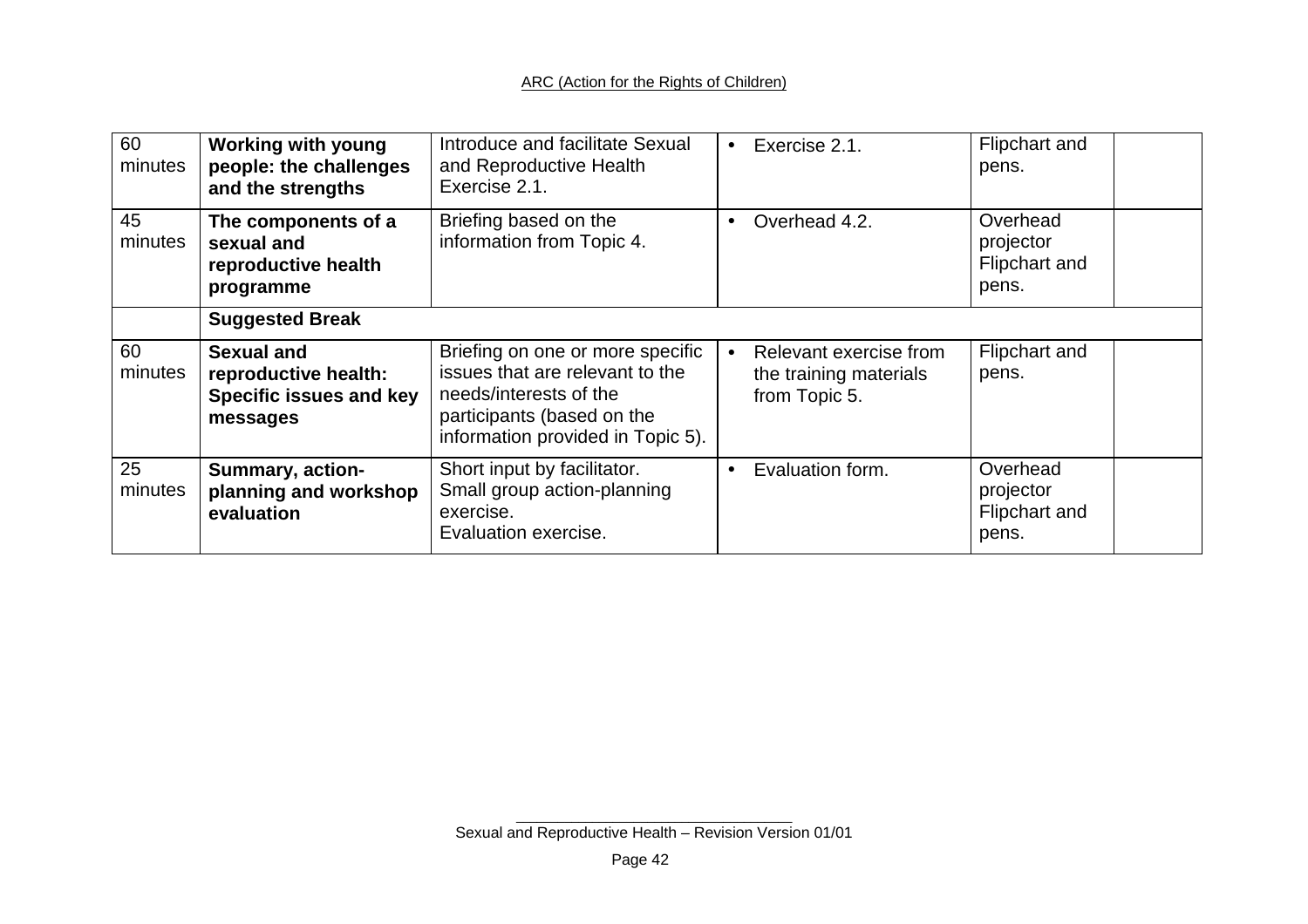| 60<br>minutes | <b>Working with young</b><br>people: the challenges<br>and the strengths                | Introduce and facilitate Sexual<br>and Reproductive Health<br>Exercise 2.1.                                                                                      | Exercise 2.1.<br>$\bullet$                                                     | Flipchart and<br>pens.                          |
|---------------|-----------------------------------------------------------------------------------------|------------------------------------------------------------------------------------------------------------------------------------------------------------------|--------------------------------------------------------------------------------|-------------------------------------------------|
| 45<br>minutes | The components of a<br>sexual and<br>reproductive health<br>programme                   | Briefing based on the<br>information from Topic 4.                                                                                                               | Overhead 4.2.<br>$\bullet$                                                     | Overhead<br>projector<br>Flipchart and<br>pens. |
|               | <b>Suggested Break</b>                                                                  |                                                                                                                                                                  |                                                                                |                                                 |
| 60<br>minutes | <b>Sexual and</b><br>reproductive health:<br><b>Specific issues and key</b><br>messages | Briefing on one or more specific<br>issues that are relevant to the<br>needs/interests of the<br>participants (based on the<br>information provided in Topic 5). | Relevant exercise from<br>$\bullet$<br>the training materials<br>from Topic 5. | Flipchart and<br>pens.                          |
| 25<br>minutes | <b>Summary, action-</b><br>planning and workshop<br>evaluation                          | Short input by facilitator.<br>Small group action-planning<br>exercise.<br>Evaluation exercise.                                                                  | Evaluation form.<br>$\bullet$                                                  | Overhead<br>projector<br>Flipchart and<br>pens. |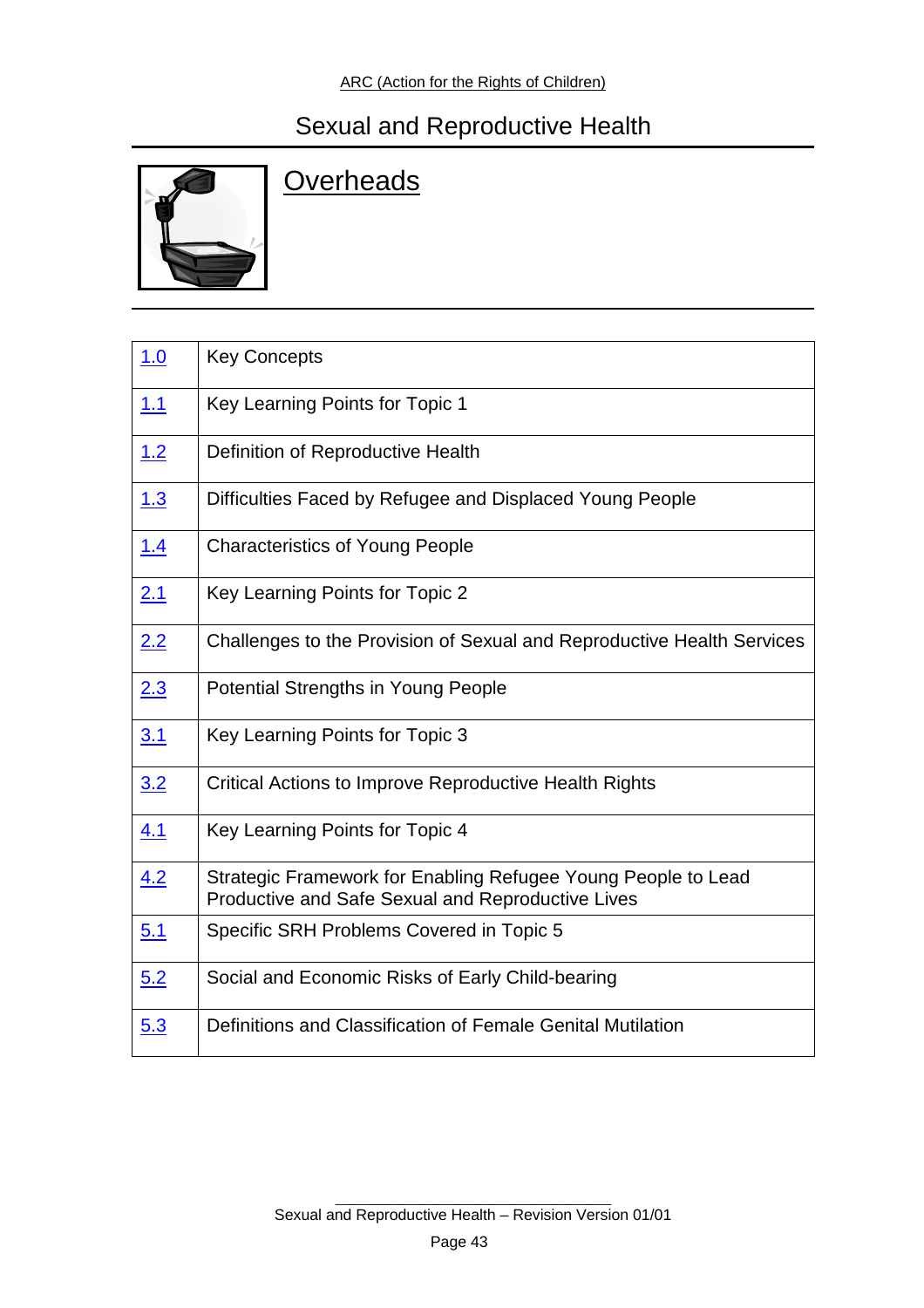

# **Overheads**

| 1.0        | <b>Key Concepts</b>                                                                                                |
|------------|--------------------------------------------------------------------------------------------------------------------|
| 1.1        | Key Learning Points for Topic 1                                                                                    |
| 1.2        | Definition of Reproductive Health                                                                                  |
| 1.3        | Difficulties Faced by Refugee and Displaced Young People                                                           |
| <u>1.4</u> | <b>Characteristics of Young People</b>                                                                             |
| 2.1        | Key Learning Points for Topic 2                                                                                    |
| 2.2        | Challenges to the Provision of Sexual and Reproductive Health Services                                             |
| 2.3        | <b>Potential Strengths in Young People</b>                                                                         |
| 3.1        | Key Learning Points for Topic 3                                                                                    |
| 3.2        | <b>Critical Actions to Improve Reproductive Health Rights</b>                                                      |
| 4.1        | Key Learning Points for Topic 4                                                                                    |
| 4.2        | Strategic Framework for Enabling Refugee Young People to Lead<br>Productive and Safe Sexual and Reproductive Lives |
| 5.1        | Specific SRH Problems Covered in Topic 5                                                                           |
| 5.2        | Social and Economic Risks of Early Child-bearing                                                                   |
| 5.3        | Definitions and Classification of Female Genital Mutilation                                                        |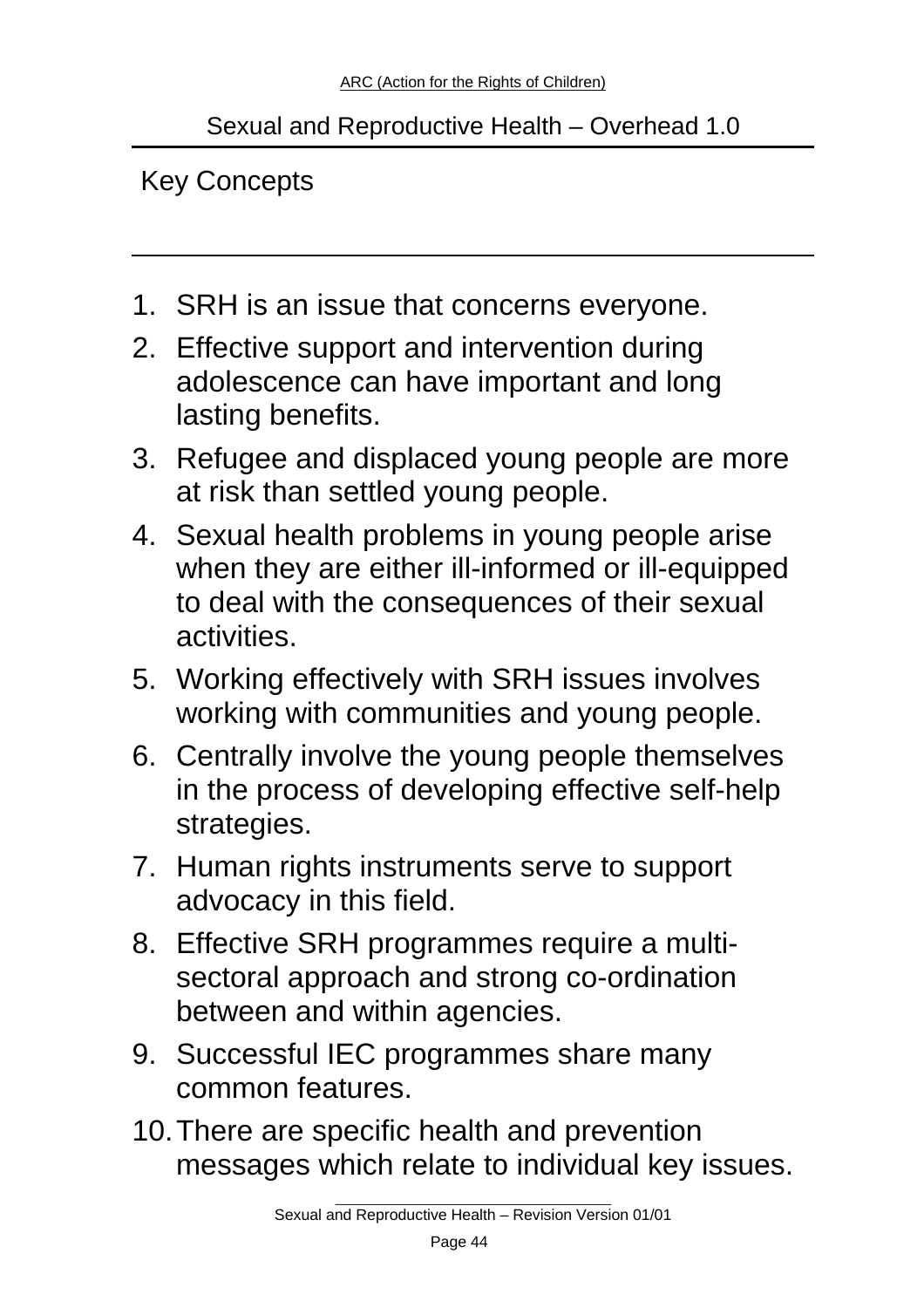<span id="page-43-0"></span>Key Concepts

- 1. SRH is an issue that concerns everyone.
- 2. Effective support and intervention during adolescence can have important and long lasting benefits.
- 3. Refugee and displaced young people are more at risk than settled young people.
- 4. Sexual health problems in young people arise when they are either ill-informed or ill-equipped to deal with the consequences of their sexual activities.
- 5. Working effectively with SRH issues involves working with communities and young people.
- 6. Centrally involve the young people themselves in the process of developing effective self-help strategies.
- 7. Human rights instruments serve to support advocacy in this field.
- 8. Effective SRH programmes require a multisectoral approach and strong co-ordination between and within agencies.
- 9. Successful IEC programmes share many common features.
- 10. There are specific health and prevention messages which relate to individual key issues.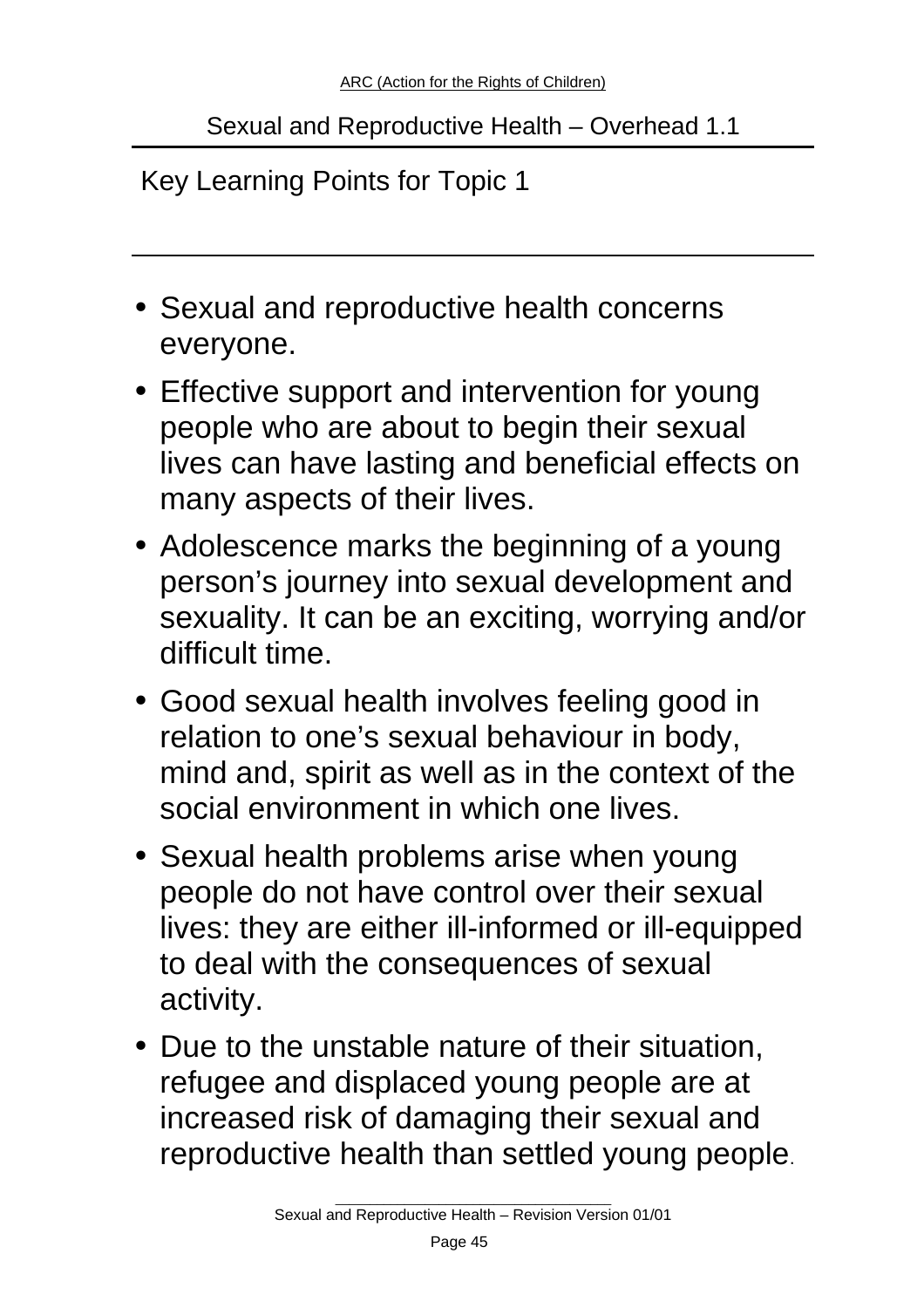<span id="page-44-0"></span>Key Learning Points for Topic 1

- Sexual and reproductive health concerns everyone.
- Effective support and intervention for young people who are about to begin their sexual lives can have lasting and beneficial effects on many aspects of their lives.
- Adolescence marks the beginning of a young person's journey into sexual development and sexuality. It can be an exciting, worrying and/or difficult time.
- Good sexual health involves feeling good in relation to one's sexual behaviour in body, mind and, spirit as well as in the context of the social environment in which one lives.
- Sexual health problems arise when young people do not have control over their sexual lives: they are either ill-informed or ill-equipped to deal with the consequences of sexual activity.
- Due to the unstable nature of their situation, refugee and displaced young people are at increased risk of damaging their sexual and reproductive health than settled young people.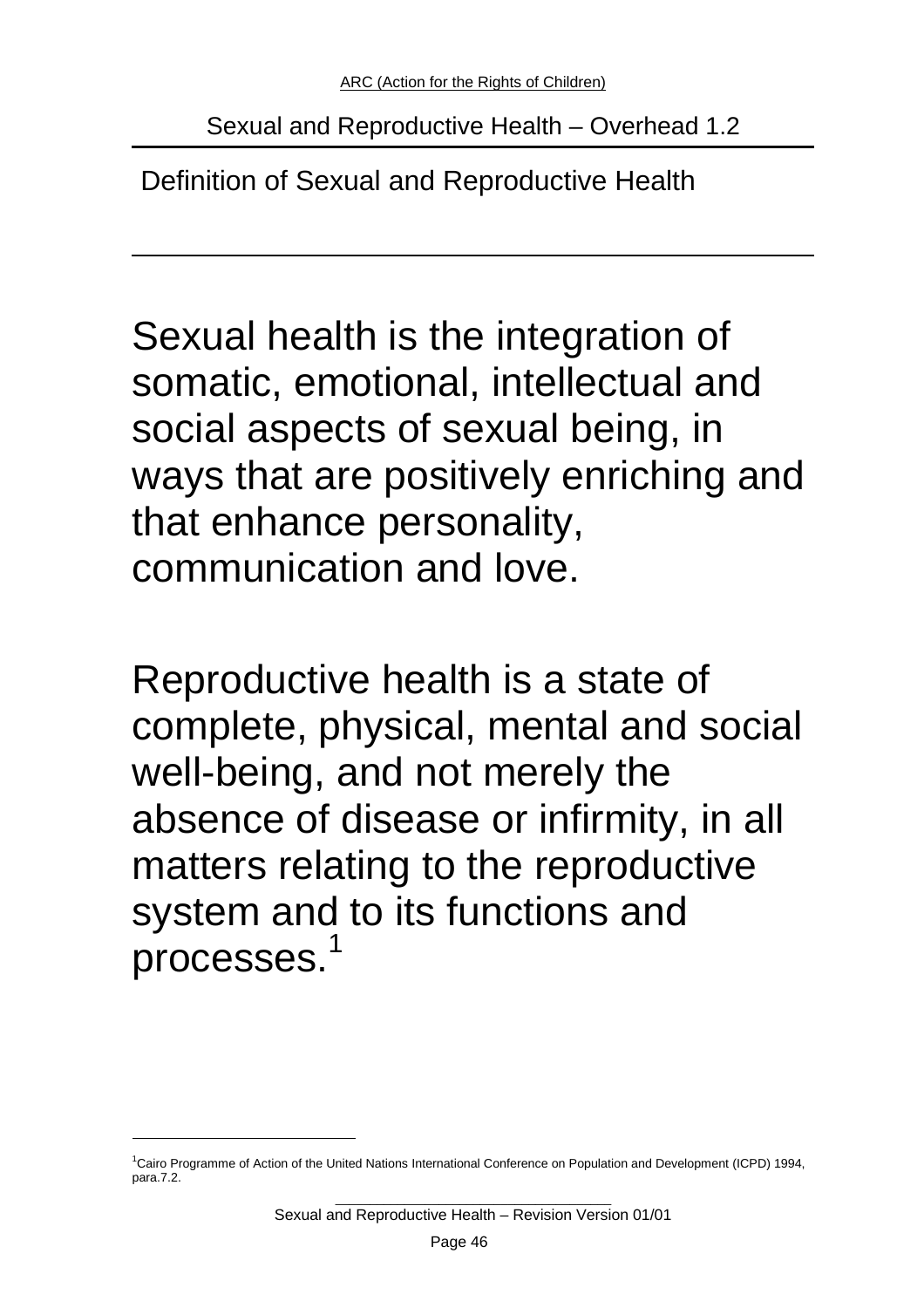<span id="page-45-0"></span>Definition of Sexual and Reproductive Health

Sexual health is the integration of somatic, emotional, intellectual and social aspects of sexual being, in ways that are positively enriching and that enhance personality, communication and love.

Reproductive health is a state of complete, physical, mental and social well-being, and not merely the absence of disease or infirmity, in all matters relating to the reproductive system and to its functions and processes.

 $\overline{a}$ 

<sup>&</sup>lt;sup>1</sup>Cairo Programme of Action of the United Nations International Conference on Population and Development (ICPD) 1994, para.7.2.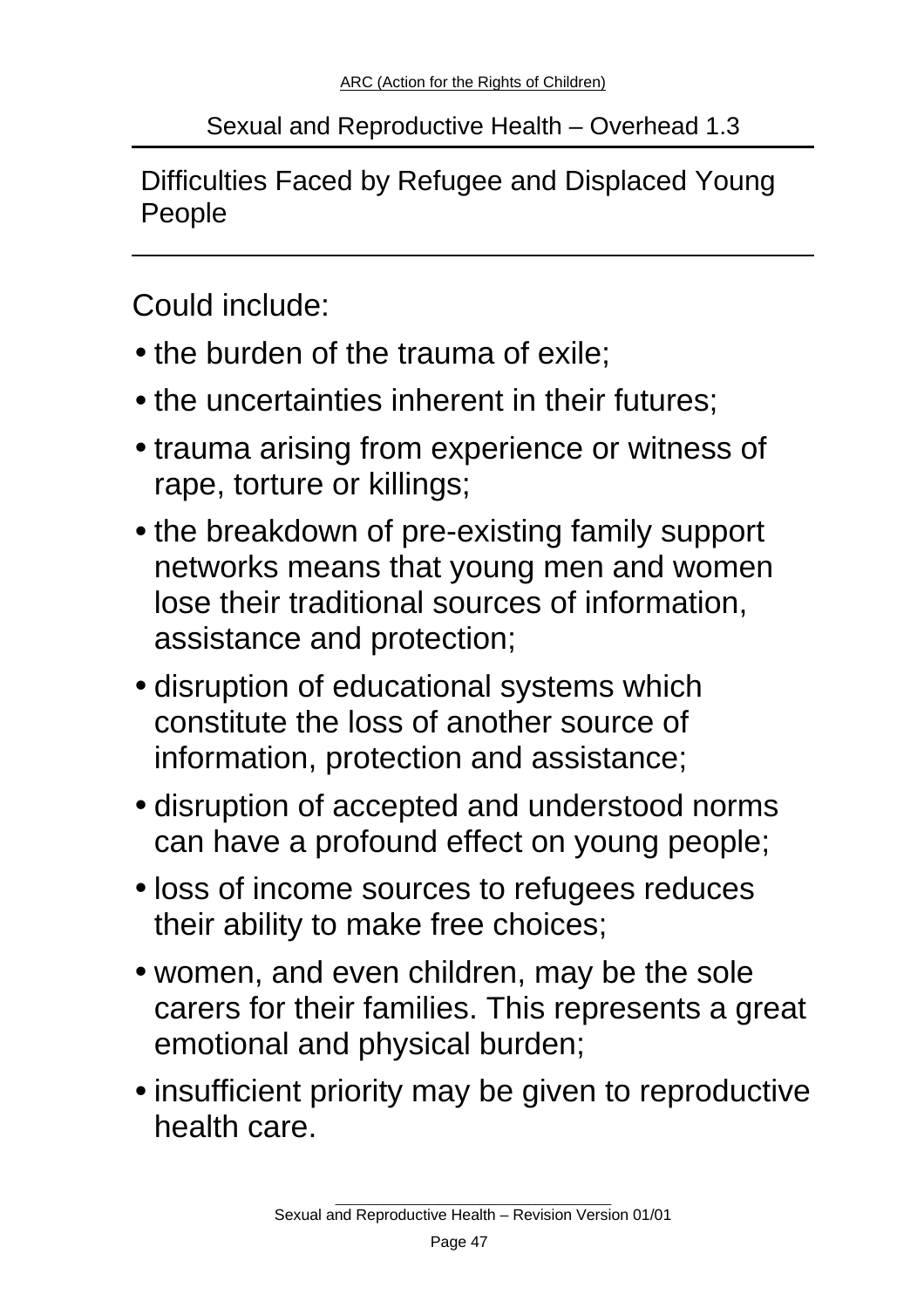<span id="page-46-0"></span>Difficulties Faced by Refugee and Displaced Young People

# Could include:

- the burden of the trauma of exile;
- the uncertainties inherent in their futures;
- trauma arising from experience or witness of rape, torture or killings;
- the breakdown of pre-existing family support networks means that young men and women lose their traditional sources of information, assistance and protection;
- disruption of educational systems which constitute the loss of another source of information, protection and assistance;
- disruption of accepted and understood norms can have a profound effect on young people;
- loss of income sources to refugees reduces their ability to make free choices;
- women, and even children, may be the sole carers for their families. This represents a great emotional and physical burden;
- insufficient priority may be given to reproductive health care.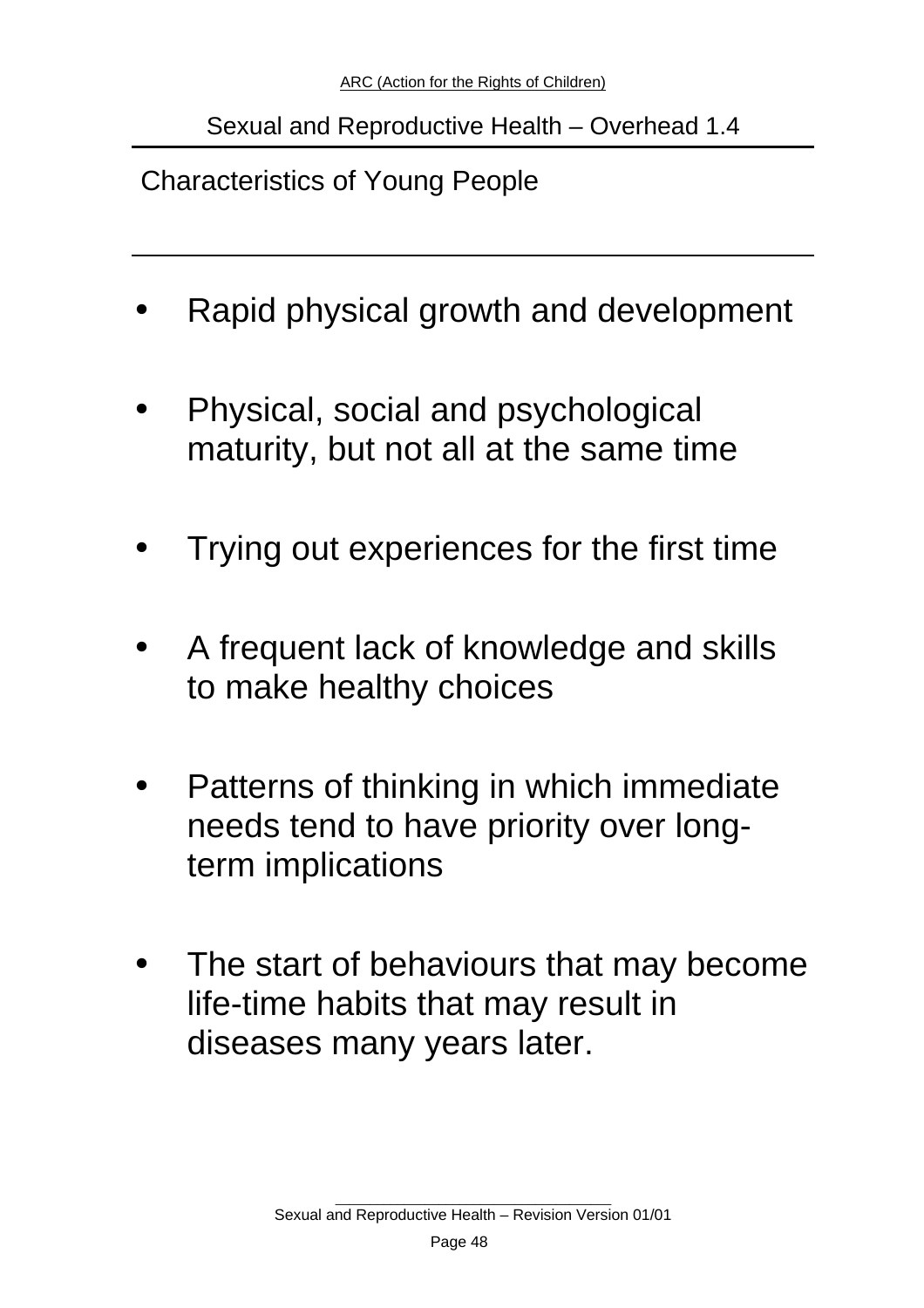# <span id="page-47-0"></span>Characteristics of Young People

- Rapid physical growth and development
- Physical, social and psychological maturity, but not all at the same time
- Trying out experiences for the first time
- A frequent lack of knowledge and skills to make healthy choices
- Patterns of thinking in which immediate needs tend to have priority over longterm implications
- The start of behaviours that may become life-time habits that may result in diseases many years later.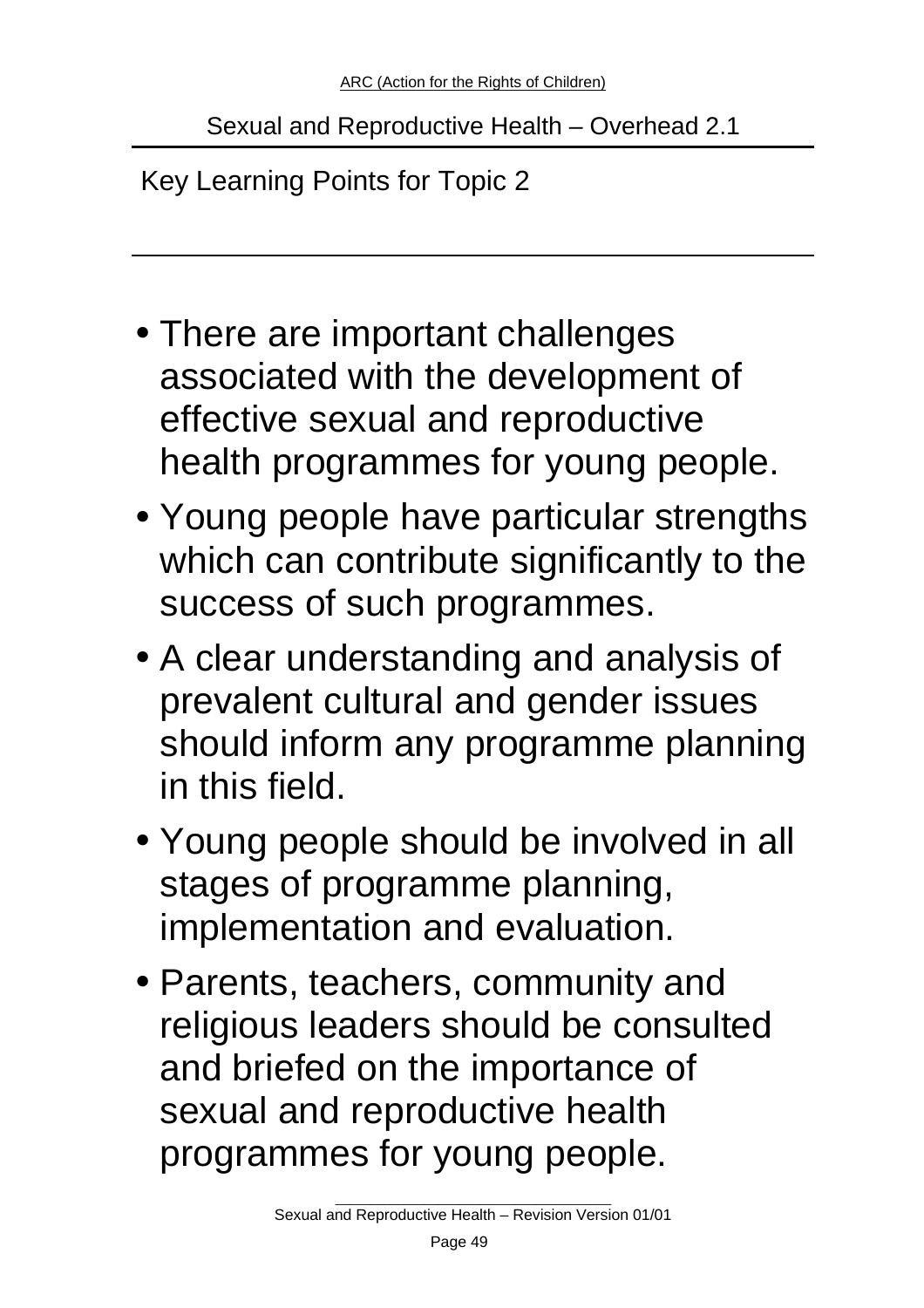<span id="page-48-0"></span>Key Learning Points for Topic 2

- There are important challenges associated with the development of effective sexual and reproductive health programmes for young people.
- Young people have particular strengths which can contribute significantly to the success of such programmes.
- A clear understanding and analysis of prevalent cultural and gender issues should inform any programme planning in this field.
- Young people should be involved in all stages of programme planning, implementation and evaluation.
- Parents, teachers, community and religious leaders should be consulted and briefed on the importance of sexual and reproductive health programmes for young people.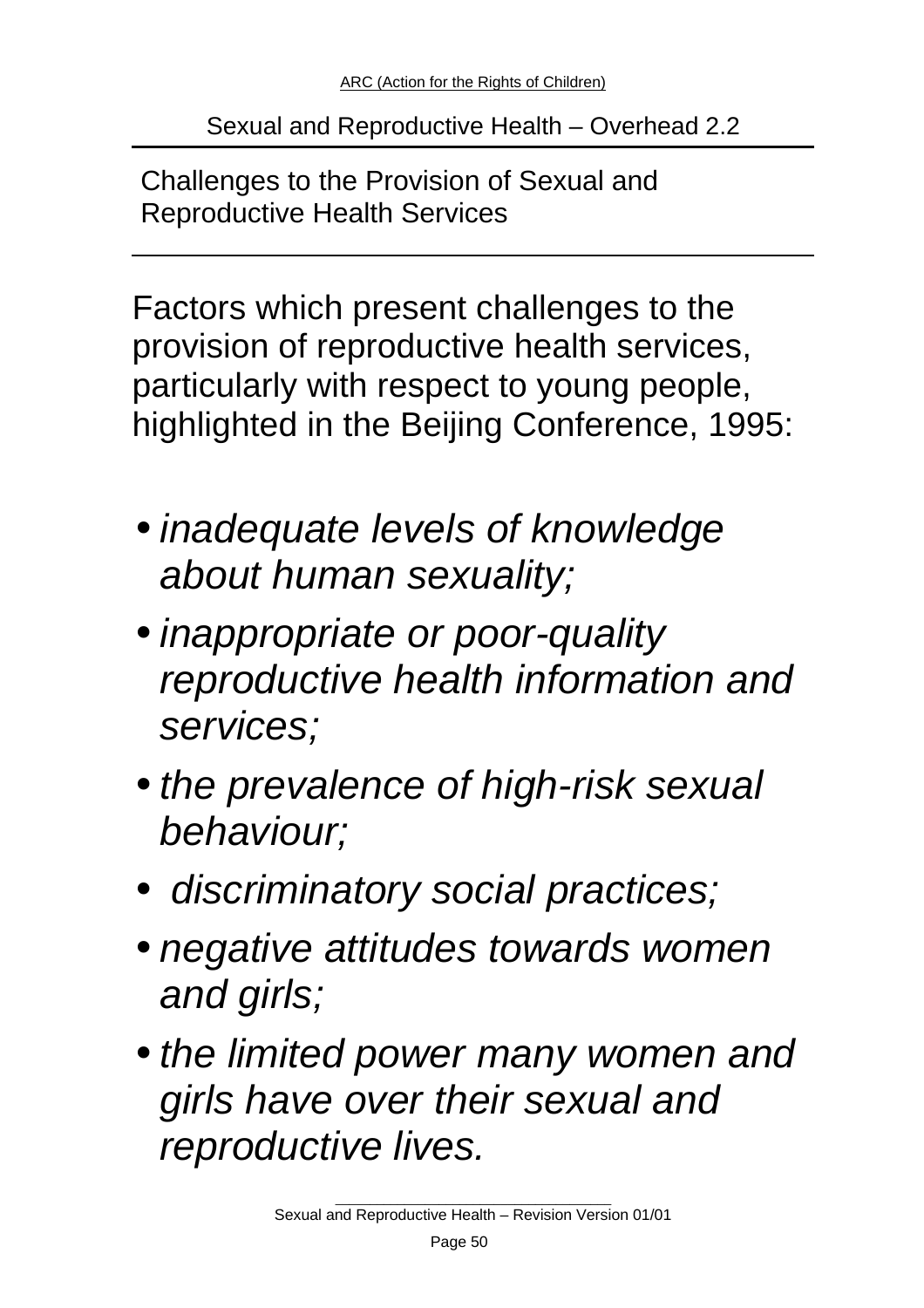<span id="page-49-0"></span>Challenges to the Provision of Sexual and Reproductive Health Services

Factors which present challenges to the provision of reproductive health services, particularly with respect to young people, highlighted in the Beijing Conference, 1995:

- *inadequate levels of knowledge about human sexuality;*
- *inappropriate or poor-quality reproductive health information and services;*
- *the prevalence of high-risk sexual behaviour;*
- • *discriminatory social practices;*
- *negative attitudes towards women and girls;*
- *the limited power many women and girls have over their sexual and reproductive lives.*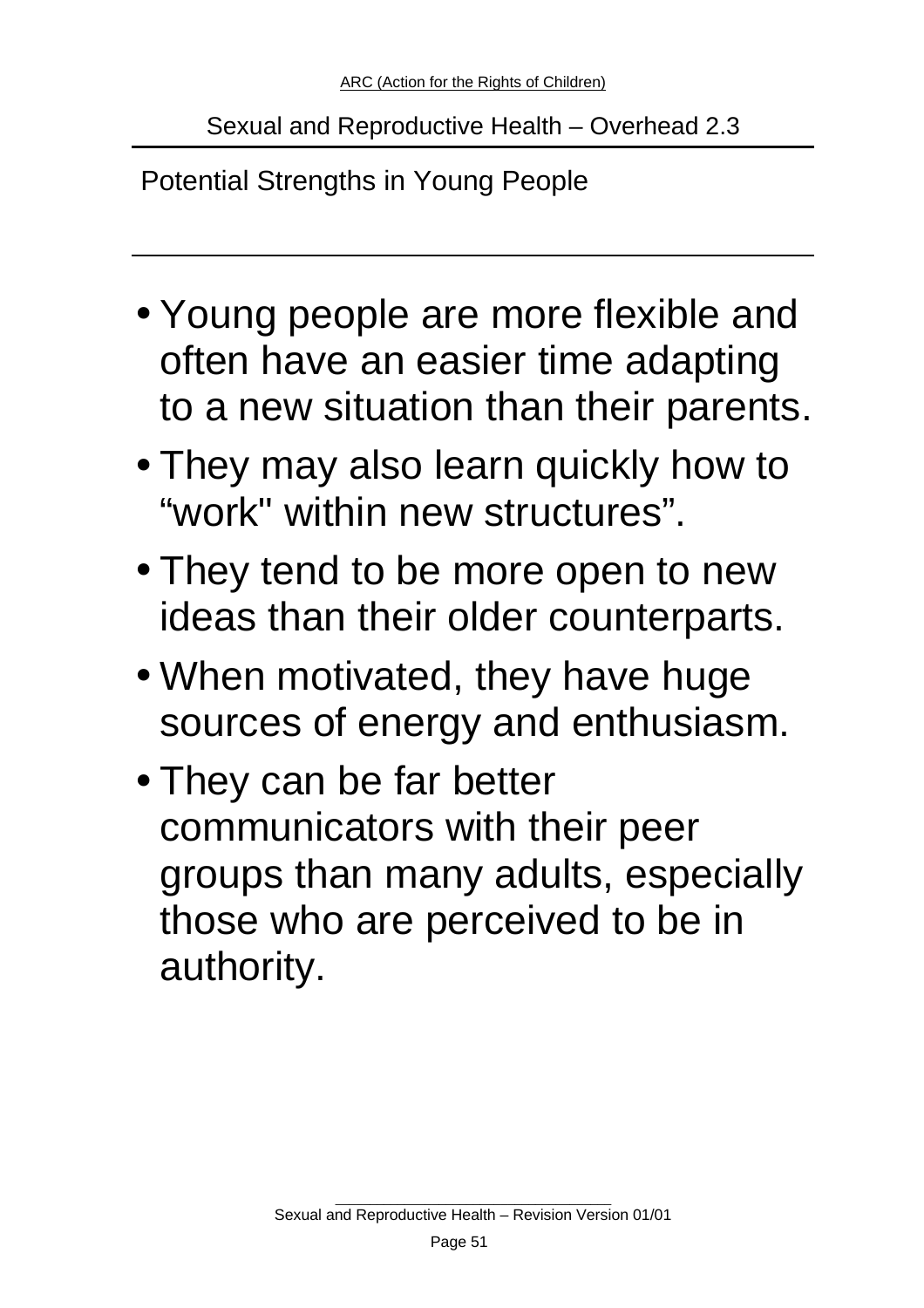<span id="page-50-0"></span>Potential Strengths in Young People

- Young people are more flexible and often have an easier time adapting to a new situation than their parents.
- They may also learn quickly how to "work" within new structures".
- They tend to be more open to new ideas than their older counterparts.
- When motivated, they have huge sources of energy and enthusiasm.
- They can be far better communicators with their peer groups than many adults, especially those who are perceived to be in authority.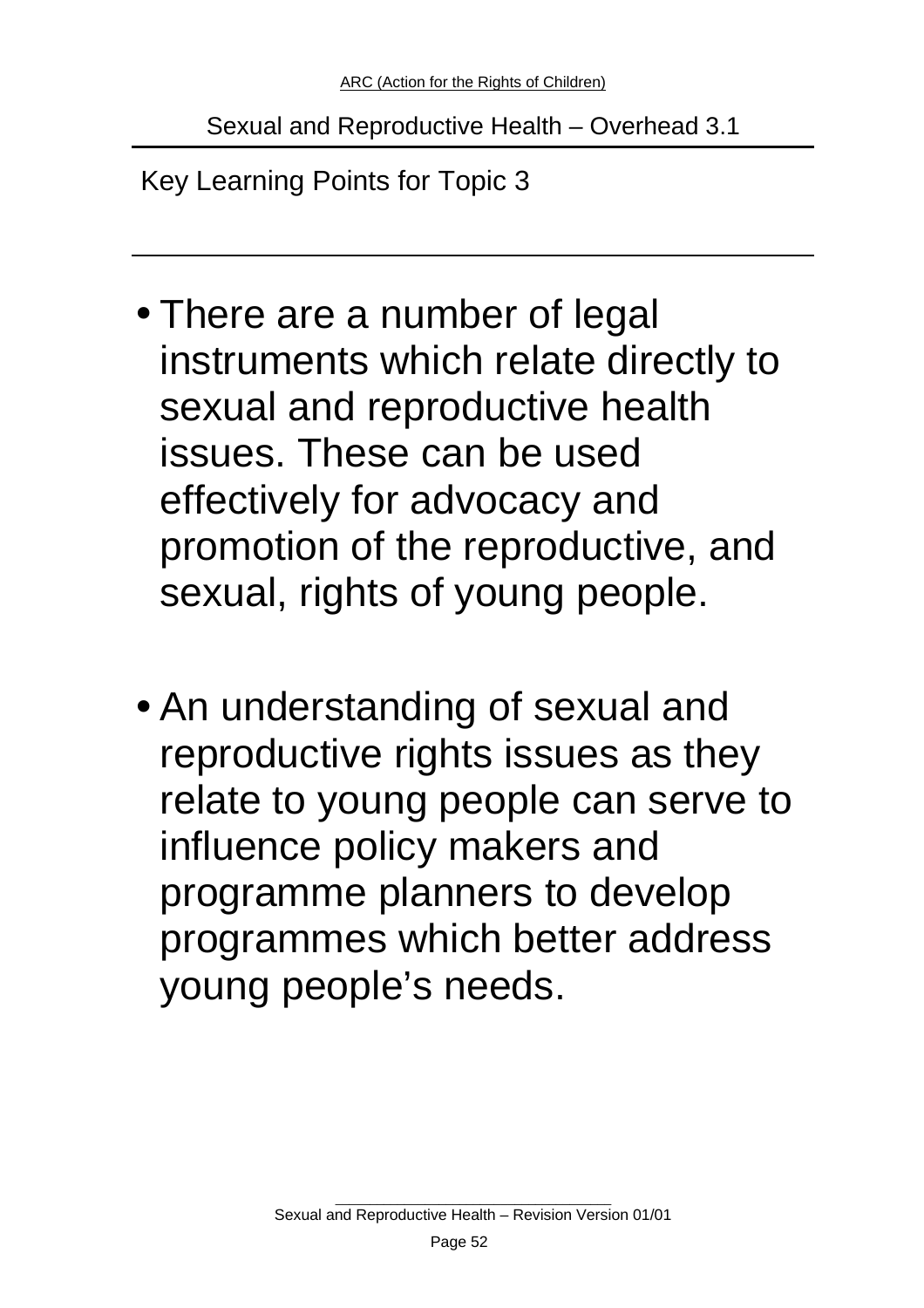<span id="page-51-0"></span>Key Learning Points for Topic 3

- There are a number of legal instruments which relate directly to sexual and reproductive health issues. These can be used effectively for advocacy and promotion of the reproductive, and sexual, rights of young people.
- An understanding of sexual and reproductive rights issues as they relate to young people can serve to influence policy makers and programme planners to develop programmes which better address young people's needs.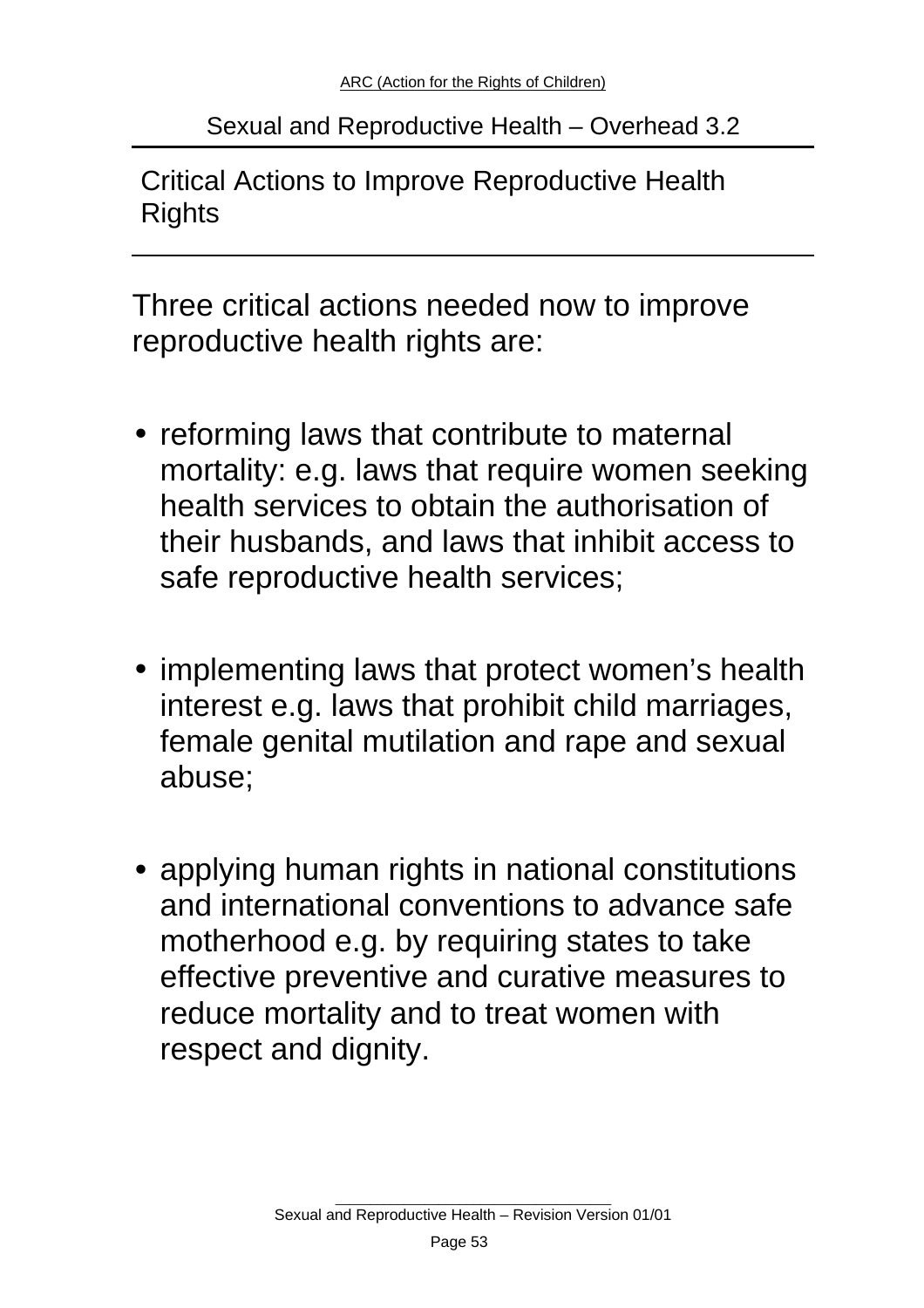<span id="page-52-0"></span>Critical Actions to Improve Reproductive Health **Rights** 

Three critical actions needed now to improve reproductive health rights are:

- reforming laws that contribute to maternal mortality: e.g. laws that require women seeking health services to obtain the authorisation of their husbands, and laws that inhibit access to safe reproductive health services;
- implementing laws that protect women's health interest e.g. laws that prohibit child marriages, female genital mutilation and rape and sexual abuse;
- applying human rights in national constitutions and international conventions to advance safe motherhood e.g. by requiring states to take effective preventive and curative measures to reduce mortality and to treat women with respect and dignity.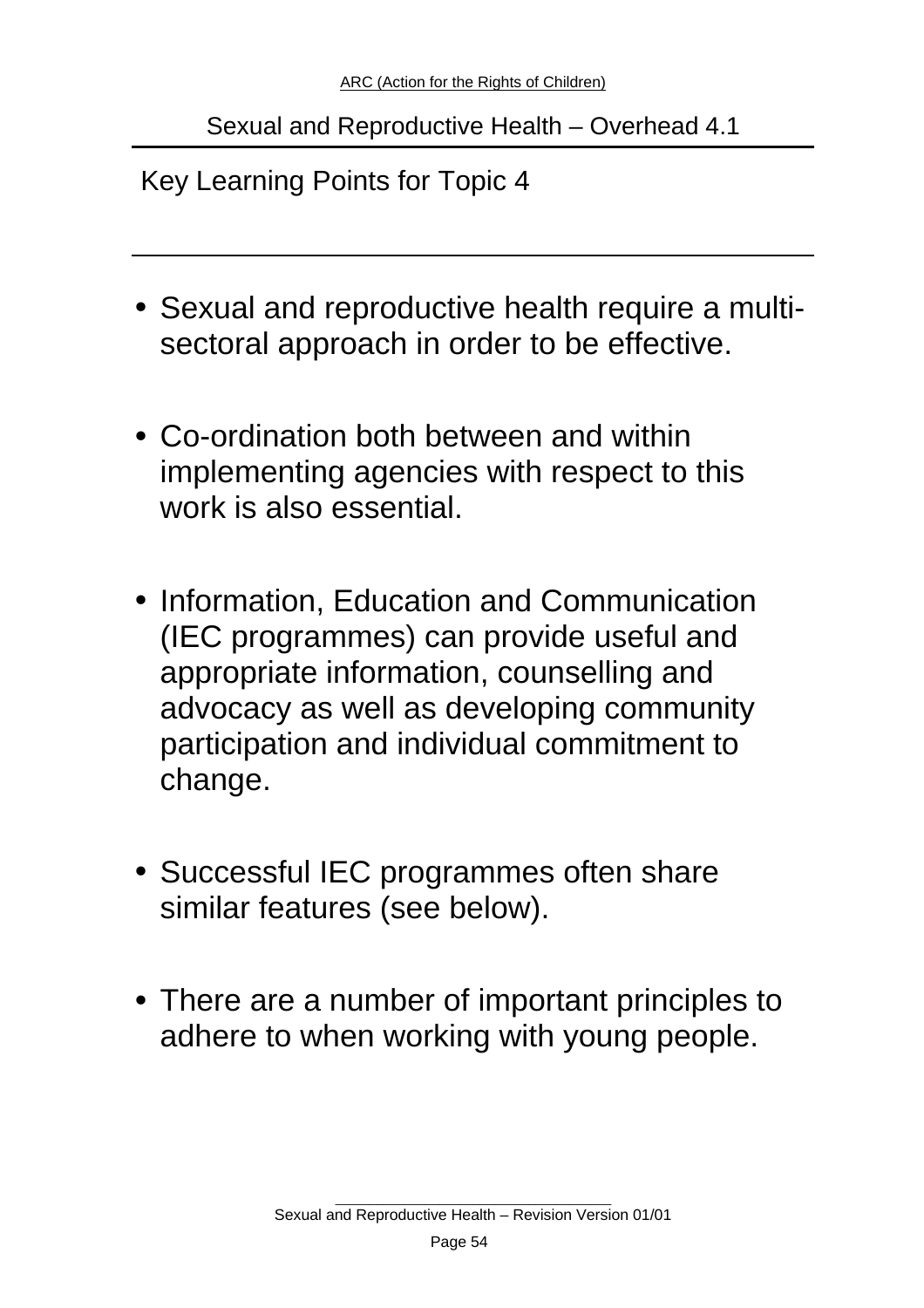<span id="page-53-0"></span>Key Learning Points for Topic 4

- Sexual and reproductive health require a multisectoral approach in order to be effective.
- Co-ordination both between and within implementing agencies with respect to this work is also essential.
- Information, Education and Communication (IEC programmes) can provide useful and appropriate information, counselling and advocacy as well as developing community participation and individual commitment to change.
- Successful IEC programmes often share similar features (see below).
- There are a number of important principles to adhere to when working with young people.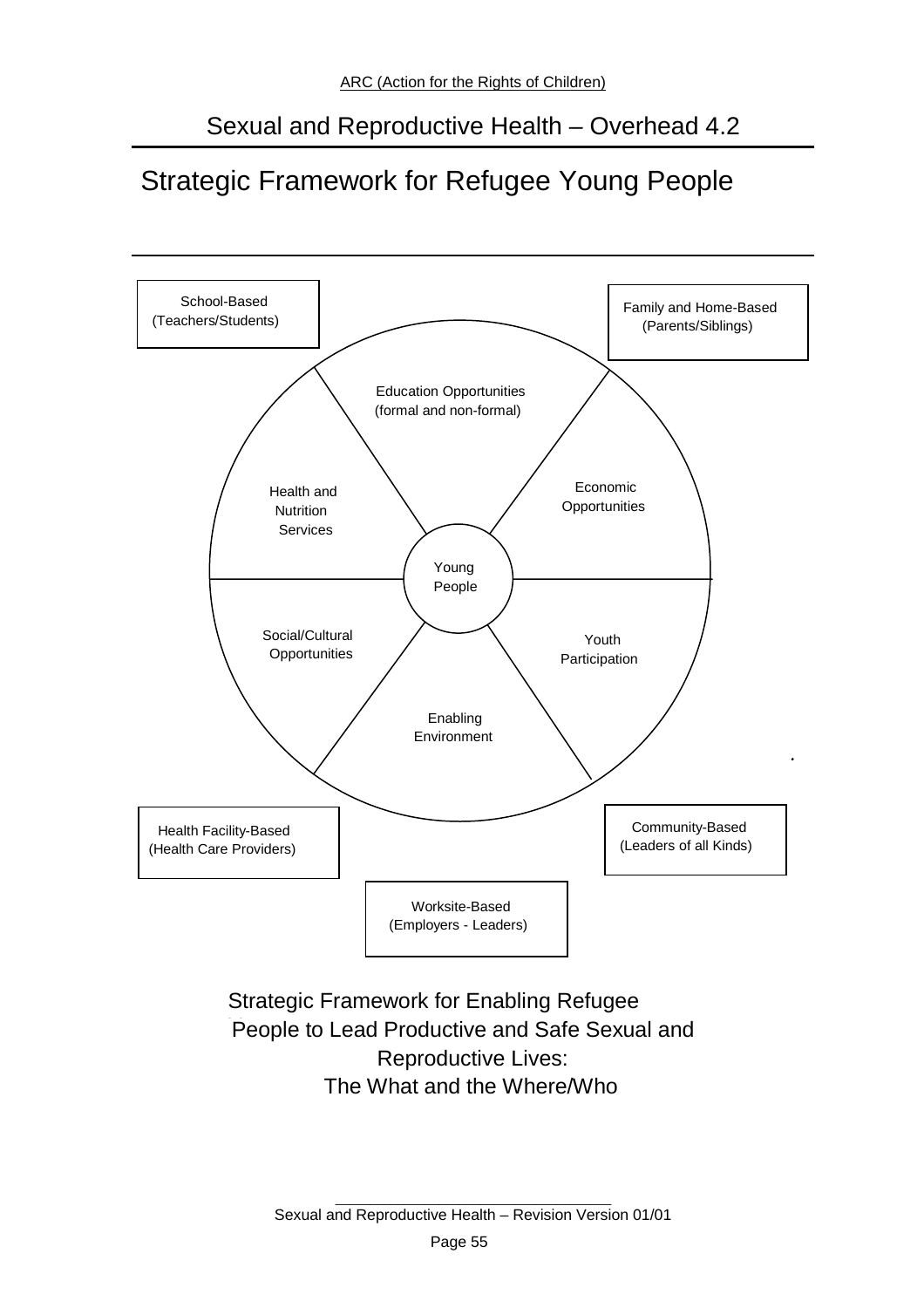# <span id="page-54-0"></span>Strategic Framework for Refugee Young People



# Strategic Framework for Enabling Refugee People to Lead Productive and Safe Sexual and Reproductive Lives: The What and the Where/Who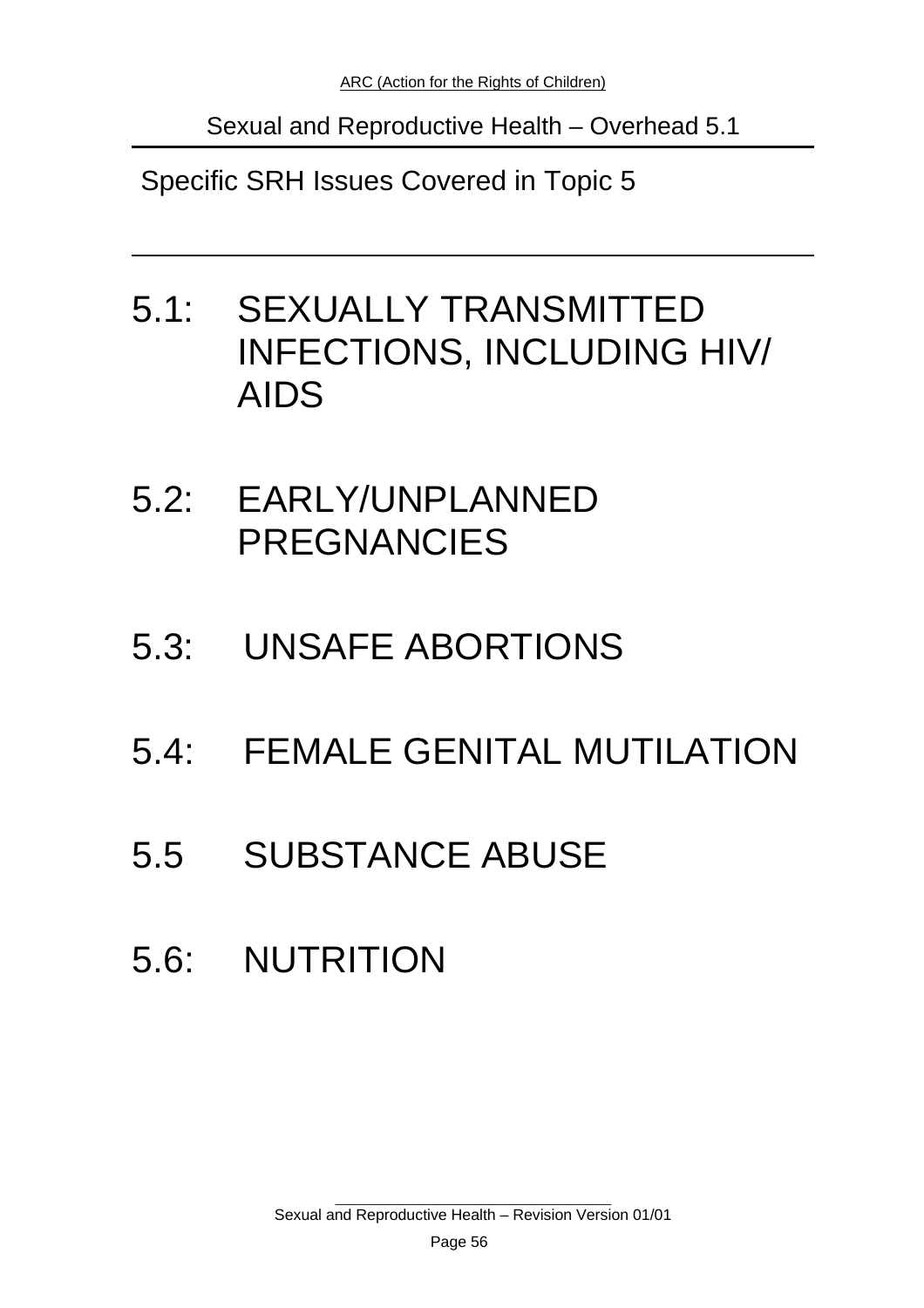<span id="page-55-0"></span>Specific SRH Issues Covered in Topic 5

- 5.1: SEXUALLY TRANSMITTED INFECTIONS, INCLUDING HIV/ AIDS
- 5.2: EARLY/UNPLANNED PREGNANCIES
- 5.3: UNSAFE ABORTIONS
- 5.4: FEMALE GENITAL MUTILATION
- 5.5 SUBSTANCE ABUSE
- 5.6: NUTRITION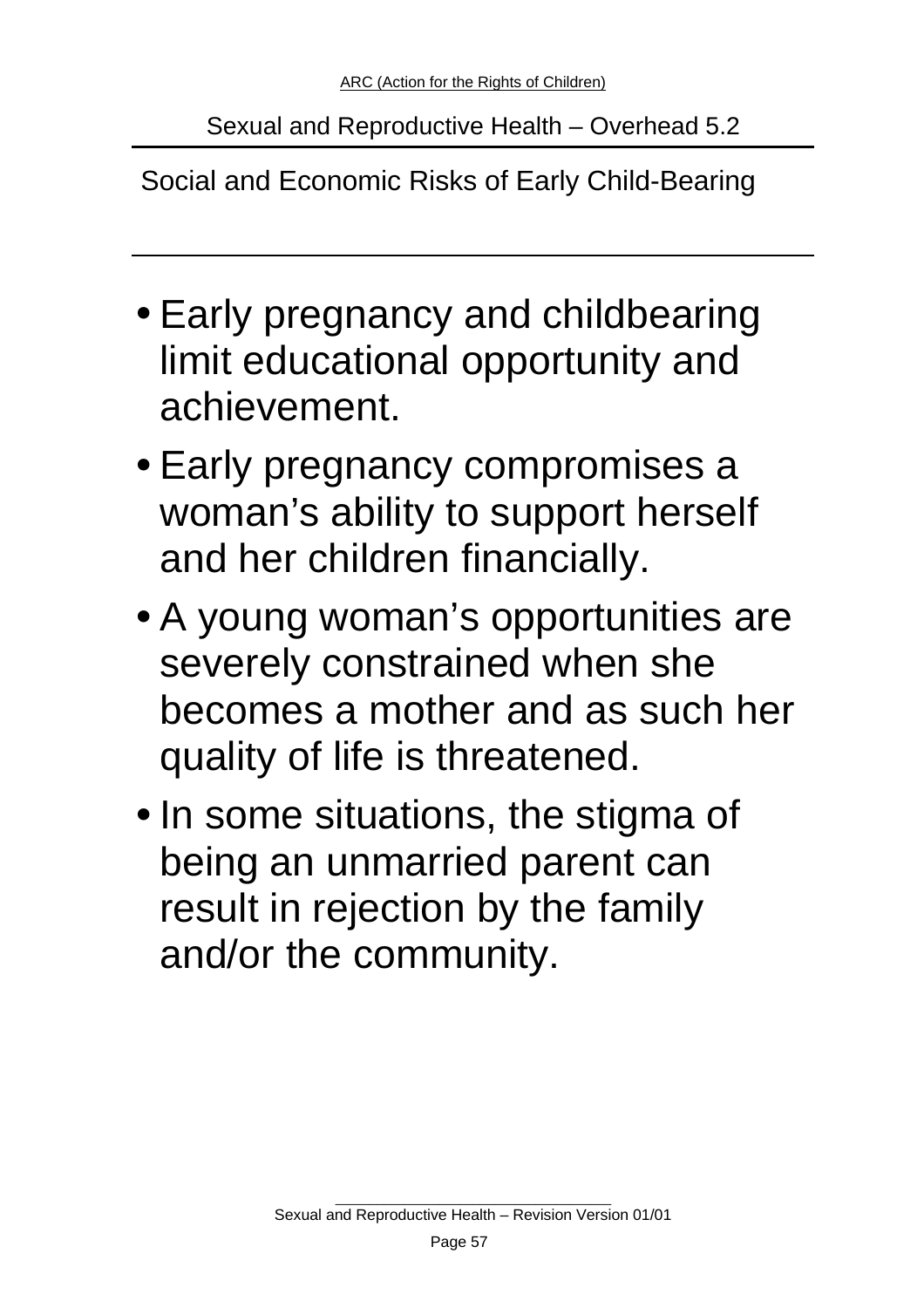<span id="page-56-0"></span>Social and Economic Risks of Early Child-Bearing

- Early pregnancy and childbearing limit educational opportunity and achievement.
- Early pregnancy compromises a woman's ability to support herself and her children financially.
- A young woman's opportunities are severely constrained when she becomes a mother and as such her quality of life is threatened.
- In some situations, the stigma of being an unmarried parent can result in rejection by the family and/or the community.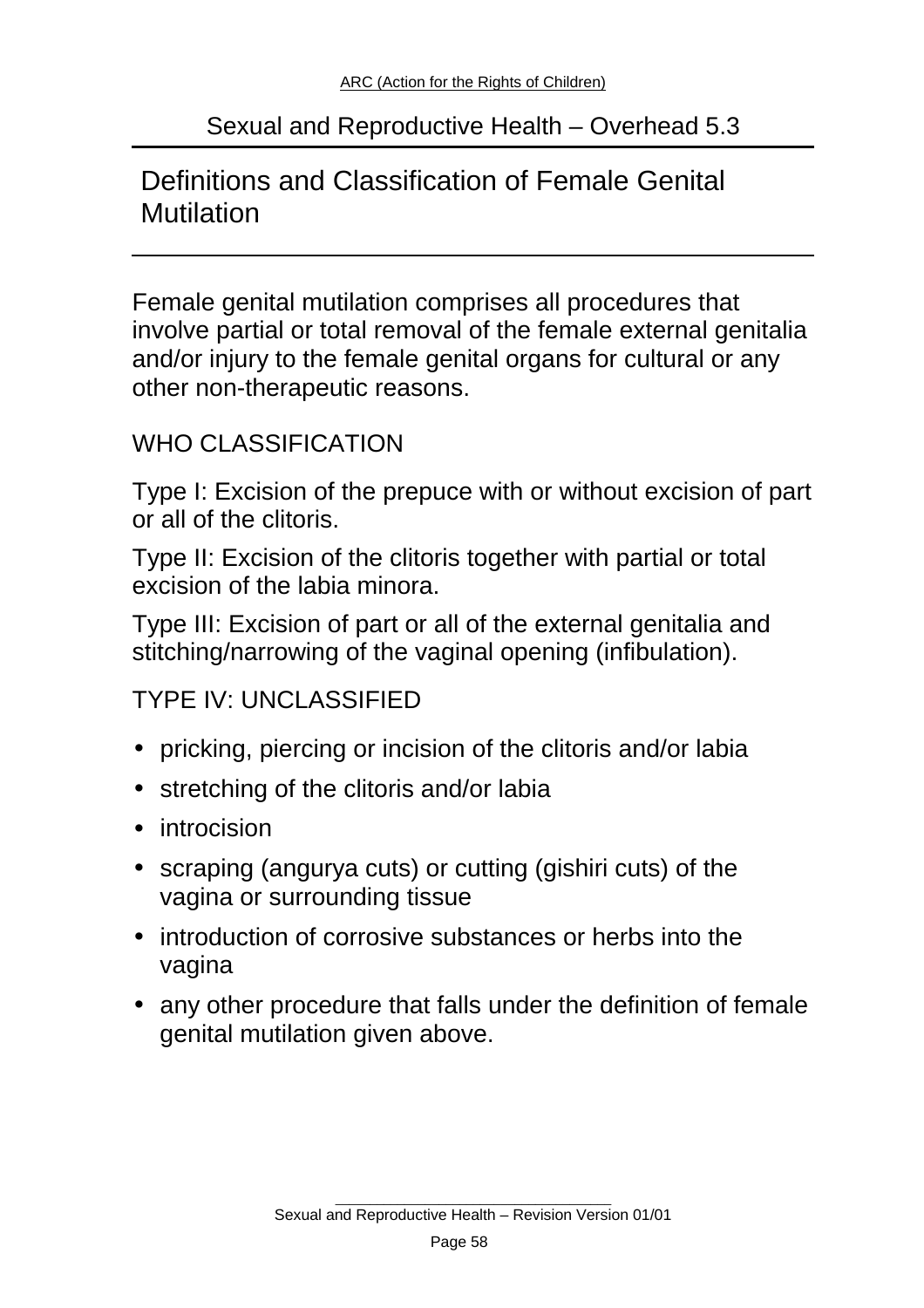# <span id="page-57-0"></span>Definitions and Classification of Female Genital Mutilation

Female genital mutilation comprises all procedures that involve partial or total removal of the female external genitalia and/or injury to the female genital organs for cultural or any other non-therapeutic reasons.

# WHO CLASSIFICATION

Type I: Excision of the prepuce with or without excision of part or all of the clitoris.

Type II: Excision of the clitoris together with partial or total excision of the labia minora.

Type III: Excision of part or all of the external genitalia and stitching/narrowing of the vaginal opening (infibulation).

# TYPE IV: UNCLASSIFIED

- pricking, piercing or incision of the clitoris and/or labia
- stretching of the clitoris and/or labia
- introcision
- scraping (angurya cuts) or cutting (gishiri cuts) of the vagina or surrounding tissue
- introduction of corrosive substances or herbs into the vagina
- any other procedure that falls under the definition of female genital mutilation given above.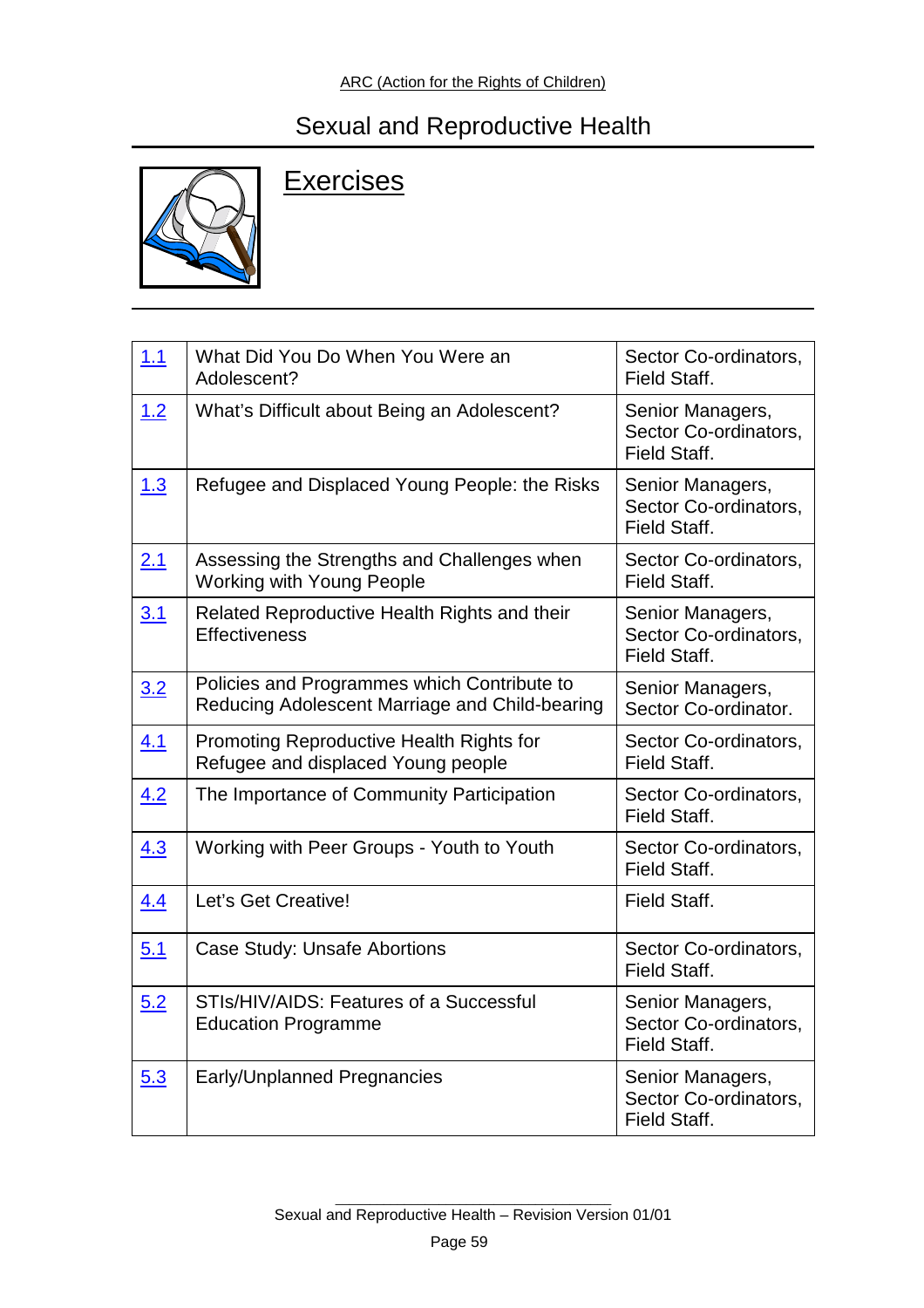

# **Exercises**

| 1.1 | What Did You Do When You Were an<br>Adolescent?                                               | Sector Co-ordinators,<br>Field Staff.                     |
|-----|-----------------------------------------------------------------------------------------------|-----------------------------------------------------------|
| 1.2 | What's Difficult about Being an Adolescent?                                                   | Senior Managers,<br>Sector Co-ordinators,<br>Field Staff. |
| 1.3 | Refugee and Displaced Young People: the Risks                                                 | Senior Managers,<br>Sector Co-ordinators,<br>Field Staff. |
| 2.1 | Assessing the Strengths and Challenges when<br><b>Working with Young People</b>               | Sector Co-ordinators,<br>Field Staff.                     |
| 3.1 | Related Reproductive Health Rights and their<br><b>Effectiveness</b>                          | Senior Managers,<br>Sector Co-ordinators,<br>Field Staff. |
| 3.2 | Policies and Programmes which Contribute to<br>Reducing Adolescent Marriage and Child-bearing | Senior Managers,<br>Sector Co-ordinator.                  |
| 4.1 | Promoting Reproductive Health Rights for<br>Refugee and displaced Young people                | Sector Co-ordinators,<br>Field Staff.                     |
| 4.2 | The Importance of Community Participation                                                     | Sector Co-ordinators,<br>Field Staff.                     |
| 4.3 | Working with Peer Groups - Youth to Youth                                                     | Sector Co-ordinators,<br>Field Staff.                     |
| 4.4 | Let's Get Creative!                                                                           | Field Staff.                                              |
| 5.1 | Case Study: Unsafe Abortions                                                                  | Sector Co-ordinators,<br>Field Staff.                     |
| 5.2 | STIs/HIV/AIDS: Features of a Successful<br><b>Education Programme</b>                         | Senior Managers,<br>Sector Co-ordinators,<br>Field Staff. |
| 5.3 | Early/Unplanned Pregnancies                                                                   | Senior Managers,<br>Sector Co-ordinators,<br>Field Staff. |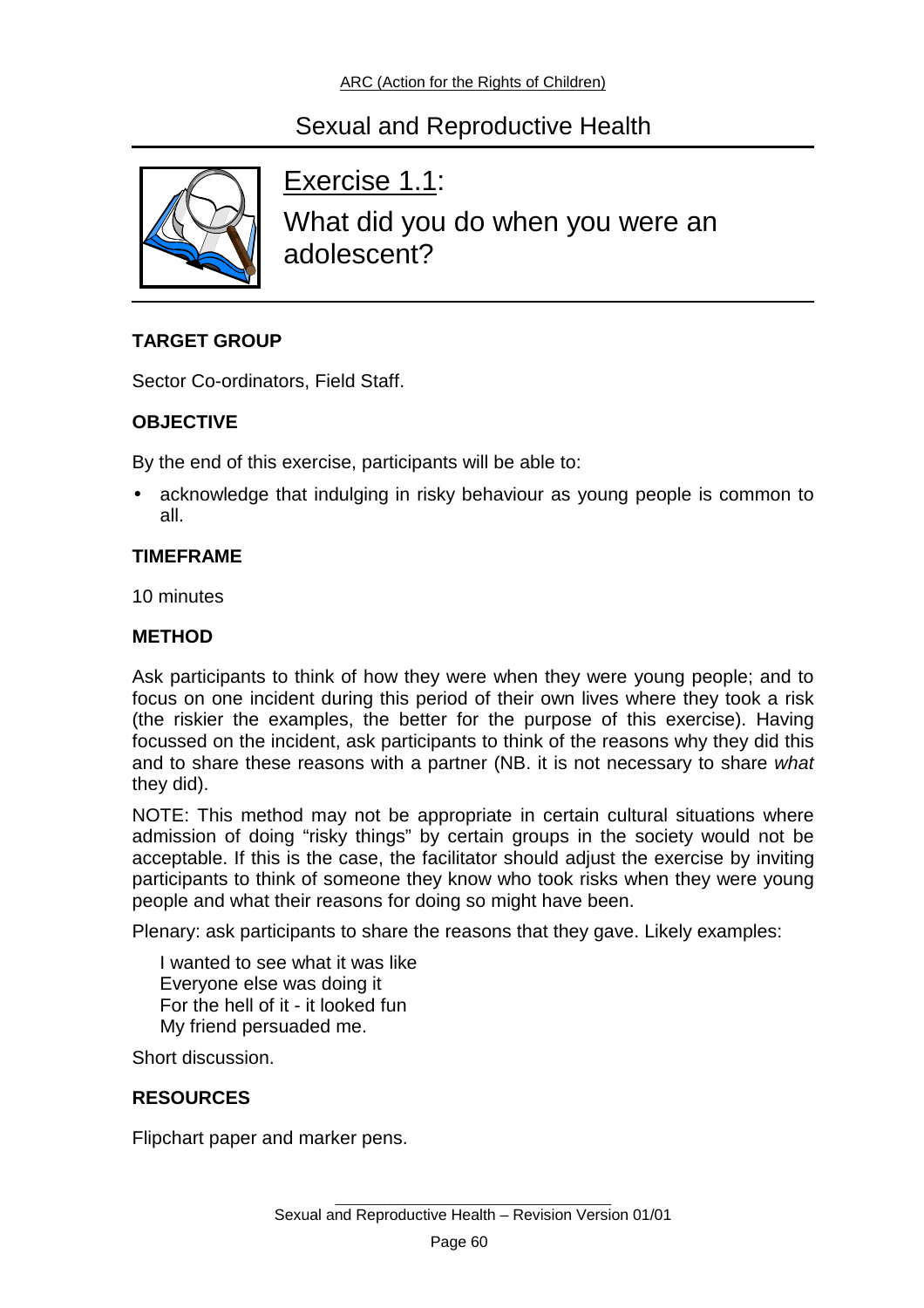<span id="page-59-0"></span>

# Exercise 1.1:

What did you do when you were an adolescent?

### **TARGET GROUP**

Sector Co-ordinators, Field Staff.

### **OBJECTIVE**

By the end of this exercise, participants will be able to:

acknowledge that indulging in risky behaviour as young people is common to all.

### **TIMEFRAME**

10 minutes

#### **METHOD**

Ask participants to think of how they were when they were young people; and to focus on one incident during this period of their own lives where they took a risk (the riskier the examples, the better for the purpose of this exercise). Having focussed on the incident, ask participants to think of the reasons why they did this and to share these reasons with a partner (NB. it is not necessary to share *what* they did).

NOTE: This method may not be appropriate in certain cultural situations where admission of doing "risky things" by certain groups in the society would not be acceptable. If this is the case, the facilitator should adjust the exercise by inviting participants to think of someone they know who took risks when they were young people and what their reasons for doing so might have been.

Plenary: ask participants to share the reasons that they gave. Likely examples:

I wanted to see what it was like Everyone else was doing it For the hell of it - it looked fun My friend persuaded me.

Short discussion.

### **RESOURCES**

Flipchart paper and marker pens.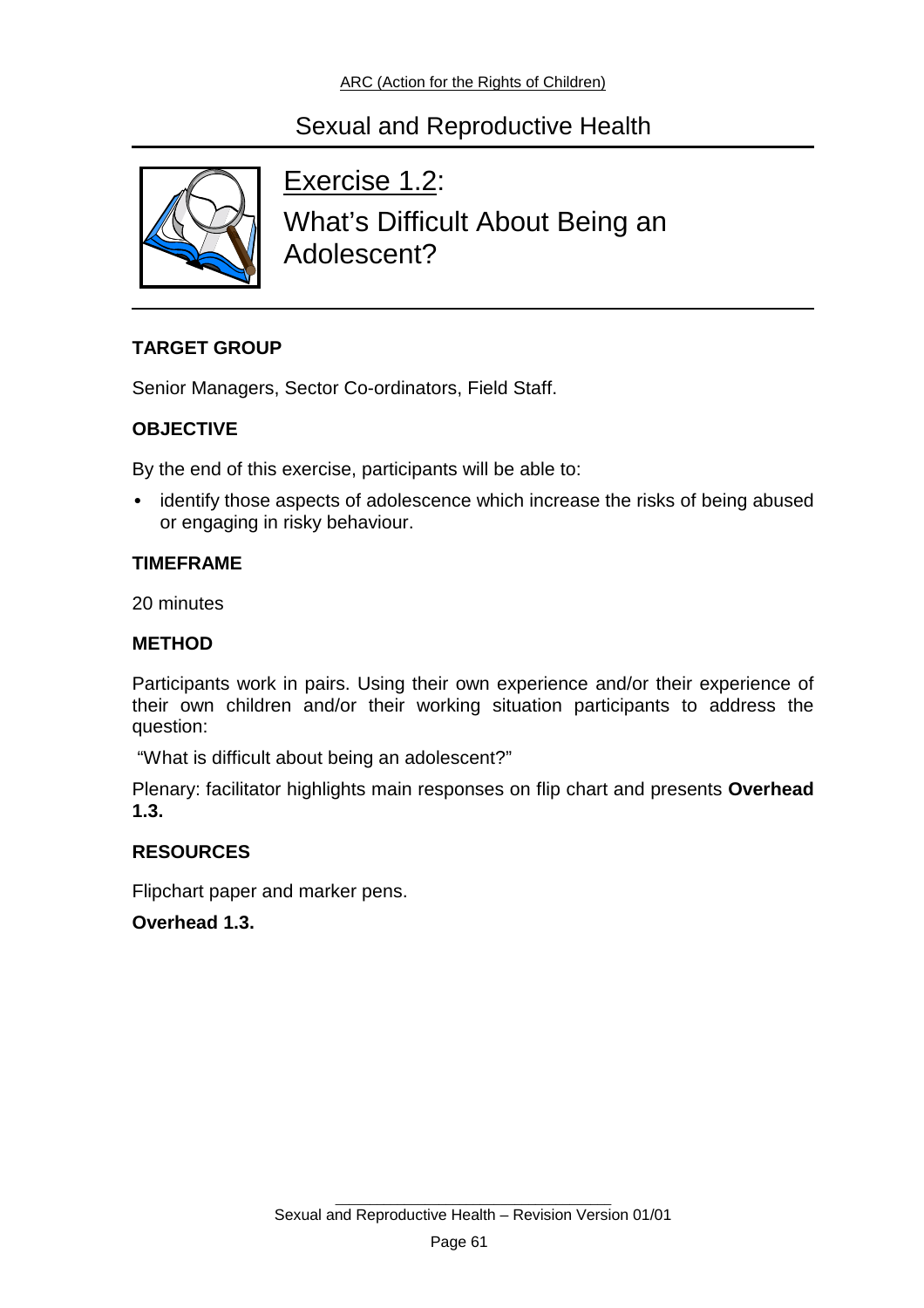<span id="page-60-0"></span>

Exercise 1.2:

What's Difficult About Being an Adolescent?

# **TARGET GROUP**

Senior Managers, Sector Co-ordinators, Field Staff.

# **OBJECTIVE**

By the end of this exercise, participants will be able to:

identify those aspects of adolescence which increase the risks of being abused or engaging in risky behaviour.

### **TIMEFRAME**

20 minutes

### **METHOD**

Participants work in pairs. Using their own experience and/or their experience of their own children and/or their working situation participants to address the question:

"What is difficult about being an adolescent?"

Plenary: facilitator highlights main responses on flip chart and presents **Overhead 1.3.**

## **RESOURCES**

Flipchart paper and marker pens.

**Overhead 1.3.**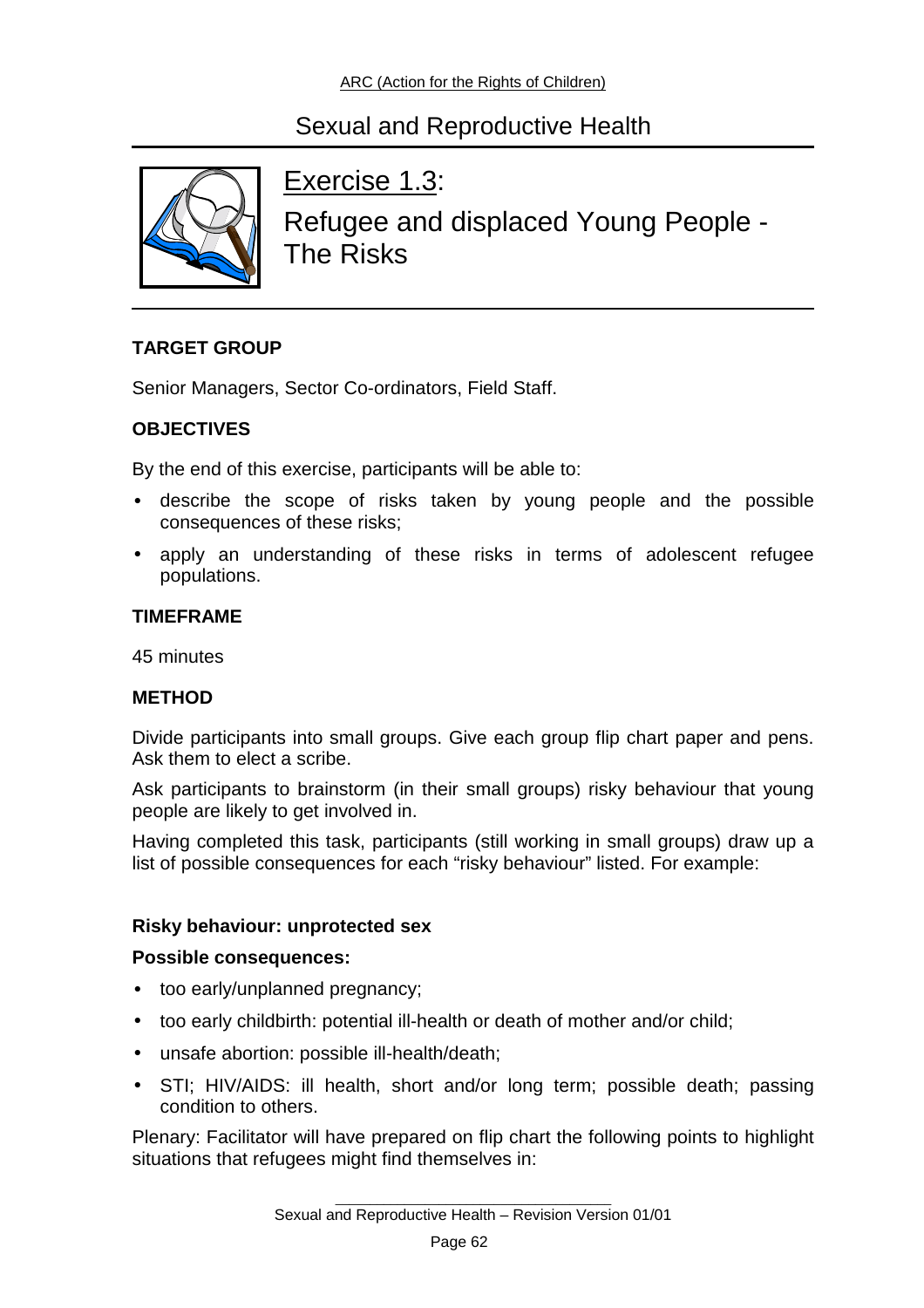<span id="page-61-0"></span>

Exercise 1.3:

Refugee and displaced Young People - The Risks

### **TARGET GROUP**

Senior Managers, Sector Co-ordinators, Field Staff.

### **OBJECTIVES**

By the end of this exercise, participants will be able to:

- describe the scope of risks taken by young people and the possible consequences of these risks;
- apply an understanding of these risks in terms of adolescent refugee populations.

#### **TIMEFRAME**

45 minutes

#### **METHOD**

Divide participants into small groups. Give each group flip chart paper and pens. Ask them to elect a scribe.

Ask participants to brainstorm (in their small groups) risky behaviour that young people are likely to get involved in.

Having completed this task, participants (still working in small groups) draw up a list of possible consequences for each "risky behaviour" listed. For example:

### **Risky behaviour: unprotected sex**

### **Possible consequences:**

- too early/unplanned pregnancy;
- too early childbirth: potential ill-health or death of mother and/or child;
- unsafe abortion: possible ill-health/death;
- STI; HIV/AIDS: ill health, short and/or long term; possible death; passing condition to others.

Plenary: Facilitator will have prepared on flip chart the following points to highlight situations that refugees might find themselves in: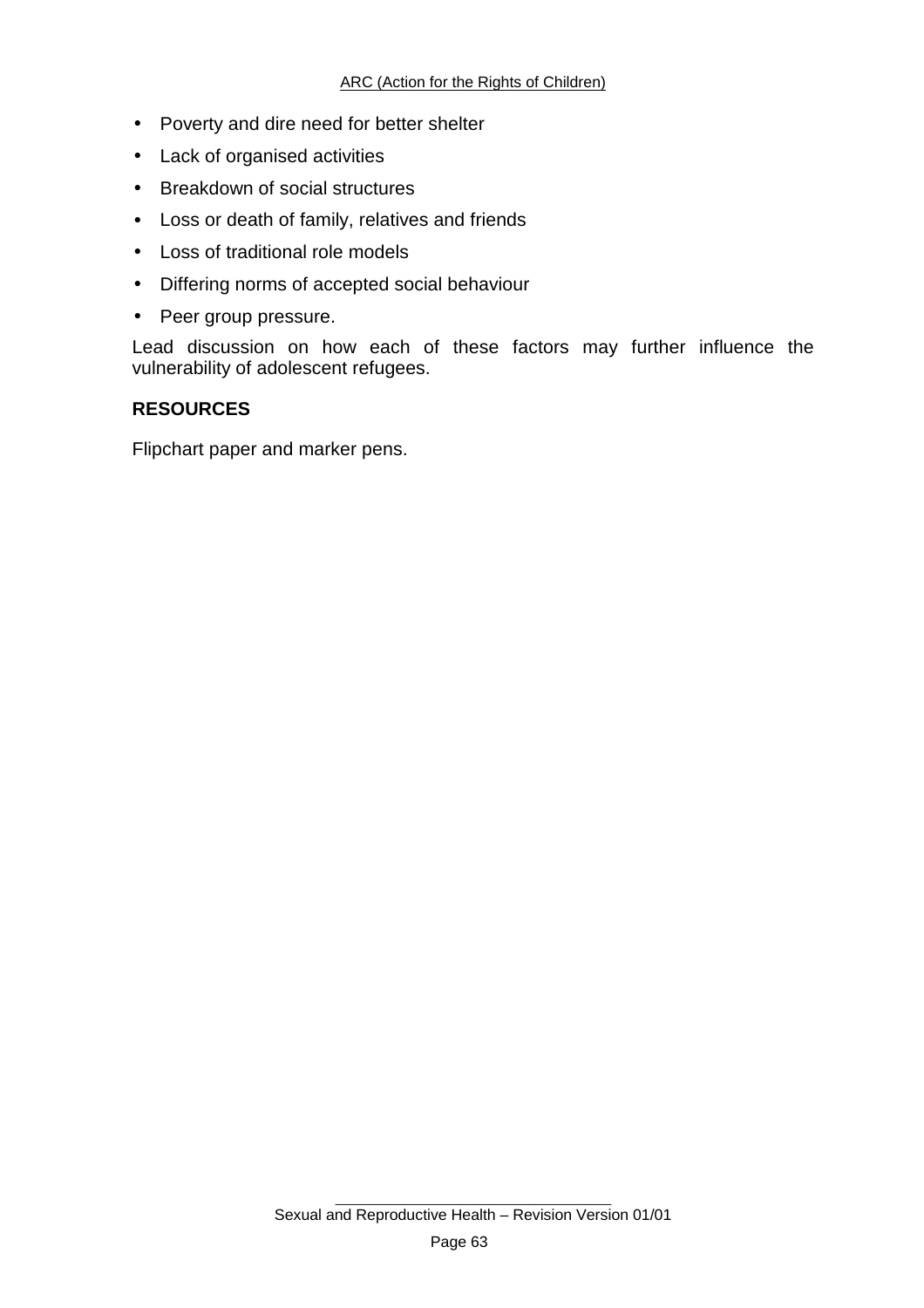- Poverty and dire need for better shelter
- Lack of organised activities
- Breakdown of social structures
- Loss or death of family, relatives and friends
- Loss of traditional role models
- Differing norms of accepted social behaviour
- Peer group pressure.

Lead discussion on how each of these factors may further influence the vulnerability of adolescent refugees.

#### **RESOURCES**

Flipchart paper and marker pens.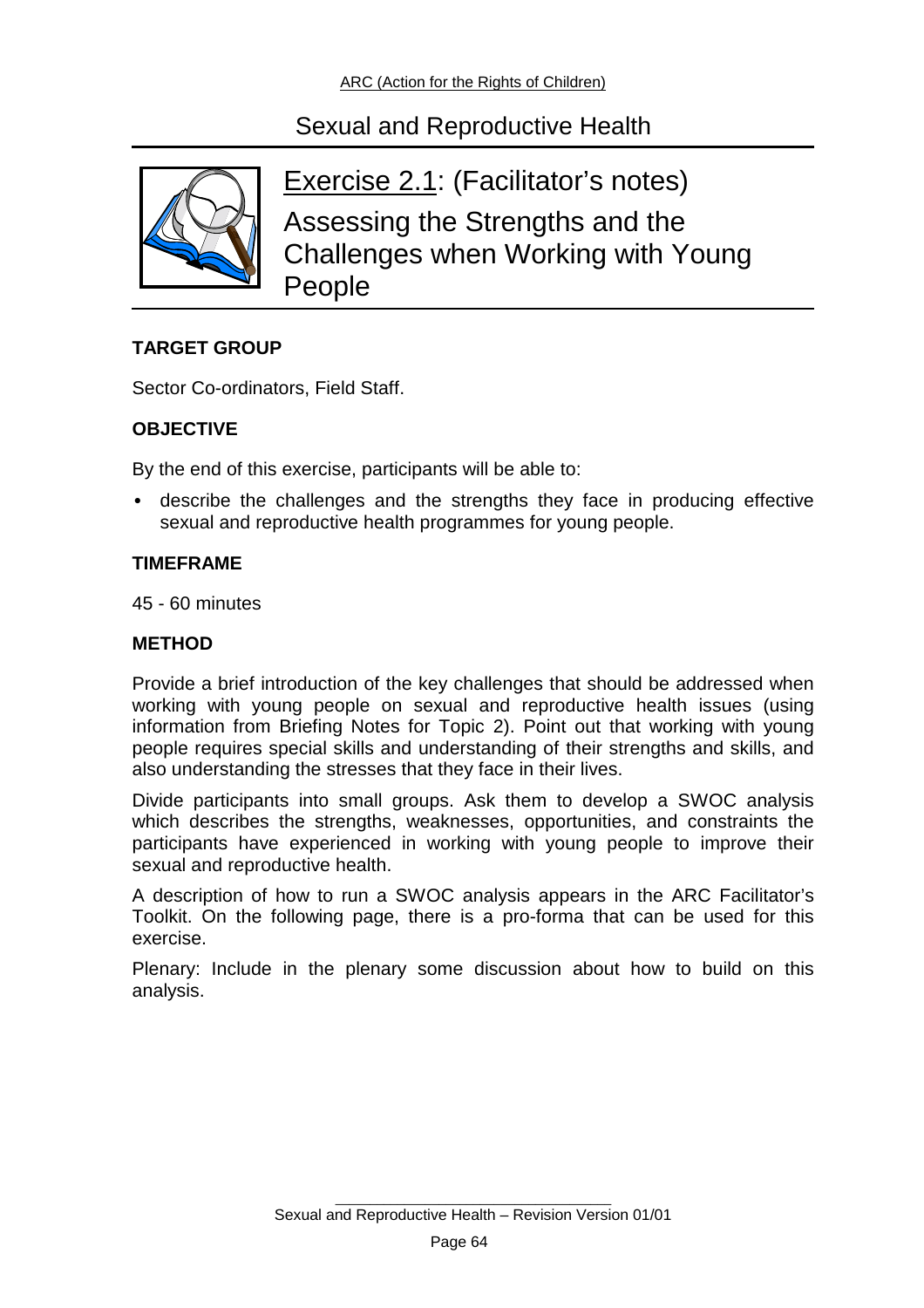<span id="page-63-0"></span>

Exercise 2.1: (Facilitator's notes) Assessing the Strengths and the Challenges when Working with Young People

## **TARGET GROUP**

Sector Co-ordinators, Field Staff.

## **OBJECTIVE**

By the end of this exercise, participants will be able to:

• describe the challenges and the strengths they face in producing effective sexual and reproductive health programmes for young people.

#### **TIMEFRAME**

45 - 60 minutes

#### **METHOD**

Provide a brief introduction of the key challenges that should be addressed when working with young people on sexual and reproductive health issues (using information from Briefing Notes for Topic 2). Point out that working with young people requires special skills and understanding of their strengths and skills, and also understanding the stresses that they face in their lives.

Divide participants into small groups. Ask them to develop a SWOC analysis which describes the strengths, weaknesses, opportunities, and constraints the participants have experienced in working with young people to improve their sexual and reproductive health.

A description of how to run a SWOC analysis appears in the ARC Facilitator's Toolkit. On the following page, there is a pro-forma that can be used for this exercise.

Plenary: Include in the plenary some discussion about how to build on this analysis.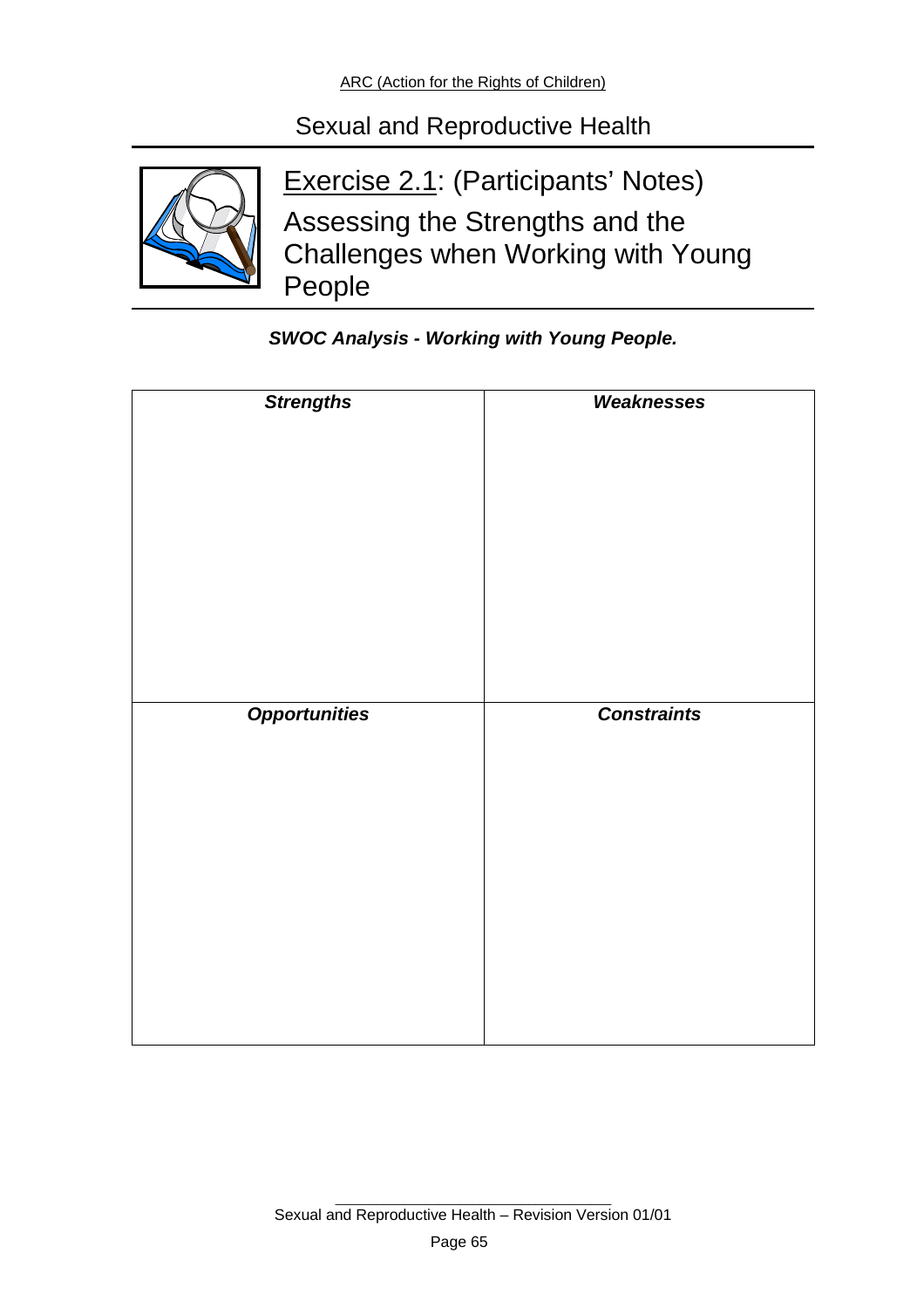

Exercise 2.1: (Participants' Notes) Assessing the Strengths and the Challenges when Working with Young People

# *SWOC Analysis - Working with Young People.*

| <b>Strengths</b>     | <b>Weaknesses</b>  |
|----------------------|--------------------|
| <b>Opportunities</b> | <b>Constraints</b> |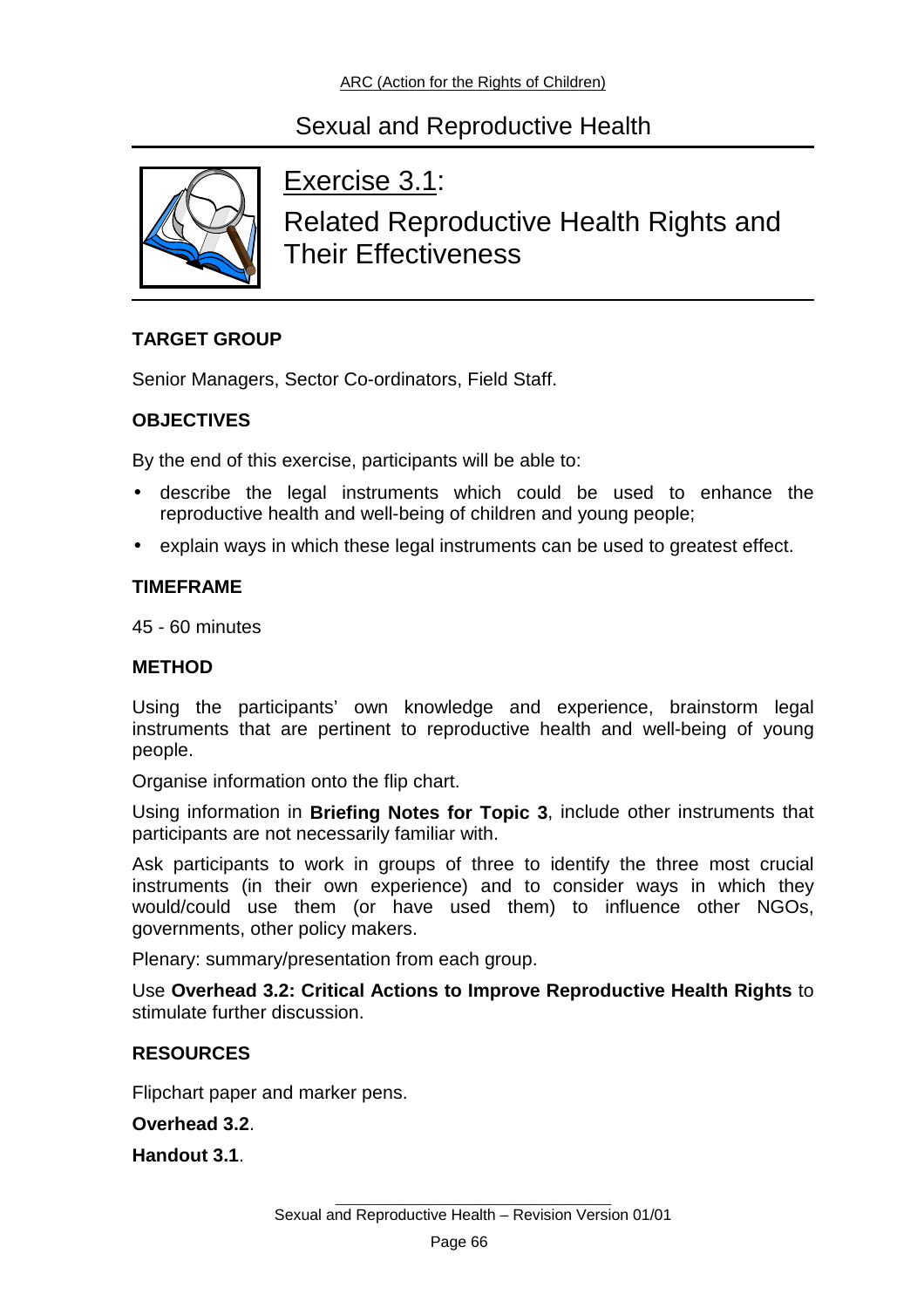<span id="page-65-0"></span>

# Exercise 3.1:

Related Reproductive Health Rights and Their Effectiveness

### **TARGET GROUP**

Senior Managers, Sector Co-ordinators, Field Staff.

### **OBJECTIVES**

By the end of this exercise, participants will be able to:

- describe the legal instruments which could be used to enhance the reproductive health and well-being of children and young people;
- explain ways in which these legal instruments can be used to greatest effect.

### **TIMEFRAME**

45 - 60 minutes

### **METHOD**

Using the participants' own knowledge and experience, brainstorm legal instruments that are pertinent to reproductive health and well-being of young people.

Organise information onto the flip chart.

Using information in **Briefing Notes for Topic 3**, include other instruments that participants are not necessarily familiar with.

Ask participants to work in groups of three to identify the three most crucial instruments (in their own experience) and to consider ways in which they would/could use them (or have used them) to influence other NGOs, governments, other policy makers.

Plenary: summary/presentation from each group.

Use **Overhead 3.2: Critical Actions to Improve Reproductive Health Rights** to stimulate further discussion.

## **RESOURCES**

Flipchart paper and marker pens.

**Overhead 3.2**.

**Handout 3.1**.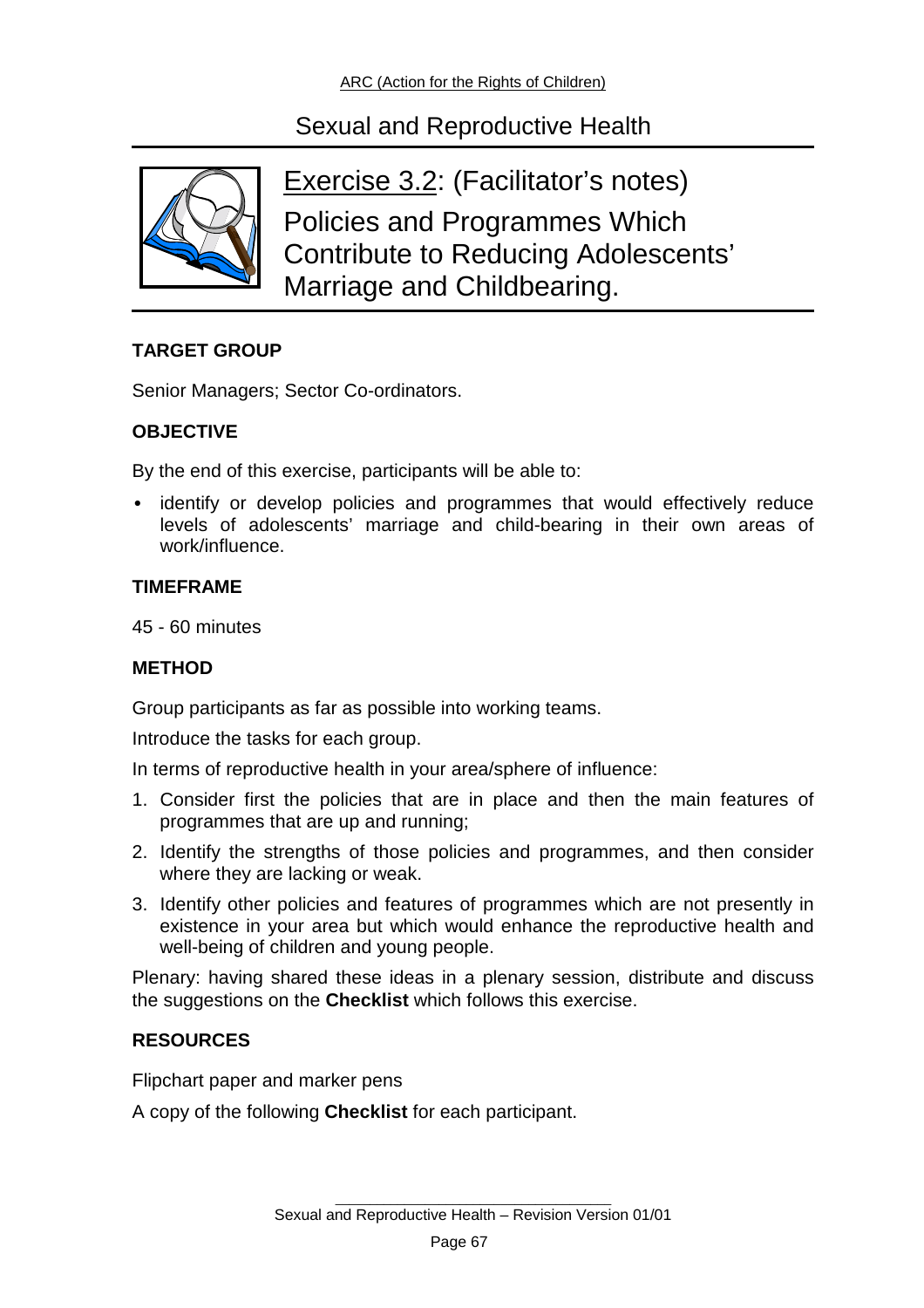<span id="page-66-0"></span>

Exercise 3.2: (Facilitator's notes) Policies and Programmes Which Contribute to Reducing Adolescents' Marriage and Childbearing.

### **TARGET GROUP**

Senior Managers; Sector Co-ordinators.

### **OBJECTIVE**

By the end of this exercise, participants will be able to:

identify or develop policies and programmes that would effectively reduce levels of adolescents' marriage and child-bearing in their own areas of work/influence.

#### **TIMEFRAME**

45 - 60 minutes

### **METHOD**

Group participants as far as possible into working teams.

Introduce the tasks for each group.

In terms of reproductive health in your area/sphere of influence:

- 1. Consider first the policies that are in place and then the main features of programmes that are up and running;
- 2. Identify the strengths of those policies and programmes, and then consider where they are lacking or weak.
- 3. Identify other policies and features of programmes which are not presently in existence in your area but which would enhance the reproductive health and well-being of children and young people.

Plenary: having shared these ideas in a plenary session, distribute and discuss the suggestions on the **Checklist** which follows this exercise.

### **RESOURCES**

Flipchart paper and marker pens

A copy of the following **Checklist** for each participant.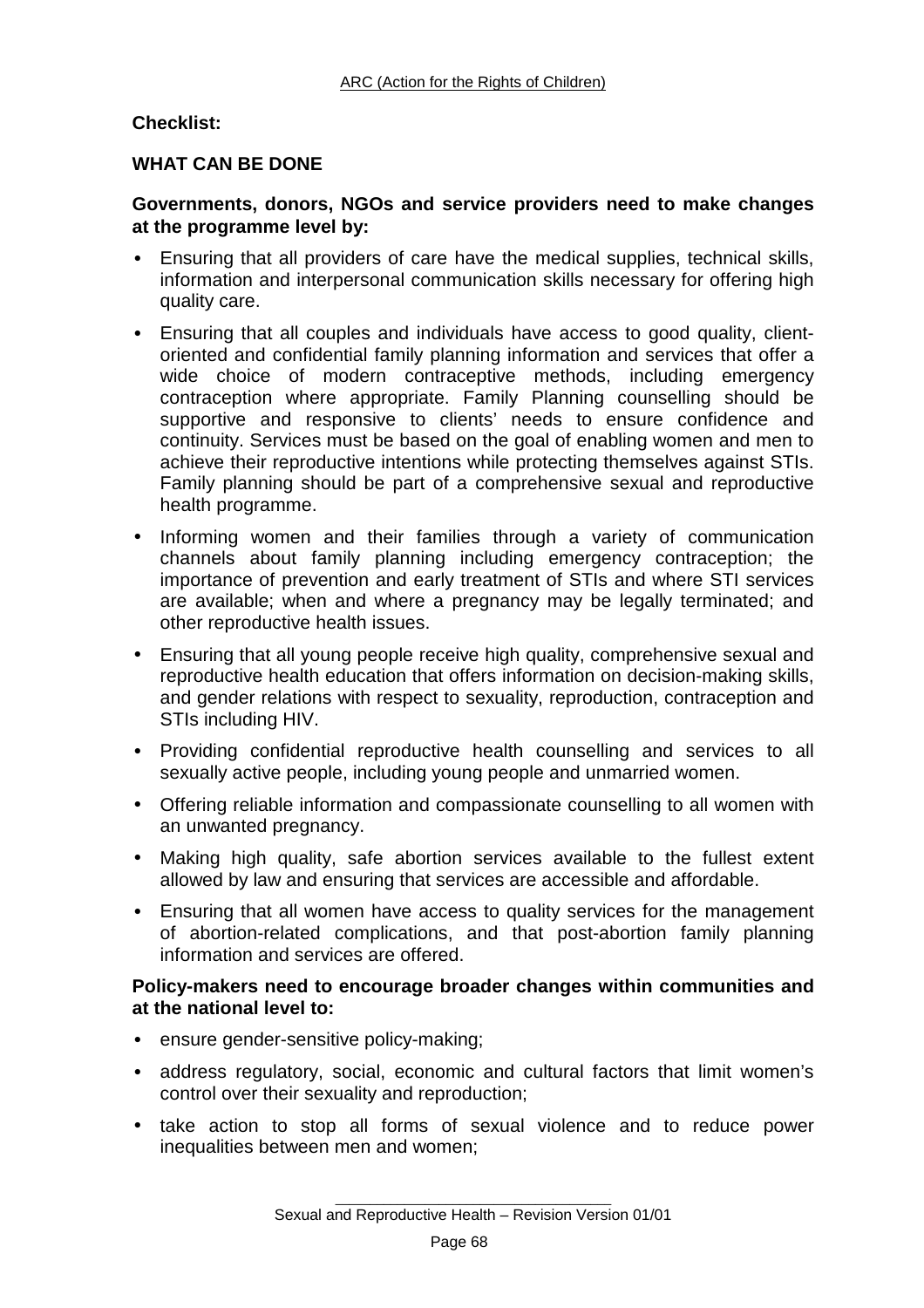### **Checklist:**

### **WHAT CAN BE DONE**

### **Governments, donors, NGOs and service providers need to make changes at the programme level by:**

- Ensuring that all providers of care have the medical supplies, technical skills, information and interpersonal communication skills necessary for offering high quality care.
- Ensuring that all couples and individuals have access to good quality, clientoriented and confidential family planning information and services that offer a wide choice of modern contraceptive methods, including emergency contraception where appropriate. Family Planning counselling should be supportive and responsive to clients' needs to ensure confidence and continuity. Services must be based on the goal of enabling women and men to achieve their reproductive intentions while protecting themselves against STIs. Family planning should be part of a comprehensive sexual and reproductive health programme.
- Informing women and their families through a variety of communication channels about family planning including emergency contraception; the importance of prevention and early treatment of STIs and where STI services are available; when and where a pregnancy may be legally terminated; and other reproductive health issues.
- Ensuring that all young people receive high quality, comprehensive sexual and reproductive health education that offers information on decision-making skills, and gender relations with respect to sexuality, reproduction, contraception and STIs including HIV.
- Providing confidential reproductive health counselling and services to all sexually active people, including young people and unmarried women.
- Offering reliable information and compassionate counselling to all women with an unwanted pregnancy.
- Making high quality, safe abortion services available to the fullest extent allowed by law and ensuring that services are accessible and affordable.
- Ensuring that all women have access to quality services for the management of abortion-related complications, and that post-abortion family planning information and services are offered.

### **Policy-makers need to encourage broader changes within communities and at the national level to:**

- ensure gender-sensitive policy-making;
- address regulatory, social, economic and cultural factors that limit women's control over their sexuality and reproduction;
- take action to stop all forms of sexual violence and to reduce power inequalities between men and women;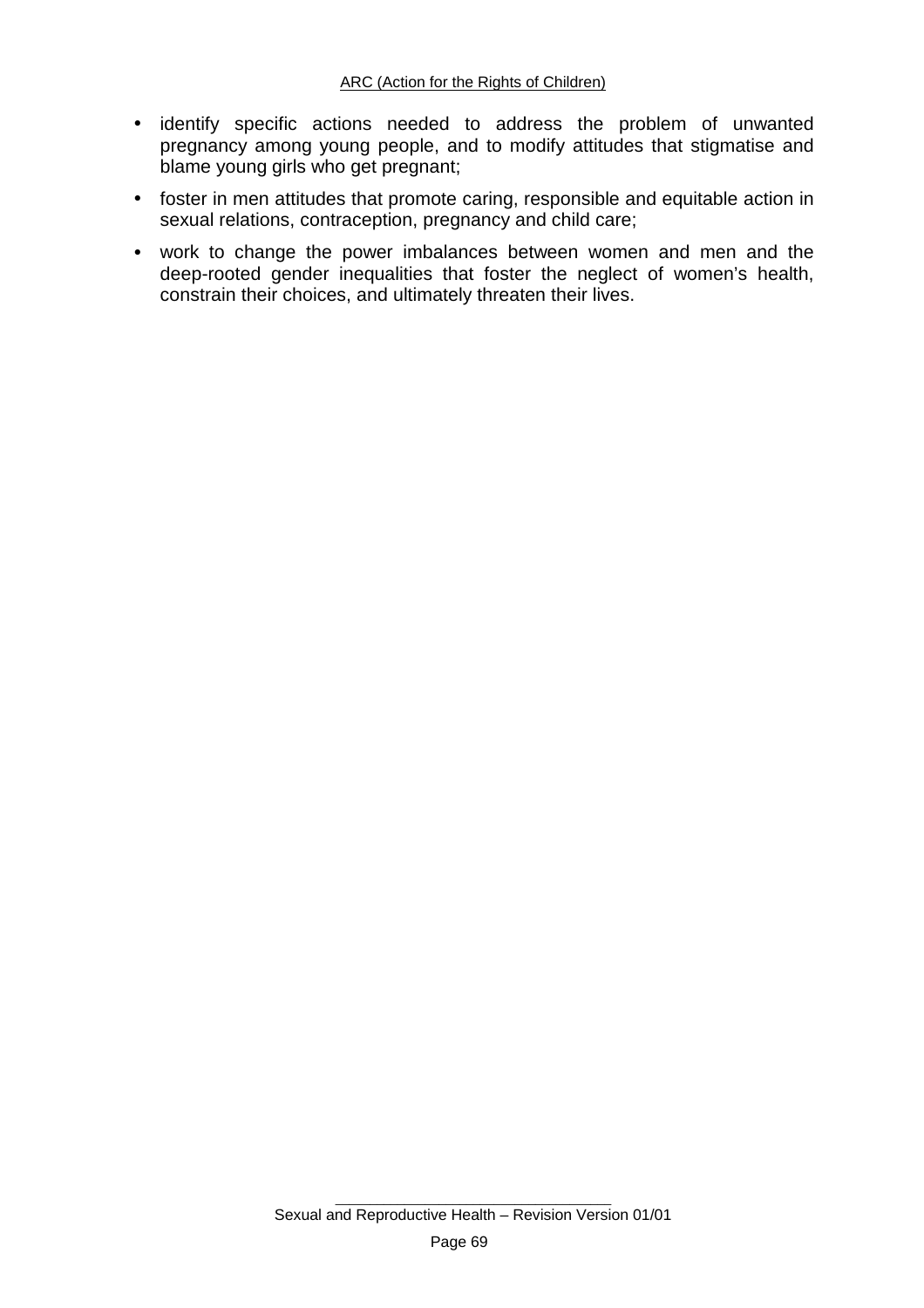- identify specific actions needed to address the problem of unwanted pregnancy among young people, and to modify attitudes that stigmatise and blame young girls who get pregnant;
- foster in men attitudes that promote caring, responsible and equitable action in sexual relations, contraception, pregnancy and child care;
- work to change the power imbalances between women and men and the deep-rooted gender inequalities that foster the neglect of women's health, constrain their choices, and ultimately threaten their lives.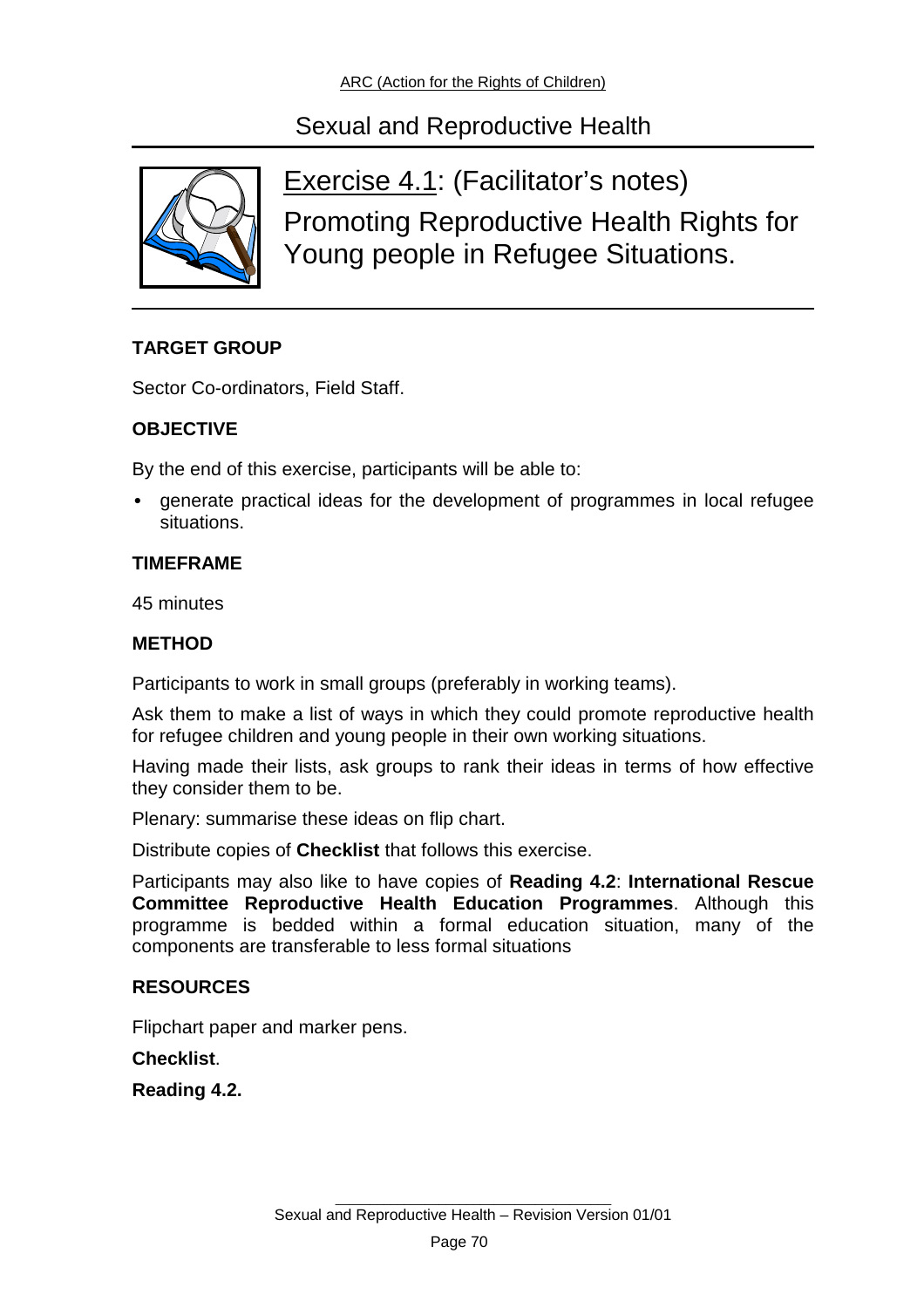<span id="page-69-0"></span>

Exercise 4.1: (Facilitator's notes) Promoting Reproductive Health Rights for Young people in Refugee Situations.

### **TARGET GROUP**

Sector Co-ordinators, Field Staff.

### **OBJECTIVE**

By the end of this exercise, participants will be able to:

• generate practical ideas for the development of programmes in local refugee situations.

#### **TIMEFRAME**

45 minutes

#### **METHOD**

Participants to work in small groups (preferably in working teams).

Ask them to make a list of ways in which they could promote reproductive health for refugee children and young people in their own working situations.

Having made their lists, ask groups to rank their ideas in terms of how effective they consider them to be.

Plenary: summarise these ideas on flip chart.

Distribute copies of **Checklist** that follows this exercise.

Participants may also like to have copies of **Reading 4.2**: **International Rescue Committee Reproductive Health Education Programmes**. Although this programme is bedded within a formal education situation, many of the components are transferable to less formal situations

### **RESOURCES**

Flipchart paper and marker pens.

**Checklist**.

**Reading 4.2.**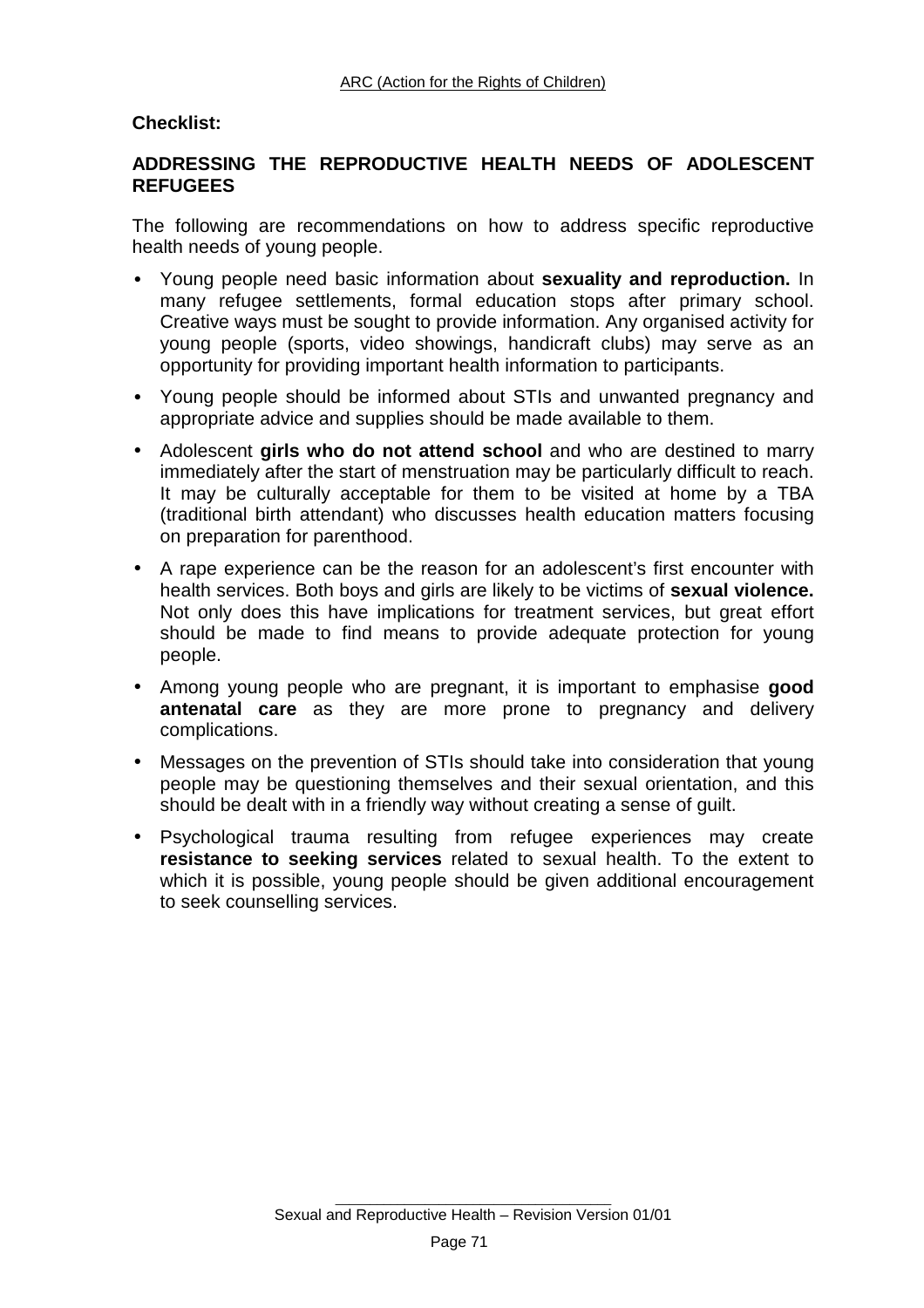#### **Checklist:**

### **ADDRESSING THE REPRODUCTIVE HEALTH NEEDS OF ADOLESCENT REFUGEES**

The following are recommendations on how to address specific reproductive health needs of young people.

- Young people need basic information about **sexuality and reproduction.** In many refugee settlements, formal education stops after primary school. Creative ways must be sought to provide information. Any organised activity for young people (sports, video showings, handicraft clubs) may serve as an opportunity for providing important health information to participants.
- Young people should be informed about STIs and unwanted pregnancy and appropriate advice and supplies should be made available to them.
- Adolescent **girls who do not attend school** and who are destined to marry immediately after the start of menstruation may be particularly difficult to reach. It may be culturally acceptable for them to be visited at home by a TBA (traditional birth attendant) who discusses health education matters focusing on preparation for parenthood.
- A rape experience can be the reason for an adolescent's first encounter with health services. Both boys and girls are likely to be victims of **sexual violence.** Not only does this have implications for treatment services, but great effort should be made to find means to provide adequate protection for young people.
- Among young people who are pregnant, it is important to emphasise **good antenatal care** as they are more prone to pregnancy and delivery complications.
- Messages on the prevention of STIs should take into consideration that young people may be questioning themselves and their sexual orientation, and this should be dealt with in a friendly way without creating a sense of guilt.
- Psychological trauma resulting from refugee experiences may create **resistance to seeking services** related to sexual health. To the extent to which it is possible, young people should be given additional encouragement to seek counselling services.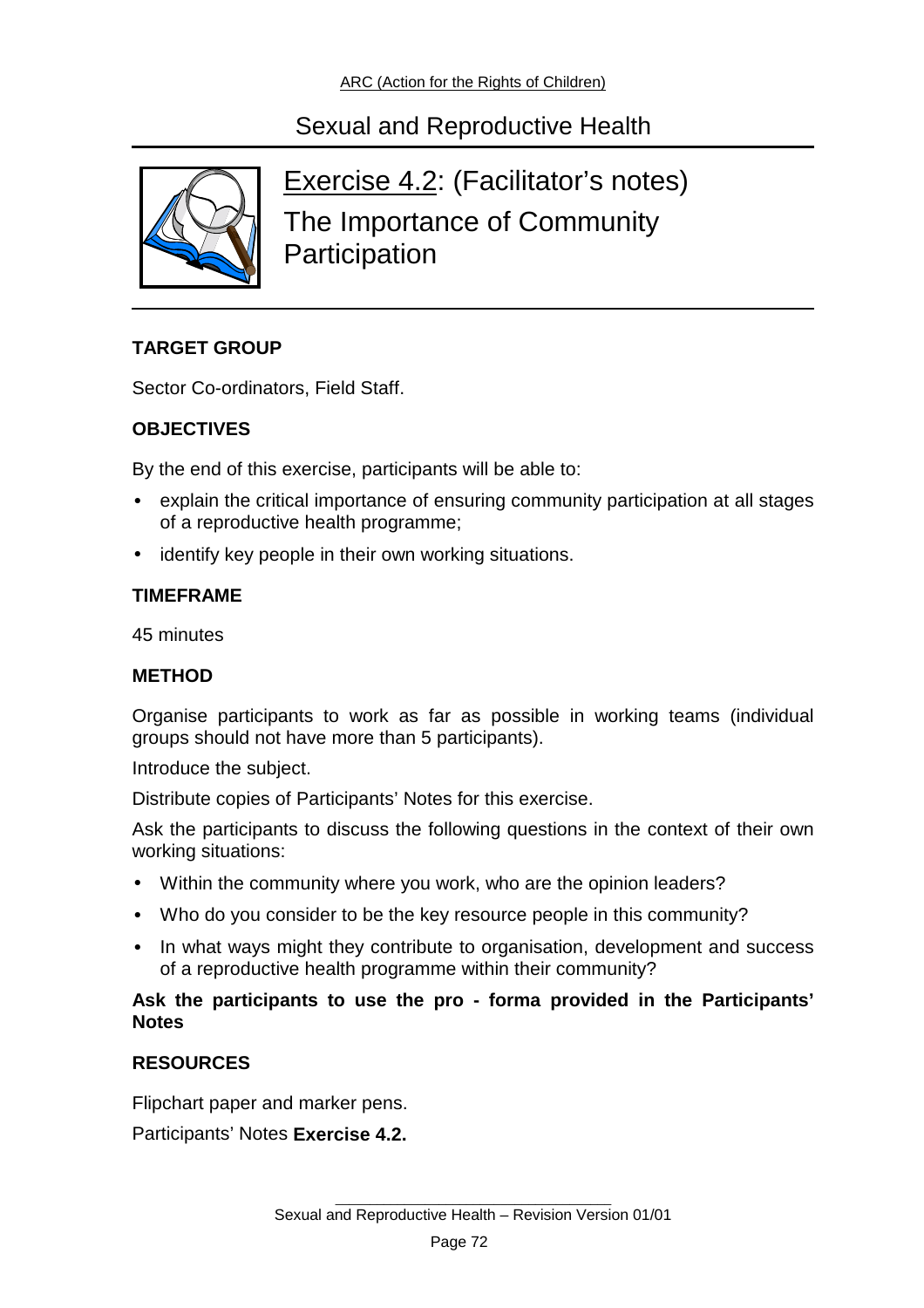<span id="page-71-0"></span>

Exercise 4.2: (Facilitator's notes) The Importance of Community **Participation** 

### **TARGET GROUP**

Sector Co-ordinators, Field Staff.

### **OBJECTIVES**

By the end of this exercise, participants will be able to:

- explain the critical importance of ensuring community participation at all stages of a reproductive health programme;
- identify key people in their own working situations.

### **TIMEFRAME**

45 minutes

#### **METHOD**

Organise participants to work as far as possible in working teams (individual groups should not have more than 5 participants).

Introduce the subject.

Distribute copies of Participants' Notes for this exercise.

Ask the participants to discuss the following questions in the context of their own working situations:

- Within the community where you work, who are the opinion leaders?
- Who do you consider to be the key resource people in this community?
- In what ways might they contribute to organisation, development and success of a reproductive health programme within their community?

### **Ask the participants to use the pro - forma provided in the Participants' Notes**

### **RESOURCES**

Flipchart paper and marker pens.

Participants' Notes **Exercise 4.2.**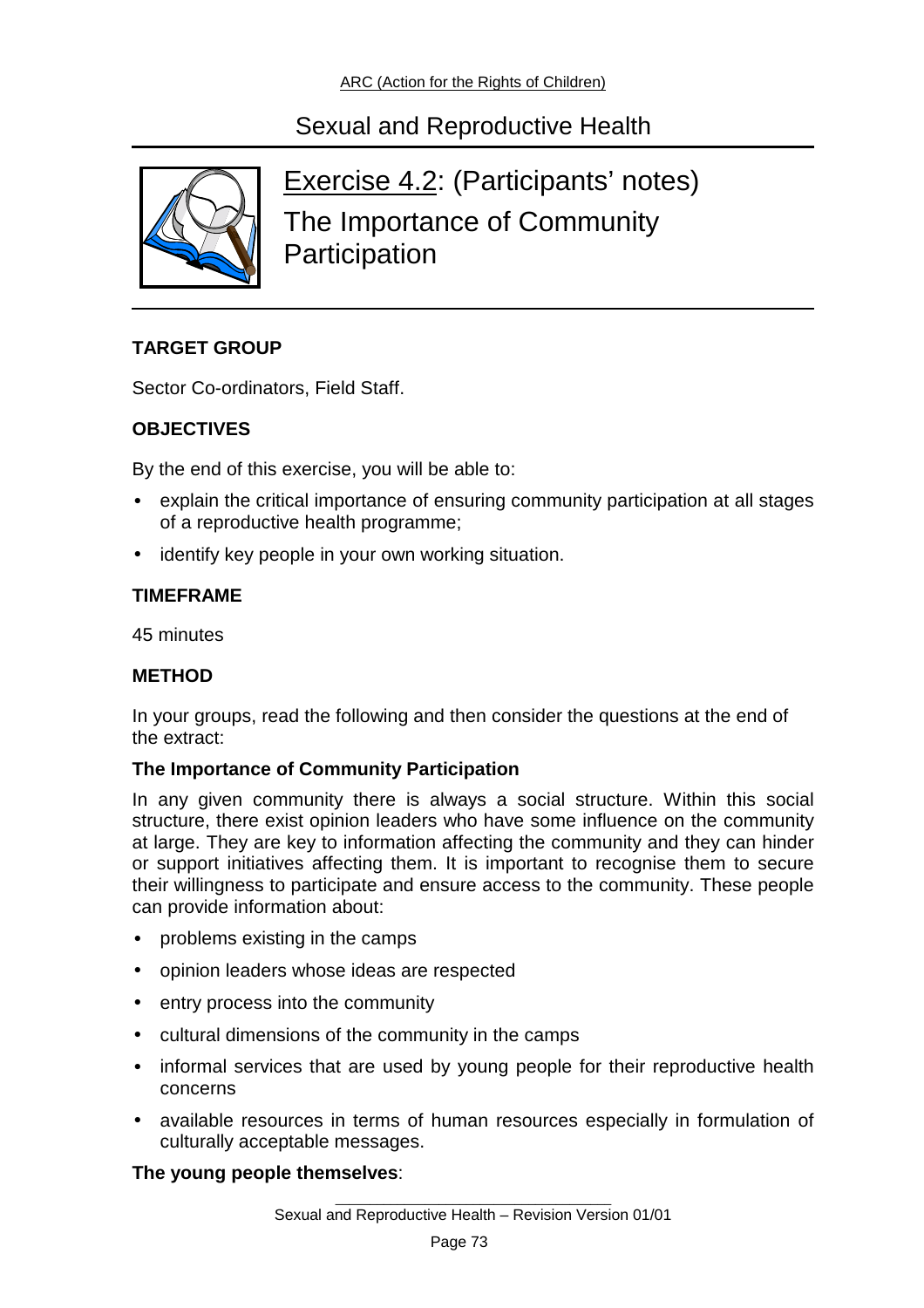

Exercise 4.2: (Participants' notes) The Importance of Community **Participation** 

#### **TARGET GROUP**

Sector Co-ordinators, Field Staff.

#### **OBJECTIVES**

By the end of this exercise, you will be able to:

- explain the critical importance of ensuring community participation at all stages of a reproductive health programme;
- identify key people in your own working situation.

#### **TIMEFRAME**

45 minutes

#### **METHOD**

In your groups, read the following and then consider the questions at the end of the extract:

#### **The Importance of Community Participation**

In any given community there is always a social structure. Within this social structure, there exist opinion leaders who have some influence on the community at large. They are key to information affecting the community and they can hinder or support initiatives affecting them. It is important to recognise them to secure their willingness to participate and ensure access to the community. These people can provide information about:

- problems existing in the camps
- opinion leaders whose ideas are respected
- entry process into the community
- cultural dimensions of the community in the camps
- informal services that are used by young people for their reproductive health concerns
- available resources in terms of human resources especially in formulation of culturally acceptable messages.

#### **The young people themselves**: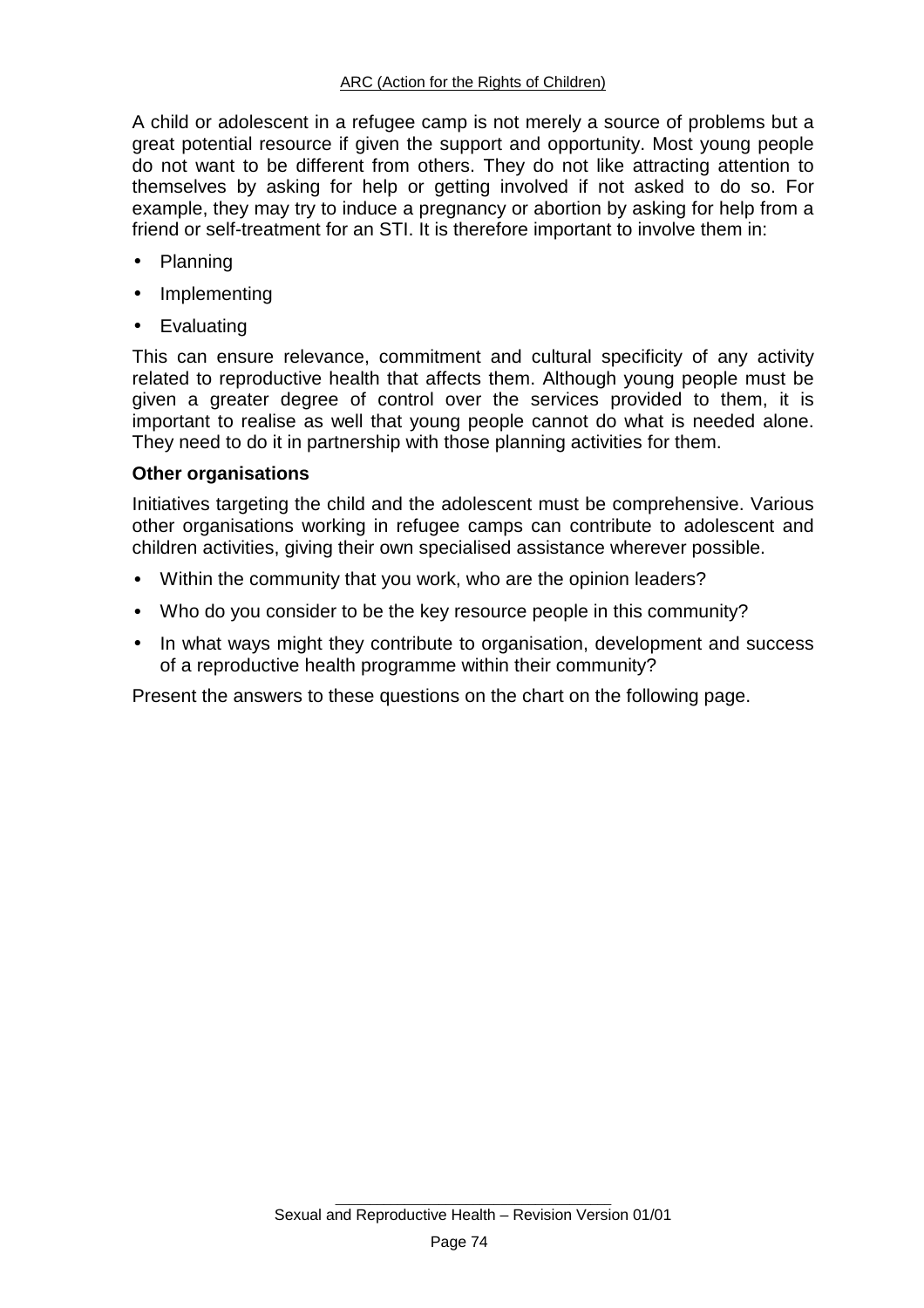A child or adolescent in a refugee camp is not merely a source of problems but a great potential resource if given the support and opportunity. Most young people do not want to be different from others. They do not like attracting attention to themselves by asking for help or getting involved if not asked to do so. For example, they may try to induce a pregnancy or abortion by asking for help from a friend or self-treatment for an STI. It is therefore important to involve them in:

- Planning
- **Implementing**
- **Evaluating**

This can ensure relevance, commitment and cultural specificity of any activity related to reproductive health that affects them. Although young people must be given a greater degree of control over the services provided to them, it is important to realise as well that young people cannot do what is needed alone. They need to do it in partnership with those planning activities for them.

#### **Other organisations**

Initiatives targeting the child and the adolescent must be comprehensive. Various other organisations working in refugee camps can contribute to adolescent and children activities, giving their own specialised assistance wherever possible.

- Within the community that you work, who are the opinion leaders?
- Who do you consider to be the key resource people in this community?
- In what ways might they contribute to organisation, development and success of a reproductive health programme within their community?

Present the answers to these questions on the chart on the following page.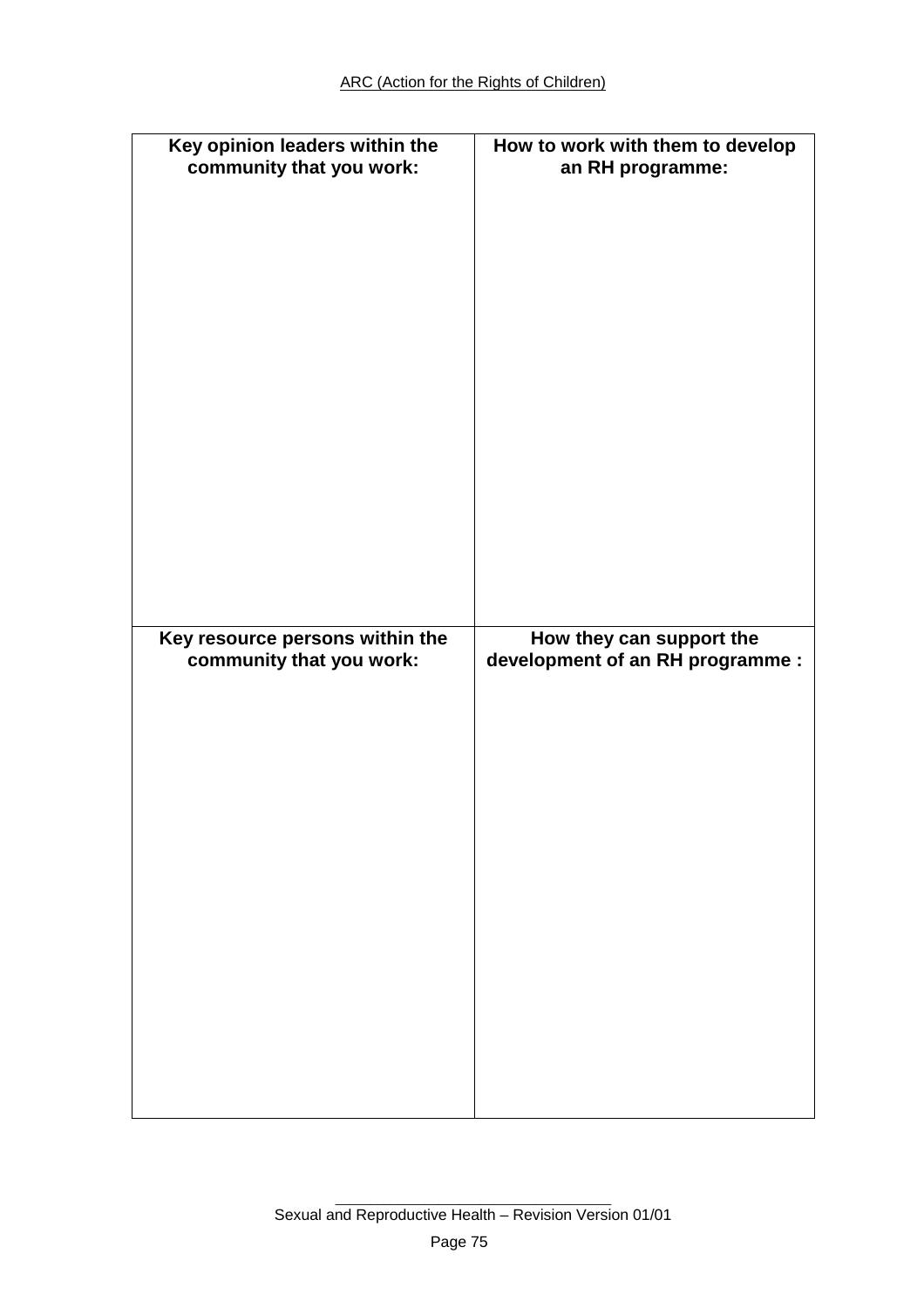| Key opinion leaders within the  | How to work with them to develop |
|---------------------------------|----------------------------------|
| community that you work:        | an RH programme:                 |
|                                 |                                  |
|                                 |                                  |
|                                 |                                  |
|                                 |                                  |
|                                 |                                  |
|                                 |                                  |
|                                 |                                  |
|                                 |                                  |
|                                 |                                  |
|                                 |                                  |
|                                 |                                  |
|                                 |                                  |
|                                 |                                  |
|                                 |                                  |
|                                 |                                  |
|                                 |                                  |
|                                 |                                  |
|                                 |                                  |
|                                 |                                  |
| Key resource persons within the | How they can support the         |
| community that you work:        | development of an RH programme : |
|                                 |                                  |
|                                 |                                  |
|                                 |                                  |
|                                 |                                  |
|                                 |                                  |
|                                 |                                  |
|                                 |                                  |
|                                 |                                  |
|                                 |                                  |
|                                 |                                  |
|                                 |                                  |
|                                 |                                  |
|                                 |                                  |
|                                 |                                  |
|                                 |                                  |
|                                 |                                  |
|                                 |                                  |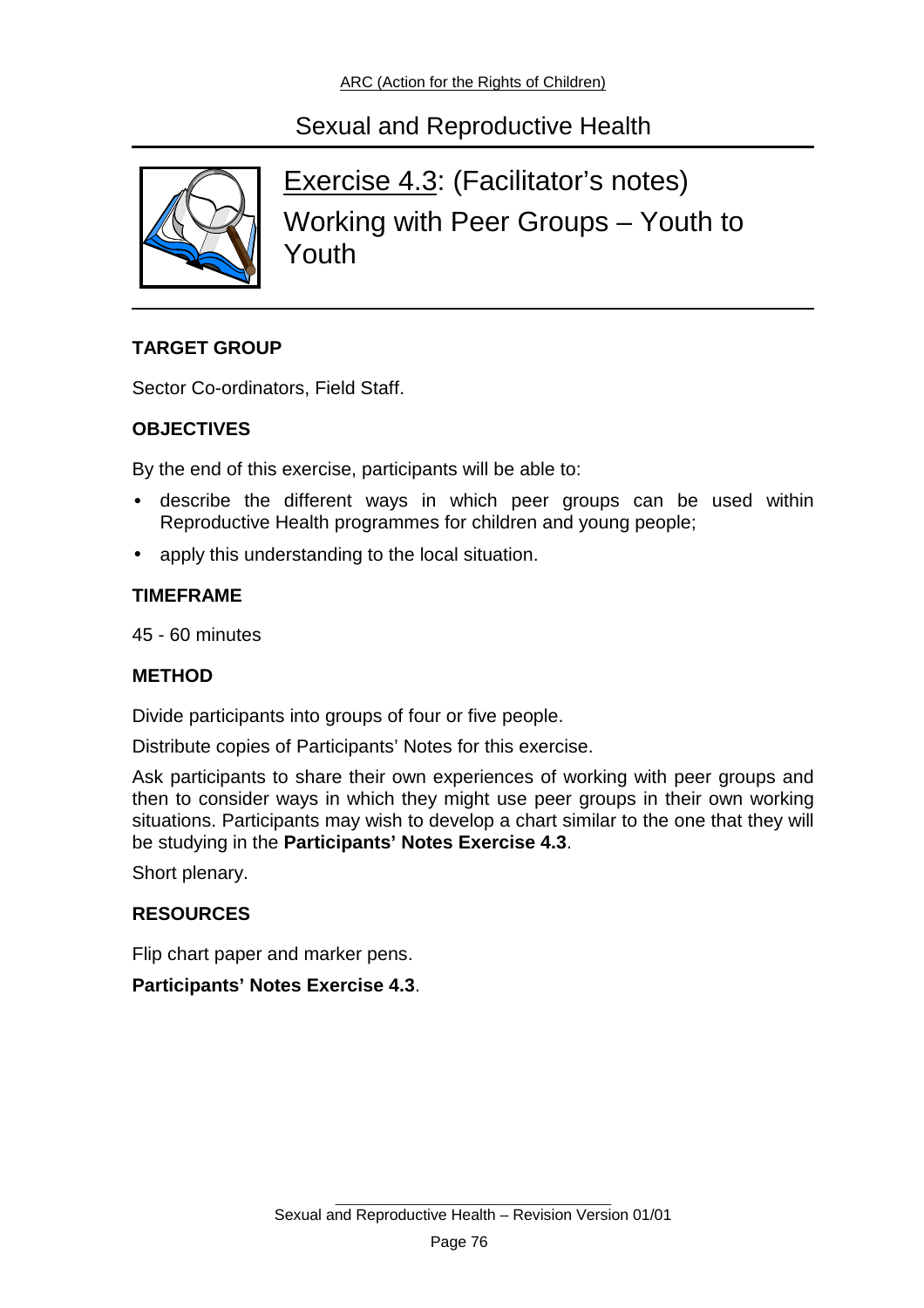

Exercise 4.3: (Facilitator's notes) Working with Peer Groups – Youth to Youth

#### **TARGET GROUP**

Sector Co-ordinators, Field Staff.

#### **OBJECTIVES**

By the end of this exercise, participants will be able to:

- describe the different ways in which peer groups can be used within Reproductive Health programmes for children and young people;
- apply this understanding to the local situation.

#### **TIMEFRAME**

45 - 60 minutes

#### **METHOD**

Divide participants into groups of four or five people.

Distribute copies of Participants' Notes for this exercise.

Ask participants to share their own experiences of working with peer groups and then to consider ways in which they might use peer groups in their own working situations. Participants may wish to develop a chart similar to the one that they will be studying in the **Participants' Notes Exercise 4.3**.

Short plenary.

#### **RESOURCES**

Flip chart paper and marker pens.

**Participants' Notes Exercise 4.3**.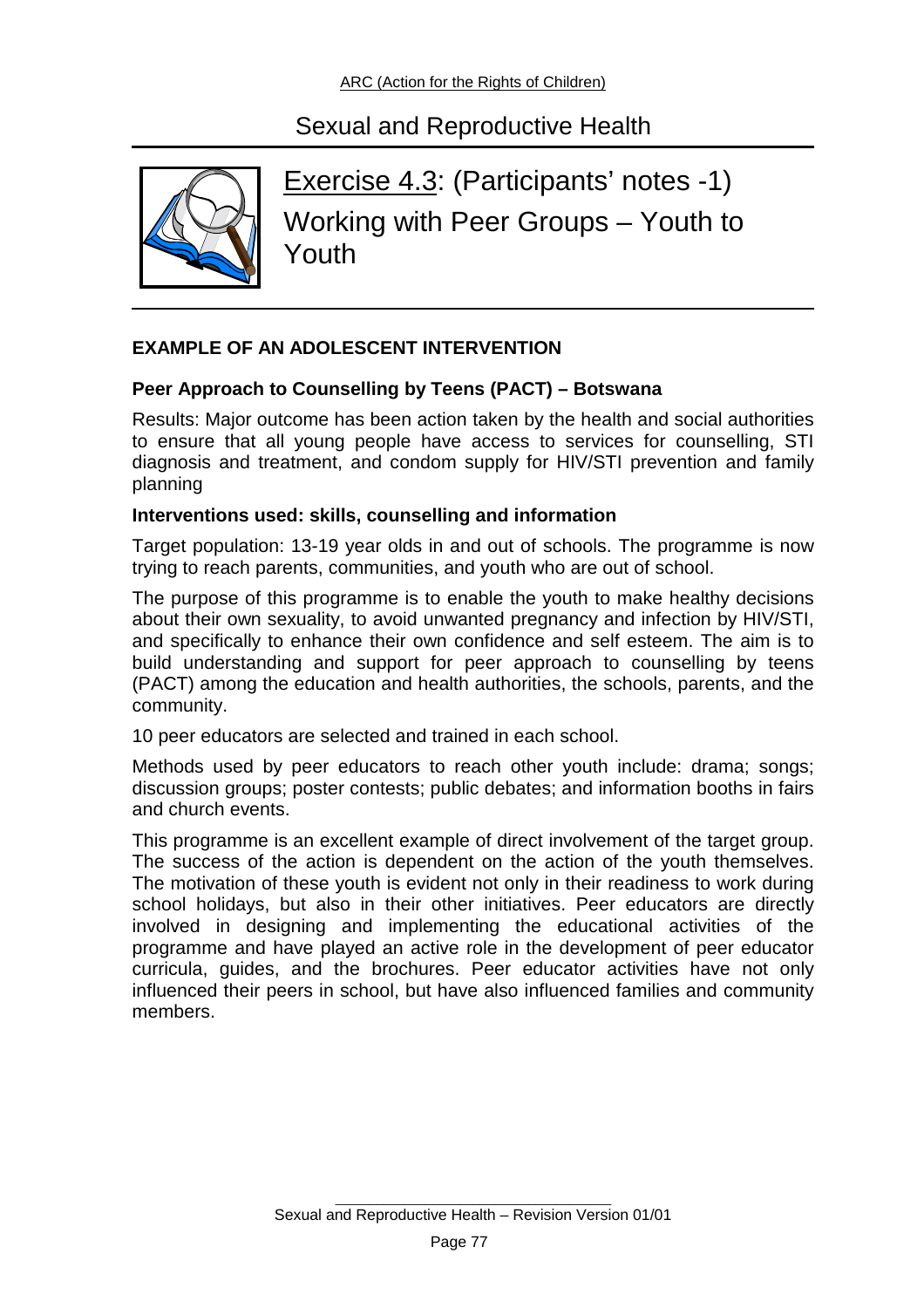

Exercise 4.3: (Participants' notes -1) Working with Peer Groups – Youth to Youth

### **EXAMPLE OF AN ADOLESCENT INTERVENTION**

#### **Peer Approach to Counselling by Teens (PACT) – Botswana**

Results: Major outcome has been action taken by the health and social authorities to ensure that all young people have access to services for counselling, STI diagnosis and treatment, and condom supply for HIV/STI prevention and family planning

#### **Interventions used: skills, counselling and information**

Target population: 13-19 year olds in and out of schools. The programme is now trying to reach parents, communities, and youth who are out of school.

The purpose of this programme is to enable the youth to make healthy decisions about their own sexuality, to avoid unwanted pregnancy and infection by HIV/STI, and specifically to enhance their own confidence and self esteem. The aim is to build understanding and support for peer approach to counselling by teens (PACT) among the education and health authorities, the schools, parents, and the community.

10 peer educators are selected and trained in each school.

Methods used by peer educators to reach other youth include: drama; songs; discussion groups; poster contests; public debates; and information booths in fairs and church events.

This programme is an excellent example of direct involvement of the target group. The success of the action is dependent on the action of the youth themselves. The motivation of these youth is evident not only in their readiness to work during school holidays, but also in their other initiatives. Peer educators are directly involved in designing and implementing the educational activities of the programme and have played an active role in the development of peer educator curricula, guides, and the brochures. Peer educator activities have not only influenced their peers in school, but have also influenced families and community members.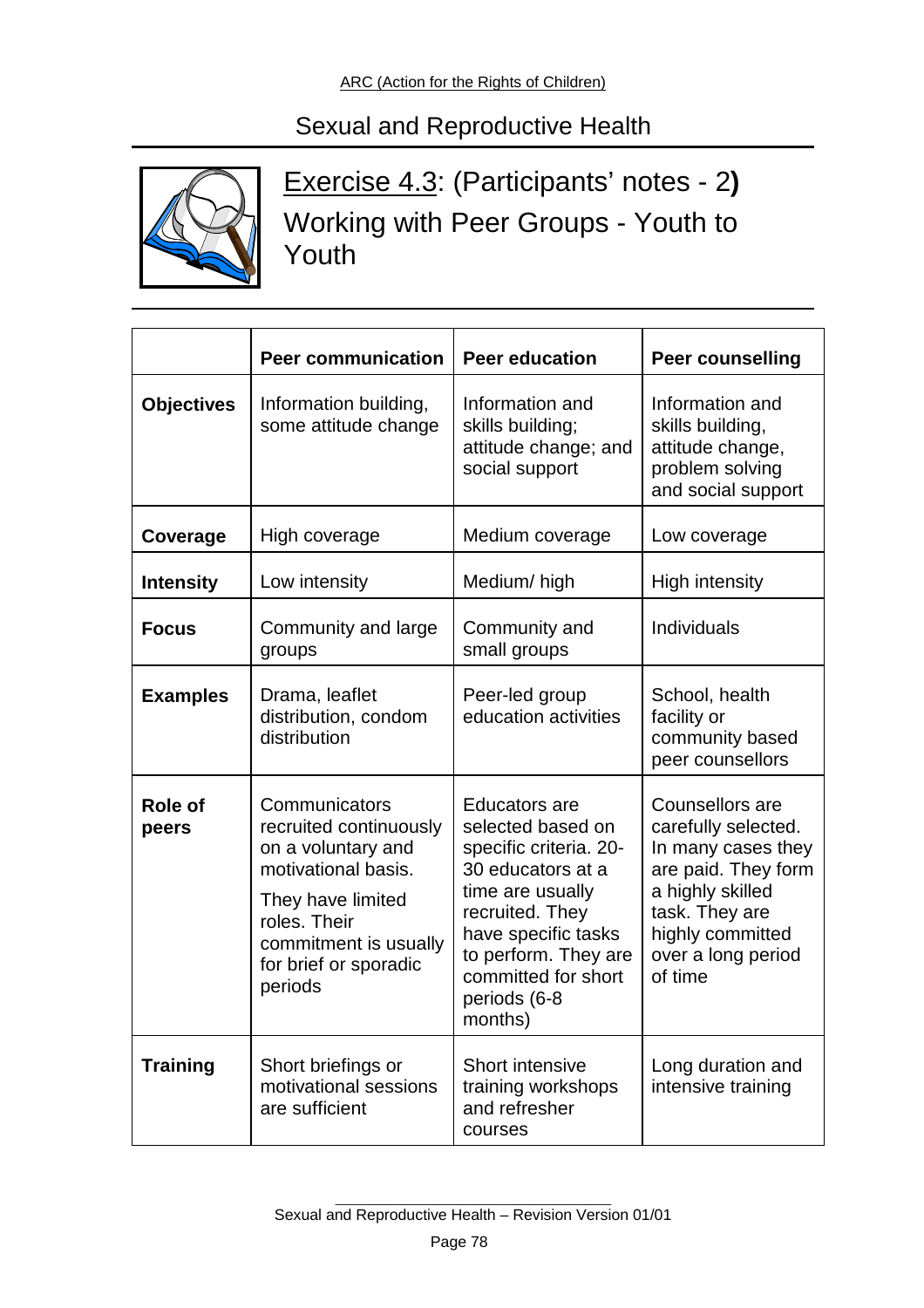

Exercise 4.3: (Participants' notes - 2**)** Working with Peer Groups - Youth to Youth

|                   | <b>Peer communication</b>                                                                                                                                                              | <b>Peer education</b>                                                                                                                                                                                                     | <b>Peer counselling</b>                                                                                                                                                        |
|-------------------|----------------------------------------------------------------------------------------------------------------------------------------------------------------------------------------|---------------------------------------------------------------------------------------------------------------------------------------------------------------------------------------------------------------------------|--------------------------------------------------------------------------------------------------------------------------------------------------------------------------------|
| <b>Objectives</b> | Information building,<br>some attitude change                                                                                                                                          | Information and<br>skills building;<br>attitude change; and<br>social support                                                                                                                                             | Information and<br>skills building,<br>attitude change,<br>problem solving<br>and social support                                                                               |
| Coverage          | High coverage                                                                                                                                                                          | Medium coverage                                                                                                                                                                                                           | Low coverage                                                                                                                                                                   |
| <b>Intensity</b>  | Low intensity                                                                                                                                                                          | Medium/high                                                                                                                                                                                                               | <b>High intensity</b>                                                                                                                                                          |
| <b>Focus</b>      | Community and large<br>groups                                                                                                                                                          | Community and<br>small groups                                                                                                                                                                                             | Individuals                                                                                                                                                                    |
| <b>Examples</b>   | Drama, leaflet<br>distribution, condom<br>distribution                                                                                                                                 | Peer-led group<br>education activities                                                                                                                                                                                    | School, health<br>facility or<br>community based<br>peer counsellors                                                                                                           |
| Role of<br>peers  | Communicators<br>recruited continuously<br>on a voluntary and<br>motivational basis.<br>They have limited<br>roles. Their<br>commitment is usually<br>for brief or sporadic<br>periods | Educators are<br>selected based on<br>specific criteria. 20-<br>30 educators at a<br>time are usually<br>recruited. They<br>have specific tasks<br>to perform. They are<br>committed for short<br>periods (6-8<br>months) | Counsellors are<br>carefully selected.<br>In many cases they<br>are paid. They form<br>a highly skilled<br>task. They are<br>highly committed<br>over a long period<br>of time |
| <b>Training</b>   | Short briefings or<br>motivational sessions<br>are sufficient                                                                                                                          | Short intensive<br>training workshops<br>and refresher<br>courses                                                                                                                                                         | Long duration and<br>intensive training                                                                                                                                        |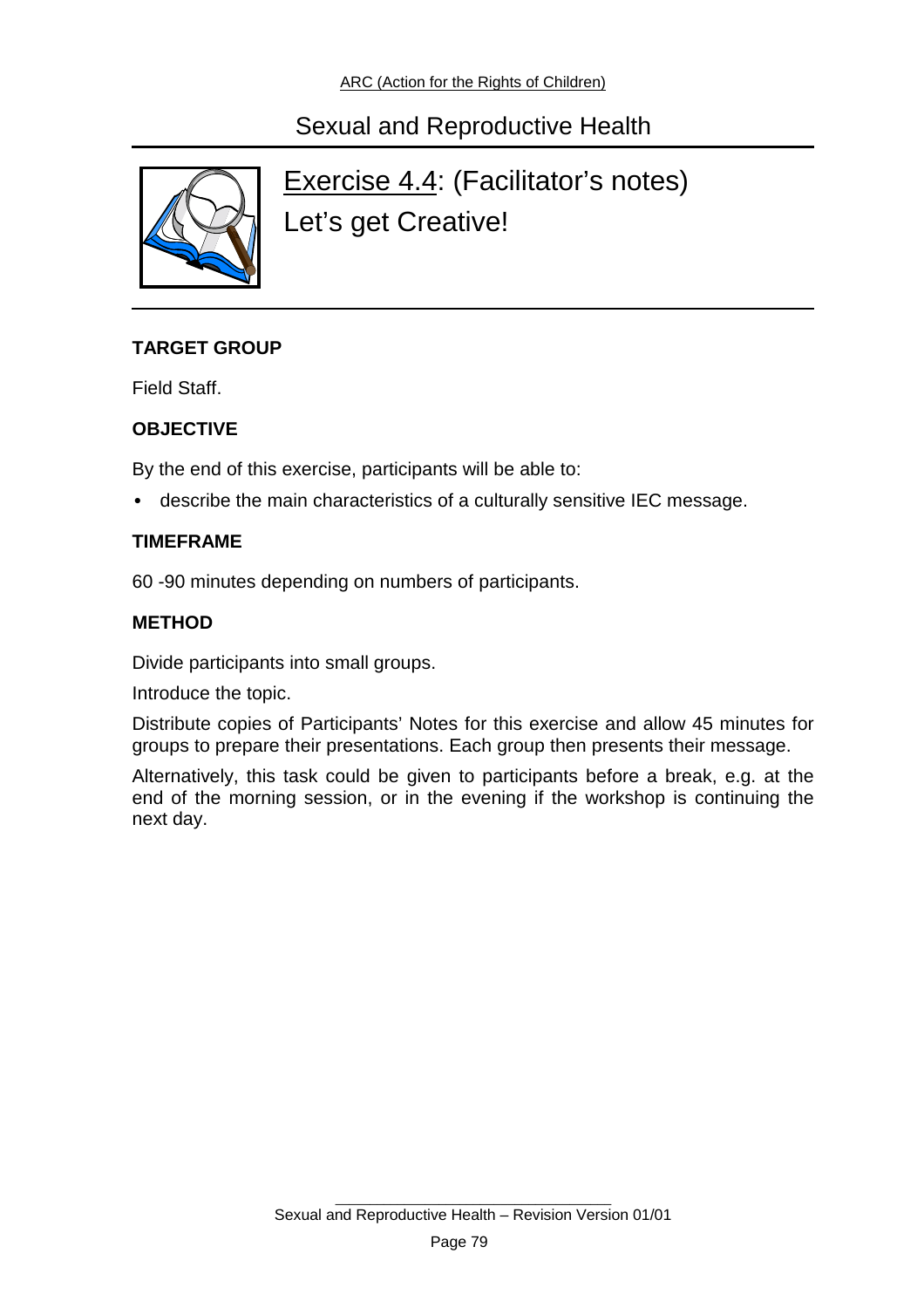

Exercise 4.4: (Facilitator's notes) Let's get Creative!

#### **TARGET GROUP**

Field Staff.

### **OBJECTIVE**

By the end of this exercise, participants will be able to:

• describe the main characteristics of a culturally sensitive IEC message.

#### **TIMEFRAME**

60 -90 minutes depending on numbers of participants.

#### **METHOD**

Divide participants into small groups.

Introduce the topic.

Distribute copies of Participants' Notes for this exercise and allow 45 minutes for groups to prepare their presentations. Each group then presents their message.

Alternatively, this task could be given to participants before a break, e.g. at the end of the morning session, or in the evening if the workshop is continuing the next day.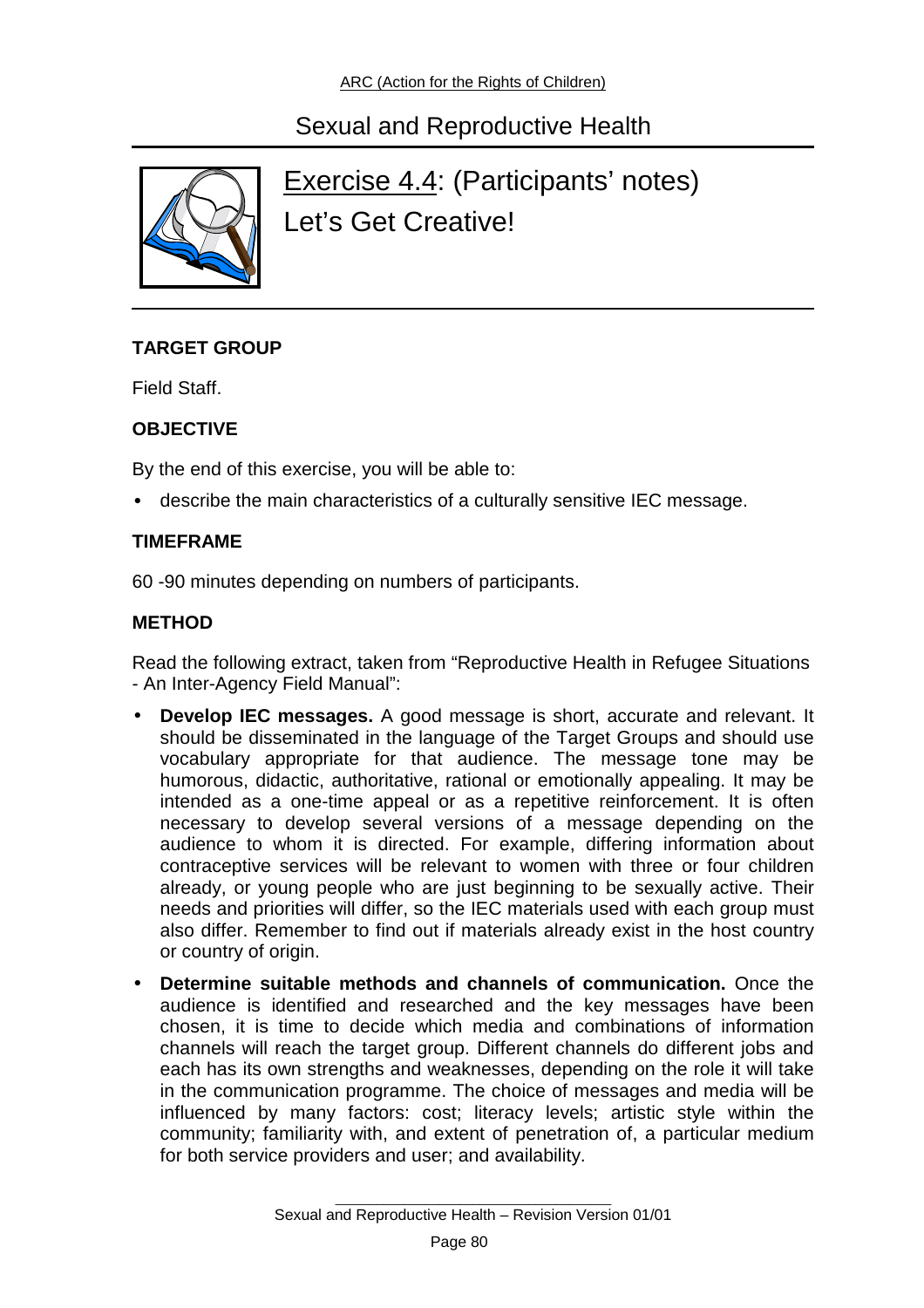

Exercise 4.4: (Participants' notes) Let's Get Creative!

#### **TARGET GROUP**

Field Staff.

#### **OBJECTIVE**

By the end of this exercise, you will be able to:

• describe the main characteristics of a culturally sensitive IEC message.

#### **TIMEFRAME**

60 -90 minutes depending on numbers of participants.

#### **METHOD**

Read the following extract, taken from "Reproductive Health in Refugee Situations - An Inter-Agency Field Manual":

- **Develop IEC messages.** A good message is short, accurate and relevant. It should be disseminated in the language of the Target Groups and should use vocabulary appropriate for that audience. The message tone may be humorous, didactic, authoritative, rational or emotionally appealing. It may be intended as a one-time appeal or as a repetitive reinforcement. It is often necessary to develop several versions of a message depending on the audience to whom it is directed. For example, differing information about contraceptive services will be relevant to women with three or four children already, or young people who are just beginning to be sexually active. Their needs and priorities will differ, so the IEC materials used with each group must also differ. Remember to find out if materials already exist in the host country or country of origin.
- **Determine suitable methods and channels of communication.** Once the audience is identified and researched and the key messages have been chosen, it is time to decide which media and combinations of information channels will reach the target group. Different channels do different jobs and each has its own strengths and weaknesses, depending on the role it will take in the communication programme. The choice of messages and media will be influenced by many factors: cost; literacy levels; artistic style within the community; familiarity with, and extent of penetration of, a particular medium for both service providers and user; and availability.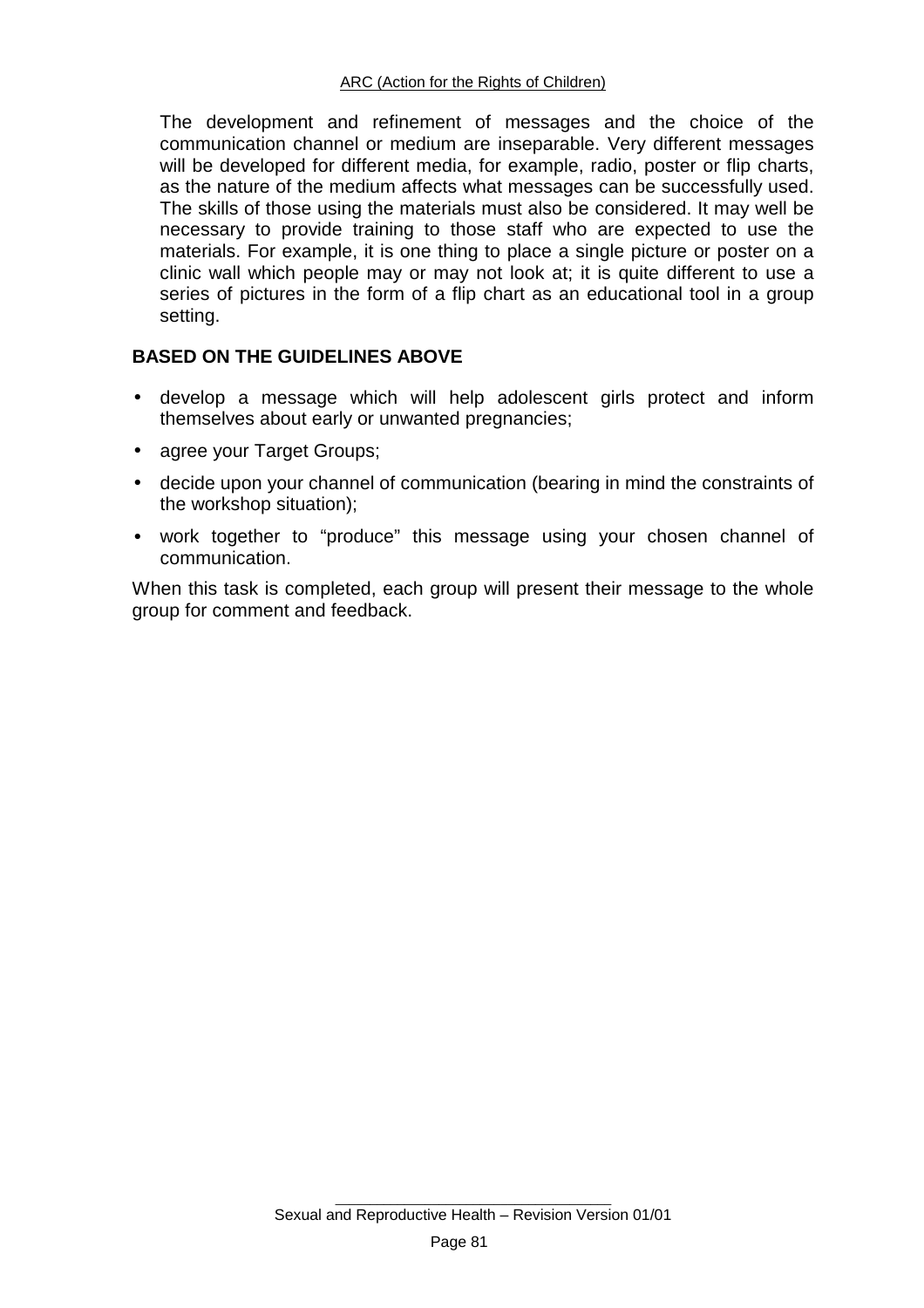The development and refinement of messages and the choice of the communication channel or medium are inseparable. Very different messages will be developed for different media, for example, radio, poster or flip charts, as the nature of the medium affects what messages can be successfully used. The skills of those using the materials must also be considered. It may well be necessary to provide training to those staff who are expected to use the materials. For example, it is one thing to place a single picture or poster on a clinic wall which people may or may not look at; it is quite different to use a series of pictures in the form of a flip chart as an educational tool in a group setting.

#### **BASED ON THE GUIDELINES ABOVE**

- develop a message which will help adolescent girls protect and inform themselves about early or unwanted pregnancies;
- agree your Target Groups;
- decide upon your channel of communication (bearing in mind the constraints of the workshop situation);
- work together to "produce" this message using your chosen channel of communication.

When this task is completed, each group will present their message to the whole group for comment and feedback.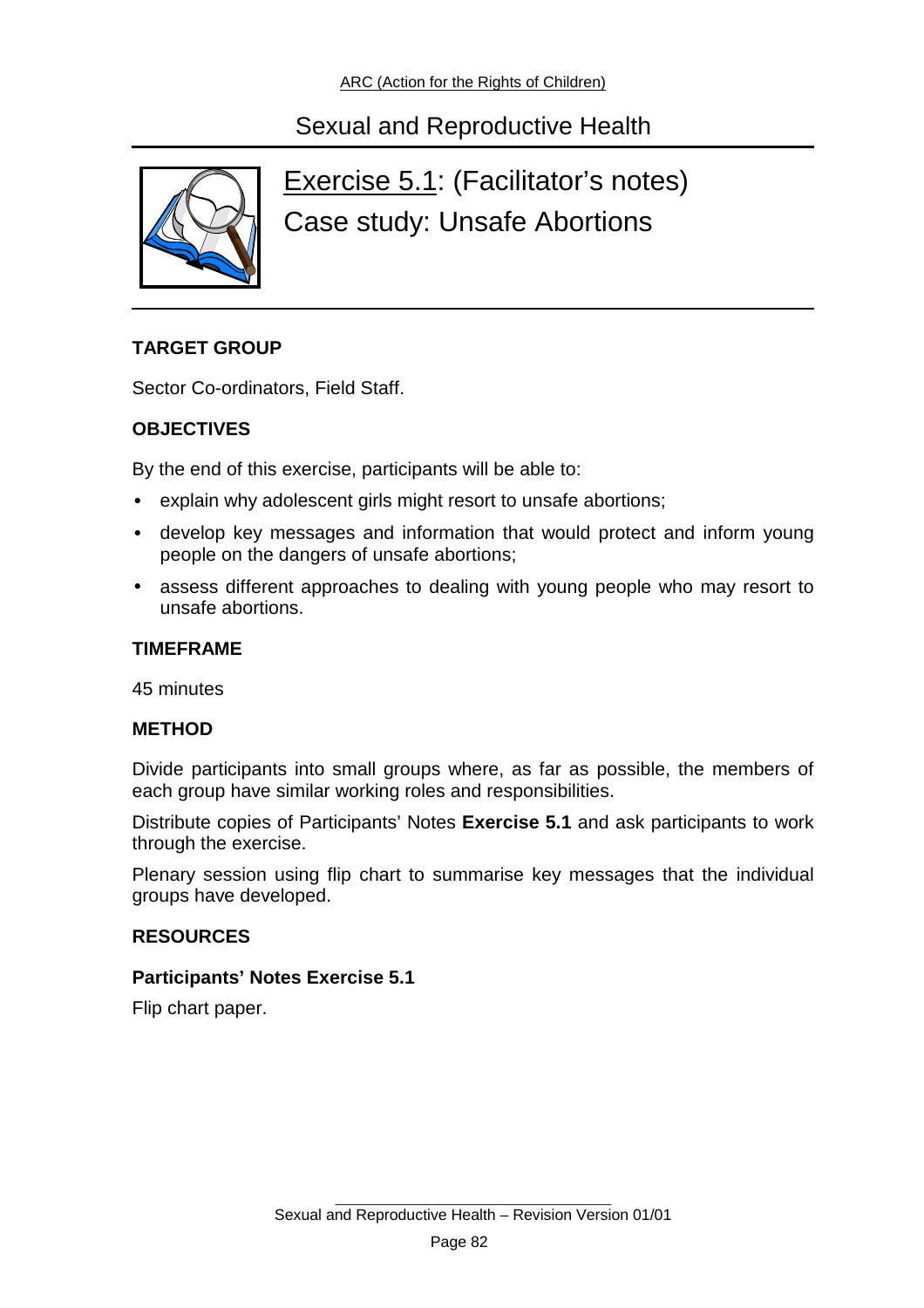

Exercise 5.1: (Facilitator's notes) Case study: Unsafe Abortions

#### **TARGET GROUP**

Sector Co-ordinators, Field Staff.

#### **OBJECTIVES**

By the end of this exercise, participants will be able to:

- explain why adolescent girls might resort to unsafe abortions;
- develop key messages and information that would protect and inform young people on the dangers of unsafe abortions;
- assess different approaches to dealing with young people who may resort to unsafe abortions.

#### **TIMEFRAME**

45 minutes

#### **METHOD**

Divide participants into small groups where, as far as possible, the members of each group have similar working roles and responsibilities.

Distribute copies of Participants' Notes **Exercise 5.1** and ask participants to work through the exercise.

Plenary session using flip chart to summarise key messages that the individual groups have developed.

#### **RESOURCES**

#### **Participants' Notes Exercise 5.1**

Flip chart paper.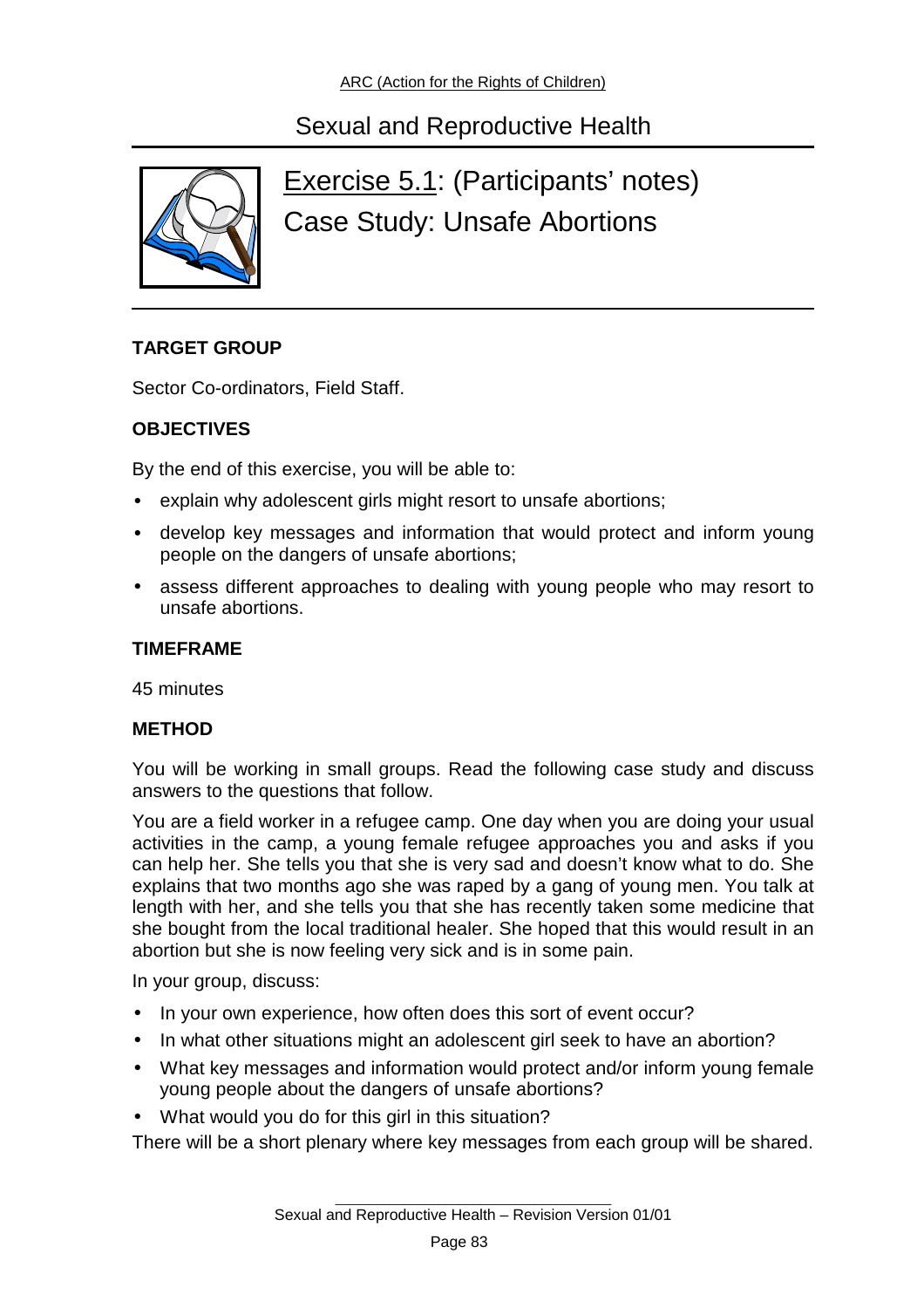

Exercise 5.1: (Participants' notes) Case Study: Unsafe Abortions

#### **TARGET GROUP**

Sector Co-ordinators, Field Staff.

#### **OBJECTIVES**

By the end of this exercise, you will be able to:

- explain why adolescent girls might resort to unsafe abortions;
- develop key messages and information that would protect and inform young people on the dangers of unsafe abortions;
- assess different approaches to dealing with young people who may resort to unsafe abortions.

#### **TIMEFRAME**

45 minutes

#### **METHOD**

You will be working in small groups. Read the following case study and discuss answers to the questions that follow.

You are a field worker in a refugee camp. One day when you are doing your usual activities in the camp, a young female refugee approaches you and asks if you can help her. She tells you that she is very sad and doesn't know what to do. She explains that two months ago she was raped by a gang of young men. You talk at length with her, and she tells you that she has recently taken some medicine that she bought from the local traditional healer. She hoped that this would result in an abortion but she is now feeling very sick and is in some pain.

In your group, discuss:

- In your own experience, how often does this sort of event occur?
- In what other situations might an adolescent girl seek to have an abortion?
- What key messages and information would protect and/or inform young female young people about the dangers of unsafe abortions?
- What would you do for this girl in this situation?

There will be a short plenary where key messages from each group will be shared.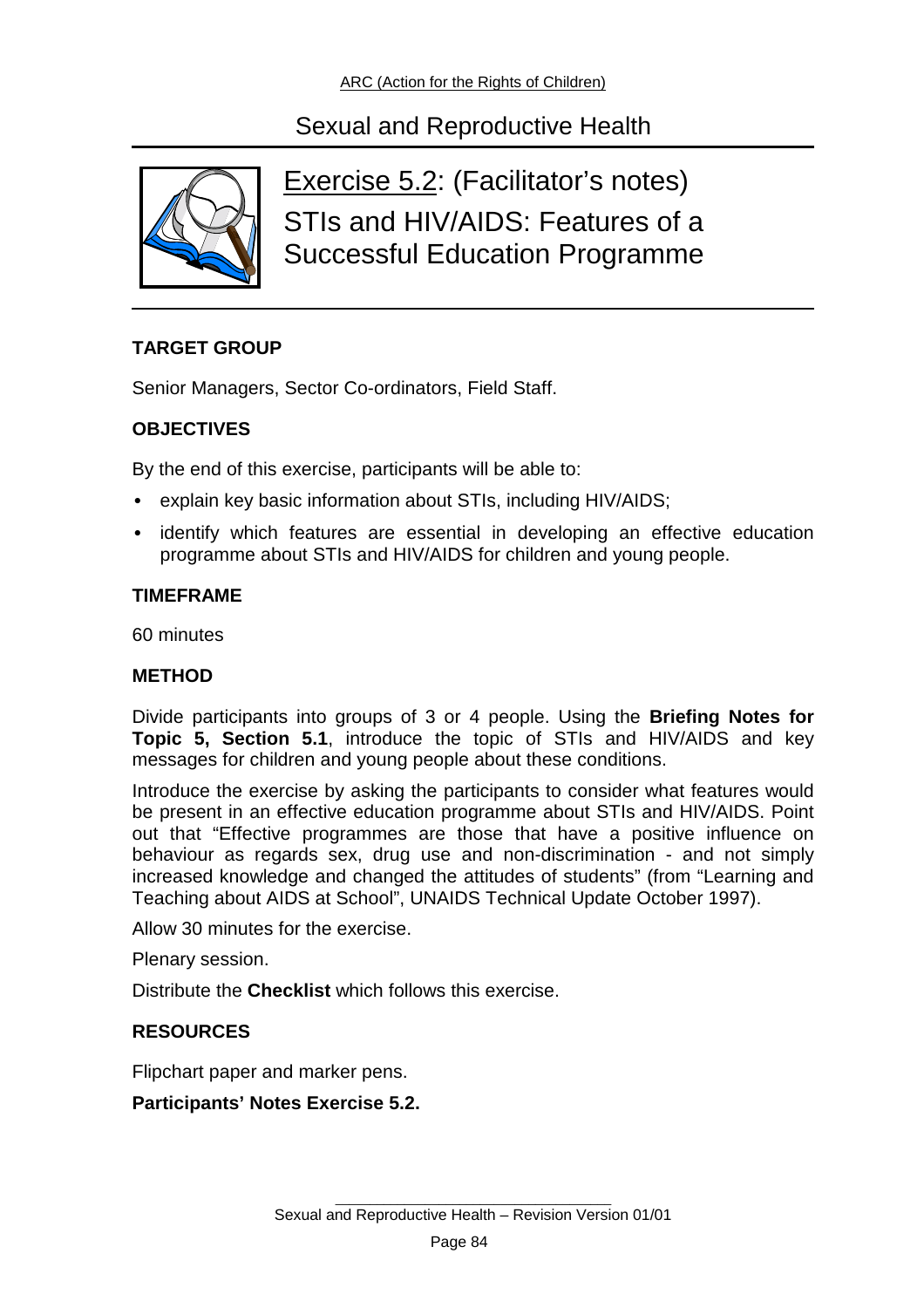

Exercise 5.2: (Facilitator's notes) STIs and HIV/AIDS: Features of a Successful Education Programme

#### **TARGET GROUP**

Senior Managers, Sector Co-ordinators, Field Staff.

#### **OBJECTIVES**

By the end of this exercise, participants will be able to:

- explain key basic information about STIs, including HIV/AIDS;
- identify which features are essential in developing an effective education programme about STIs and HIV/AIDS for children and young people.

#### **TIMEFRAME**

60 minutes

#### **METHOD**

Divide participants into groups of 3 or 4 people. Using the **Briefing Notes for Topic 5, Section 5.1**, introduce the topic of STIs and HIV/AIDS and key messages for children and young people about these conditions.

Introduce the exercise by asking the participants to consider what features would be present in an effective education programme about STIs and HIV/AIDS. Point out that "Effective programmes are those that have a positive influence on behaviour as regards sex, drug use and non-discrimination - and not simply increased knowledge and changed the attitudes of students" (from "Learning and Teaching about AIDS at School", UNAIDS Technical Update October 1997).

Allow 30 minutes for the exercise.

Plenary session.

Distribute the **Checklist** which follows this exercise.

#### **RESOURCES**

Flipchart paper and marker pens.

#### **Participants' Notes Exercise 5.2.**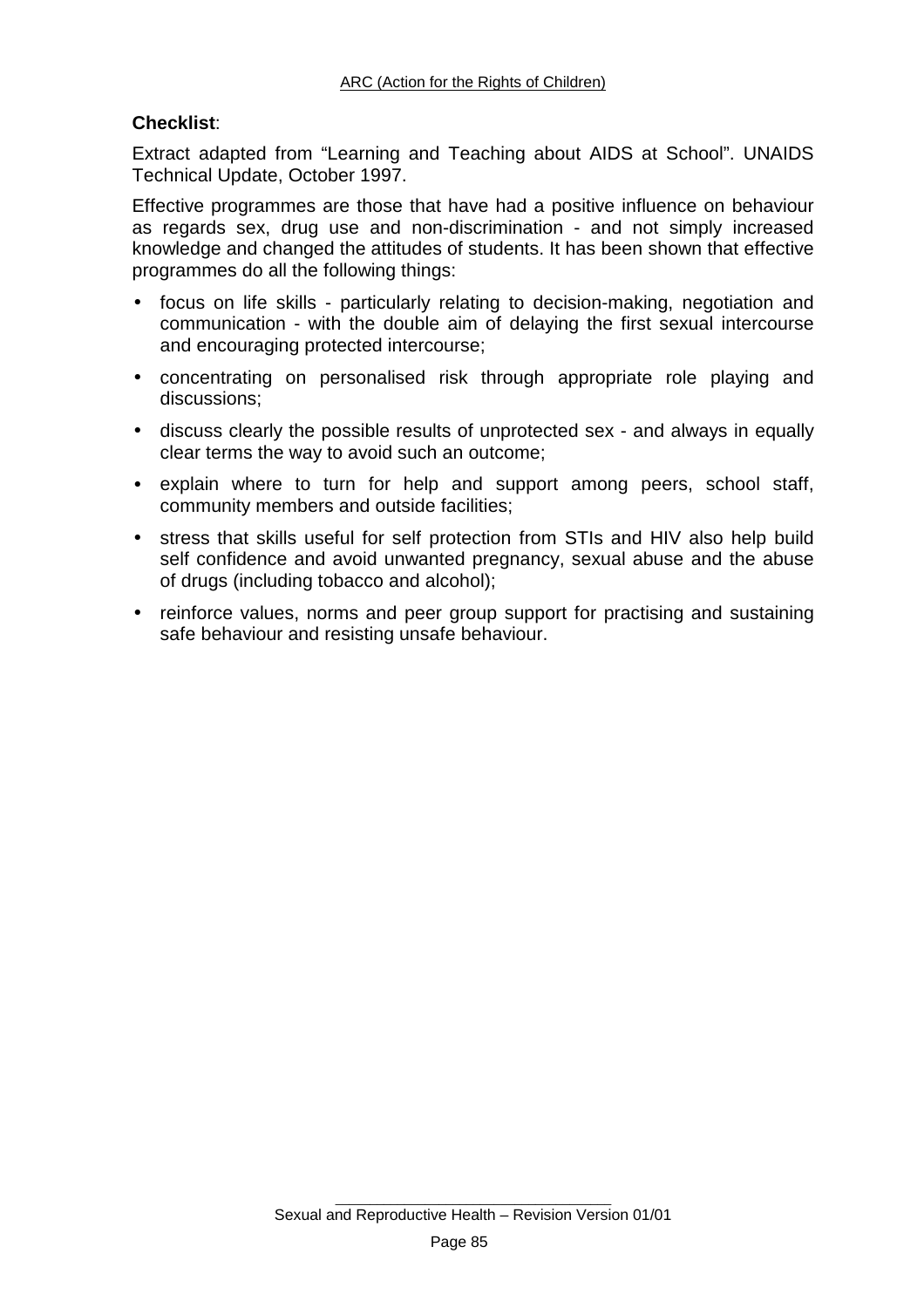#### **Checklist**:

Extract adapted from "Learning and Teaching about AIDS at School". UNAIDS Technical Update, October 1997.

Effective programmes are those that have had a positive influence on behaviour as regards sex, drug use and non-discrimination - and not simply increased knowledge and changed the attitudes of students. It has been shown that effective programmes do all the following things:

- focus on life skills particularly relating to decision-making, negotiation and communication - with the double aim of delaying the first sexual intercourse and encouraging protected intercourse;
- concentrating on personalised risk through appropriate role playing and discussions;
- discuss clearly the possible results of unprotected sex and always in equally clear terms the way to avoid such an outcome;
- explain where to turn for help and support among peers, school staff, community members and outside facilities;
- stress that skills useful for self protection from STIs and HIV also help build self confidence and avoid unwanted pregnancy, sexual abuse and the abuse of drugs (including tobacco and alcohol);
- reinforce values, norms and peer group support for practising and sustaining safe behaviour and resisting unsafe behaviour.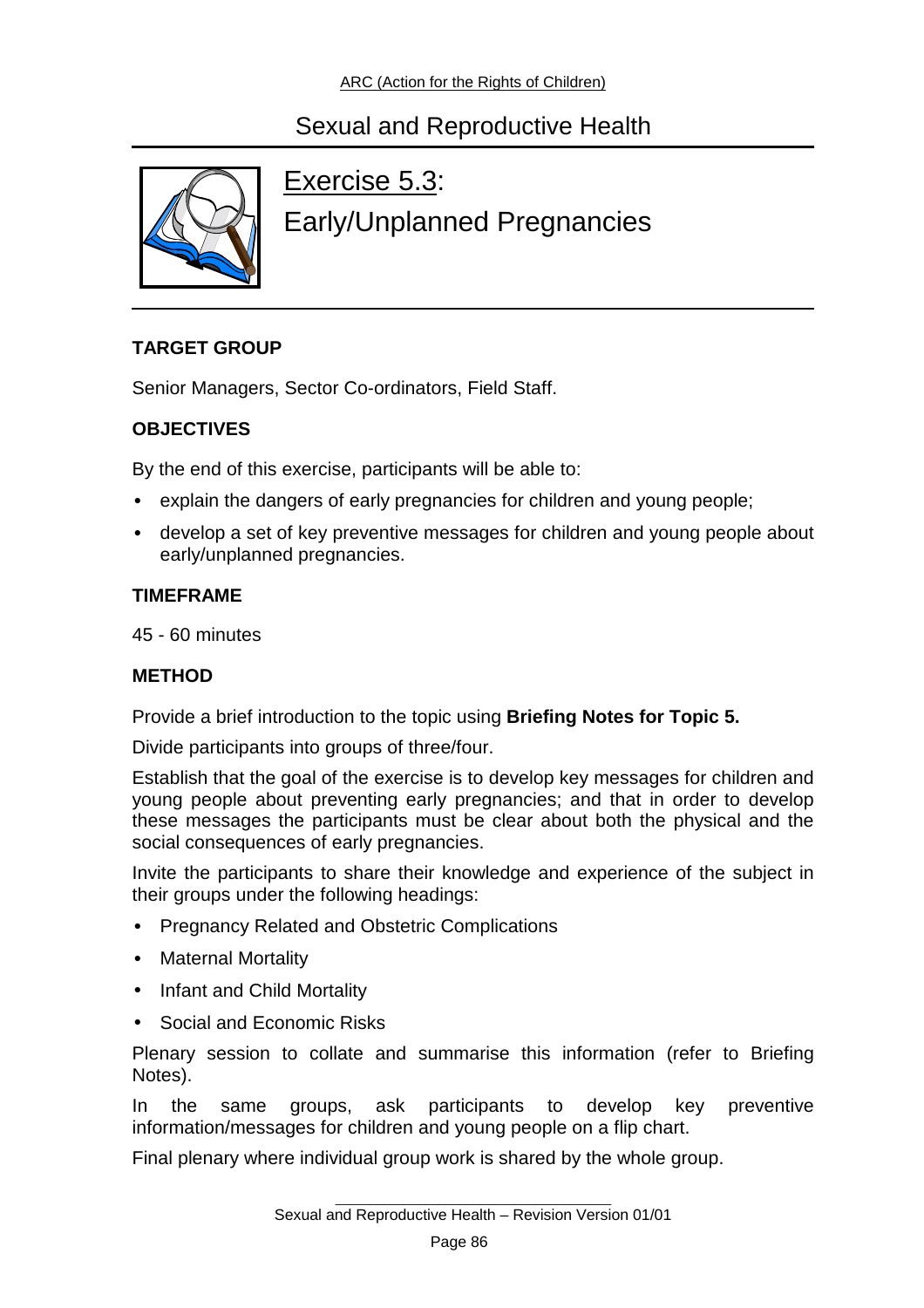

# Exercise 5.3: Early/Unplanned Pregnancies

#### **TARGET GROUP**

Senior Managers, Sector Co-ordinators, Field Staff.

#### **OBJECTIVES**

By the end of this exercise, participants will be able to:

- explain the dangers of early pregnancies for children and young people;
- develop a set of key preventive messages for children and young people about early/unplanned pregnancies.

#### **TIMEFRAME**

45 - 60 minutes

#### **METHOD**

Provide a brief introduction to the topic using **Briefing Notes for Topic 5.**

Divide participants into groups of three/four.

Establish that the goal of the exercise is to develop key messages for children and young people about preventing early pregnancies; and that in order to develop these messages the participants must be clear about both the physical and the social consequences of early pregnancies.

Invite the participants to share their knowledge and experience of the subject in their groups under the following headings:

- Pregnancy Related and Obstetric Complications
- Maternal Mortality
- Infant and Child Mortality
- Social and Economic Risks

Plenary session to collate and summarise this information (refer to Briefing Notes).

In the same groups, ask participants to develop key preventive information/messages for children and young people on a flip chart.

Final plenary where individual group work is shared by the whole group.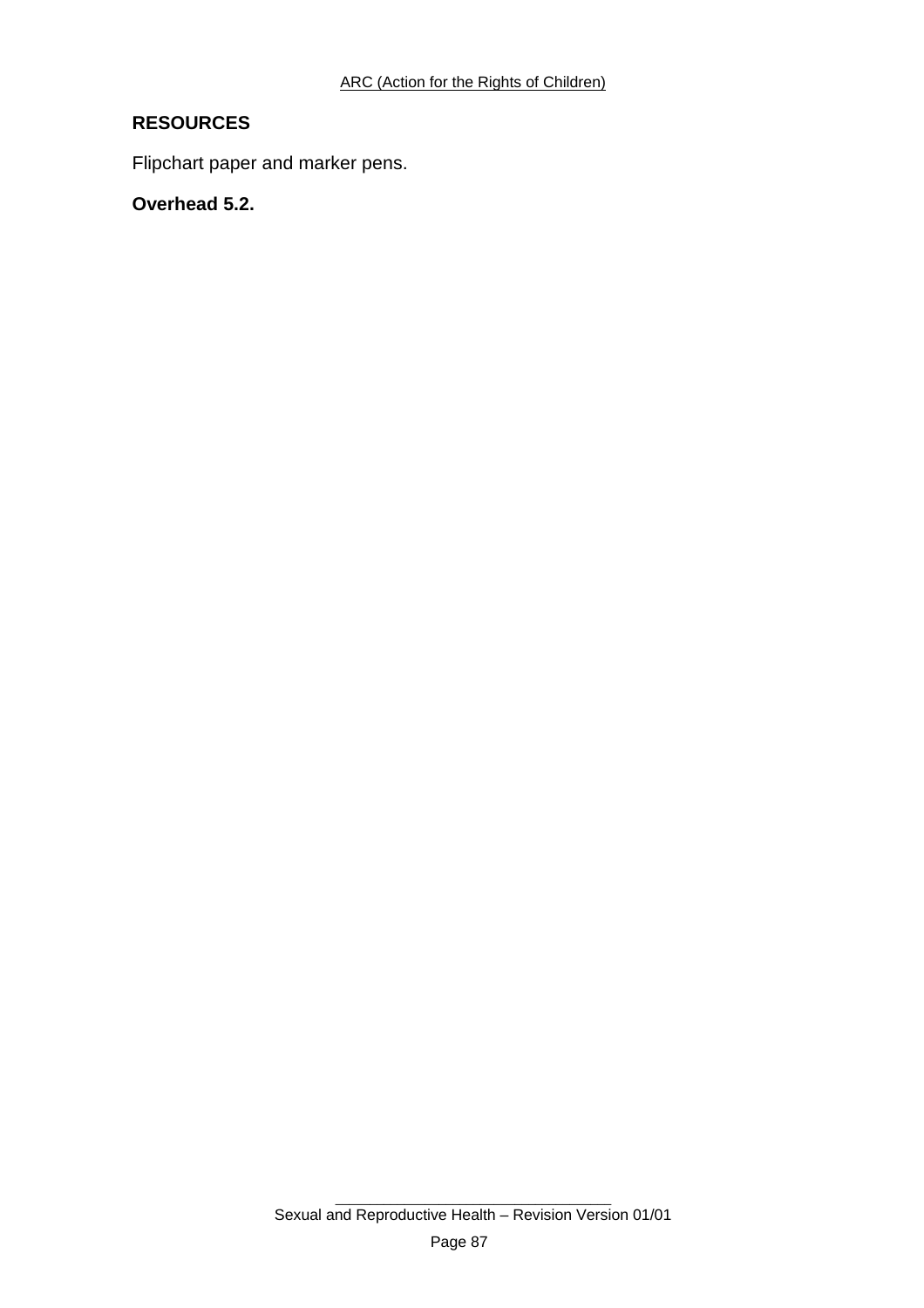#### **RESOURCES**

Flipchart paper and marker pens.

**Overhead 5.2.**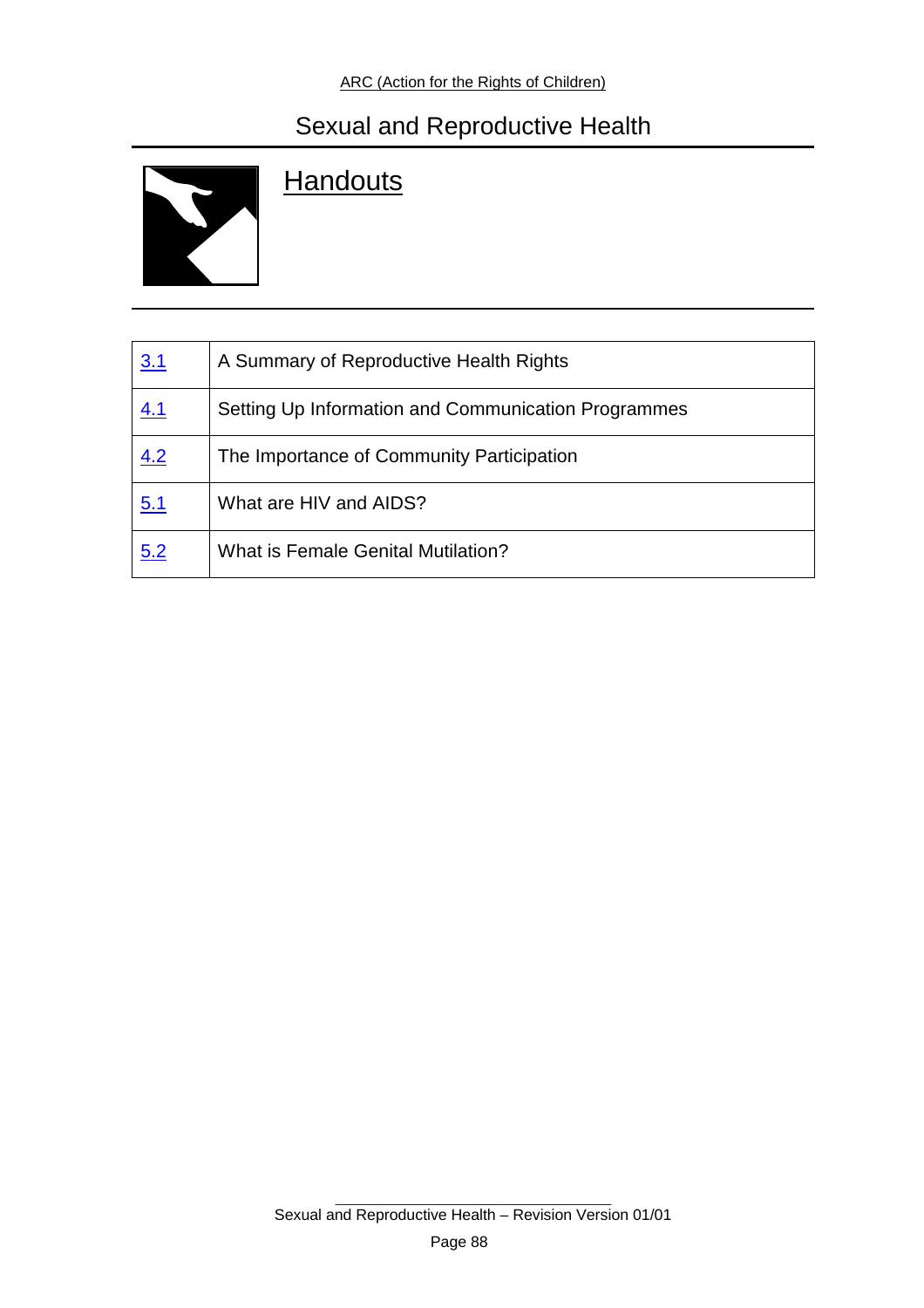

# **Handouts**

| 3.1 | A Summary of Reproductive Health Rights             |
|-----|-----------------------------------------------------|
| 4.1 | Setting Up Information and Communication Programmes |
| 4.2 | The Importance of Community Participation           |
| 5.1 | What are HIV and AIDS?                              |
| 5.2 | <b>What is Female Genital Mutilation?</b>           |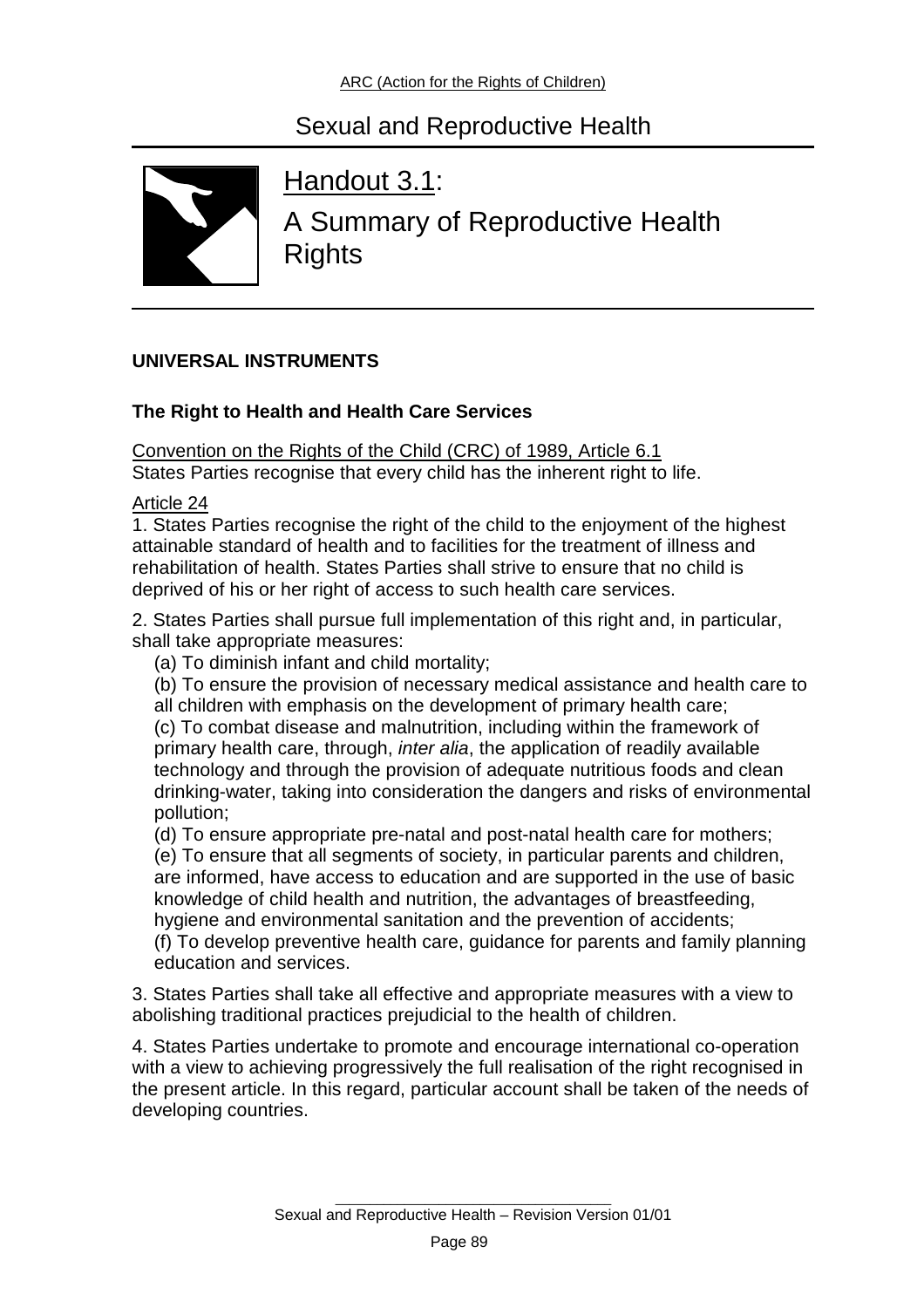<span id="page-88-0"></span>

Handout 3.1:

A Summary of Reproductive Health **Rights** 

#### **UNIVERSAL INSTRUMENTS**

#### **The Right to Health and Health Care Services**

Convention on the Rights of the Child (CRC) of 1989, Article 6.1 States Parties recognise that every child has the inherent right to life.

#### Article 24

1. States Parties recognise the right of the child to the enjoyment of the highest attainable standard of health and to facilities for the treatment of illness and rehabilitation of health. States Parties shall strive to ensure that no child is deprived of his or her right of access to such health care services.

2. States Parties shall pursue full implementation of this right and, in particular, shall take appropriate measures:

(a) To diminish infant and child mortality;

(b) To ensure the provision of necessary medical assistance and health care to all children with emphasis on the development of primary health care;

(c) To combat disease and malnutrition, including within the framework of primary health care, through, *inter alia*, the application of readily available technology and through the provision of adequate nutritious foods and clean drinking-water, taking into consideration the dangers and risks of environmental pollution;

(d) To ensure appropriate pre-natal and post-natal health care for mothers; (e) To ensure that all segments of society, in particular parents and children, are informed, have access to education and are supported in the use of basic knowledge of child health and nutrition, the advantages of breastfeeding, hygiene and environmental sanitation and the prevention of accidents; (f) To develop preventive health care, guidance for parents and family planning education and services.

3. States Parties shall take all effective and appropriate measures with a view to abolishing traditional practices prejudicial to the health of children.

4. States Parties undertake to promote and encourage international co-operation with a view to achieving progressively the full realisation of the right recognised in the present article. In this regard, particular account shall be taken of the needs of developing countries.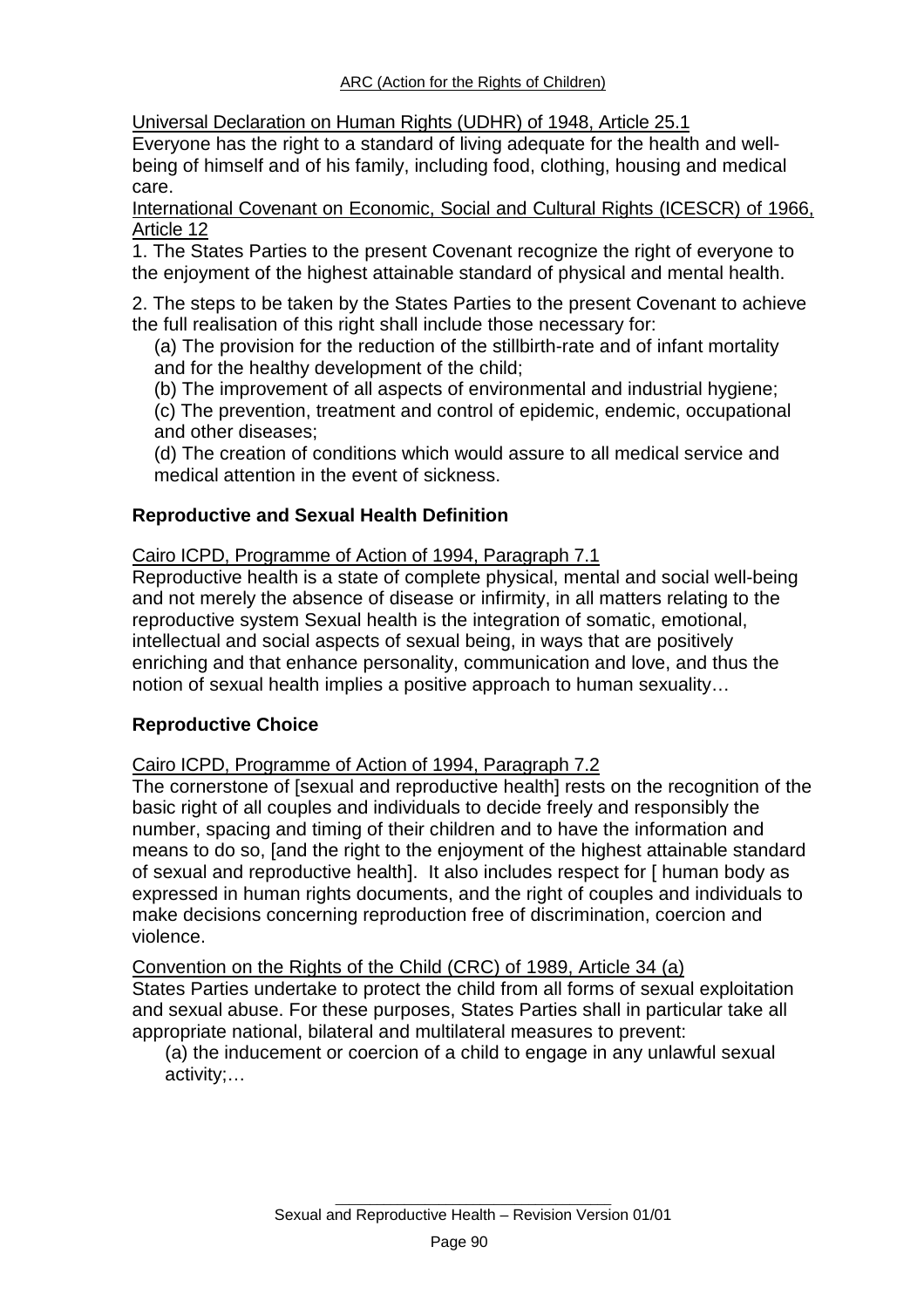Universal Declaration on Human Rights (UDHR) of 1948, Article 25.1

Everyone has the right to a standard of living adequate for the health and wellbeing of himself and of his family, including food, clothing, housing and medical care.

International Covenant on Economic, Social and Cultural Rights (ICESCR) of 1966, Article 12

1. The States Parties to the present Covenant recognize the right of everyone to the enjoyment of the highest attainable standard of physical and mental health.

2. The steps to be taken by the States Parties to the present Covenant to achieve the full realisation of this right shall include those necessary for:

(a) The provision for the reduction of the stillbirth-rate and of infant mortality and for the healthy development of the child;

(b) The improvement of all aspects of environmental and industrial hygiene; (c) The prevention, treatment and control of epidemic, endemic, occupational and other diseases;

(d) The creation of conditions which would assure to all medical service and medical attention in the event of sickness.

#### **Reproductive and Sexual Health Definition**

Cairo ICPD, Programme of Action of 1994, Paragraph 7.1

Reproductive health is a state of complete physical, mental and social well-being and not merely the absence of disease or infirmity, in all matters relating to the reproductive system Sexual health is the integration of somatic, emotional, intellectual and social aspects of sexual being, in ways that are positively enriching and that enhance personality, communication and love, and thus the notion of sexual health implies a positive approach to human sexuality…

#### **Reproductive Choice**

Cairo ICPD, Programme of Action of 1994, Paragraph 7.2

The cornerstone of [sexual and reproductive health] rests on the recognition of the basic right of all couples and individuals to decide freely and responsibly the number, spacing and timing of their children and to have the information and means to do so, [and the right to the enjoyment of the highest attainable standard of sexual and reproductive health]. It also includes respect for [ human body as expressed in human rights documents, and the right of couples and individuals to make decisions concerning reproduction free of discrimination, coercion and violence.

Convention on the Rights of the Child (CRC) of 1989, Article 34 (a) States Parties undertake to protect the child from all forms of sexual exploitation and sexual abuse. For these purposes, States Parties shall in particular take all appropriate national, bilateral and multilateral measures to prevent:

(a) the inducement or coercion of a child to engage in any unlawful sexual activity;…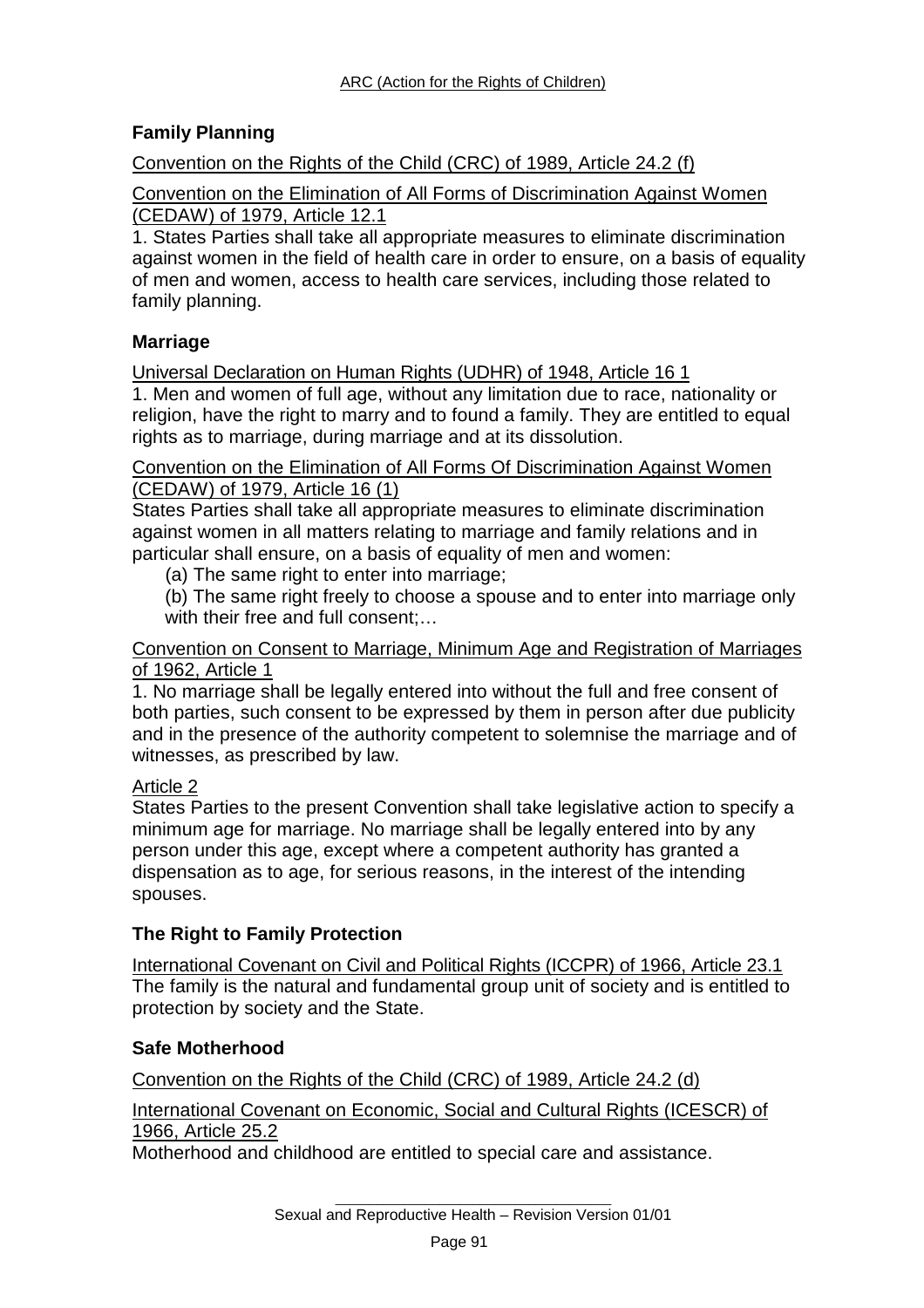#### **Family Planning**

Convention on the Rights of the Child (CRC) of 1989, Article 24.2 (f)

Convention on the Elimination of All Forms of Discrimination Against Women (CEDAW) of 1979, Article 12.1

1. States Parties shall take all appropriate measures to eliminate discrimination against women in the field of health care in order to ensure, on a basis of equality of men and women, access to health care services, including those related to family planning.

#### **Marriage**

Universal Declaration on Human Rights (UDHR) of 1948, Article 16 1

1. Men and women of full age, without any limitation due to race, nationality or religion, have the right to marry and to found a family. They are entitled to equal rights as to marriage, during marriage and at its dissolution.

Convention on the Elimination of All Forms Of Discrimination Against Women (CEDAW) of 1979, Article 16 (1)

States Parties shall take all appropriate measures to eliminate discrimination against women in all matters relating to marriage and family relations and in particular shall ensure, on a basis of equality of men and women:

(a) The same right to enter into marriage;

(b) The same right freely to choose a spouse and to enter into marriage only with their free and full consent:...

Convention on Consent to Marriage, Minimum Age and Registration of Marriages of 1962, Article 1

1. No marriage shall be legally entered into without the full and free consent of both parties, such consent to be expressed by them in person after due publicity and in the presence of the authority competent to solemnise the marriage and of witnesses, as prescribed by law.

#### Article 2

States Parties to the present Convention shall take legislative action to specify a minimum age for marriage. No marriage shall be legally entered into by any person under this age, except where a competent authority has granted a dispensation as to age, for serious reasons, in the interest of the intending spouses.

#### **The Right to Family Protection**

International Covenant on Civil and Political Rights (ICCPR) of 1966, Article 23.1 The family is the natural and fundamental group unit of society and is entitled to protection by society and the State.

#### **Safe Motherhood**

Convention on the Rights of the Child (CRC) of 1989, Article 24.2 (d)

International Covenant on Economic, Social and Cultural Rights (ICESCR) of 1966, Article 25.2

Motherhood and childhood are entitled to special care and assistance.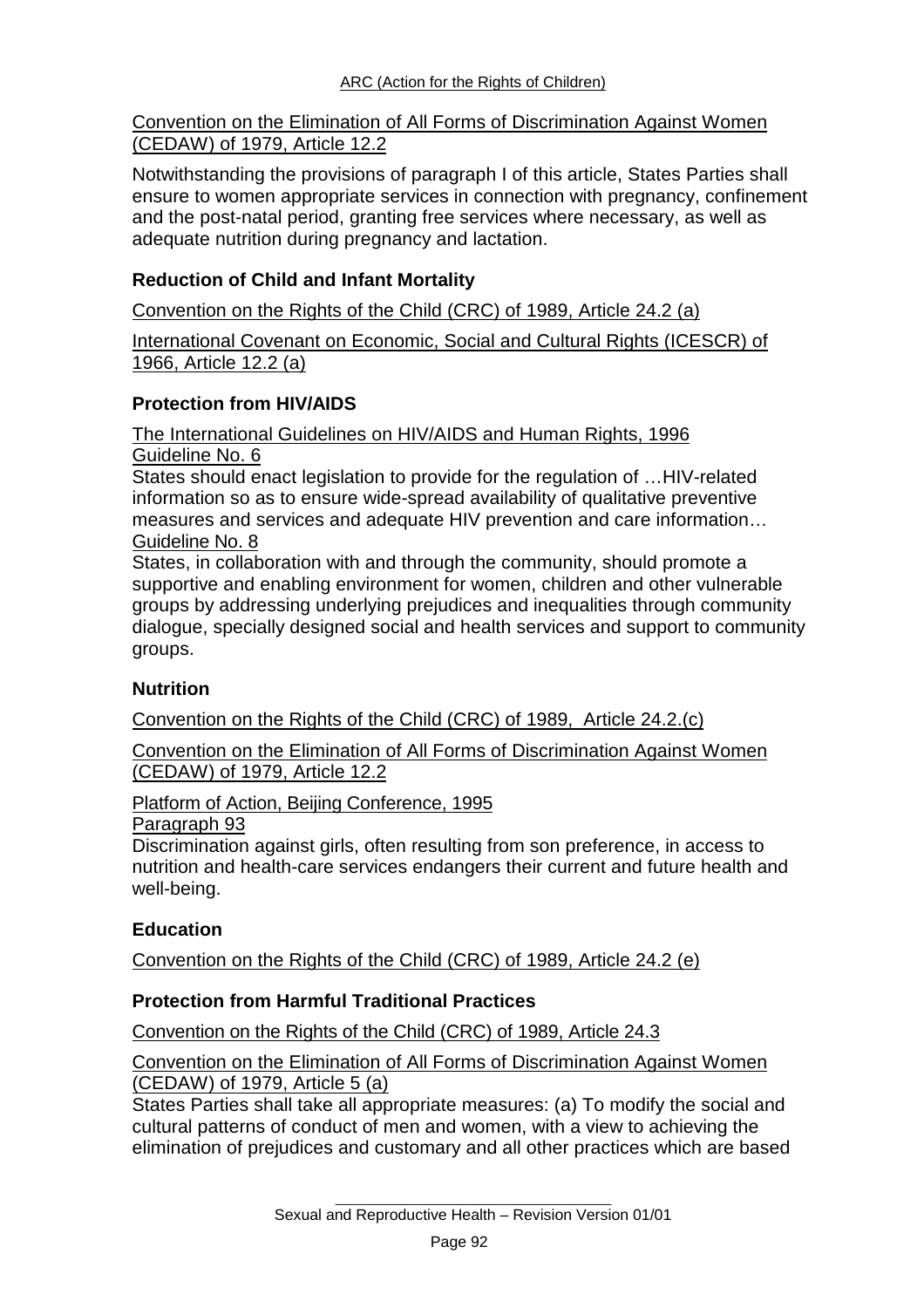#### Convention on the Elimination of All Forms of Discrimination Against Women (CEDAW) of 1979, Article 12.2

Notwithstanding the provisions of paragraph I of this article, States Parties shall ensure to women appropriate services in connection with pregnancy, confinement and the post-natal period, granting free services where necessary, as well as adequate nutrition during pregnancy and lactation.

#### **Reduction of Child and Infant Mortality**

Convention on the Rights of the Child (CRC) of 1989, Article 24.2 (a)

International Covenant on Economic, Social and Cultural Rights (ICESCR) of 1966, Article 12.2 (a)

#### **Protection from HIV/AIDS**

The International Guidelines on HIV/AIDS and Human Rights, 1996 Guideline No. 6

States should enact legislation to provide for the regulation of …HIV-related information so as to ensure wide-spread availability of qualitative preventive measures and services and adequate HIV prevention and care information… Guideline No. 8

States, in collaboration with and through the community, should promote a supportive and enabling environment for women, children and other vulnerable groups by addressing underlying prejudices and inequalities through community dialogue, specially designed social and health services and support to community groups.

#### **Nutrition**

Convention on the Rights of the Child (CRC) of 1989, Article 24.2.(c)

Convention on the Elimination of All Forms of Discrimination Against Women (CEDAW) of 1979, Article 12.2

Platform of Action, Beijing Conference, 1995

#### Paragraph 93

Discrimination against girls, often resulting from son preference, in access to nutrition and health-care services endangers their current and future health and well-being.

#### **Education**

Convention on the Rights of the Child (CRC) of 1989, Article 24.2 (e)

#### **Protection from Harmful Traditional Practices**

Convention on the Rights of the Child (CRC) of 1989, Article 24.3

Convention on the Elimination of All Forms of Discrimination Against Women (CEDAW) of 1979, Article 5 (a)

States Parties shall take all appropriate measures: (a) To modify the social and cultural patterns of conduct of men and women, with a view to achieving the elimination of prejudices and customary and all other practices which are based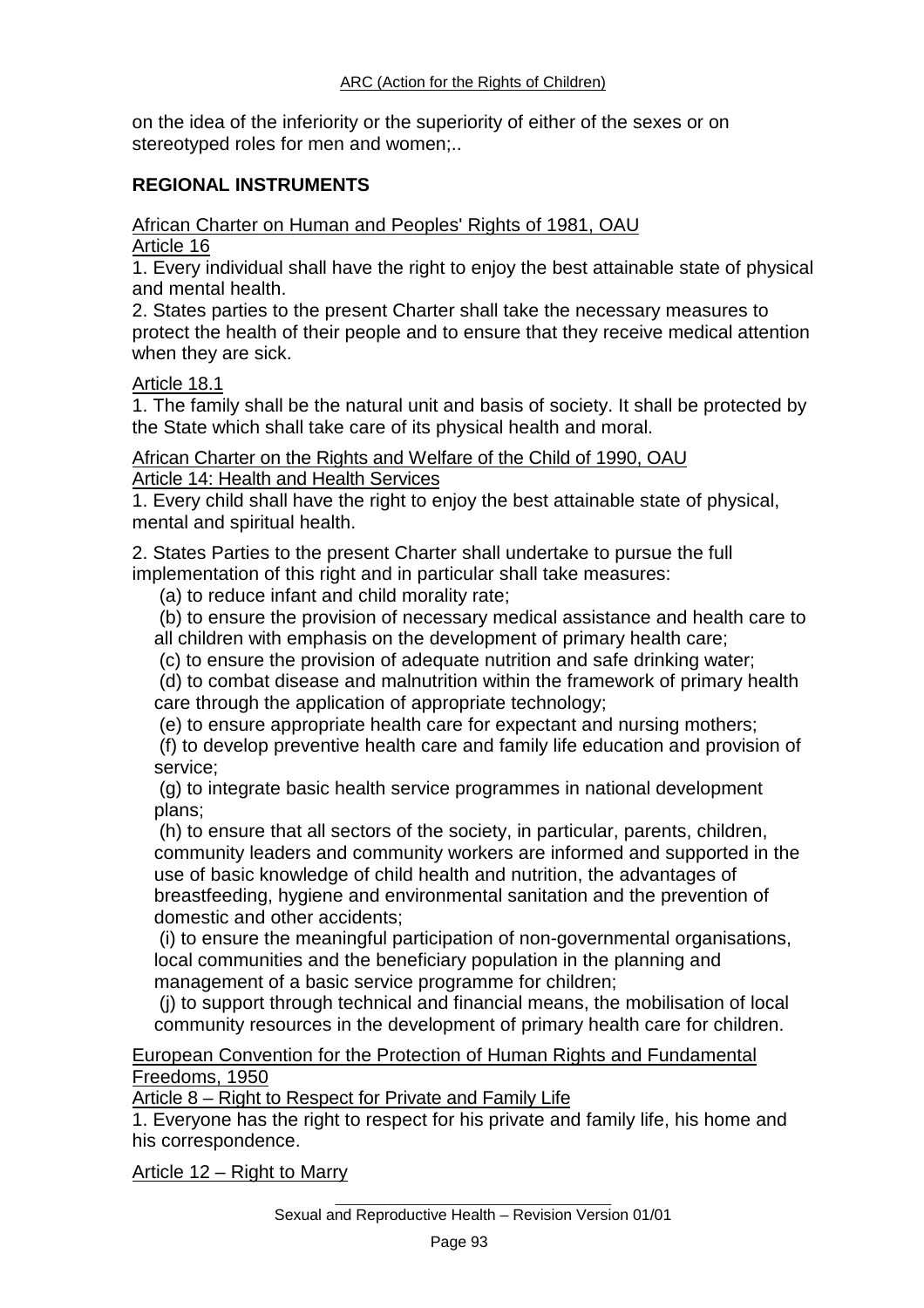#### ARC (Action for the Rights of Children)

on the idea of the inferiority or the superiority of either of the sexes or on stereotyped roles for men and women;..

#### **REGIONAL INSTRUMENTS**

African Charter on Human and Peoples' Rights of 1981, OAU

#### Article 16

1. Every individual shall have the right to enjoy the best attainable state of physical and mental health.

2. States parties to the present Charter shall take the necessary measures to protect the health of their people and to ensure that they receive medical attention when they are sick.

#### Article 18.1

1. The family shall be the natural unit and basis of society. It shall be protected by the State which shall take care of its physical health and moral.

African Charter on the Rights and Welfare of the Child of 1990, OAU Article 14: Health and Health Services

1. Every child shall have the right to enjoy the best attainable state of physical, mental and spiritual health.

2. States Parties to the present Charter shall undertake to pursue the full implementation of this right and in particular shall take measures:

(a) to reduce infant and child morality rate;

 (b) to ensure the provision of necessary medical assistance and health care to all children with emphasis on the development of primary health care;

(c) to ensure the provision of adequate nutrition and safe drinking water;

 (d) to combat disease and malnutrition within the framework of primary health care through the application of appropriate technology;

(e) to ensure appropriate health care for expectant and nursing mothers;

 (f) to develop preventive health care and family life education and provision of service;

 (g) to integrate basic health service programmes in national development plans;

 (h) to ensure that all sectors of the society, in particular, parents, children, community leaders and community workers are informed and supported in the use of basic knowledge of child health and nutrition, the advantages of breastfeeding, hygiene and environmental sanitation and the prevention of domestic and other accidents;

 (i) to ensure the meaningful participation of non-governmental organisations, local communities and the beneficiary population in the planning and management of a basic service programme for children;

 (j) to support through technical and financial means, the mobilisation of local community resources in the development of primary health care for children.

European Convention for the Protection of Human Rights and Fundamental Freedoms, 1950

Article 8 – Right to Respect for Private and Family Life

1. Everyone has the right to respect for his private and family life, his home and his correspondence.

Article 12 – Right to Marry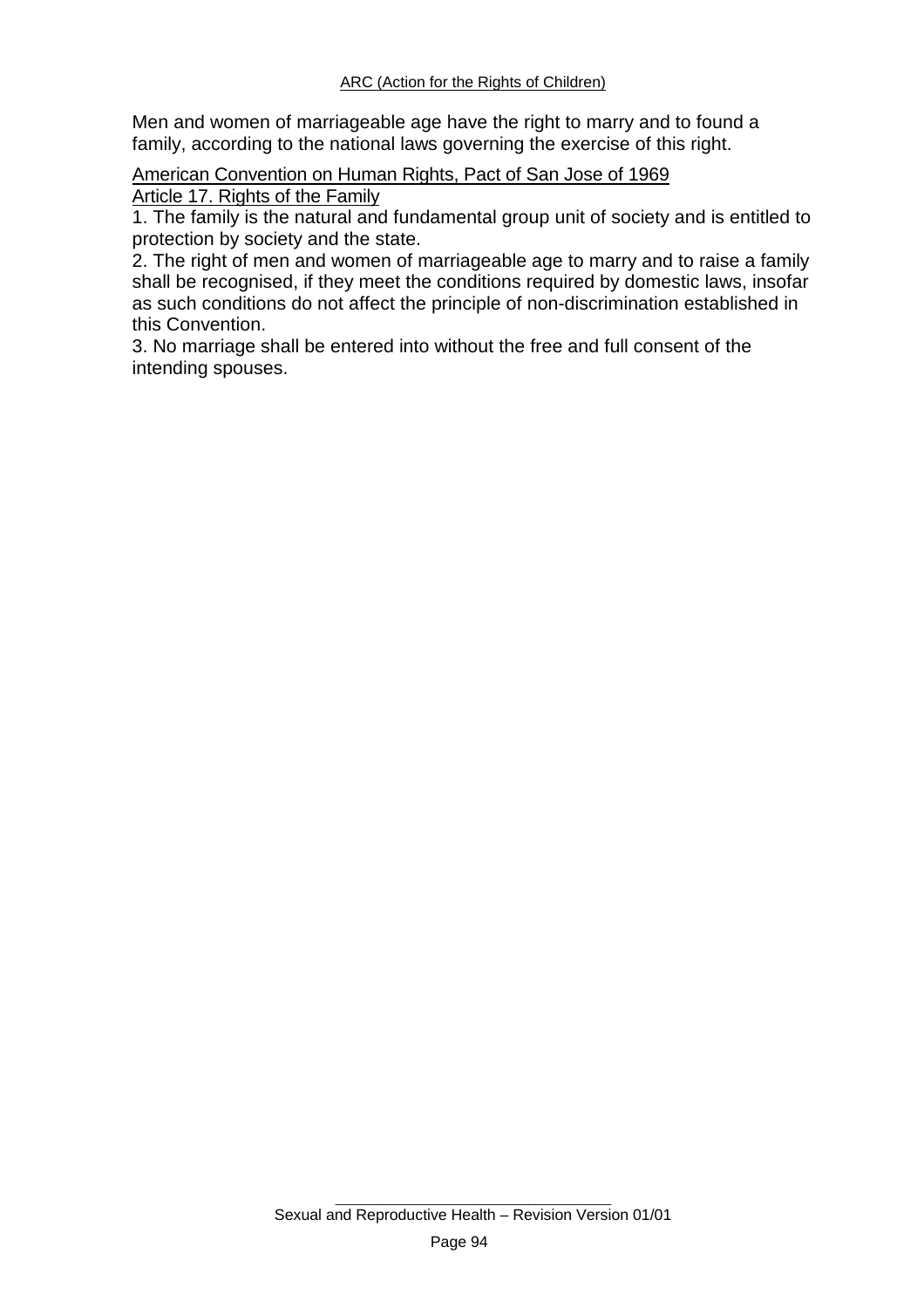Men and women of marriageable age have the right to marry and to found a family, according to the national laws governing the exercise of this right.

American Convention on Human Rights, Pact of San Jose of 1969

Article 17. Rights of the Family

1. The family is the natural and fundamental group unit of society and is entitled to protection by society and the state.

2. The right of men and women of marriageable age to marry and to raise a family shall be recognised, if they meet the conditions required by domestic laws, insofar as such conditions do not affect the principle of non-discrimination established in this Convention.

3. No marriage shall be entered into without the free and full consent of the intending spouses.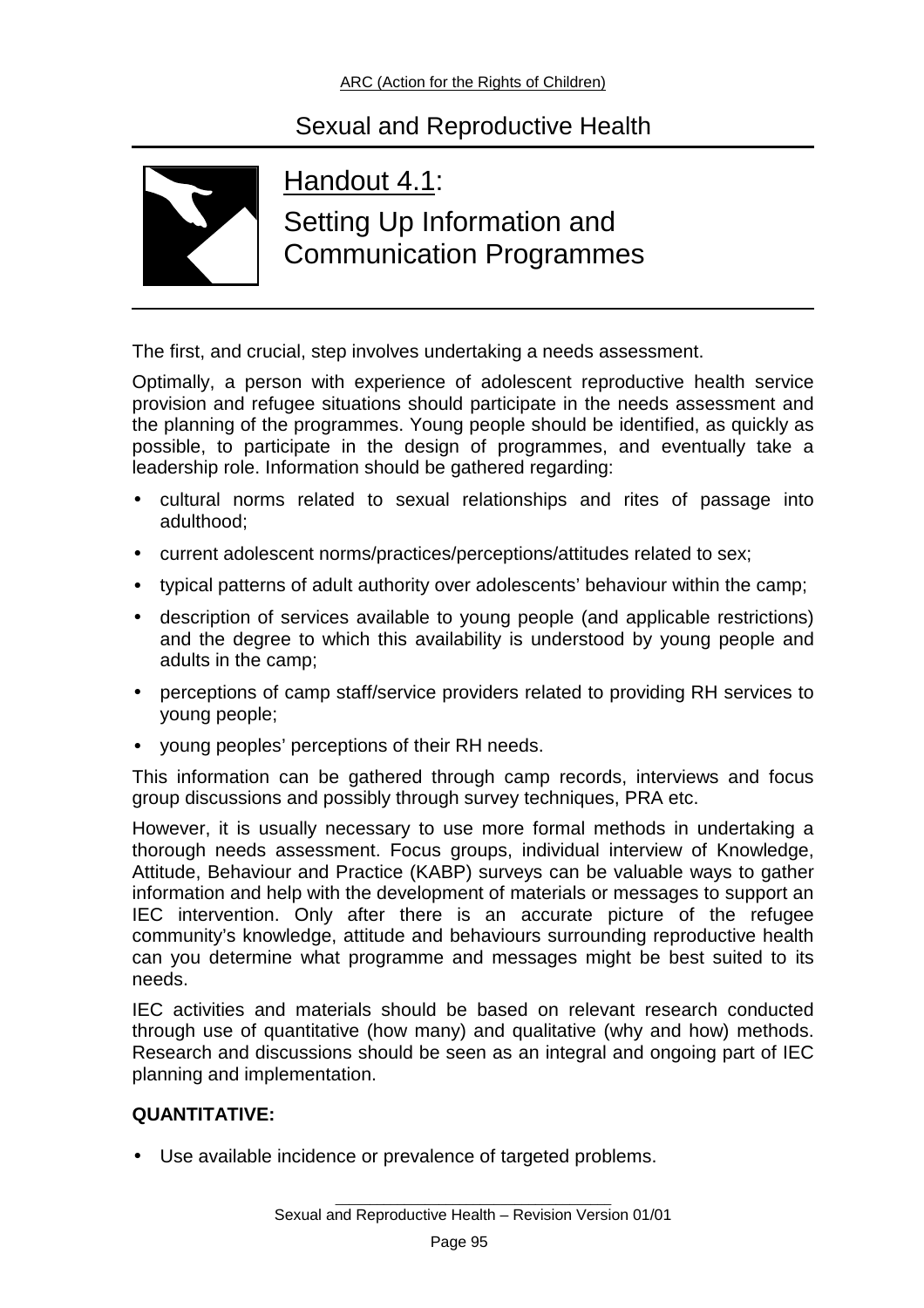<span id="page-94-0"></span>

Handout 4.1:

Setting Up Information and Communication Programmes

The first, and crucial, step involves undertaking a needs assessment.

Optimally, a person with experience of adolescent reproductive health service provision and refugee situations should participate in the needs assessment and the planning of the programmes. Young people should be identified, as quickly as possible, to participate in the design of programmes, and eventually take a leadership role. Information should be gathered regarding:

- cultural norms related to sexual relationships and rites of passage into adulthood;
- current adolescent norms/practices/perceptions/attitudes related to sex;
- typical patterns of adult authority over adolescents' behaviour within the camp;
- description of services available to young people (and applicable restrictions) and the degree to which this availability is understood by young people and adults in the camp;
- perceptions of camp staff/service providers related to providing RH services to young people;
- young peoples' perceptions of their RH needs.

This information can be gathered through camp records, interviews and focus group discussions and possibly through survey techniques, PRA etc.

However, it is usually necessary to use more formal methods in undertaking a thorough needs assessment. Focus groups, individual interview of Knowledge, Attitude, Behaviour and Practice (KABP) surveys can be valuable ways to gather information and help with the development of materials or messages to support an IEC intervention. Only after there is an accurate picture of the refugee community's knowledge, attitude and behaviours surrounding reproductive health can you determine what programme and messages might be best suited to its needs.

IEC activities and materials should be based on relevant research conducted through use of quantitative (how many) and qualitative (why and how) methods. Research and discussions should be seen as an integral and ongoing part of IEC planning and implementation.

#### **QUANTITATIVE:**

• Use available incidence or prevalence of targeted problems.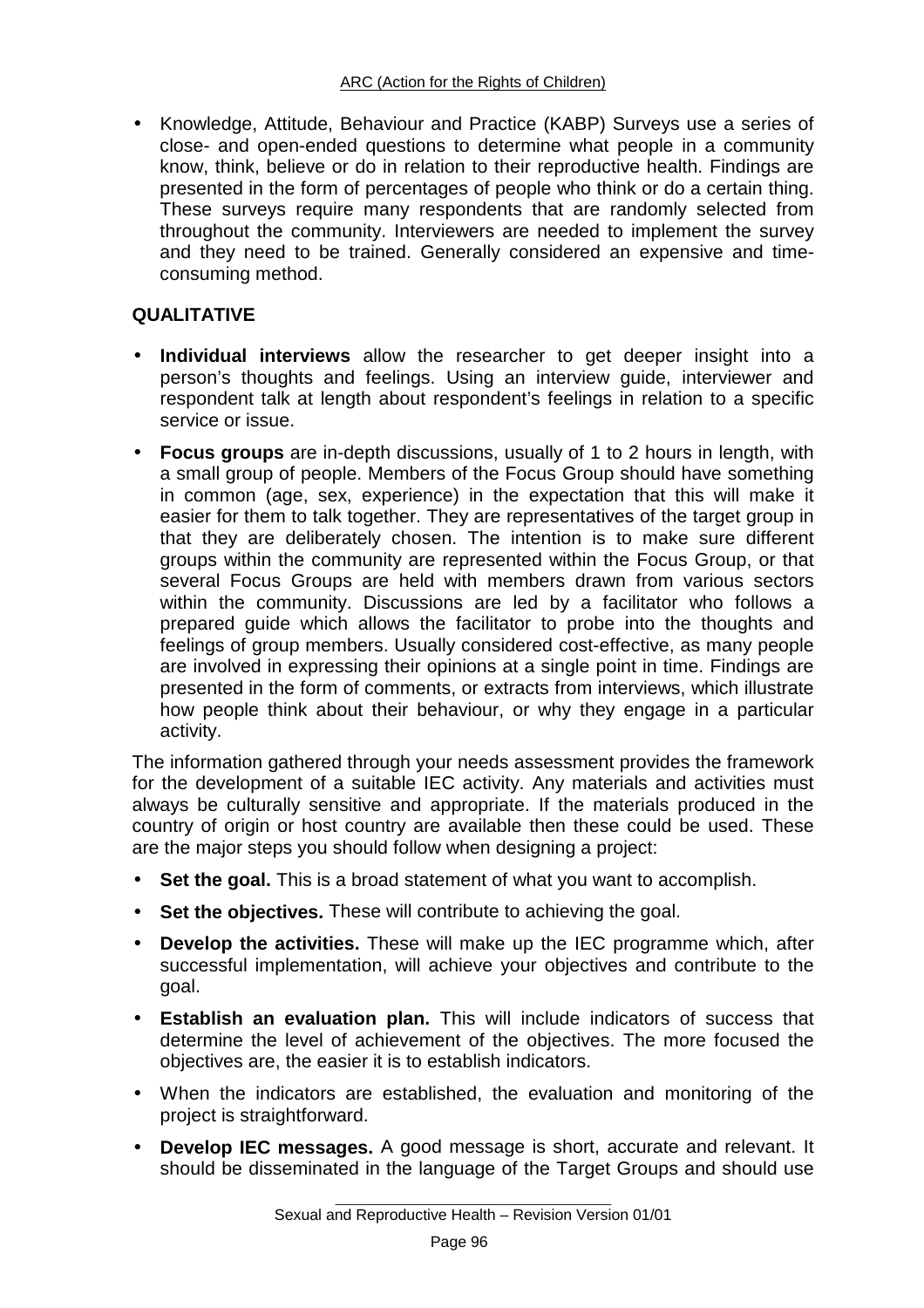• Knowledge, Attitude, Behaviour and Practice (KABP) Surveys use a series of close- and open-ended questions to determine what people in a community know, think, believe or do in relation to their reproductive health. Findings are presented in the form of percentages of people who think or do a certain thing. These surveys require many respondents that are randomly selected from throughout the community. Interviewers are needed to implement the survey and they need to be trained. Generally considered an expensive and timeconsuming method.

### **QUALITATIVE**

- **Individual interviews** allow the researcher to get deeper insight into a person's thoughts and feelings. Using an interview guide, interviewer and respondent talk at length about respondent's feelings in relation to a specific service or issue.
- **Focus groups** are in-depth discussions, usually of 1 to 2 hours in length, with a small group of people. Members of the Focus Group should have something in common (age, sex, experience) in the expectation that this will make it easier for them to talk together. They are representatives of the target group in that they are deliberately chosen. The intention is to make sure different groups within the community are represented within the Focus Group, or that several Focus Groups are held with members drawn from various sectors within the community. Discussions are led by a facilitator who follows a prepared guide which allows the facilitator to probe into the thoughts and feelings of group members. Usually considered cost-effective, as many people are involved in expressing their opinions at a single point in time. Findings are presented in the form of comments, or extracts from interviews, which illustrate how people think about their behaviour, or why they engage in a particular activity.

The information gathered through your needs assessment provides the framework for the development of a suitable IEC activity. Any materials and activities must always be culturally sensitive and appropriate. If the materials produced in the country of origin or host country are available then these could be used. These are the major steps you should follow when designing a project:

- **Set the goal.** This is a broad statement of what you want to accomplish.
- **Set the objectives.** These will contribute to achieving the goal.
- **Develop the activities.** These will make up the IEC programme which, after successful implementation, will achieve your objectives and contribute to the goal.
- **Establish an evaluation plan.** This will include indicators of success that determine the level of achievement of the objectives. The more focused the objectives are, the easier it is to establish indicators.
- When the indicators are established, the evaluation and monitoring of the project is straightforward.
- **Develop IEC messages.** A good message is short, accurate and relevant. It should be disseminated in the language of the Target Groups and should use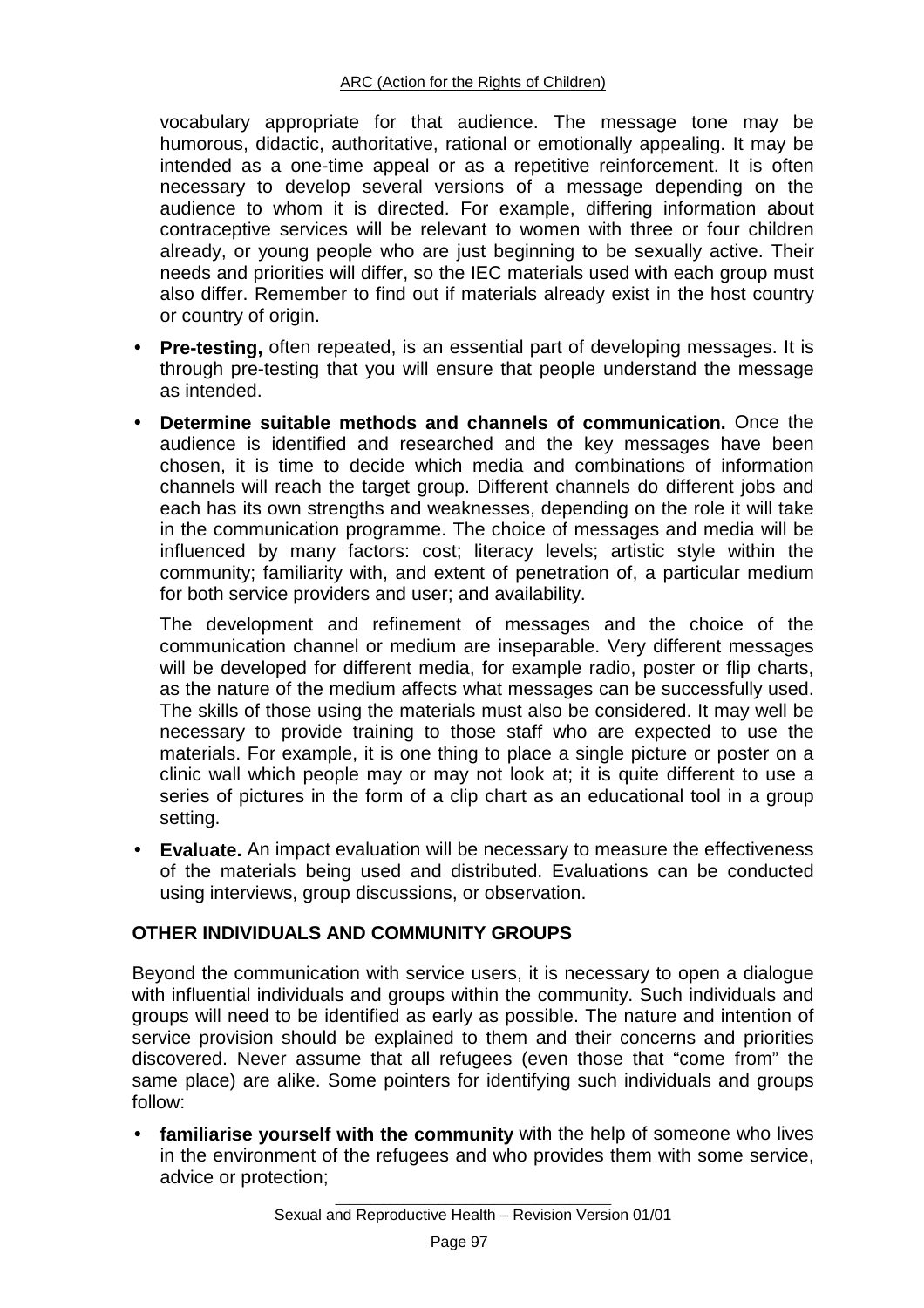vocabulary appropriate for that audience. The message tone may be humorous, didactic, authoritative, rational or emotionally appealing. It may be intended as a one-time appeal or as a repetitive reinforcement. It is often necessary to develop several versions of a message depending on the audience to whom it is directed. For example, differing information about contraceptive services will be relevant to women with three or four children already, or young people who are just beginning to be sexually active. Their needs and priorities will differ, so the IEC materials used with each group must also differ. Remember to find out if materials already exist in the host country or country of origin.

- **Pre-testing,** often repeated, is an essential part of developing messages. It is through pre-testing that you will ensure that people understand the message as intended.
- **Determine suitable methods and channels of communication.** Once the audience is identified and researched and the key messages have been chosen, it is time to decide which media and combinations of information channels will reach the target group. Different channels do different jobs and each has its own strengths and weaknesses, depending on the role it will take in the communication programme. The choice of messages and media will be influenced by many factors: cost; literacy levels; artistic style within the community; familiarity with, and extent of penetration of, a particular medium for both service providers and user; and availability.

The development and refinement of messages and the choice of the communication channel or medium are inseparable. Very different messages will be developed for different media, for example radio, poster or flip charts, as the nature of the medium affects what messages can be successfully used. The skills of those using the materials must also be considered. It may well be necessary to provide training to those staff who are expected to use the materials. For example, it is one thing to place a single picture or poster on a clinic wall which people may or may not look at; it is quite different to use a series of pictures in the form of a clip chart as an educational tool in a group setting.

• **Evaluate.** An impact evaluation will be necessary to measure the effectiveness of the materials being used and distributed. Evaluations can be conducted using interviews, group discussions, or observation.

#### **OTHER INDIVIDUALS AND COMMUNITY GROUPS**

Beyond the communication with service users, it is necessary to open a dialogue with influential individuals and groups within the community. Such individuals and groups will need to be identified as early as possible. The nature and intention of service provision should be explained to them and their concerns and priorities discovered. Never assume that all refugees (even those that "come from" the same place) are alike. Some pointers for identifying such individuals and groups follow:

• **familiarise yourself with the community** with the help of someone who lives in the environment of the refugees and who provides them with some service, advice or protection;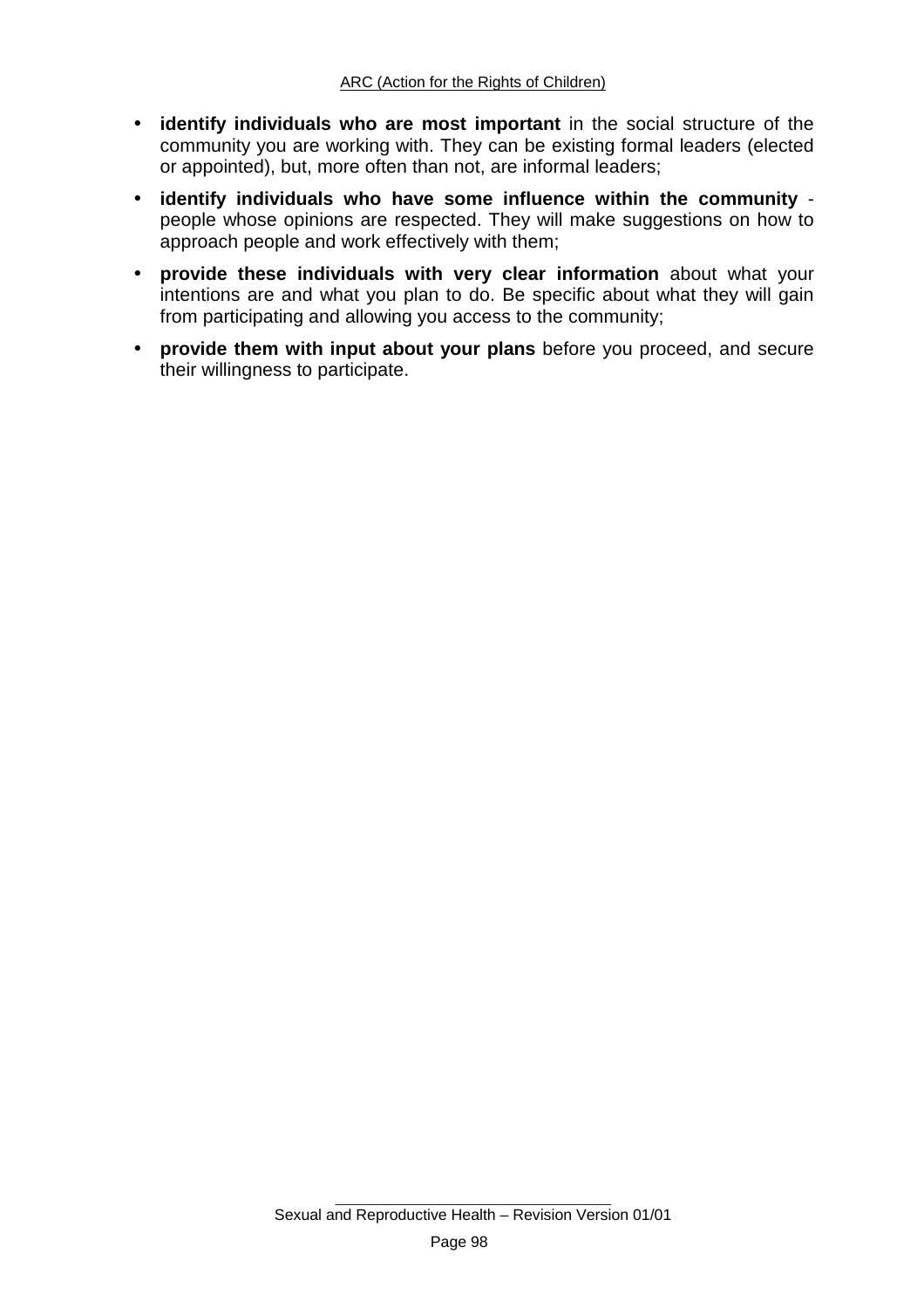- **identify individuals who are most important** in the social structure of the community you are working with. They can be existing formal leaders (elected or appointed), but, more often than not, are informal leaders;
- **identify individuals who have some influence within the community** people whose opinions are respected. They will make suggestions on how to approach people and work effectively with them;
- **provide these individuals with very clear information** about what your intentions are and what you plan to do. Be specific about what they will gain from participating and allowing you access to the community;
- **provide them with input about your plans** before you proceed, and secure their willingness to participate.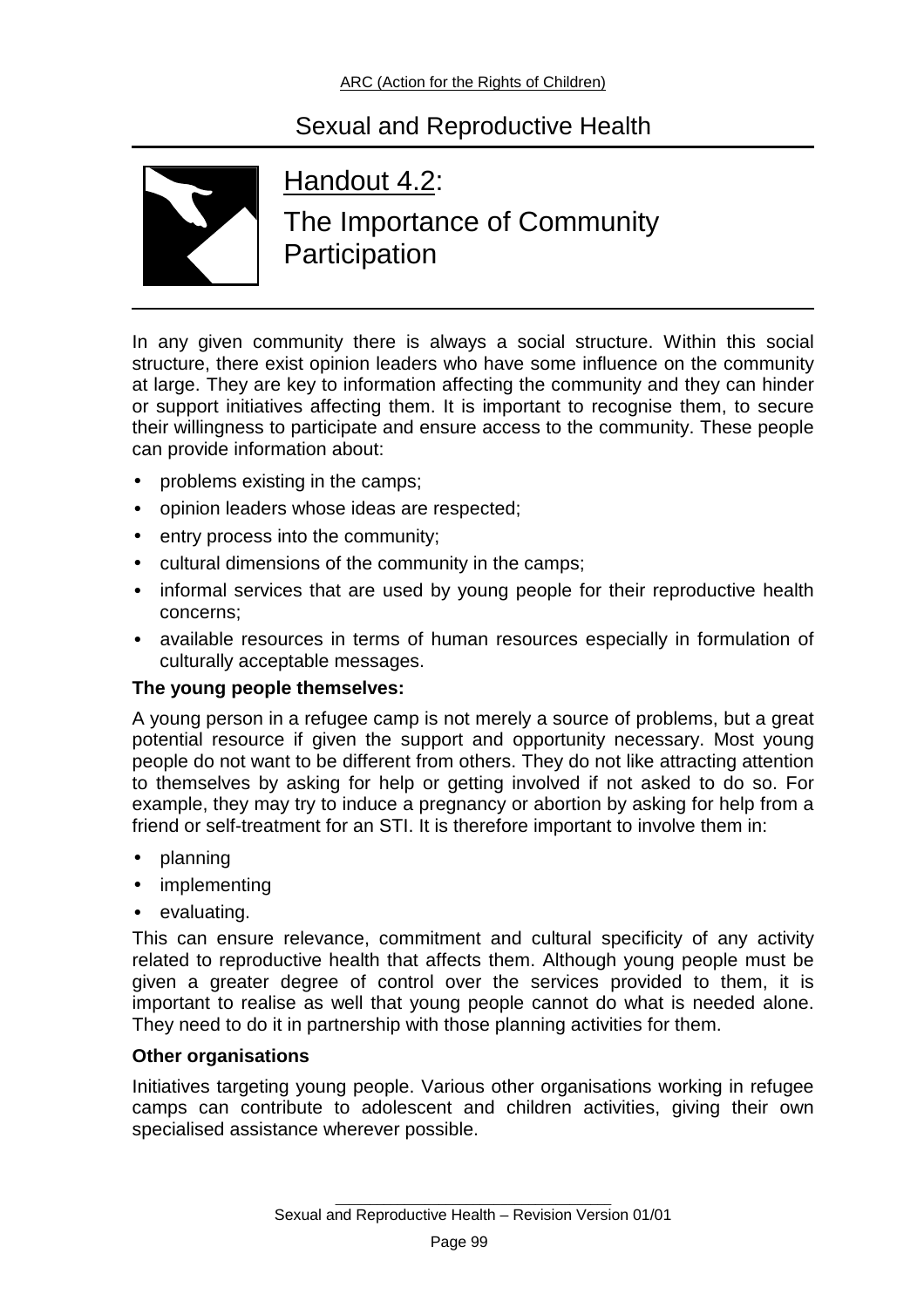<span id="page-98-0"></span>

### Handout 4.2:

The Importance of Community **Participation** 

In any given community there is always a social structure. Within this social structure, there exist opinion leaders who have some influence on the community at large. They are key to information affecting the community and they can hinder or support initiatives affecting them. It is important to recognise them, to secure their willingness to participate and ensure access to the community. These people can provide information about:

- problems existing in the camps;
- opinion leaders whose ideas are respected;
- entry process into the community;
- cultural dimensions of the community in the camps;
- informal services that are used by young people for their reproductive health concerns;
- available resources in terms of human resources especially in formulation of culturally acceptable messages.

#### **The young people themselves:**

A young person in a refugee camp is not merely a source of problems, but a great potential resource if given the support and opportunity necessary. Most young people do not want to be different from others. They do not like attracting attention to themselves by asking for help or getting involved if not asked to do so. For example, they may try to induce a pregnancy or abortion by asking for help from a friend or self-treatment for an STI. It is therefore important to involve them in:

- planning
- implementing
- evaluating.

This can ensure relevance, commitment and cultural specificity of any activity related to reproductive health that affects them. Although young people must be given a greater degree of control over the services provided to them, it is important to realise as well that young people cannot do what is needed alone. They need to do it in partnership with those planning activities for them.

#### **Other organisations**

Initiatives targeting young people. Various other organisations working in refugee camps can contribute to adolescent and children activities, giving their own specialised assistance wherever possible.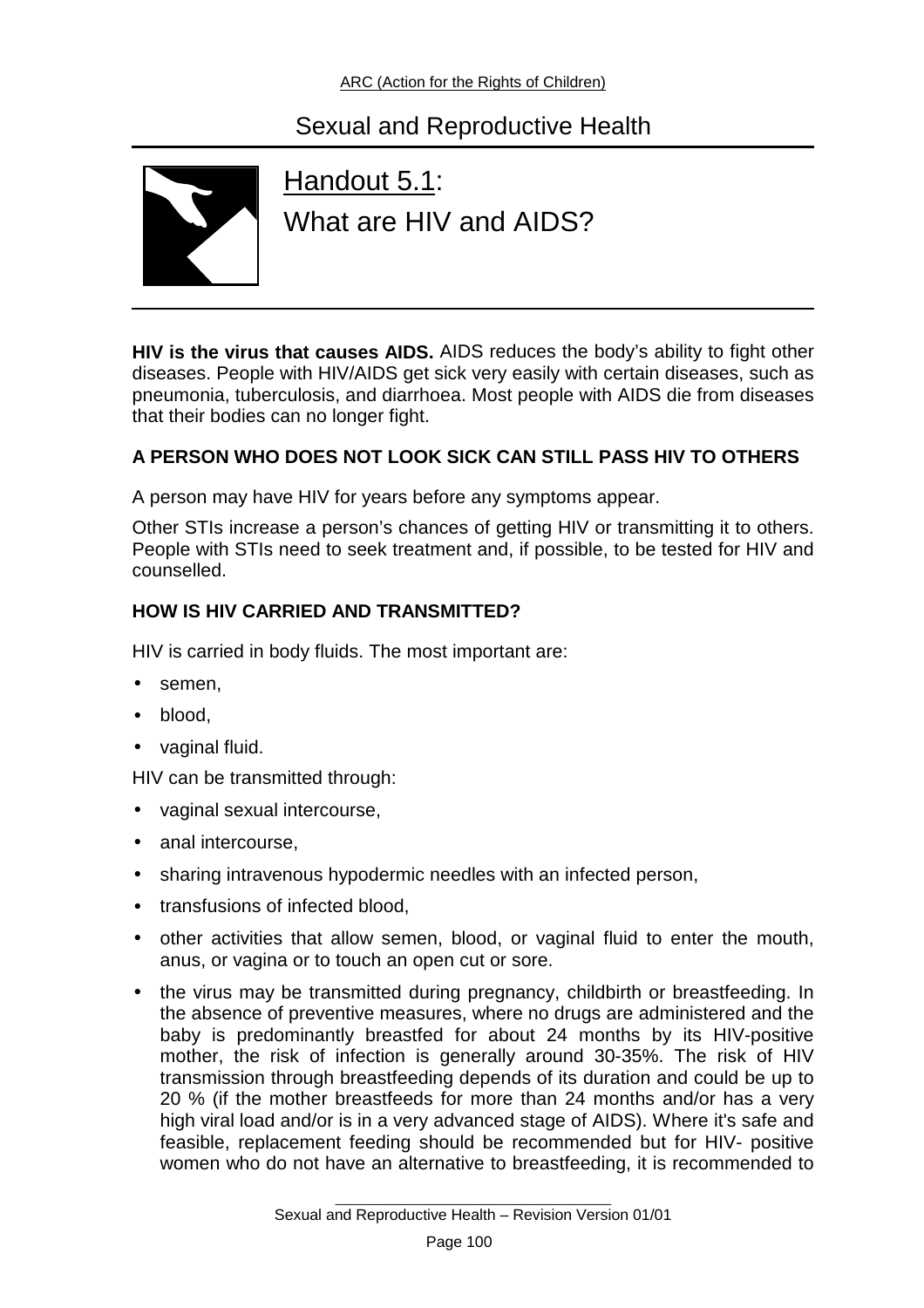<span id="page-99-0"></span>

Handout 5.1: What are HIV and AIDS?

**HIV is the virus that causes AIDS.** AIDS reduces the body's ability to fight other diseases. People with HIV/AIDS get sick very easily with certain diseases, such as pneumonia, tuberculosis, and diarrhoea. Most people with AIDS die from diseases that their bodies can no longer fight.

#### **A PERSON WHO DOES NOT LOOK SICK CAN STILL PASS HIV TO OTHERS**

A person may have HIV for years before any symptoms appear.

Other STIs increase a person's chances of getting HIV or transmitting it to others. People with STIs need to seek treatment and, if possible, to be tested for HIV and counselled.

#### **HOW IS HIV CARRIED AND TRANSMITTED?**

HIV is carried in body fluids. The most important are:

- semen,
- blood,
- vaginal fluid.

HIV can be transmitted through:

- vaginal sexual intercourse,
- anal intercourse.
- sharing intravenous hypodermic needles with an infected person,
- transfusions of infected blood.
- other activities that allow semen, blood, or vaginal fluid to enter the mouth, anus, or vagina or to touch an open cut or sore.
- the virus may be transmitted during pregnancy, childbirth or breastfeeding. In the absence of preventive measures, where no drugs are administered and the baby is predominantly breastfed for about 24 months by its HIV-positive mother, the risk of infection is generally around 30-35%. The risk of HIV transmission through breastfeeding depends of its duration and could be up to 20 % (if the mother breastfeeds for more than 24 months and/or has a very high viral load and/or is in a very advanced stage of AIDS). Where it's safe and feasible, replacement feeding should be recommended but for HIV- positive women who do not have an alternative to breastfeeding, it is recommended to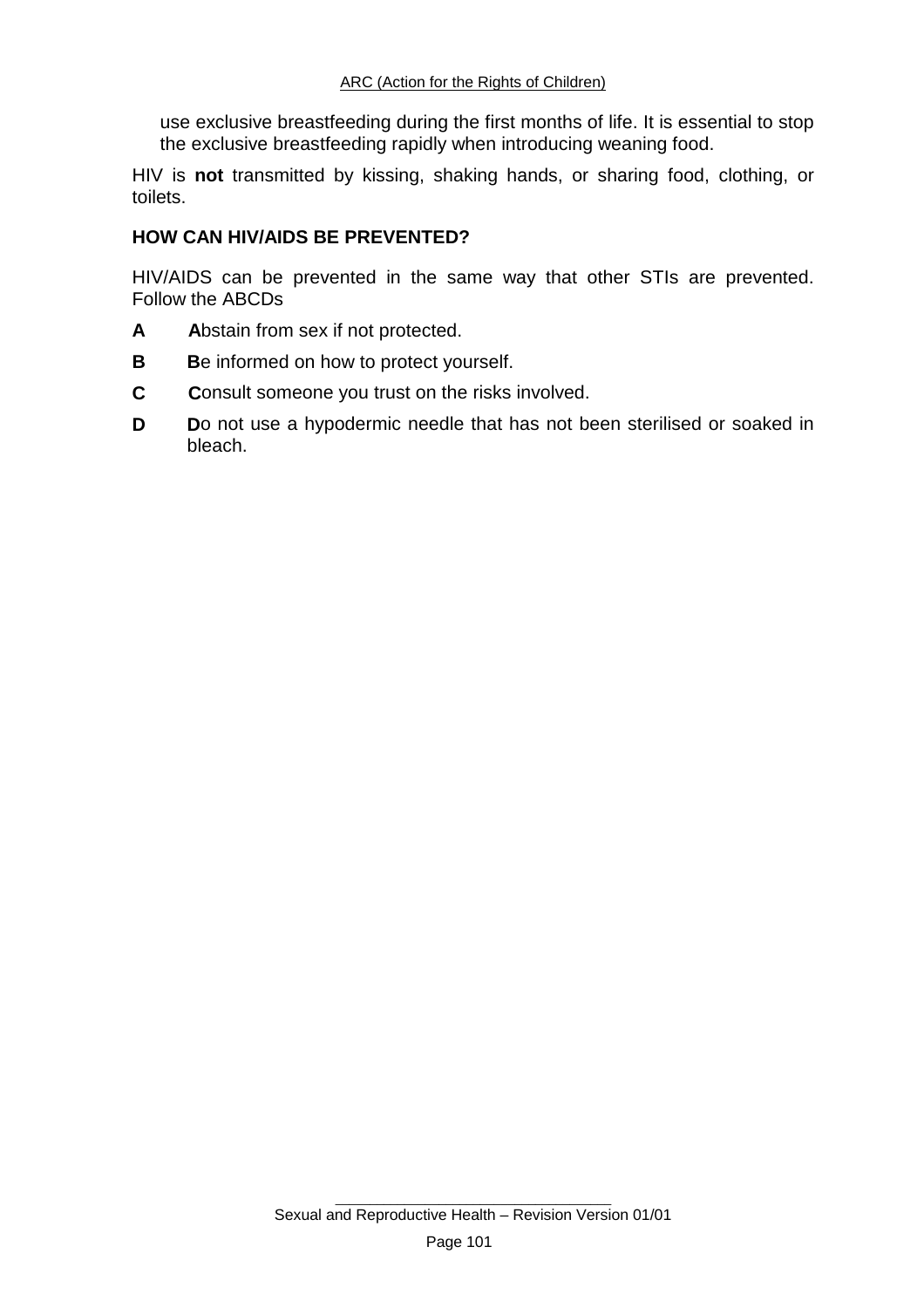use exclusive breastfeeding during the first months of life. It is essential to stop the exclusive breastfeeding rapidly when introducing weaning food.

HIV is **not** transmitted by kissing, shaking hands, or sharing food, clothing, or toilets.

#### **HOW CAN HIV/AIDS BE PREVENTED?**

HIV/AIDS can be prevented in the same way that other STIs are prevented. Follow the ABCDs

- **A A**bstain from sex if not protected.
- **B** Be informed on how to protect yourself.
- **C** Consult someone you trust on the risks involved.
- **D** Do not use a hypodermic needle that has not been sterilised or soaked in bleach.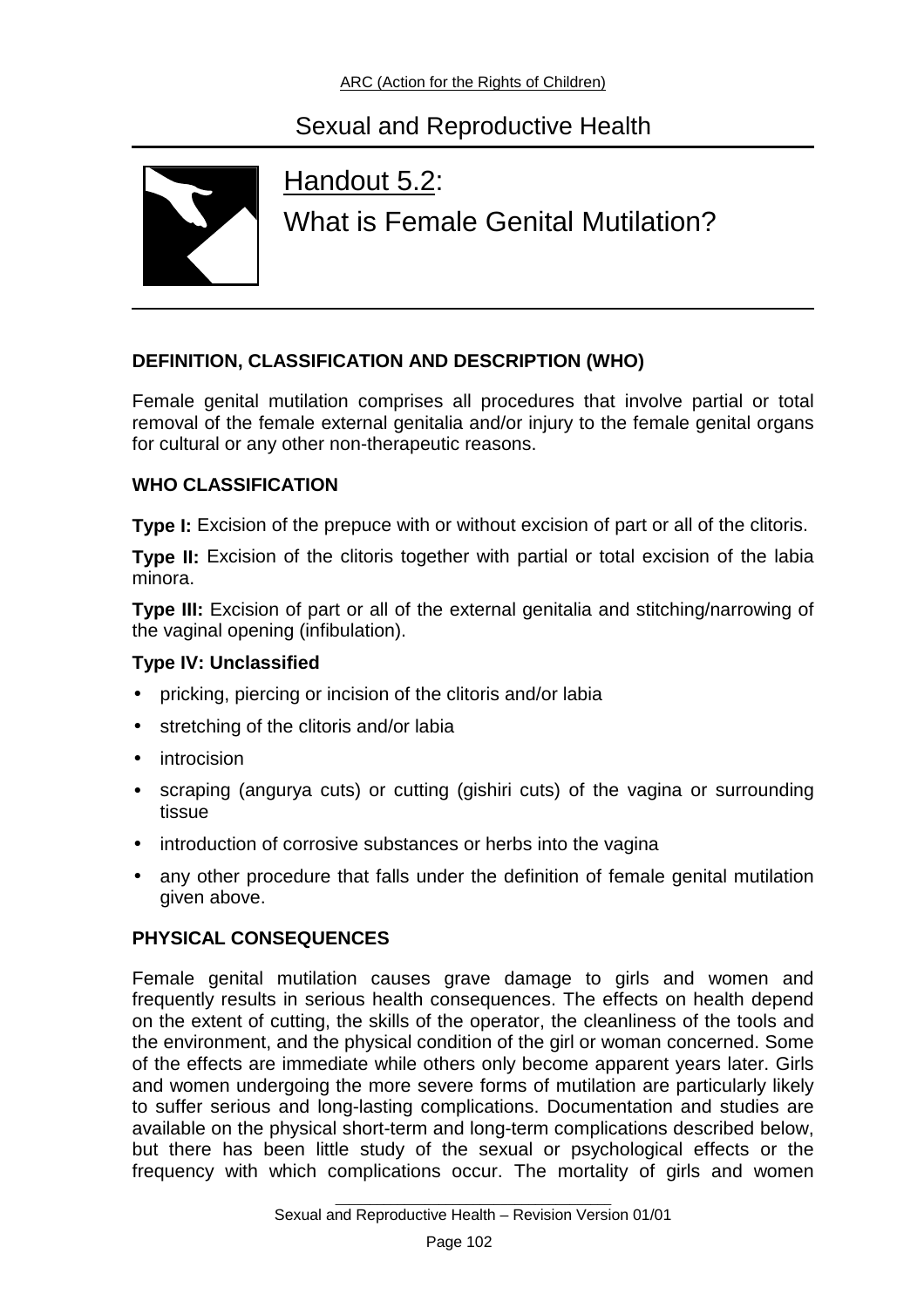<span id="page-101-0"></span>

# Handout 5.2: What is Female Genital Mutilation?

#### **DEFINITION, CLASSIFICATION AND DESCRIPTION (WHO)**

Female genital mutilation comprises all procedures that involve partial or total removal of the female external genitalia and/or injury to the female genital organs for cultural or any other non-therapeutic reasons.

#### **WHO CLASSIFICATION**

**Type I:** Excision of the prepuce with or without excision of part or all of the clitoris.

**Type II:** Excision of the clitoris together with partial or total excision of the labia minora.

**Type III:** Excision of part or all of the external genitalia and stitching/narrowing of the vaginal opening (infibulation).

#### **Type IV: Unclassified**

- pricking, piercing or incision of the clitoris and/or labia
- stretching of the clitoris and/or labia
- *introcision*
- scraping (angurya cuts) or cutting (gishiri cuts) of the vagina or surrounding tissue
- introduction of corrosive substances or herbs into the vagina
- any other procedure that falls under the definition of female genital mutilation given above.

#### **PHYSICAL CONSEQUENCES**

Female genital mutilation causes grave damage to girls and women and frequently results in serious health consequences. The effects on health depend on the extent of cutting, the skills of the operator, the cleanliness of the tools and the environment, and the physical condition of the girl or woman concerned. Some of the effects are immediate while others only become apparent years later. Girls and women undergoing the more severe forms of mutilation are particularly likely to suffer serious and long-lasting complications. Documentation and studies are available on the physical short-term and long-term complications described below, but there has been little study of the sexual or psychological effects or the frequency with which complications occur. The mortality of girls and women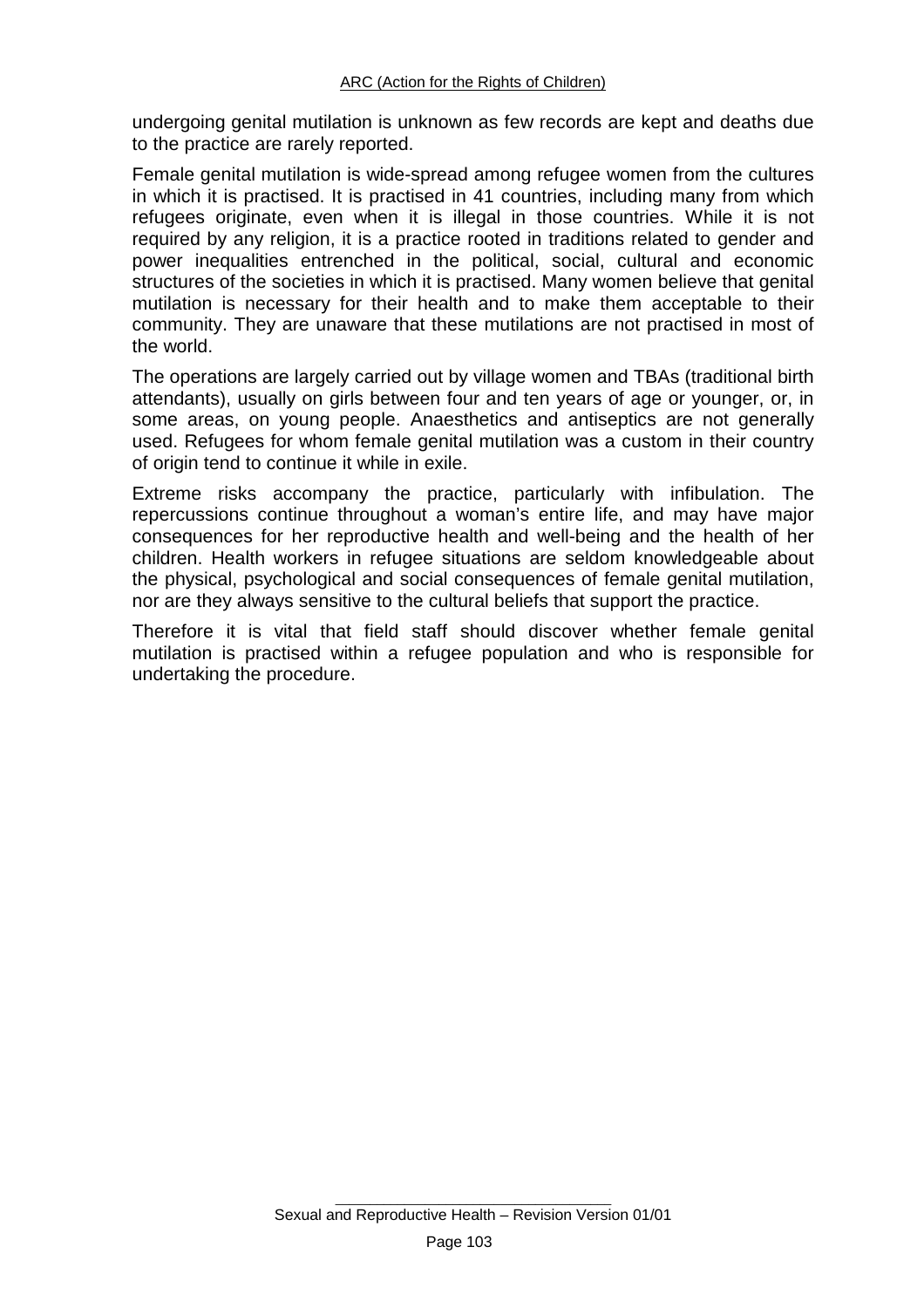undergoing genital mutilation is unknown as few records are kept and deaths due to the practice are rarely reported.

Female genital mutilation is wide-spread among refugee women from the cultures in which it is practised. It is practised in 41 countries, including many from which refugees originate, even when it is illegal in those countries. While it is not required by any religion, it is a practice rooted in traditions related to gender and power inequalities entrenched in the political, social, cultural and economic structures of the societies in which it is practised. Many women believe that genital mutilation is necessary for their health and to make them acceptable to their community. They are unaware that these mutilations are not practised in most of the world.

The operations are largely carried out by village women and TBAs (traditional birth attendants), usually on girls between four and ten years of age or younger, or, in some areas, on young people. Anaesthetics and antiseptics are not generally used. Refugees for whom female genital mutilation was a custom in their country of origin tend to continue it while in exile.

Extreme risks accompany the practice, particularly with infibulation. The repercussions continue throughout a woman's entire life, and may have major consequences for her reproductive health and well-being and the health of her children. Health workers in refugee situations are seldom knowledgeable about the physical, psychological and social consequences of female genital mutilation, nor are they always sensitive to the cultural beliefs that support the practice.

Therefore it is vital that field staff should discover whether female genital mutilation is practised within a refugee population and who is responsible for undertaking the procedure.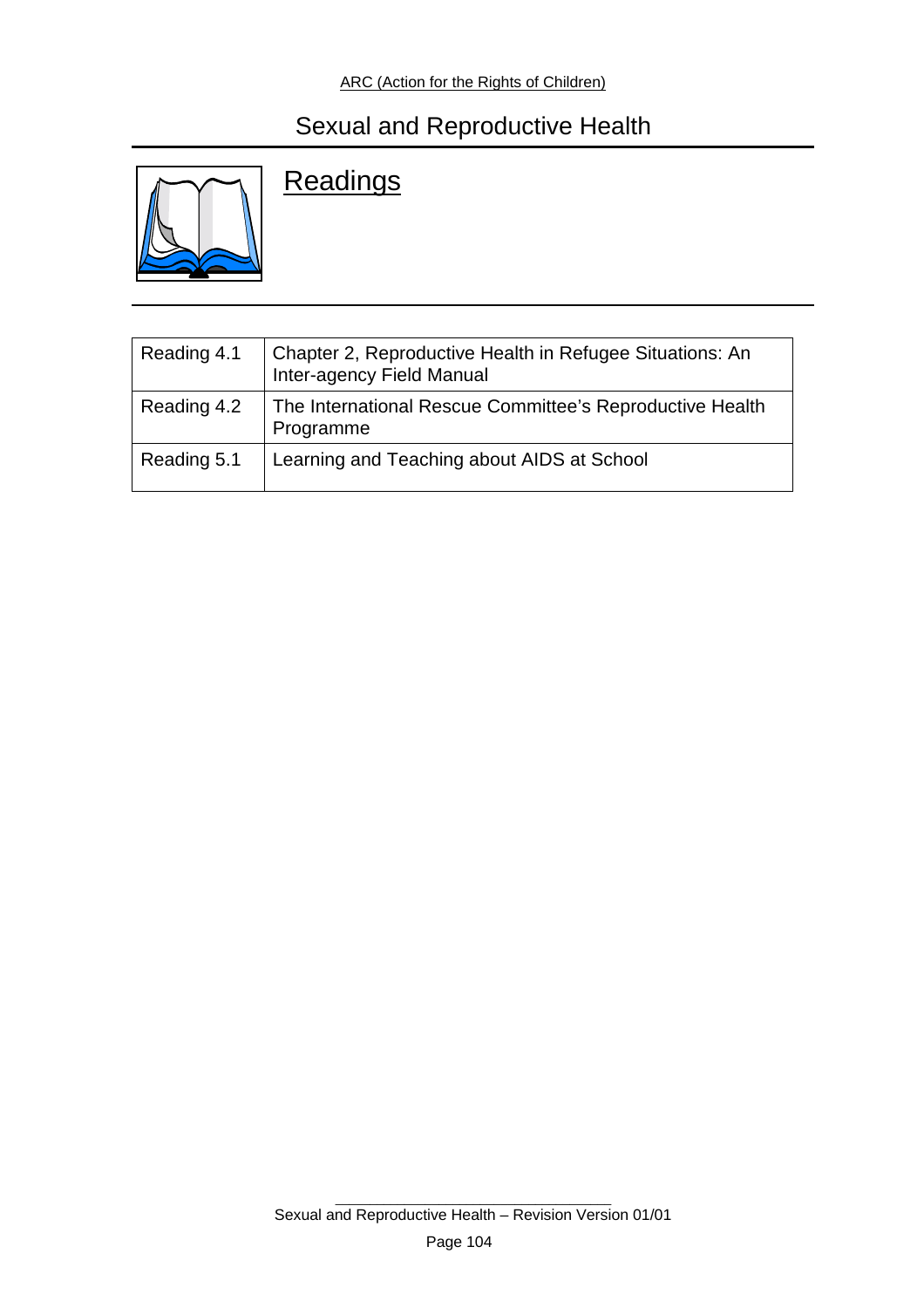

# **Readings**

| Reading 4.1 | Chapter 2, Reproductive Health in Refugee Situations: An<br><b>Inter-agency Field Manual</b> |
|-------------|----------------------------------------------------------------------------------------------|
| Reading 4.2 | The International Rescue Committee's Reproductive Health<br>Programme                        |
| Reading 5.1 | Learning and Teaching about AIDS at School                                                   |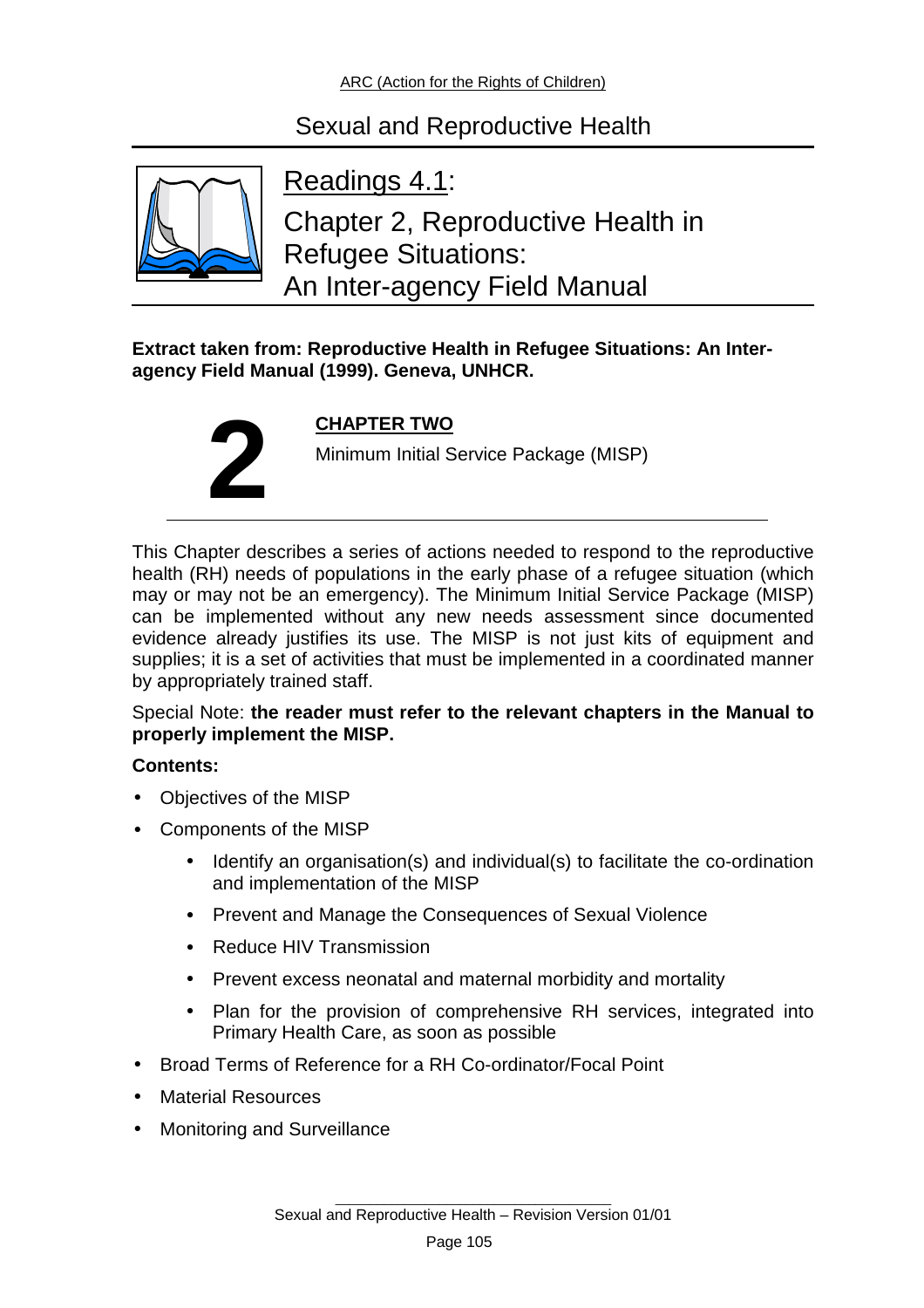

Readings 4.1:

Chapter 2, Reproductive Health in Refugee Situations: An Inter-agency Field Manual

**Extract taken from: Reproductive Health in Refugee Situations: An Interagency Field Manual (1999). Geneva, UNHCR.**



Minimum Initial Service Package (MISP)

This Chapter describes a series of actions needed to respond to the reproductive health (RH) needs of populations in the early phase of a refugee situation (which may or may not be an emergency). The Minimum Initial Service Package (MISP) can be implemented without any new needs assessment since documented evidence already justifies its use. The MISP is not just kits of equipment and supplies; it is a set of activities that must be implemented in a coordinated manner by appropriately trained staff.

#### Special Note: **the reader must refer to the relevant chapters in the Manual to properly implement the MISP.**

#### **Contents:**

- Objectives of the MISP
- Components of the MISP
	- Identify an organisation(s) and individual(s) to facilitate the co-ordination and implementation of the MISP
	- Prevent and Manage the Consequences of Sexual Violence
	- Reduce HIV Transmission
	- Prevent excess neonatal and maternal morbidity and mortality
	- Plan for the provision of comprehensive RH services, integrated into Primary Health Care, as soon as possible
- Broad Terms of Reference for a RH Co-ordinator/Focal Point
- Material Resources
- Monitoring and Surveillance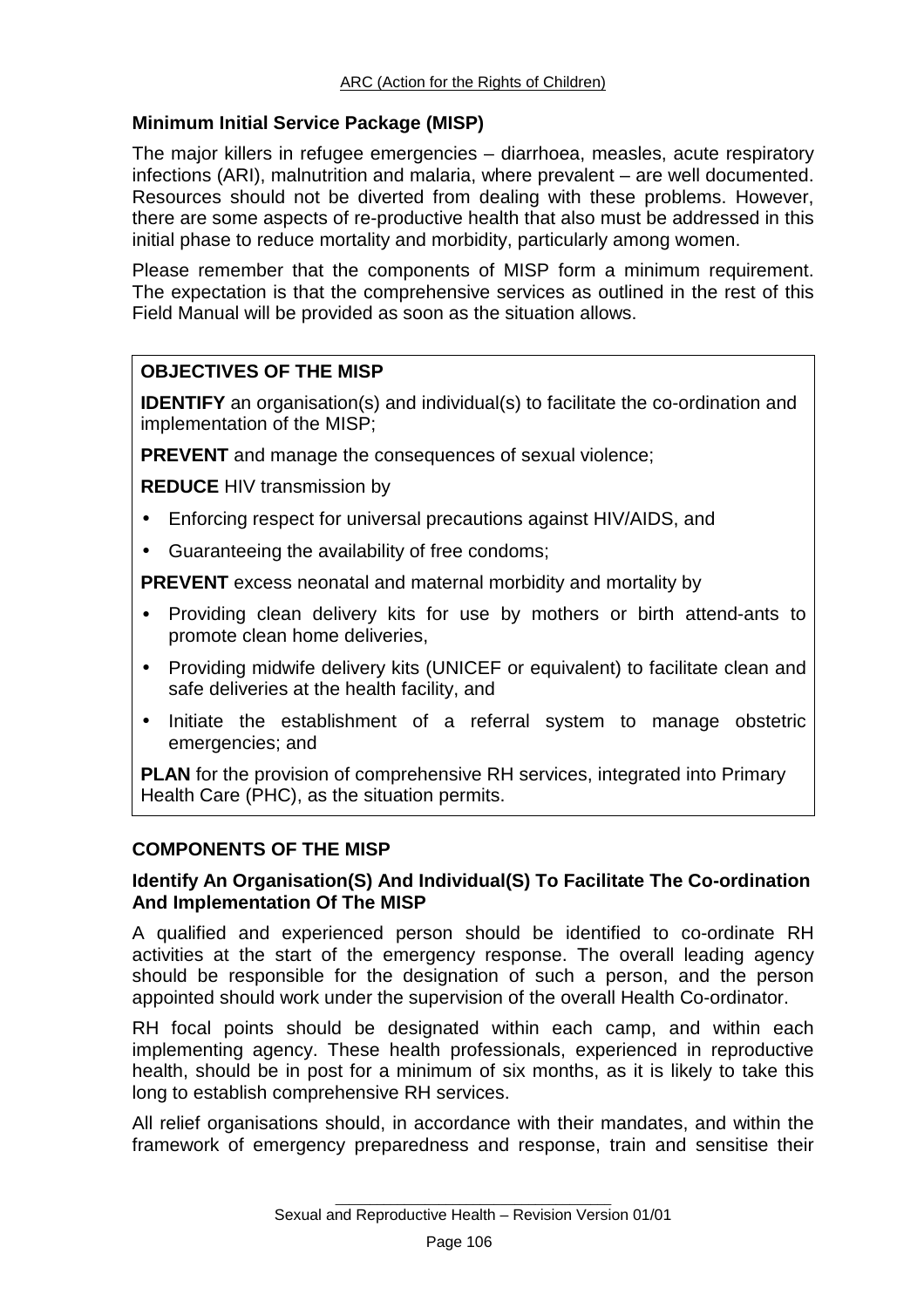#### **Minimum Initial Service Package (MISP)**

The major killers in refugee emergencies – diarrhoea, measles, acute respiratory infections (ARI), malnutrition and malaria, where prevalent – are well documented. Resources should not be diverted from dealing with these problems. However, there are some aspects of re-productive health that also must be addressed in this initial phase to reduce mortality and morbidity, particularly among women.

Please remember that the components of MISP form a minimum requirement. The expectation is that the comprehensive services as outlined in the rest of this Field Manual will be provided as soon as the situation allows.

#### **OBJECTIVES OF THE MISP**

**IDENTIFY** an organisation(s) and individual(s) to facilitate the co-ordination and implementation of the MISP;

**PREVENT** and manage the consequences of sexual violence;

**REDUCE** HIV transmission by

- Enforcing respect for universal precautions against HIV/AIDS, and
- Guaranteeing the availability of free condoms;

**PREVENT** excess neonatal and maternal morbidity and mortality by

- Providing clean delivery kits for use by mothers or birth attend-ants to promote clean home deliveries,
- Providing midwife delivery kits (UNICEF or equivalent) to facilitate clean and safe deliveries at the health facility, and
- Initiate the establishment of a referral system to manage obstetric emergencies; and

**PLAN** for the provision of comprehensive RH services, integrated into Primary Health Care (PHC), as the situation permits.

#### **COMPONENTS OF THE MISP**

#### **Identify An Organisation(S) And Individual(S) To Facilitate The Co-ordination And Implementation Of The MISP**

A qualified and experienced person should be identified to co-ordinate RH activities at the start of the emergency response. The overall leading agency should be responsible for the designation of such a person, and the person appointed should work under the supervision of the overall Health Co-ordinator.

RH focal points should be designated within each camp, and within each implementing agency. These health professionals, experienced in reproductive health, should be in post for a minimum of six months, as it is likely to take this long to establish comprehensive RH services.

All relief organisations should, in accordance with their mandates, and within the framework of emergency preparedness and response, train and sensitise their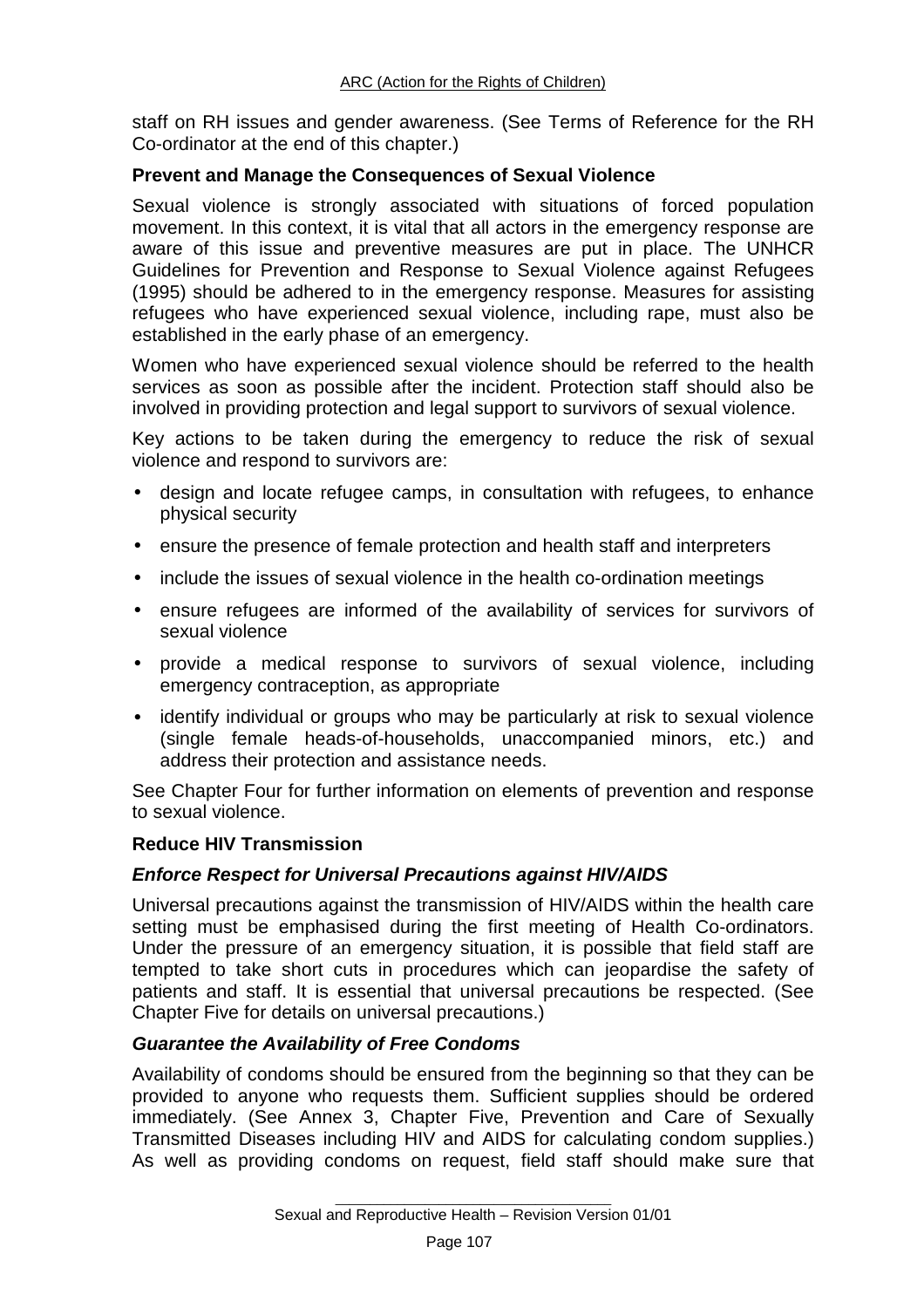staff on RH issues and gender awareness. (See Terms of Reference for the RH Co-ordinator at the end of this chapter.)

#### **Prevent and Manage the Consequences of Sexual Violence**

Sexual violence is strongly associated with situations of forced population movement. In this context, it is vital that all actors in the emergency response are aware of this issue and preventive measures are put in place. The UNHCR Guidelines for Prevention and Response to Sexual Violence against Refugees (1995) should be adhered to in the emergency response. Measures for assisting refugees who have experienced sexual violence, including rape, must also be established in the early phase of an emergency.

Women who have experienced sexual violence should be referred to the health services as soon as possible after the incident. Protection staff should also be involved in providing protection and legal support to survivors of sexual violence.

Key actions to be taken during the emergency to reduce the risk of sexual violence and respond to survivors are:

- design and locate refugee camps, in consultation with refugees, to enhance physical security
- ensure the presence of female protection and health staff and interpreters
- include the issues of sexual violence in the health co-ordination meetings
- ensure refugees are informed of the availability of services for survivors of sexual violence
- provide a medical response to survivors of sexual violence, including emergency contraception, as appropriate
- identify individual or groups who may be particularly at risk to sexual violence (single female heads-of-households, unaccompanied minors, etc.) and address their protection and assistance needs.

See Chapter Four for further information on elements of prevention and response to sexual violence.

#### **Reduce HIV Transmission**

#### *Enforce Respect for Universal Precautions against HIV/AIDS*

Universal precautions against the transmission of HIV/AIDS within the health care setting must be emphasised during the first meeting of Health Co-ordinators. Under the pressure of an emergency situation, it is possible that field staff are tempted to take short cuts in procedures which can jeopardise the safety of patients and staff. It is essential that universal precautions be respected. (See Chapter Five for details on universal precautions.)

#### *Guarantee the Availability of Free Condoms*

Availability of condoms should be ensured from the beginning so that they can be provided to anyone who requests them. Sufficient supplies should be ordered immediately. (See Annex 3, Chapter Five, Prevention and Care of Sexually Transmitted Diseases including HIV and AIDS for calculating condom supplies.) As well as providing condoms on request, field staff should make sure that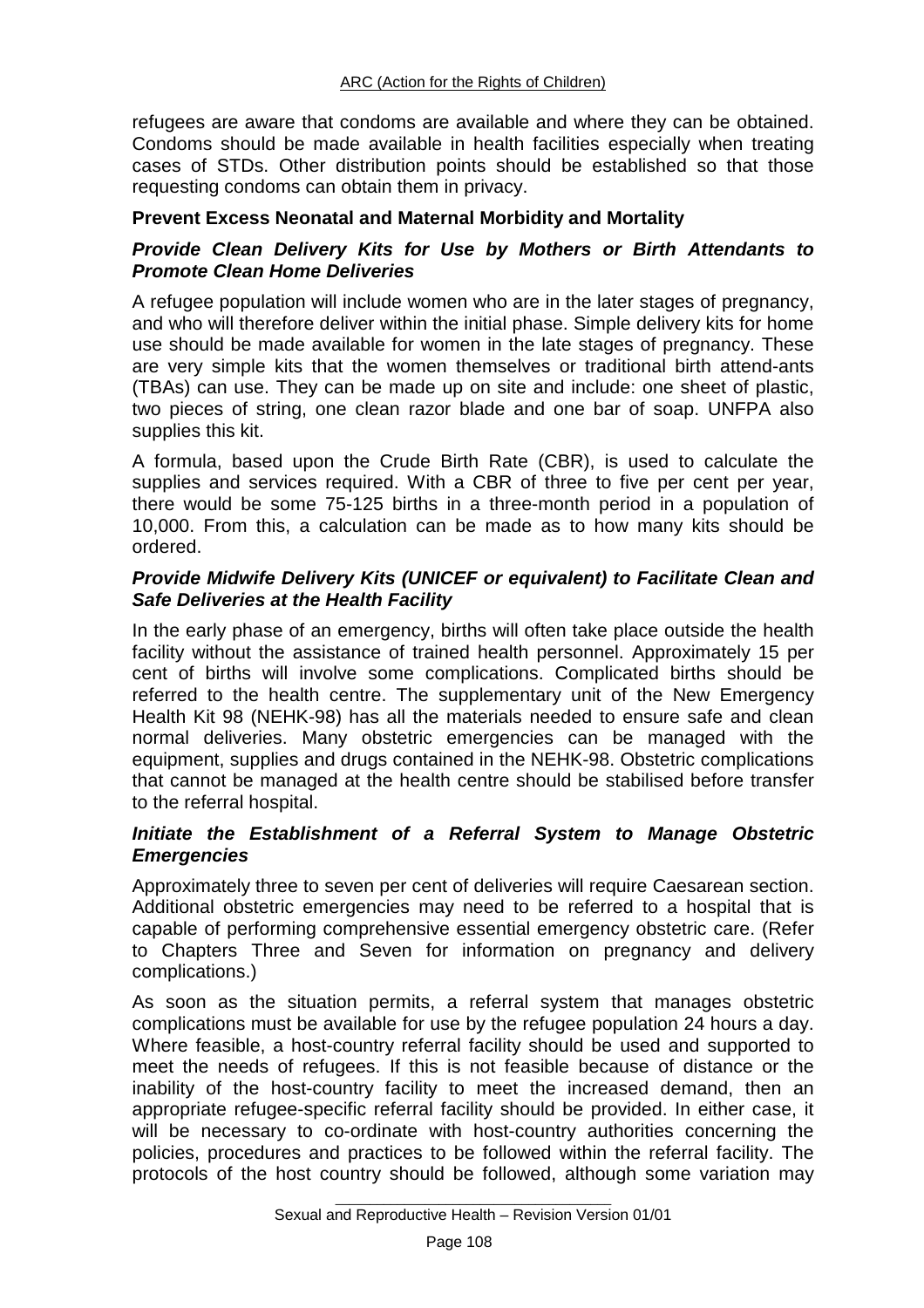refugees are aware that condoms are available and where they can be obtained. Condoms should be made available in health facilities especially when treating cases of STDs. Other distribution points should be established so that those requesting condoms can obtain them in privacy.

#### **Prevent Excess Neonatal and Maternal Morbidity and Mortality**

#### *Provide Clean Delivery Kits for Use by Mothers or Birth Attendants to Promote Clean Home Deliveries*

A refugee population will include women who are in the later stages of pregnancy, and who will therefore deliver within the initial phase. Simple delivery kits for home use should be made available for women in the late stages of pregnancy. These are very simple kits that the women themselves or traditional birth attend-ants (TBAs) can use. They can be made up on site and include: one sheet of plastic, two pieces of string, one clean razor blade and one bar of soap. UNFPA also supplies this kit.

A formula, based upon the Crude Birth Rate (CBR), is used to calculate the supplies and services required. With a CBR of three to five per cent per year, there would be some 75-125 births in a three-month period in a population of 10,000. From this, a calculation can be made as to how many kits should be ordered.

#### *Provide Midwife Delivery Kits (UNICEF or equivalent) to Facilitate Clean and Safe Deliveries at the Health Facility*

In the early phase of an emergency, births will often take place outside the health facility without the assistance of trained health personnel. Approximately 15 per cent of births will involve some complications. Complicated births should be referred to the health centre. The supplementary unit of the New Emergency Health Kit 98 (NEHK-98) has all the materials needed to ensure safe and clean normal deliveries. Many obstetric emergencies can be managed with the equipment, supplies and drugs contained in the NEHK-98. Obstetric complications that cannot be managed at the health centre should be stabilised before transfer to the referral hospital.

#### *Initiate the Establishment of a Referral System to Manage Obstetric Emergencies*

Approximately three to seven per cent of deliveries will require Caesarean section. Additional obstetric emergencies may need to be referred to a hospital that is capable of performing comprehensive essential emergency obstetric care. (Refer to Chapters Three and Seven for information on pregnancy and delivery complications.)

As soon as the situation permits, a referral system that manages obstetric complications must be available for use by the refugee population 24 hours a day. Where feasible, a host-country referral facility should be used and supported to meet the needs of refugees. If this is not feasible because of distance or the inability of the host-country facility to meet the increased demand, then an appropriate refugee-specific referral facility should be provided. In either case, it will be necessary to co-ordinate with host-country authorities concerning the policies, procedures and practices to be followed within the referral facility. The protocols of the host country should be followed, although some variation may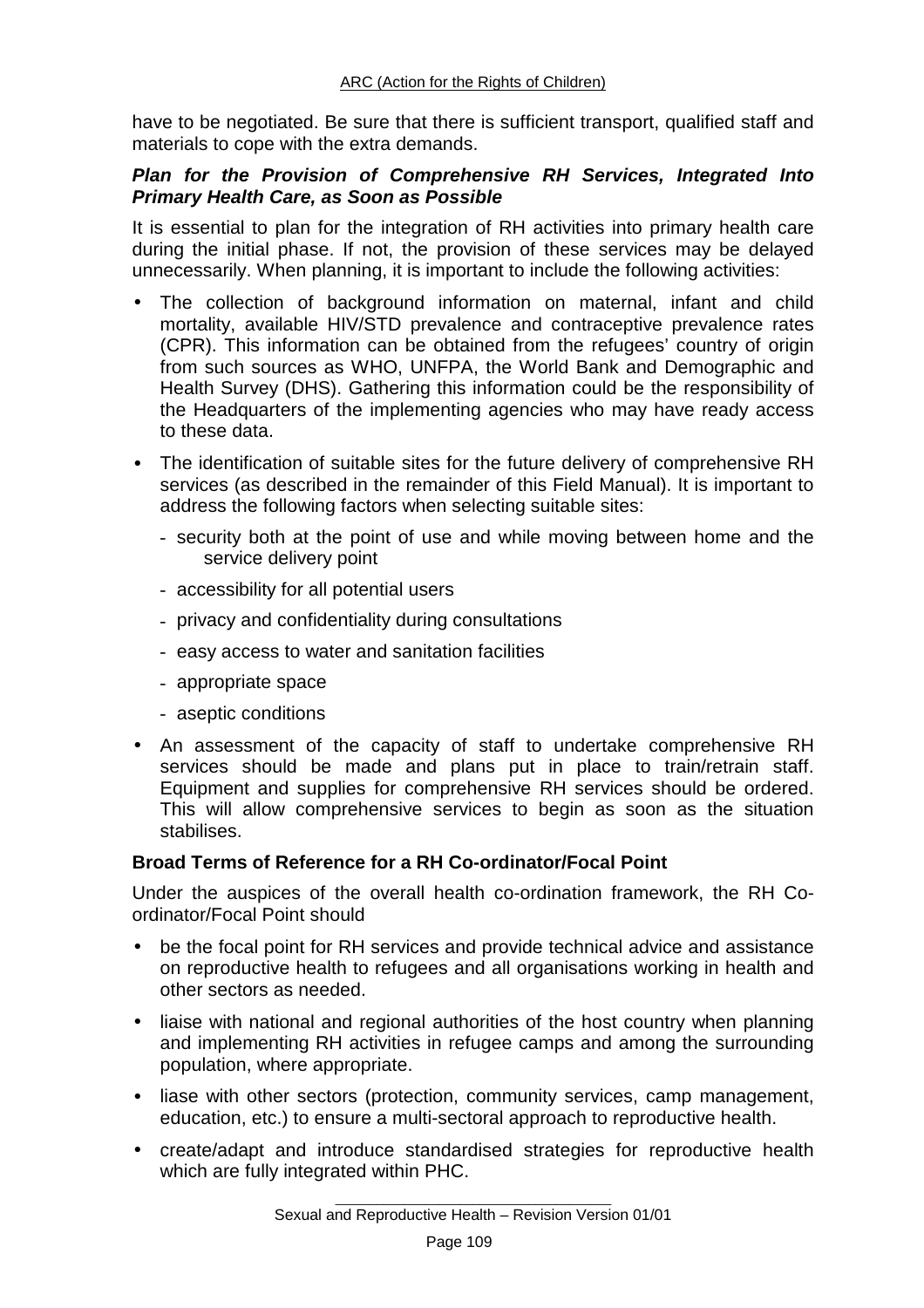have to be negotiated. Be sure that there is sufficient transport, qualified staff and materials to cope with the extra demands.

## *Plan for the Provision of Comprehensive RH Services, Integrated Into Primary Health Care, as Soon as Possible*

It is essential to plan for the integration of RH activities into primary health care during the initial phase. If not, the provision of these services may be delayed unnecessarily. When planning, it is important to include the following activities:

- The collection of background information on maternal, infant and child mortality, available HIV/STD prevalence and contraceptive prevalence rates (CPR). This information can be obtained from the refugees' country of origin from such sources as WHO, UNFPA, the World Bank and Demographic and Health Survey (DHS). Gathering this information could be the responsibility of the Headquarters of the implementing agencies who may have ready access to these data.
- The identification of suitable sites for the future delivery of comprehensive RH services (as described in the remainder of this Field Manual). It is important to address the following factors when selecting suitable sites:
	- security both at the point of use and while moving between home and the service delivery point
	- accessibility for all potential users
	- privacy and confidentiality during consultations
	- easy access to water and sanitation facilities
	- appropriate space
	- aseptic conditions
- An assessment of the capacity of staff to undertake comprehensive RH services should be made and plans put in place to train/retrain staff. Equipment and supplies for comprehensive RH services should be ordered. This will allow comprehensive services to begin as soon as the situation stabilises.

# **Broad Terms of Reference for a RH Co-ordinator/Focal Point**

Under the auspices of the overall health co-ordination framework, the RH Coordinator/Focal Point should

- be the focal point for RH services and provide technical advice and assistance on reproductive health to refugees and all organisations working in health and other sectors as needed.
- liaise with national and regional authorities of the host country when planning and implementing RH activities in refugee camps and among the surrounding population, where appropriate.
- liase with other sectors (protection, community services, camp management, education, etc.) to ensure a multi-sectoral approach to reproductive health.
- create/adapt and introduce standardised strategies for reproductive health which are fully integrated within PHC.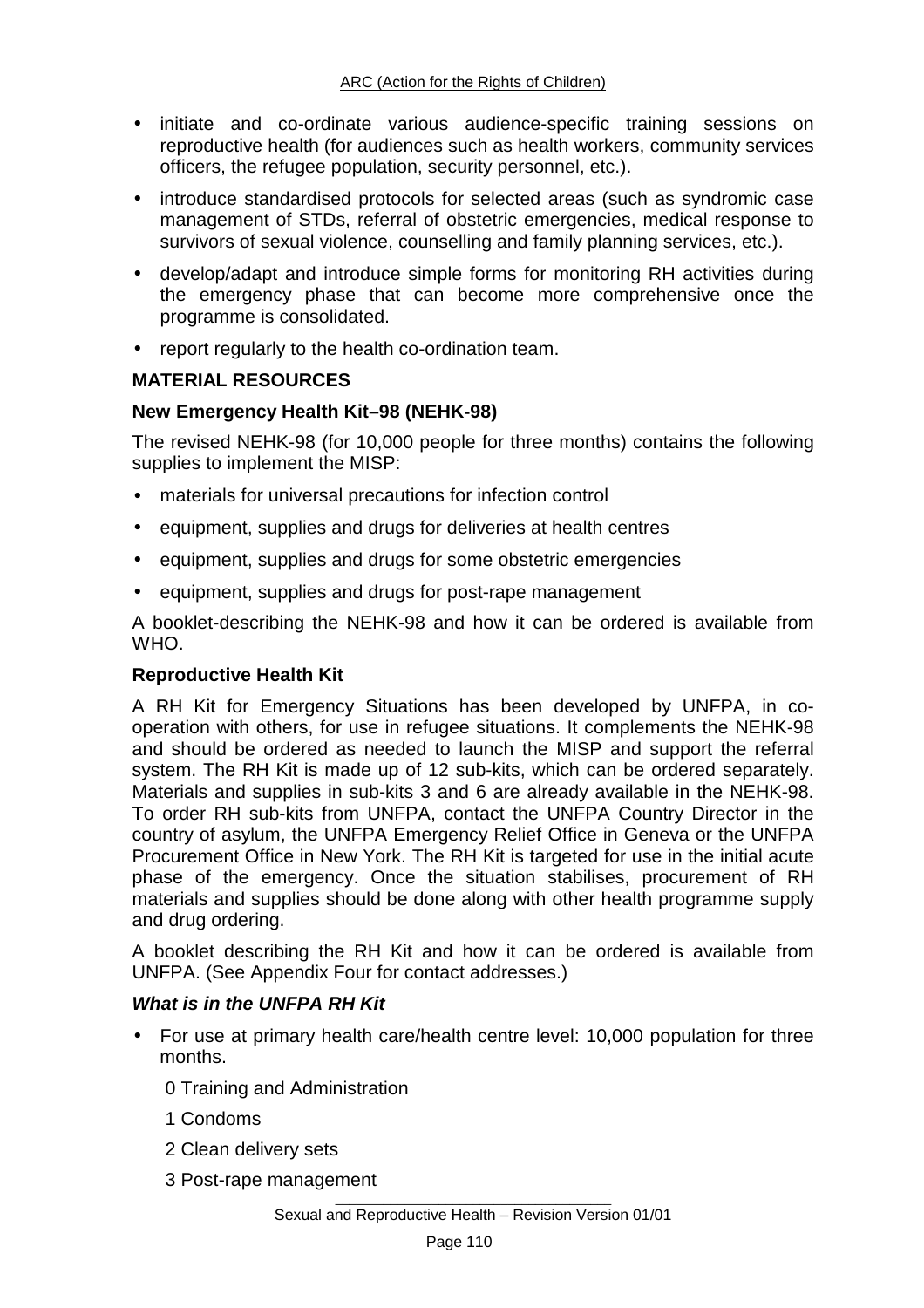- initiate and co-ordinate various audience-specific training sessions on reproductive health (for audiences such as health workers, community services officers, the refugee population, security personnel, etc.).
- introduce standardised protocols for selected areas (such as syndromic case management of STDs, referral of obstetric emergencies, medical response to survivors of sexual violence, counselling and family planning services, etc.).
- develop/adapt and introduce simple forms for monitoring RH activities during the emergency phase that can become more comprehensive once the programme is consolidated.
- report regularly to the health co-ordination team.

## **MATERIAL RESOURCES**

## **New Emergency Health Kit–98 (NEHK-98)**

The revised NEHK-98 (for 10,000 people for three months) contains the following supplies to implement the MISP:

- materials for universal precautions for infection control
- equipment, supplies and drugs for deliveries at health centres
- equipment, supplies and drugs for some obstetric emergencies
- equipment, supplies and drugs for post-rape management

A booklet-describing the NEHK-98 and how it can be ordered is available from WHO.

## **Reproductive Health Kit**

A RH Kit for Emergency Situations has been developed by UNFPA, in cooperation with others, for use in refugee situations. It complements the NEHK-98 and should be ordered as needed to launch the MISP and support the referral system. The RH Kit is made up of 12 sub-kits, which can be ordered separately. Materials and supplies in sub-kits 3 and 6 are already available in the NEHK-98. To order RH sub-kits from UNFPA, contact the UNFPA Country Director in the country of asylum, the UNFPA Emergency Relief Office in Geneva or the UNFPA Procurement Office in New York. The RH Kit is targeted for use in the initial acute phase of the emergency. Once the situation stabilises, procurement of RH materials and supplies should be done along with other health programme supply and drug ordering.

A booklet describing the RH Kit and how it can be ordered is available from UNFPA. (See Appendix Four for contact addresses.)

## *What is in the UNFPA RH Kit*

- For use at primary health care/health centre level: 10,000 population for three months.
	- 0 Training and Administration
	- 1 Condoms
	- 2 Clean delivery sets
	- 3 Post-rape management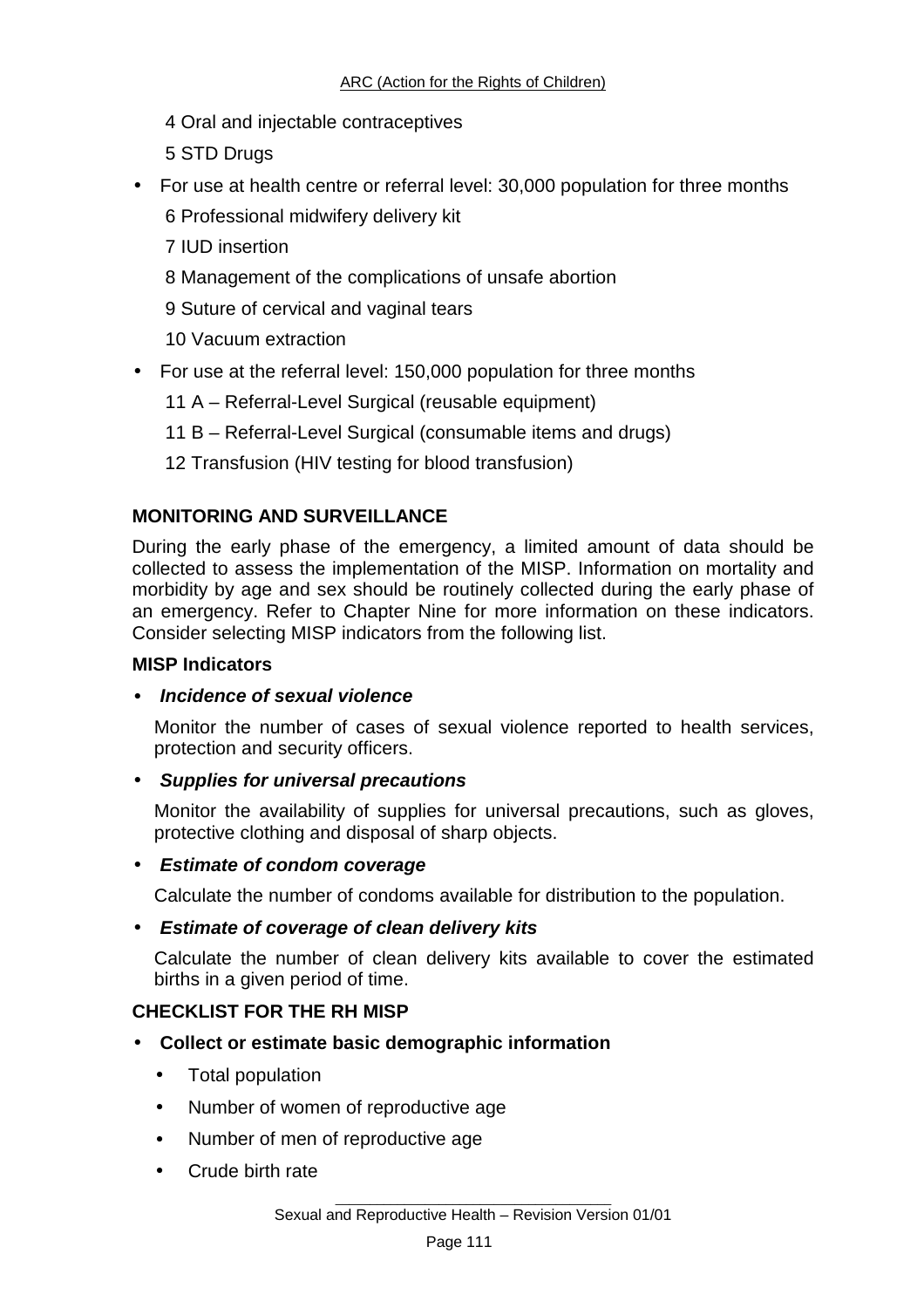- 4 Oral and injectable contraceptives
- 5 STD Drugs
- For use at health centre or referral level: 30,000 population for three months
	- 6 Professional midwifery delivery kit
	- 7 IUD insertion
	- 8 Management of the complications of unsafe abortion
	- 9 Suture of cervical and vaginal tears
	- 10 Vacuum extraction
- For use at the referral level: 150,000 population for three months
	- 11 A Referral-Level Surgical (reusable equipment)
	- 11 B Referral-Level Surgical (consumable items and drugs)
	- 12 Transfusion (HIV testing for blood transfusion)

## **MONITORING AND SURVEILLANCE**

During the early phase of the emergency, a limited amount of data should be collected to assess the implementation of the MISP. Information on mortality and morbidity by age and sex should be routinely collected during the early phase of an emergency. Refer to Chapter Nine for more information on these indicators. Consider selecting MISP indicators from the following list.

### **MISP Indicators**

## • *Incidence of sexual violence*

Monitor the number of cases of sexual violence reported to health services, protection and security officers.

## • *Supplies for universal precautions*

Monitor the availability of supplies for universal precautions, such as gloves, protective clothing and disposal of sharp objects.

## • *Estimate of condom coverage*

Calculate the number of condoms available for distribution to the population.

## • *Estimate of coverage of clean delivery kits*

Calculate the number of clean delivery kits available to cover the estimated births in a given period of time.

## **CHECKLIST FOR THE RH MISP**

- **Collect or estimate basic demographic information**
	- Total population
	- Number of women of reproductive age
	- Number of men of reproductive age
	- Crude birth rate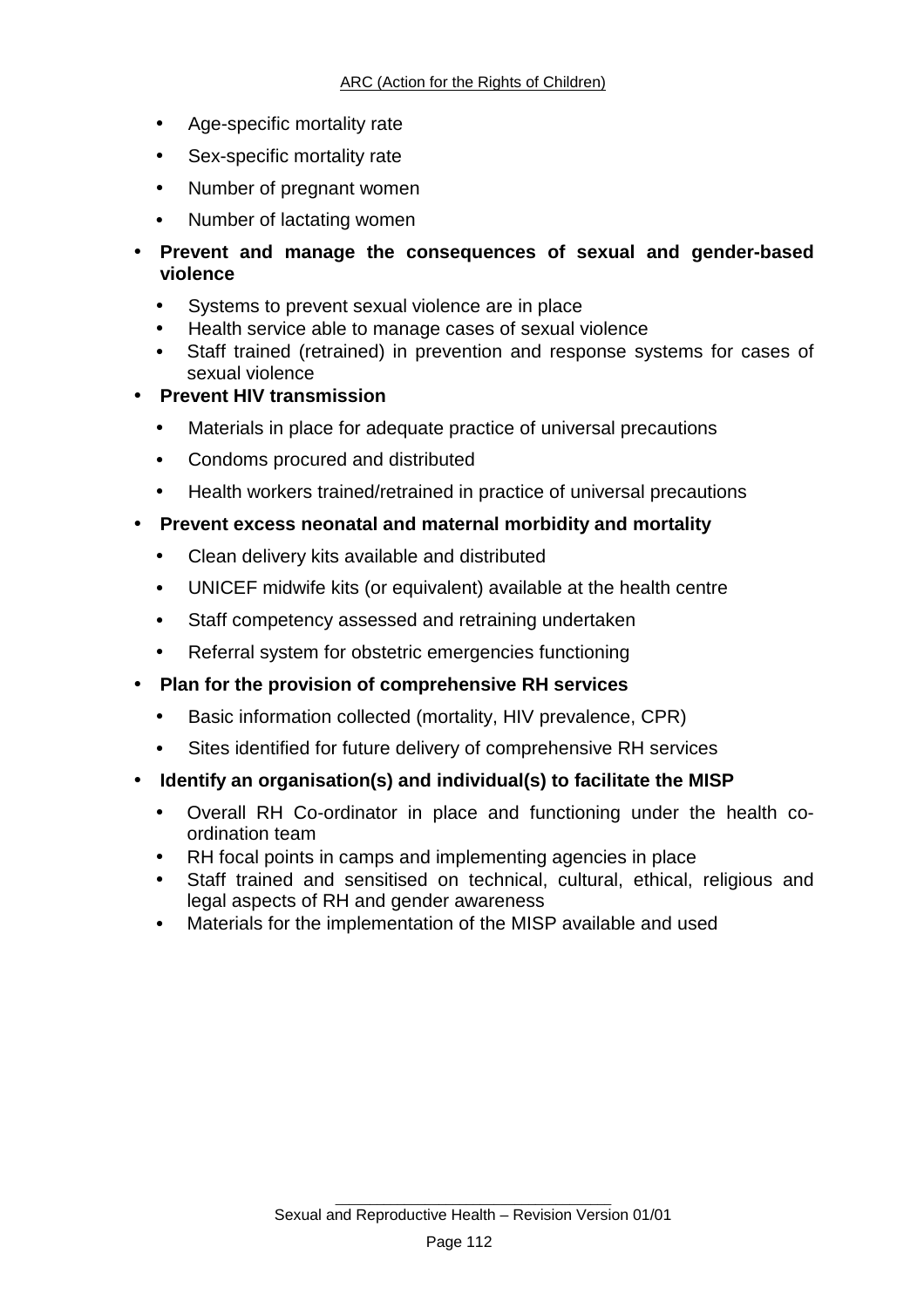- Age-specific mortality rate
- Sex-specific mortality rate
- Number of pregnant women
- Number of lactating women
- **Prevent and manage the consequences of sexual and gender-based violence**
	- Systems to prevent sexual violence are in place
	- Health service able to manage cases of sexual violence
	- Staff trained (retrained) in prevention and response systems for cases of sexual violence
- **Prevent HIV transmission**
	- Materials in place for adequate practice of universal precautions
	- Condoms procured and distributed
	- Health workers trained/retrained in practice of universal precautions
- **Prevent excess neonatal and maternal morbidity and mortality**
	- Clean delivery kits available and distributed
	- UNICEF midwife kits (or equivalent) available at the health centre
	- Staff competency assessed and retraining undertaken
	- Referral system for obstetric emergencies functioning
- **Plan for the provision of comprehensive RH services**
	- Basic information collected (mortality, HIV prevalence, CPR)
	- Sites identified for future delivery of comprehensive RH services
- **Identify an organisation(s) and individual(s) to facilitate the MISP**
	- Overall RH Co-ordinator in place and functioning under the health coordination team
	- RH focal points in camps and implementing agencies in place
	- Staff trained and sensitised on technical, cultural, ethical, religious and legal aspects of RH and gender awareness
	- Materials for the implementation of the MISP available and used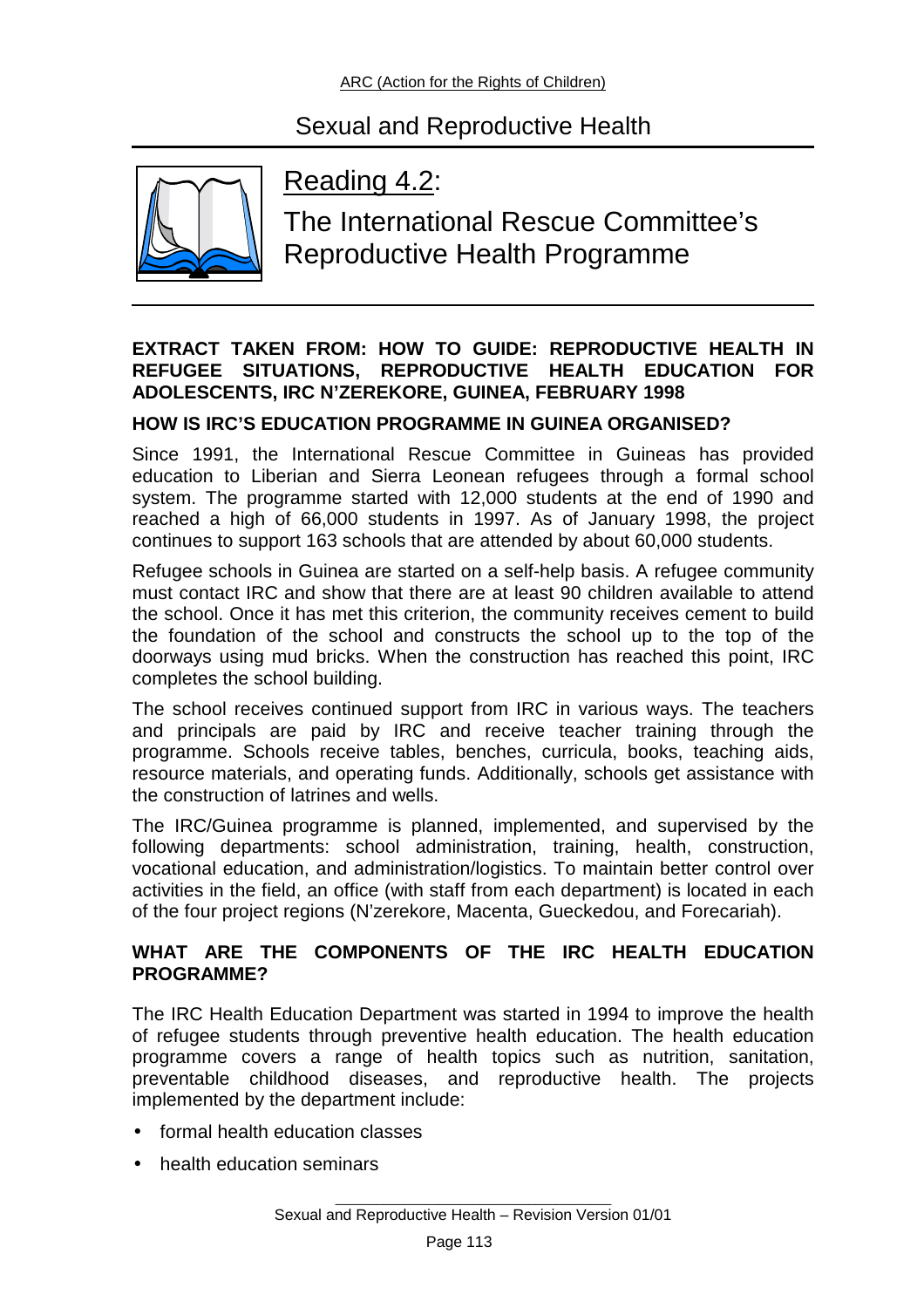# Sexual and Reproductive Health



Reading 4.2:

The International Rescue Committee's Reproductive Health Programme

## **EXTRACT TAKEN FROM: HOW TO GUIDE: REPRODUCTIVE HEALTH IN REFUGEE SITUATIONS, REPRODUCTIVE HEALTH EDUCATION FOR ADOLESCENTS, IRC N'ZEREKORE, GUINEA, FEBRUARY 1998**

## **HOW IS IRC'S EDUCATION PROGRAMME IN GUINEA ORGANISED?**

Since 1991, the International Rescue Committee in Guineas has provided education to Liberian and Sierra Leonean refugees through a formal school system. The programme started with 12,000 students at the end of 1990 and reached a high of 66,000 students in 1997. As of January 1998, the project continues to support 163 schools that are attended by about 60,000 students.

Refugee schools in Guinea are started on a self-help basis. A refugee community must contact IRC and show that there are at least 90 children available to attend the school. Once it has met this criterion, the community receives cement to build the foundation of the school and constructs the school up to the top of the doorways using mud bricks. When the construction has reached this point, IRC completes the school building.

The school receives continued support from IRC in various ways. The teachers and principals are paid by IRC and receive teacher training through the programme. Schools receive tables, benches, curricula, books, teaching aids, resource materials, and operating funds. Additionally, schools get assistance with the construction of latrines and wells.

The IRC/Guinea programme is planned, implemented, and supervised by the following departments: school administration, training, health, construction, vocational education, and administration/logistics. To maintain better control over activities in the field, an office (with staff from each department) is located in each of the four project regions (N'zerekore, Macenta, Gueckedou, and Forecariah).

## **WHAT ARE THE COMPONENTS OF THE IRC HEALTH EDUCATION PROGRAMME?**

The IRC Health Education Department was started in 1994 to improve the health of refugee students through preventive health education. The health education programme covers a range of health topics such as nutrition, sanitation, preventable childhood diseases, and reproductive health. The projects implemented by the department include:

- formal health education classes
- health education seminars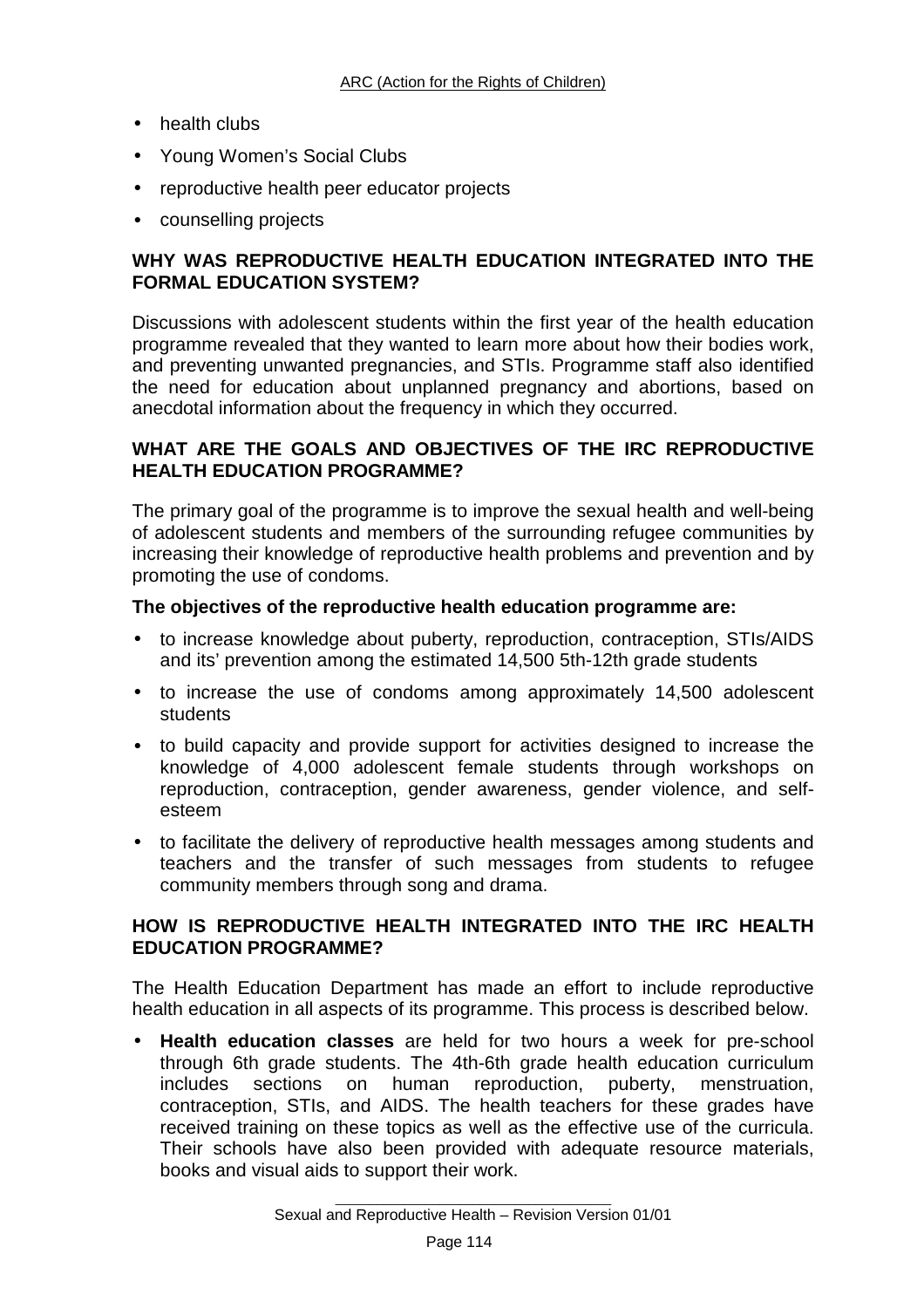- health clubs
- Young Women's Social Clubs
- reproductive health peer educator projects
- counselling projects

## **WHY WAS REPRODUCTIVE HEALTH EDUCATION INTEGRATED INTO THE FORMAL EDUCATION SYSTEM?**

Discussions with adolescent students within the first year of the health education programme revealed that they wanted to learn more about how their bodies work, and preventing unwanted pregnancies, and STIs. Programme staff also identified the need for education about unplanned pregnancy and abortions, based on anecdotal information about the frequency in which they occurred.

## **WHAT ARE THE GOALS AND OBJECTIVES OF THE IRC REPRODUCTIVE HEALTH EDUCATION PROGRAMME?**

The primary goal of the programme is to improve the sexual health and well-being of adolescent students and members of the surrounding refugee communities by increasing their knowledge of reproductive health problems and prevention and by promoting the use of condoms.

### **The objectives of the reproductive health education programme are:**

- to increase knowledge about puberty, reproduction, contraception, STIs/AIDS and its' prevention among the estimated 14,500 5th-12th grade students
- to increase the use of condoms among approximately 14,500 adolescent students
- to build capacity and provide support for activities designed to increase the knowledge of 4,000 adolescent female students through workshops on reproduction, contraception, gender awareness, gender violence, and selfesteem
- to facilitate the delivery of reproductive health messages among students and teachers and the transfer of such messages from students to refugee community members through song and drama.

## **HOW IS REPRODUCTIVE HEALTH INTEGRATED INTO THE IRC HEALTH EDUCATION PROGRAMME?**

The Health Education Department has made an effort to include reproductive health education in all aspects of its programme. This process is described below.

• **Health education classes** are held for two hours a week for pre-school through 6th grade students. The 4th-6th grade health education curriculum includes sections on human reproduction, puberty, menstruation, contraception, STIs, and AIDS. The health teachers for these grades have received training on these topics as well as the effective use of the curricula. Their schools have also been provided with adequate resource materials, books and visual aids to support their work.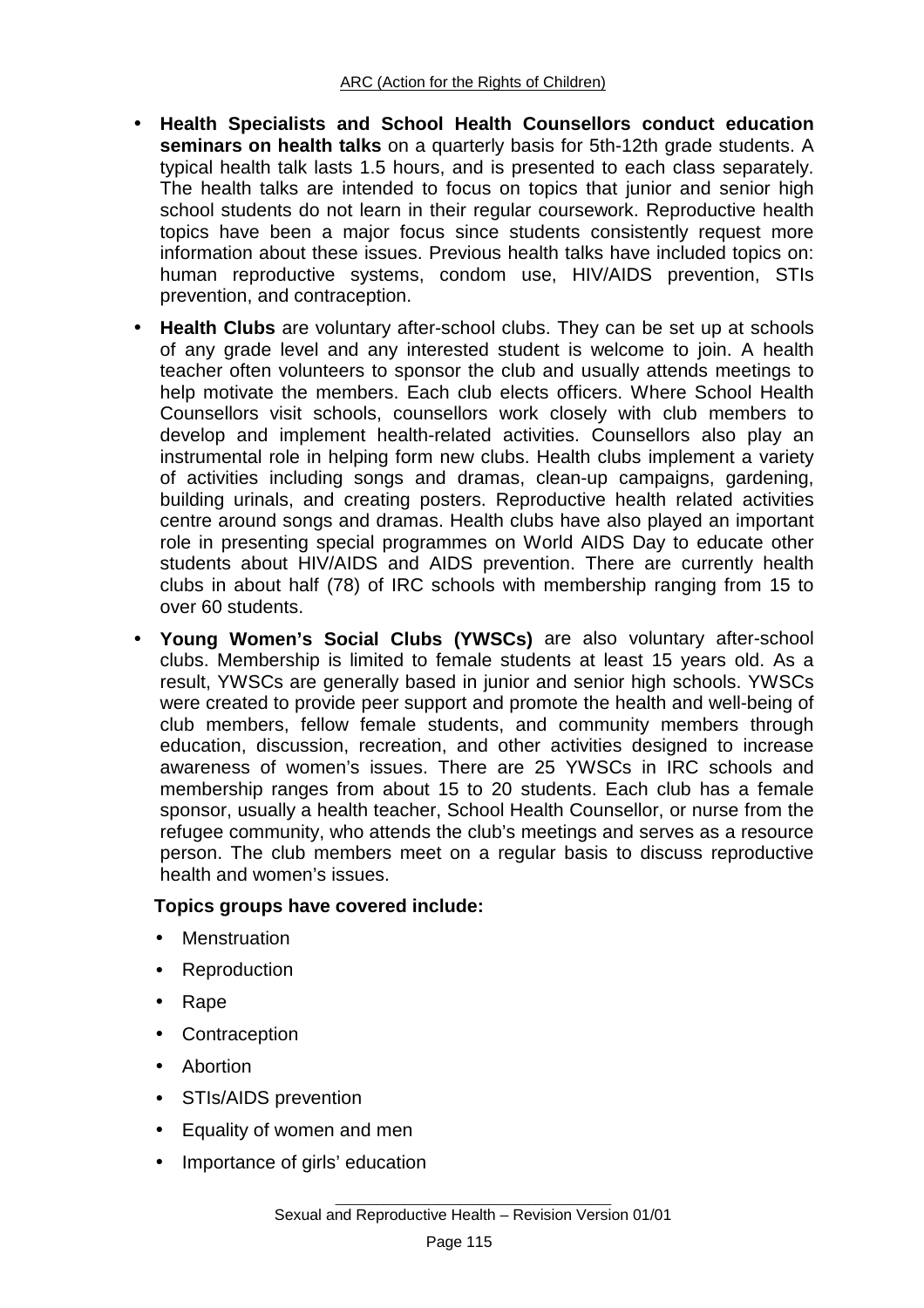- **Health Specialists and School Health Counsellors conduct education seminars on health talks** on a quarterly basis for 5th-12th grade students. A typical health talk lasts 1.5 hours, and is presented to each class separately. The health talks are intended to focus on topics that junior and senior high school students do not learn in their regular coursework. Reproductive health topics have been a major focus since students consistently request more information about these issues. Previous health talks have included topics on: human reproductive systems, condom use, HIV/AIDS prevention, STIs prevention, and contraception.
- **Health Clubs** are voluntary after-school clubs. They can be set up at schools of any grade level and any interested student is welcome to join. A health teacher often volunteers to sponsor the club and usually attends meetings to help motivate the members. Each club elects officers. Where School Health Counsellors visit schools, counsellors work closely with club members to develop and implement health-related activities. Counsellors also play an instrumental role in helping form new clubs. Health clubs implement a variety of activities including songs and dramas, clean-up campaigns, gardening, building urinals, and creating posters. Reproductive health related activities centre around songs and dramas. Health clubs have also played an important role in presenting special programmes on World AIDS Day to educate other students about HIV/AIDS and AIDS prevention. There are currently health clubs in about half (78) of IRC schools with membership ranging from 15 to over 60 students.
- **Young Women's Social Clubs (YWSCs)** are also voluntary after-school clubs. Membership is limited to female students at least 15 years old. As a result, YWSCs are generally based in junior and senior high schools. YWSCs were created to provide peer support and promote the health and well-being of club members, fellow female students, and community members through education, discussion, recreation, and other activities designed to increase awareness of women's issues. There are 25 YWSCs in IRC schools and membership ranges from about 15 to 20 students. Each club has a female sponsor, usually a health teacher, School Health Counsellor, or nurse from the refugee community, who attends the club's meetings and serves as a resource person. The club members meet on a regular basis to discuss reproductive health and women's issues.

## **Topics groups have covered include:**

- **Menstruation**
- Reproduction
- Rape
- Contraception
- Abortion
- STIs/AIDS prevention
- Equality of women and men
- Importance of girls' education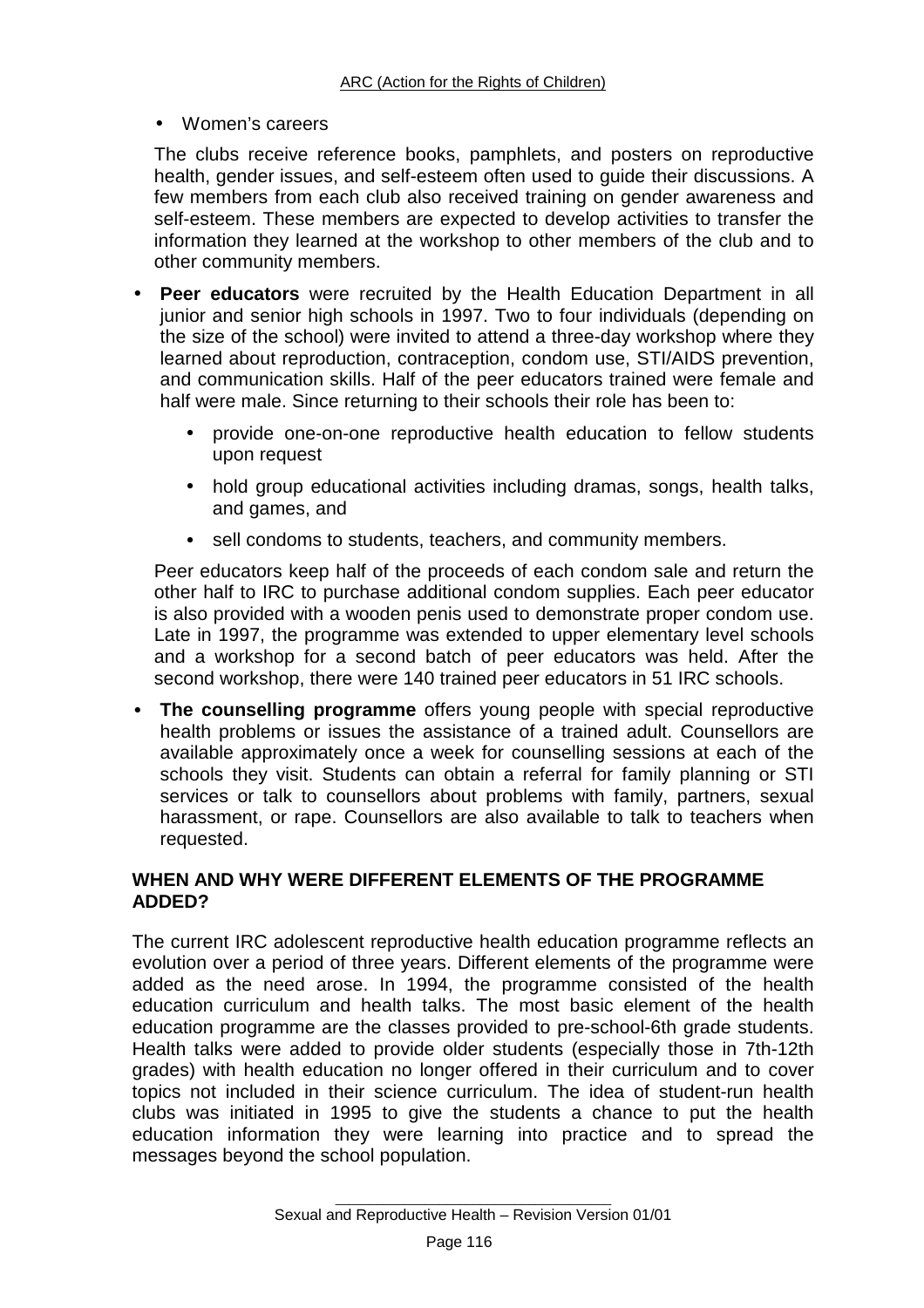• Women's careers

The clubs receive reference books, pamphlets, and posters on reproductive health, gender issues, and self-esteem often used to guide their discussions. A few members from each club also received training on gender awareness and self-esteem. These members are expected to develop activities to transfer the information they learned at the workshop to other members of the club and to other community members.

- **Peer educators** were recruited by the Health Education Department in all junior and senior high schools in 1997. Two to four individuals (depending on the size of the school) were invited to attend a three-day workshop where they learned about reproduction, contraception, condom use, STI/AIDS prevention, and communication skills. Half of the peer educators trained were female and half were male. Since returning to their schools their role has been to:
	- provide one-on-one reproductive health education to fellow students upon request
	- hold group educational activities including dramas, songs, health talks, and games, and
	- sell condoms to students, teachers, and community members.

Peer educators keep half of the proceeds of each condom sale and return the other half to IRC to purchase additional condom supplies. Each peer educator is also provided with a wooden penis used to demonstrate proper condom use. Late in 1997, the programme was extended to upper elementary level schools and a workshop for a second batch of peer educators was held. After the second workshop, there were 140 trained peer educators in 51 IRC schools.

• **The counselling programme** offers young people with special reproductive health problems or issues the assistance of a trained adult. Counsellors are available approximately once a week for counselling sessions at each of the schools they visit. Students can obtain a referral for family planning or STI services or talk to counsellors about problems with family, partners, sexual harassment, or rape. Counsellors are also available to talk to teachers when requested.

## **WHEN AND WHY WERE DIFFERENT ELEMENTS OF THE PROGRAMME ADDED?**

The current IRC adolescent reproductive health education programme reflects an evolution over a period of three years. Different elements of the programme were added as the need arose. In 1994, the programme consisted of the health education curriculum and health talks. The most basic element of the health education programme are the classes provided to pre-school-6th grade students. Health talks were added to provide older students (especially those in 7th-12th grades) with health education no longer offered in their curriculum and to cover topics not included in their science curriculum. The idea of student-run health clubs was initiated in 1995 to give the students a chance to put the health education information they were learning into practice and to spread the messages beyond the school population.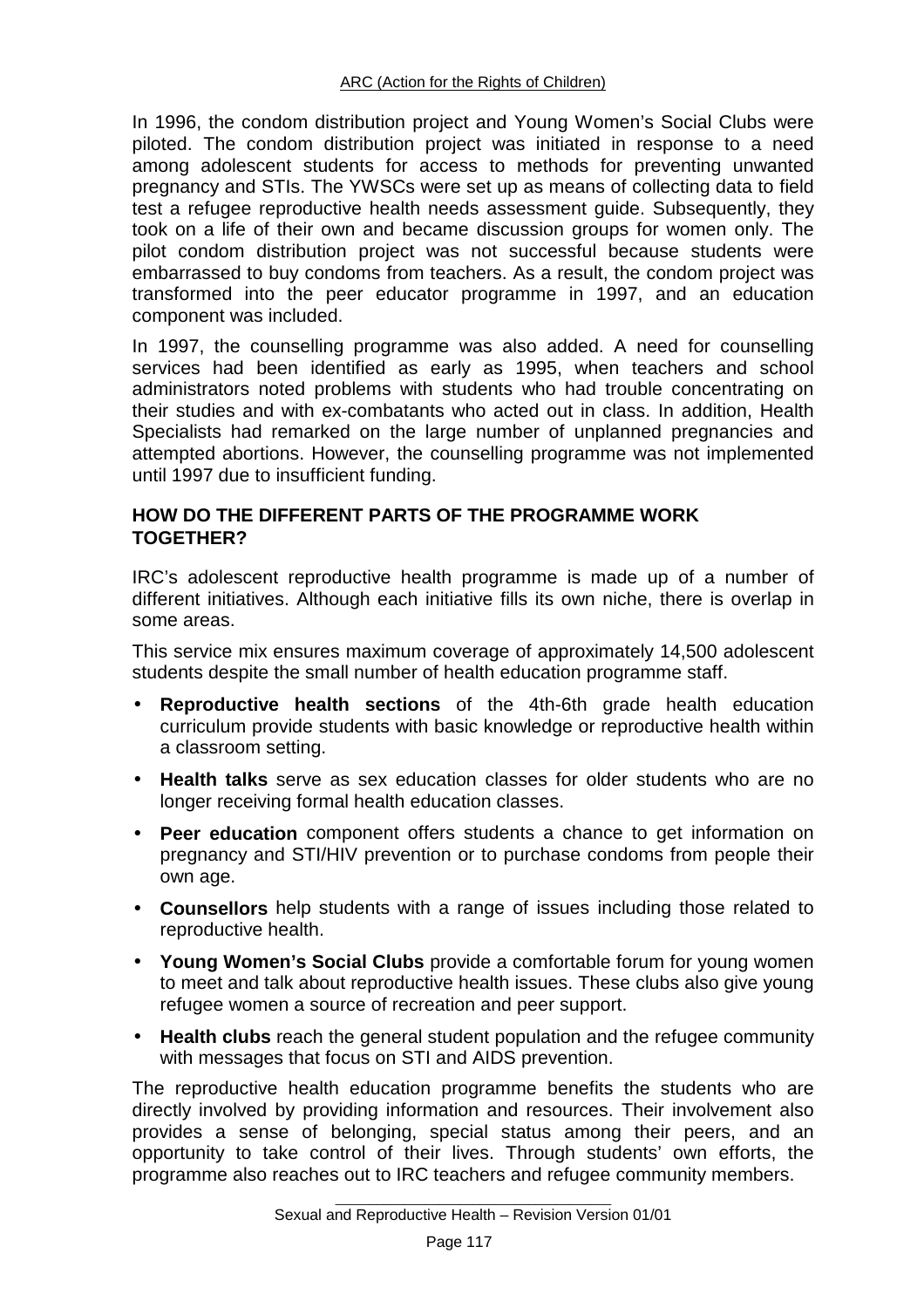In 1996, the condom distribution project and Young Women's Social Clubs were piloted. The condom distribution project was initiated in response to a need among adolescent students for access to methods for preventing unwanted pregnancy and STIs. The YWSCs were set up as means of collecting data to field test a refugee reproductive health needs assessment guide. Subsequently, they took on a life of their own and became discussion groups for women only. The pilot condom distribution project was not successful because students were embarrassed to buy condoms from teachers. As a result, the condom project was transformed into the peer educator programme in 1997, and an education component was included.

In 1997, the counselling programme was also added. A need for counselling services had been identified as early as 1995, when teachers and school administrators noted problems with students who had trouble concentrating on their studies and with ex-combatants who acted out in class. In addition, Health Specialists had remarked on the large number of unplanned pregnancies and attempted abortions. However, the counselling programme was not implemented until 1997 due to insufficient funding.

## **HOW DO THE DIFFERENT PARTS OF THE PROGRAMME WORK TOGETHER?**

IRC's adolescent reproductive health programme is made up of a number of different initiatives. Although each initiative fills its own niche, there is overlap in some areas.

This service mix ensures maximum coverage of approximately 14,500 adolescent students despite the small number of health education programme staff.

- **Reproductive health sections** of the 4th-6th grade health education curriculum provide students with basic knowledge or reproductive health within a classroom setting.
- **Health talks** serve as sex education classes for older students who are no longer receiving formal health education classes.
- **Peer education** component offers students a chance to get information on pregnancy and STI/HIV prevention or to purchase condoms from people their own age.
- **Counsellors** help students with a range of issues including those related to reproductive health.
- **Young Women's Social Clubs** provide a comfortable forum for young women to meet and talk about reproductive health issues. These clubs also give young refugee women a source of recreation and peer support.
- **Health clubs** reach the general student population and the refugee community with messages that focus on STI and AIDS prevention.

The reproductive health education programme benefits the students who are directly involved by providing information and resources. Their involvement also provides a sense of belonging, special status among their peers, and an opportunity to take control of their lives. Through students' own efforts, the programme also reaches out to IRC teachers and refugee community members.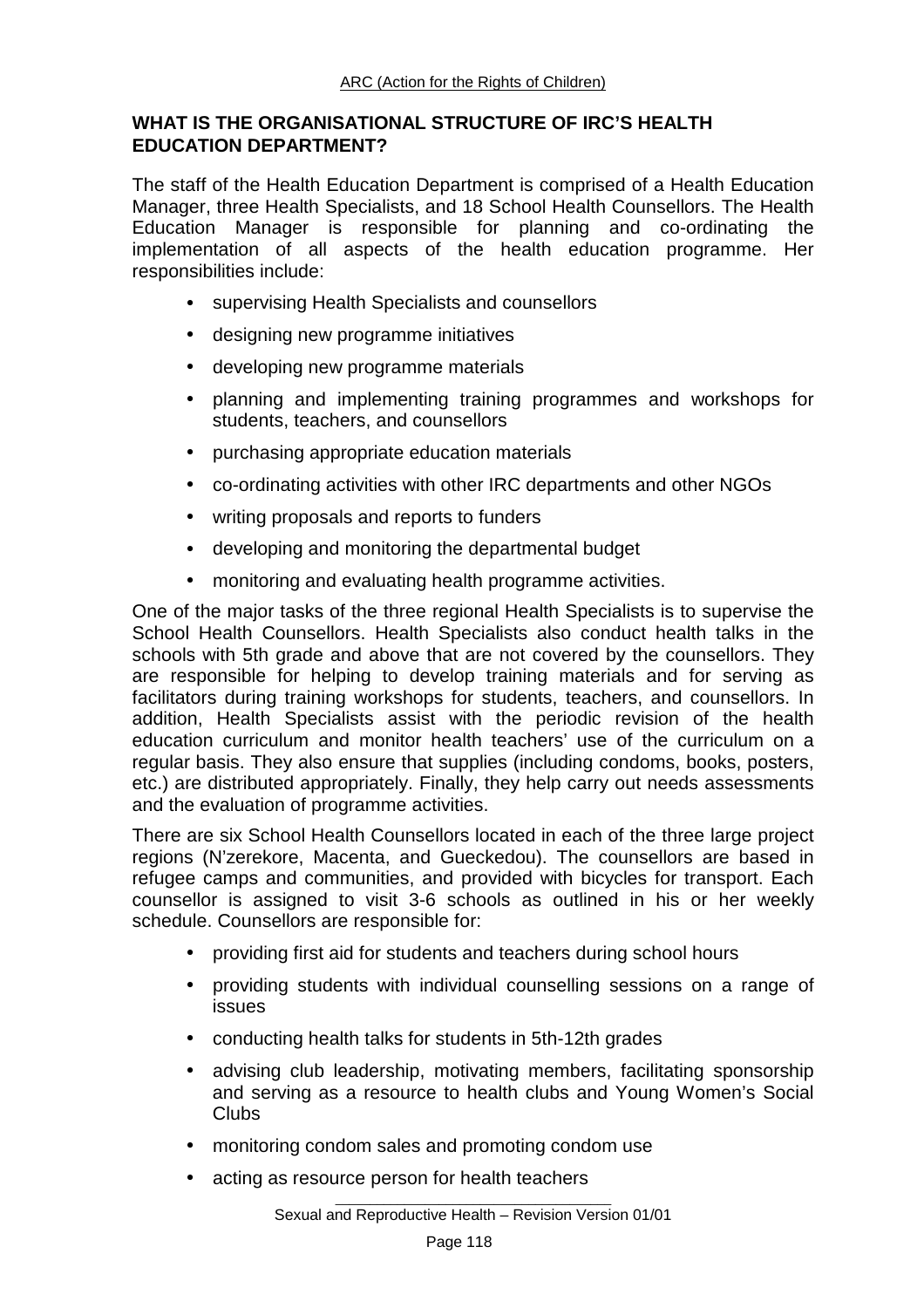## **WHAT IS THE ORGANISATIONAL STRUCTURE OF IRC'S HEALTH EDUCATION DEPARTMENT?**

The staff of the Health Education Department is comprised of a Health Education Manager, three Health Specialists, and 18 School Health Counsellors. The Health Education Manager is responsible for planning and co-ordinating the implementation of all aspects of the health education programme. Her responsibilities include:

- supervising Health Specialists and counsellors
- designing new programme initiatives
- developing new programme materials
- planning and implementing training programmes and workshops for students, teachers, and counsellors
- purchasing appropriate education materials
- co-ordinating activities with other IRC departments and other NGOs
- writing proposals and reports to funders
- developing and monitoring the departmental budget
- monitoring and evaluating health programme activities.

One of the major tasks of the three regional Health Specialists is to supervise the School Health Counsellors. Health Specialists also conduct health talks in the schools with 5th grade and above that are not covered by the counsellors. They are responsible for helping to develop training materials and for serving as facilitators during training workshops for students, teachers, and counsellors. In addition, Health Specialists assist with the periodic revision of the health education curriculum and monitor health teachers' use of the curriculum on a regular basis. They also ensure that supplies (including condoms, books, posters, etc.) are distributed appropriately. Finally, they help carry out needs assessments and the evaluation of programme activities.

There are six School Health Counsellors located in each of the three large project regions (N'zerekore, Macenta, and Gueckedou). The counsellors are based in refugee camps and communities, and provided with bicycles for transport. Each counsellor is assigned to visit 3-6 schools as outlined in his or her weekly schedule. Counsellors are responsible for:

- providing first aid for students and teachers during school hours
- providing students with individual counselling sessions on a range of issues
- conducting health talks for students in 5th-12th grades
- advising club leadership, motivating members, facilitating sponsorship and serving as a resource to health clubs and Young Women's Social Clubs
- monitoring condom sales and promoting condom use
- acting as resource person for health teachers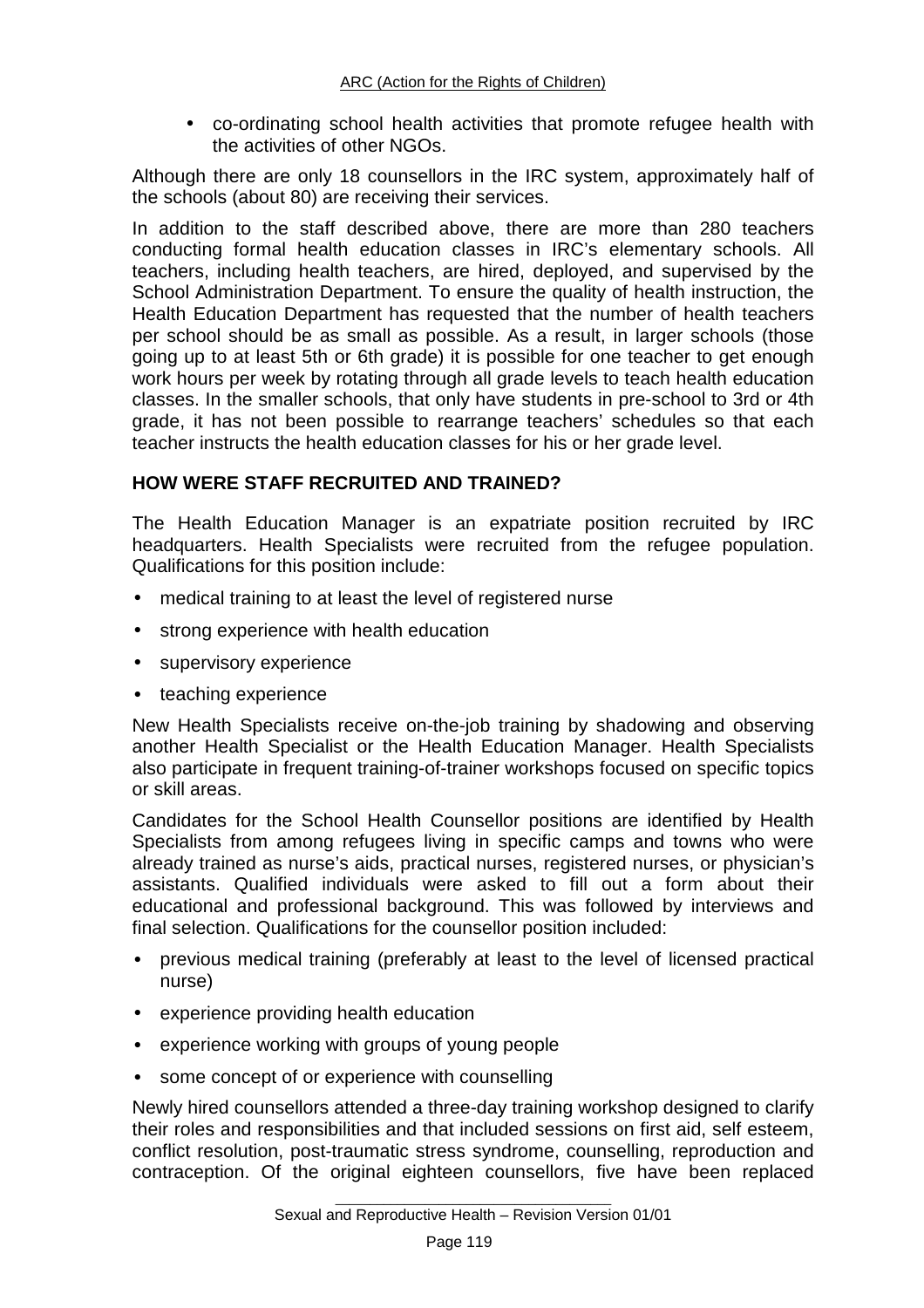• co-ordinating school health activities that promote refugee health with the activities of other NGOs.

Although there are only 18 counsellors in the IRC system, approximately half of the schools (about 80) are receiving their services.

In addition to the staff described above, there are more than 280 teachers conducting formal health education classes in IRC's elementary schools. All teachers, including health teachers, are hired, deployed, and supervised by the School Administration Department. To ensure the quality of health instruction, the Health Education Department has requested that the number of health teachers per school should be as small as possible. As a result, in larger schools (those going up to at least 5th or 6th grade) it is possible for one teacher to get enough work hours per week by rotating through all grade levels to teach health education classes. In the smaller schools, that only have students in pre-school to 3rd or 4th grade, it has not been possible to rearrange teachers' schedules so that each teacher instructs the health education classes for his or her grade level.

## **HOW WERE STAFF RECRUITED AND TRAINED?**

The Health Education Manager is an expatriate position recruited by IRC headquarters. Health Specialists were recruited from the refugee population. Qualifications for this position include:

- medical training to at least the level of registered nurse
- strong experience with health education
- supervisory experience
- teaching experience

New Health Specialists receive on-the-job training by shadowing and observing another Health Specialist or the Health Education Manager. Health Specialists also participate in frequent training-of-trainer workshops focused on specific topics or skill areas.

Candidates for the School Health Counsellor positions are identified by Health Specialists from among refugees living in specific camps and towns who were already trained as nurse's aids, practical nurses, registered nurses, or physician's assistants. Qualified individuals were asked to fill out a form about their educational and professional background. This was followed by interviews and final selection. Qualifications for the counsellor position included:

- previous medical training (preferably at least to the level of licensed practical nurse)
- experience providing health education
- experience working with groups of young people
- some concept of or experience with counselling

Newly hired counsellors attended a three-day training workshop designed to clarify their roles and responsibilities and that included sessions on first aid, self esteem, conflict resolution, post-traumatic stress syndrome, counselling, reproduction and contraception. Of the original eighteen counsellors, five have been replaced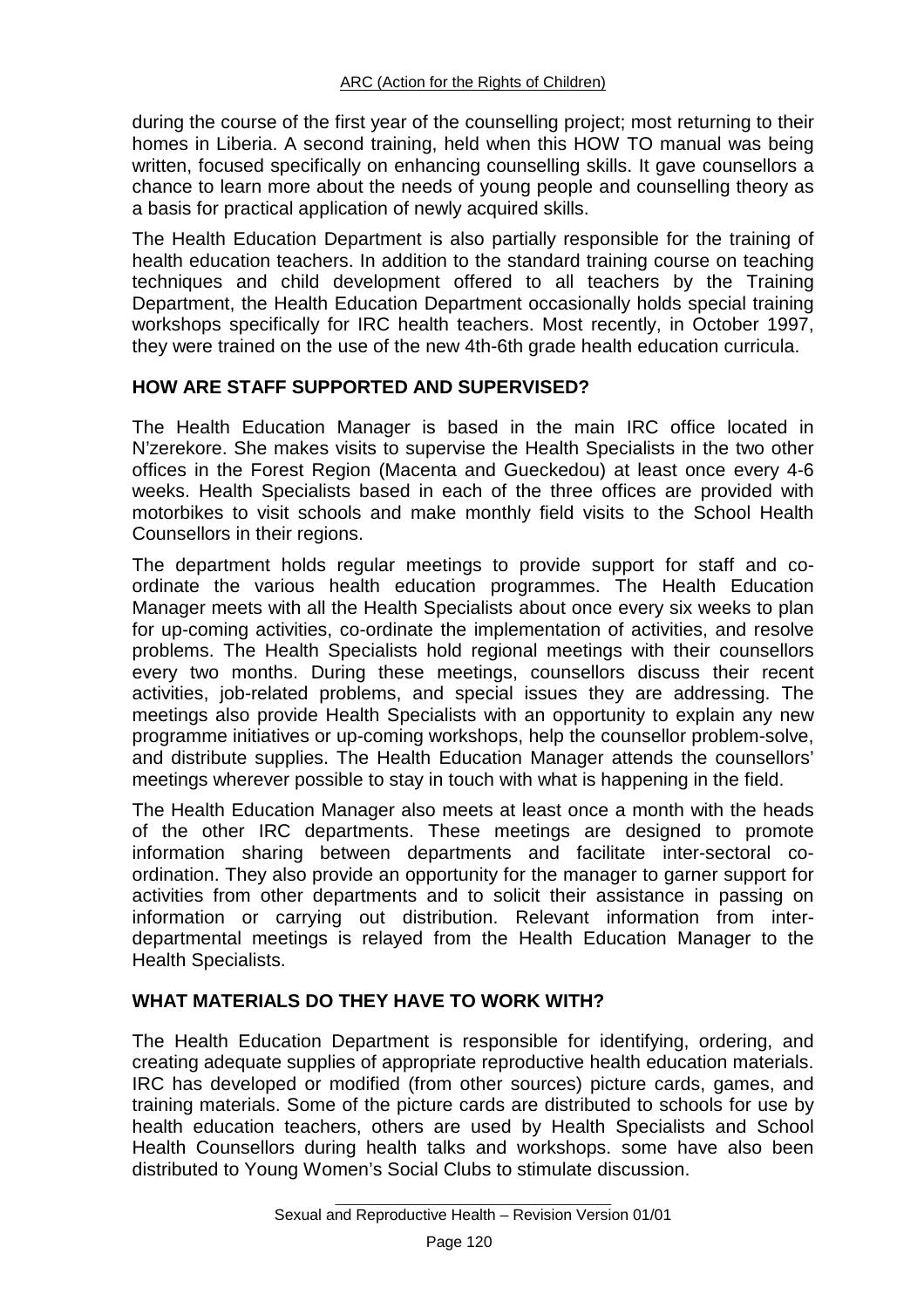during the course of the first year of the counselling project; most returning to their homes in Liberia. A second training, held when this HOW TO manual was being written, focused specifically on enhancing counselling skills. It gave counsellors a chance to learn more about the needs of young people and counselling theory as a basis for practical application of newly acquired skills.

The Health Education Department is also partially responsible for the training of health education teachers. In addition to the standard training course on teaching techniques and child development offered to all teachers by the Training Department, the Health Education Department occasionally holds special training workshops specifically for IRC health teachers. Most recently, in October 1997, they were trained on the use of the new 4th-6th grade health education curricula.

## **HOW ARE STAFF SUPPORTED AND SUPERVISED?**

The Health Education Manager is based in the main IRC office located in N'zerekore. She makes visits to supervise the Health Specialists in the two other offices in the Forest Region (Macenta and Gueckedou) at least once every 4-6 weeks. Health Specialists based in each of the three offices are provided with motorbikes to visit schools and make monthly field visits to the School Health Counsellors in their regions.

The department holds regular meetings to provide support for staff and coordinate the various health education programmes. The Health Education Manager meets with all the Health Specialists about once every six weeks to plan for up-coming activities, co-ordinate the implementation of activities, and resolve problems. The Health Specialists hold regional meetings with their counsellors every two months. During these meetings, counsellors discuss their recent activities, job-related problems, and special issues they are addressing. The meetings also provide Health Specialists with an opportunity to explain any new programme initiatives or up-coming workshops, help the counsellor problem-solve, and distribute supplies. The Health Education Manager attends the counsellors' meetings wherever possible to stay in touch with what is happening in the field.

The Health Education Manager also meets at least once a month with the heads of the other IRC departments. These meetings are designed to promote information sharing between departments and facilitate inter-sectoral coordination. They also provide an opportunity for the manager to garner support for activities from other departments and to solicit their assistance in passing on information or carrying out distribution. Relevant information from interdepartmental meetings is relayed from the Health Education Manager to the Health Specialists.

# **WHAT MATERIALS DO THEY HAVE TO WORK WITH?**

The Health Education Department is responsible for identifying, ordering, and creating adequate supplies of appropriate reproductive health education materials. IRC has developed or modified (from other sources) picture cards, games, and training materials. Some of the picture cards are distributed to schools for use by health education teachers, others are used by Health Specialists and School Health Counsellors during health talks and workshops. some have also been distributed to Young Women's Social Clubs to stimulate discussion.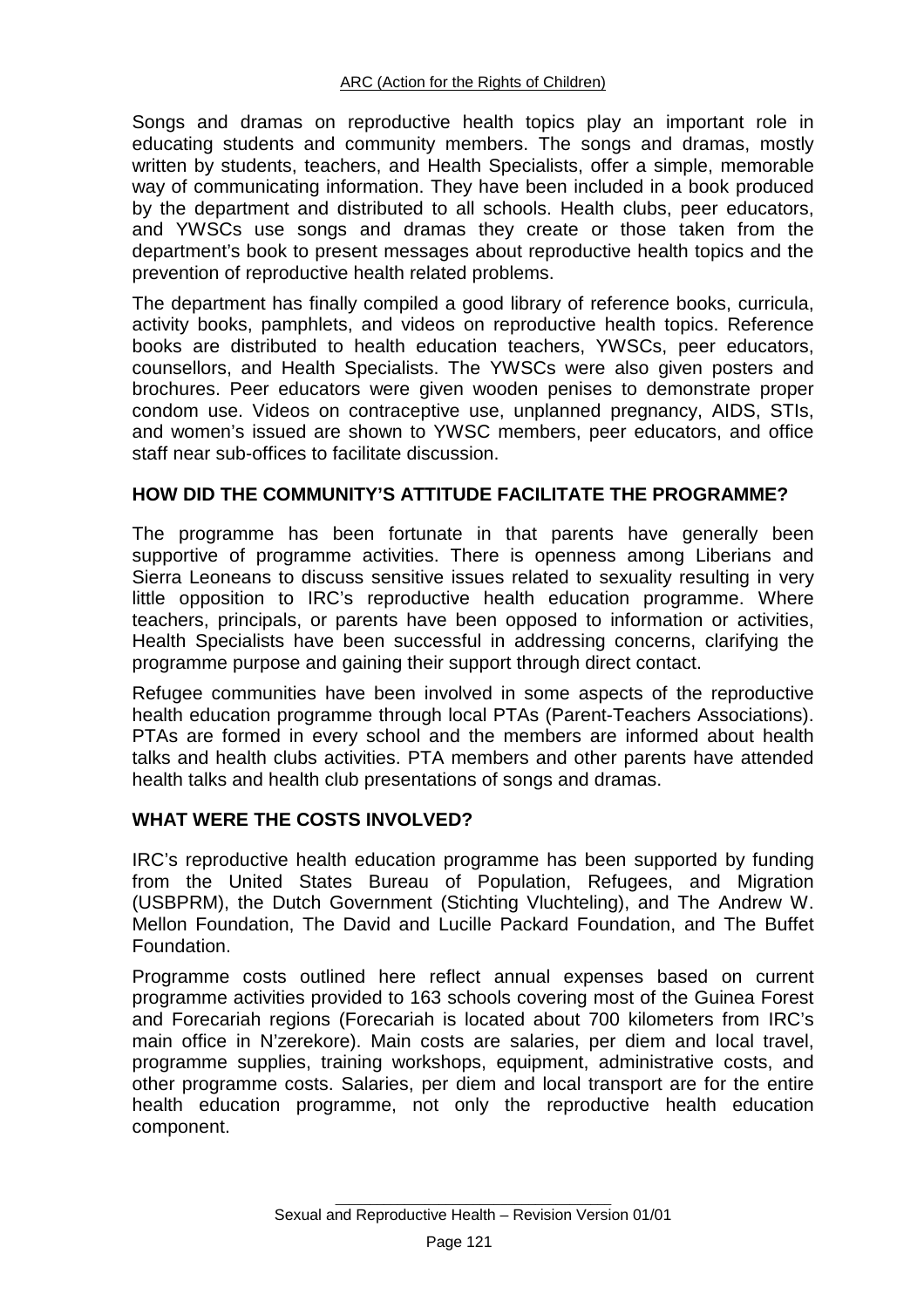Songs and dramas on reproductive health topics play an important role in educating students and community members. The songs and dramas, mostly written by students, teachers, and Health Specialists, offer a simple, memorable way of communicating information. They have been included in a book produced by the department and distributed to all schools. Health clubs, peer educators, and YWSCs use songs and dramas they create or those taken from the department's book to present messages about reproductive health topics and the prevention of reproductive health related problems.

The department has finally compiled a good library of reference books, curricula, activity books, pamphlets, and videos on reproductive health topics. Reference books are distributed to health education teachers, YWSCs, peer educators, counsellors, and Health Specialists. The YWSCs were also given posters and brochures. Peer educators were given wooden penises to demonstrate proper condom use. Videos on contraceptive use, unplanned pregnancy, AIDS, STIs, and women's issued are shown to YWSC members, peer educators, and office staff near sub-offices to facilitate discussion.

## **HOW DID THE COMMUNITY'S ATTITUDE FACILITATE THE PROGRAMME?**

The programme has been fortunate in that parents have generally been supportive of programme activities. There is openness among Liberians and Sierra Leoneans to discuss sensitive issues related to sexuality resulting in very little opposition to IRC's reproductive health education programme. Where teachers, principals, or parents have been opposed to information or activities, Health Specialists have been successful in addressing concerns, clarifying the programme purpose and gaining their support through direct contact.

Refugee communities have been involved in some aspects of the reproductive health education programme through local PTAs (Parent-Teachers Associations). PTAs are formed in every school and the members are informed about health talks and health clubs activities. PTA members and other parents have attended health talks and health club presentations of songs and dramas.

## **WHAT WERE THE COSTS INVOLVED?**

IRC's reproductive health education programme has been supported by funding from the United States Bureau of Population, Refugees, and Migration (USBPRM), the Dutch Government (Stichting Vluchteling), and The Andrew W. Mellon Foundation, The David and Lucille Packard Foundation, and The Buffet Foundation.

Programme costs outlined here reflect annual expenses based on current programme activities provided to 163 schools covering most of the Guinea Forest and Forecariah regions (Forecariah is located about 700 kilometers from IRC's main office in N'zerekore). Main costs are salaries, per diem and local travel, programme supplies, training workshops, equipment, administrative costs, and other programme costs. Salaries, per diem and local transport are for the entire health education programme, not only the reproductive health education component.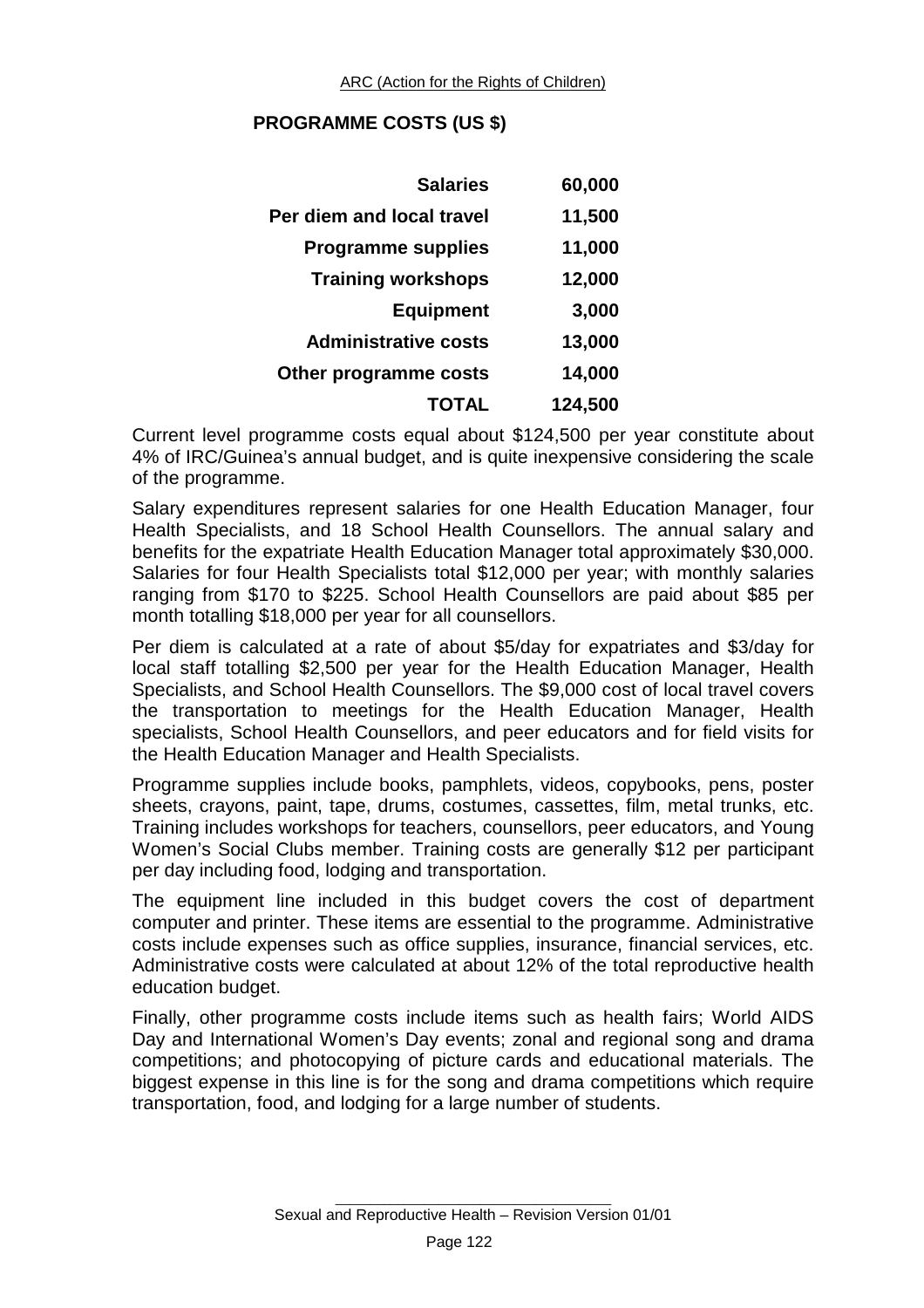## **PROGRAMME COSTS (US \$)**

| <b>Salaries</b>             | 60,000  |
|-----------------------------|---------|
| Per diem and local travel   | 11,500  |
| <b>Programme supplies</b>   | 11,000  |
| <b>Training workshops</b>   | 12,000  |
| <b>Equipment</b>            | 3,000   |
| <b>Administrative costs</b> | 13,000  |
| Other programme costs       | 14,000  |
| <b>TOTAL</b>                | 124,500 |

Current level programme costs equal about \$124,500 per year constitute about 4% of IRC/Guinea's annual budget, and is quite inexpensive considering the scale of the programme.

Salary expenditures represent salaries for one Health Education Manager, four Health Specialists, and 18 School Health Counsellors. The annual salary and benefits for the expatriate Health Education Manager total approximately \$30,000. Salaries for four Health Specialists total \$12,000 per year; with monthly salaries ranging from \$170 to \$225. School Health Counsellors are paid about \$85 per month totalling \$18,000 per year for all counsellors.

Per diem is calculated at a rate of about \$5/day for expatriates and \$3/day for local staff totalling \$2,500 per year for the Health Education Manager, Health Specialists, and School Health Counsellors. The \$9,000 cost of local travel covers the transportation to meetings for the Health Education Manager, Health specialists, School Health Counsellors, and peer educators and for field visits for the Health Education Manager and Health Specialists.

Programme supplies include books, pamphlets, videos, copybooks, pens, poster sheets, crayons, paint, tape, drums, costumes, cassettes, film, metal trunks, etc. Training includes workshops for teachers, counsellors, peer educators, and Young Women's Social Clubs member. Training costs are generally \$12 per participant per day including food, lodging and transportation.

The equipment line included in this budget covers the cost of department computer and printer. These items are essential to the programme. Administrative costs include expenses such as office supplies, insurance, financial services, etc. Administrative costs were calculated at about 12% of the total reproductive health education budget.

Finally, other programme costs include items such as health fairs; World AIDS Day and International Women's Day events; zonal and regional song and drama competitions; and photocopying of picture cards and educational materials. The biggest expense in this line is for the song and drama competitions which require transportation, food, and lodging for a large number of students.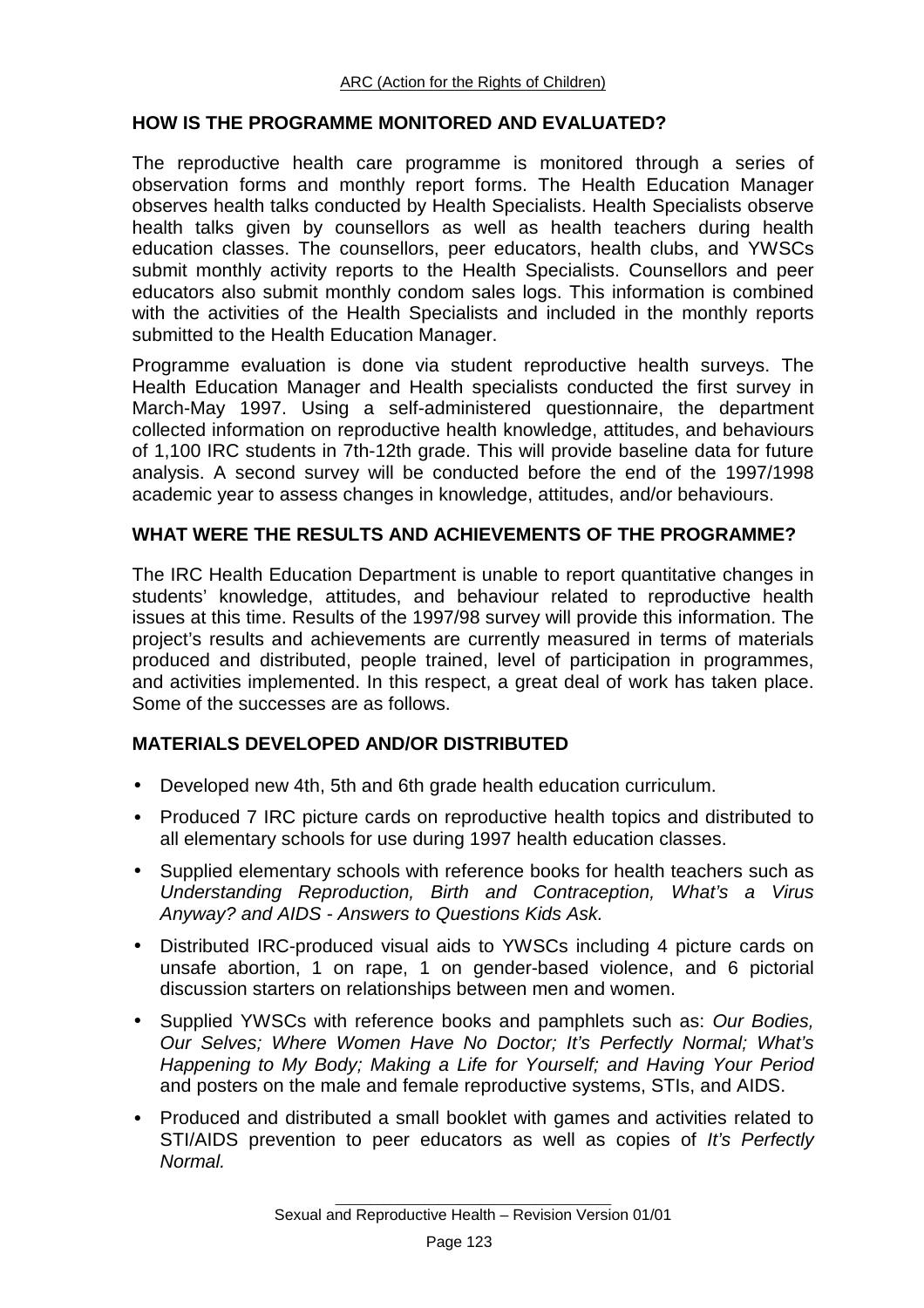## **HOW IS THE PROGRAMME MONITORED AND EVALUATED?**

The reproductive health care programme is monitored through a series of observation forms and monthly report forms. The Health Education Manager observes health talks conducted by Health Specialists. Health Specialists observe health talks given by counsellors as well as health teachers during health education classes. The counsellors, peer educators, health clubs, and YWSCs submit monthly activity reports to the Health Specialists. Counsellors and peer educators also submit monthly condom sales logs. This information is combined with the activities of the Health Specialists and included in the monthly reports submitted to the Health Education Manager.

Programme evaluation is done via student reproductive health surveys. The Health Education Manager and Health specialists conducted the first survey in March-May 1997. Using a self-administered questionnaire, the department collected information on reproductive health knowledge, attitudes, and behaviours of 1,100 IRC students in 7th-12th grade. This will provide baseline data for future analysis. A second survey will be conducted before the end of the 1997/1998 academic year to assess changes in knowledge, attitudes, and/or behaviours.

## **WHAT WERE THE RESULTS AND ACHIEVEMENTS OF THE PROGRAMME?**

The IRC Health Education Department is unable to report quantitative changes in students' knowledge, attitudes, and behaviour related to reproductive health issues at this time. Results of the 1997/98 survey will provide this information. The project's results and achievements are currently measured in terms of materials produced and distributed, people trained, level of participation in programmes, and activities implemented. In this respect, a great deal of work has taken place. Some of the successes are as follows.

# **MATERIALS DEVELOPED AND/OR DISTRIBUTED**

- Developed new 4th, 5th and 6th grade health education curriculum.
- Produced 7 IRC picture cards on reproductive health topics and distributed to all elementary schools for use during 1997 health education classes.
- Supplied elementary schools with reference books for health teachers such as *Understanding Reproduction, Birth and Contraception, What's a Virus Anyway? and AIDS - Answers to Questions Kids Ask.*
- Distributed IRC-produced visual aids to YWSCs including 4 picture cards on unsafe abortion, 1 on rape, 1 on gender-based violence, and 6 pictorial discussion starters on relationships between men and women.
- Supplied YWSCs with reference books and pamphlets such as: *Our Bodies, Our Selves; Where Women Have No Doctor; It's Perfectly Normal; What's Happening to My Body; Making a Life for Yourself; and Having Your Period* and posters on the male and female reproductive systems, STIs, and AIDS.
- Produced and distributed a small booklet with games and activities related to STI/AIDS prevention to peer educators as well as copies of *It's Perfectly Normal.*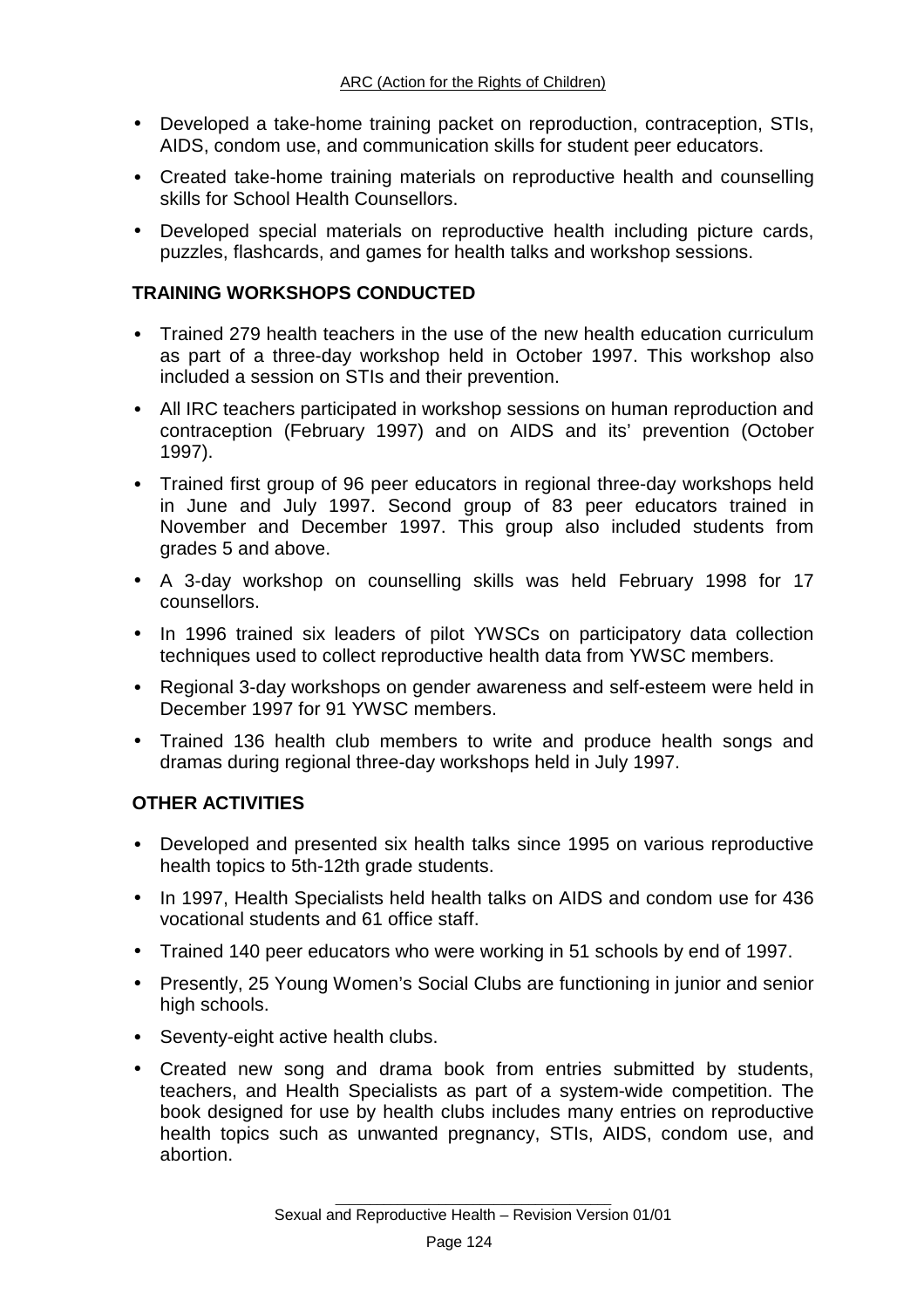- Developed a take-home training packet on reproduction, contraception, STIs, AIDS, condom use, and communication skills for student peer educators.
- Created take-home training materials on reproductive health and counselling skills for School Health Counsellors.
- Developed special materials on reproductive health including picture cards, puzzles, flashcards, and games for health talks and workshop sessions.

# **TRAINING WORKSHOPS CONDUCTED**

- Trained 279 health teachers in the use of the new health education curriculum as part of a three-day workshop held in October 1997. This workshop also included a session on STIs and their prevention.
- All IRC teachers participated in workshop sessions on human reproduction and contraception (February 1997) and on AIDS and its' prevention (October 1997).
- Trained first group of 96 peer educators in regional three-day workshops held in June and July 1997. Second group of 83 peer educators trained in November and December 1997. This group also included students from grades 5 and above.
- A 3-day workshop on counselling skills was held February 1998 for 17 counsellors.
- In 1996 trained six leaders of pilot YWSCs on participatory data collection techniques used to collect reproductive health data from YWSC members.
- Regional 3-day workshops on gender awareness and self-esteem were held in December 1997 for 91 YWSC members.
- Trained 136 health club members to write and produce health songs and dramas during regional three-day workshops held in July 1997.

# **OTHER ACTIVITIES**

- Developed and presented six health talks since 1995 on various reproductive health topics to 5th-12th grade students.
- In 1997, Health Specialists held health talks on AIDS and condom use for 436 vocational students and 61 office staff.
- Trained 140 peer educators who were working in 51 schools by end of 1997.
- Presently, 25 Young Women's Social Clubs are functioning in junior and senior high schools.
- Seventy-eight active health clubs.
- Created new song and drama book from entries submitted by students, teachers, and Health Specialists as part of a system-wide competition. The book designed for use by health clubs includes many entries on reproductive health topics such as unwanted pregnancy, STIs, AIDS, condom use, and abortion.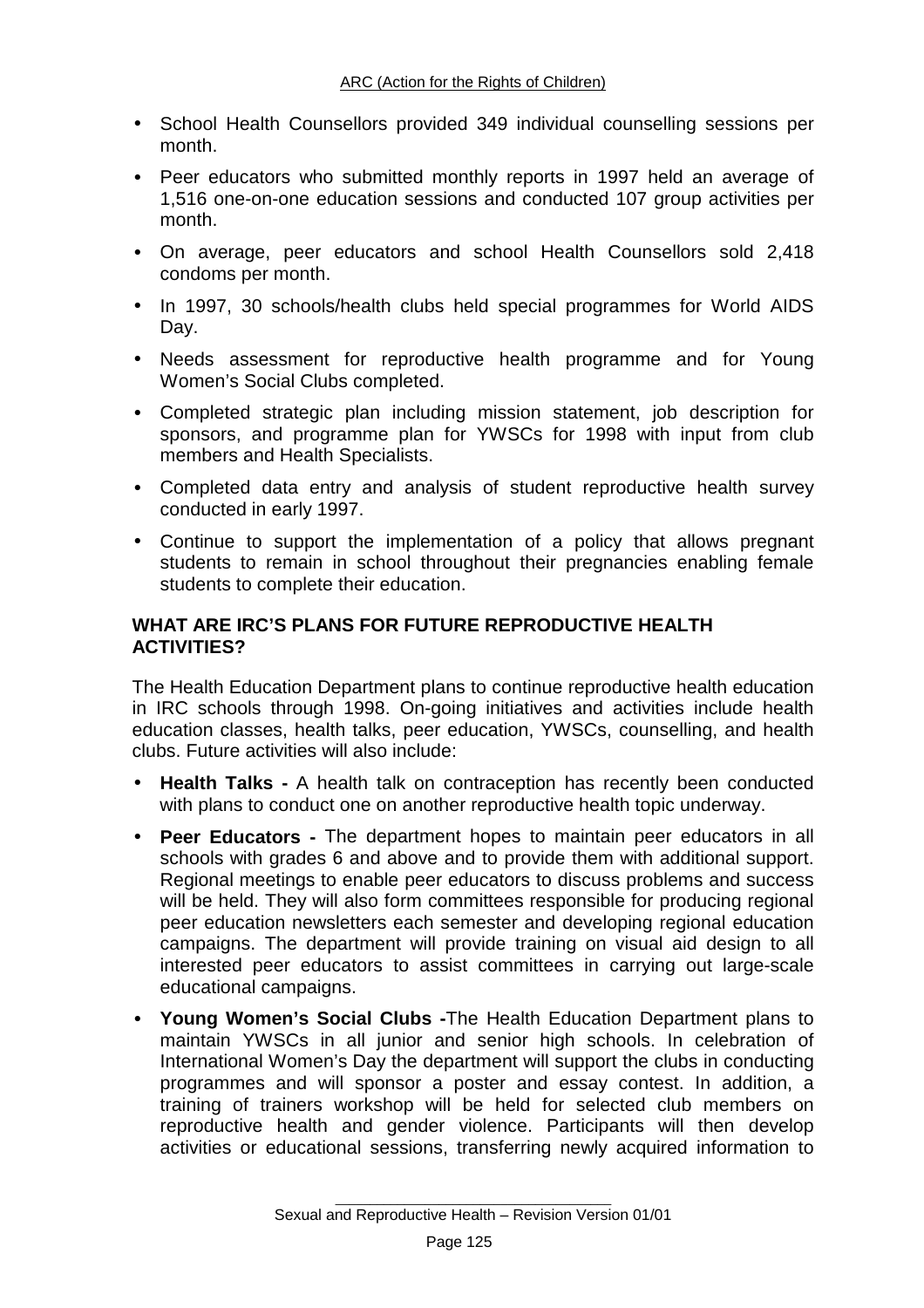- School Health Counsellors provided 349 individual counselling sessions per month.
- Peer educators who submitted monthly reports in 1997 held an average of 1,516 one-on-one education sessions and conducted 107 group activities per month.
- On average, peer educators and school Health Counsellors sold 2,418 condoms per month.
- In 1997, 30 schools/health clubs held special programmes for World AIDS Day.
- Needs assessment for reproductive health programme and for Young Women's Social Clubs completed.
- Completed strategic plan including mission statement, job description for sponsors, and programme plan for YWSCs for 1998 with input from club members and Health Specialists.
- Completed data entry and analysis of student reproductive health survey conducted in early 1997.
- Continue to support the implementation of a policy that allows pregnant students to remain in school throughout their pregnancies enabling female students to complete their education.

## **WHAT ARE IRC'S PLANS FOR FUTURE REPRODUCTIVE HEALTH ACTIVITIES?**

The Health Education Department plans to continue reproductive health education in IRC schools through 1998. On-going initiatives and activities include health education classes, health talks, peer education, YWSCs, counselling, and health clubs. Future activities will also include:

- **Health Talks** A health talk on contraception has recently been conducted with plans to conduct one on another reproductive health topic underway.
- **Peer Educators** The department hopes to maintain peer educators in all schools with grades 6 and above and to provide them with additional support. Regional meetings to enable peer educators to discuss problems and success will be held. They will also form committees responsible for producing regional peer education newsletters each semester and developing regional education campaigns. The department will provide training on visual aid design to all interested peer educators to assist committees in carrying out large-scale educational campaigns.
- **Young Women's Social Clubs -**The Health Education Department plans to maintain YWSCs in all junior and senior high schools. In celebration of International Women's Day the department will support the clubs in conducting programmes and will sponsor a poster and essay contest. In addition, a training of trainers workshop will be held for selected club members on reproductive health and gender violence. Participants will then develop activities or educational sessions, transferring newly acquired information to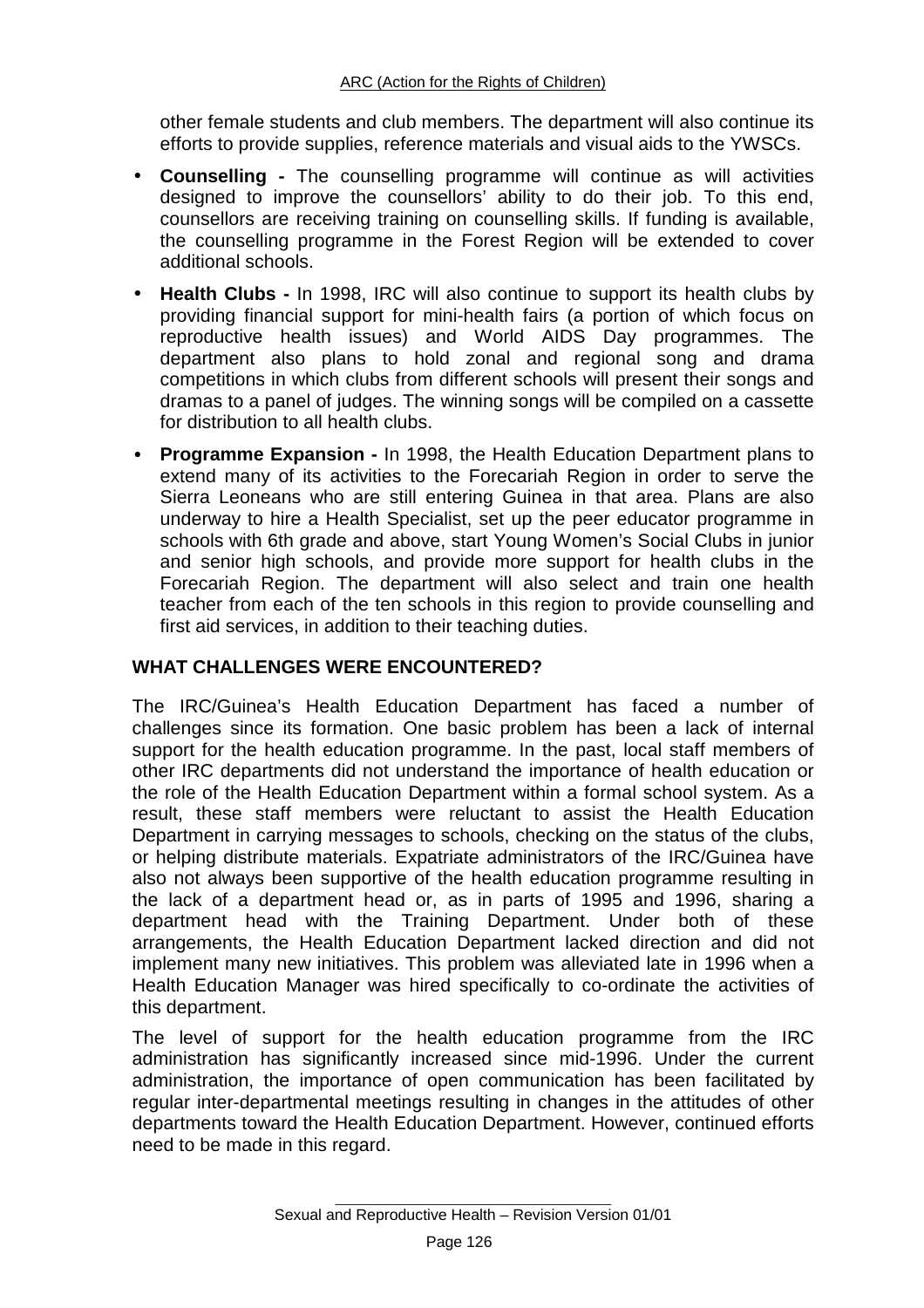other female students and club members. The department will also continue its efforts to provide supplies, reference materials and visual aids to the YWSCs.

- **Counselling** The counselling programme will continue as will activities designed to improve the counsellors' ability to do their job. To this end, counsellors are receiving training on counselling skills. If funding is available, the counselling programme in the Forest Region will be extended to cover additional schools.
- **Health Clubs** In 1998, IRC will also continue to support its health clubs by providing financial support for mini-health fairs (a portion of which focus on reproductive health issues) and World AIDS Day programmes. The department also plans to hold zonal and regional song and drama competitions in which clubs from different schools will present their songs and dramas to a panel of judges. The winning songs will be compiled on a cassette for distribution to all health clubs.
- **Programme Expansion** In 1998, the Health Education Department plans to extend many of its activities to the Forecariah Region in order to serve the Sierra Leoneans who are still entering Guinea in that area. Plans are also underway to hire a Health Specialist, set up the peer educator programme in schools with 6th grade and above, start Young Women's Social Clubs in junior and senior high schools, and provide more support for health clubs in the Forecariah Region. The department will also select and train one health teacher from each of the ten schools in this region to provide counselling and first aid services, in addition to their teaching duties.

# **WHAT CHALLENGES WERE ENCOUNTERED?**

The IRC/Guinea's Health Education Department has faced a number of challenges since its formation. One basic problem has been a lack of internal support for the health education programme. In the past, local staff members of other IRC departments did not understand the importance of health education or the role of the Health Education Department within a formal school system. As a result, these staff members were reluctant to assist the Health Education Department in carrying messages to schools, checking on the status of the clubs, or helping distribute materials. Expatriate administrators of the IRC/Guinea have also not always been supportive of the health education programme resulting in the lack of a department head or, as in parts of 1995 and 1996, sharing a department head with the Training Department. Under both of these arrangements, the Health Education Department lacked direction and did not implement many new initiatives. This problem was alleviated late in 1996 when a Health Education Manager was hired specifically to co-ordinate the activities of this department.

The level of support for the health education programme from the IRC administration has significantly increased since mid-1996. Under the current administration, the importance of open communication has been facilitated by regular inter-departmental meetings resulting in changes in the attitudes of other departments toward the Health Education Department. However, continued efforts need to be made in this regard.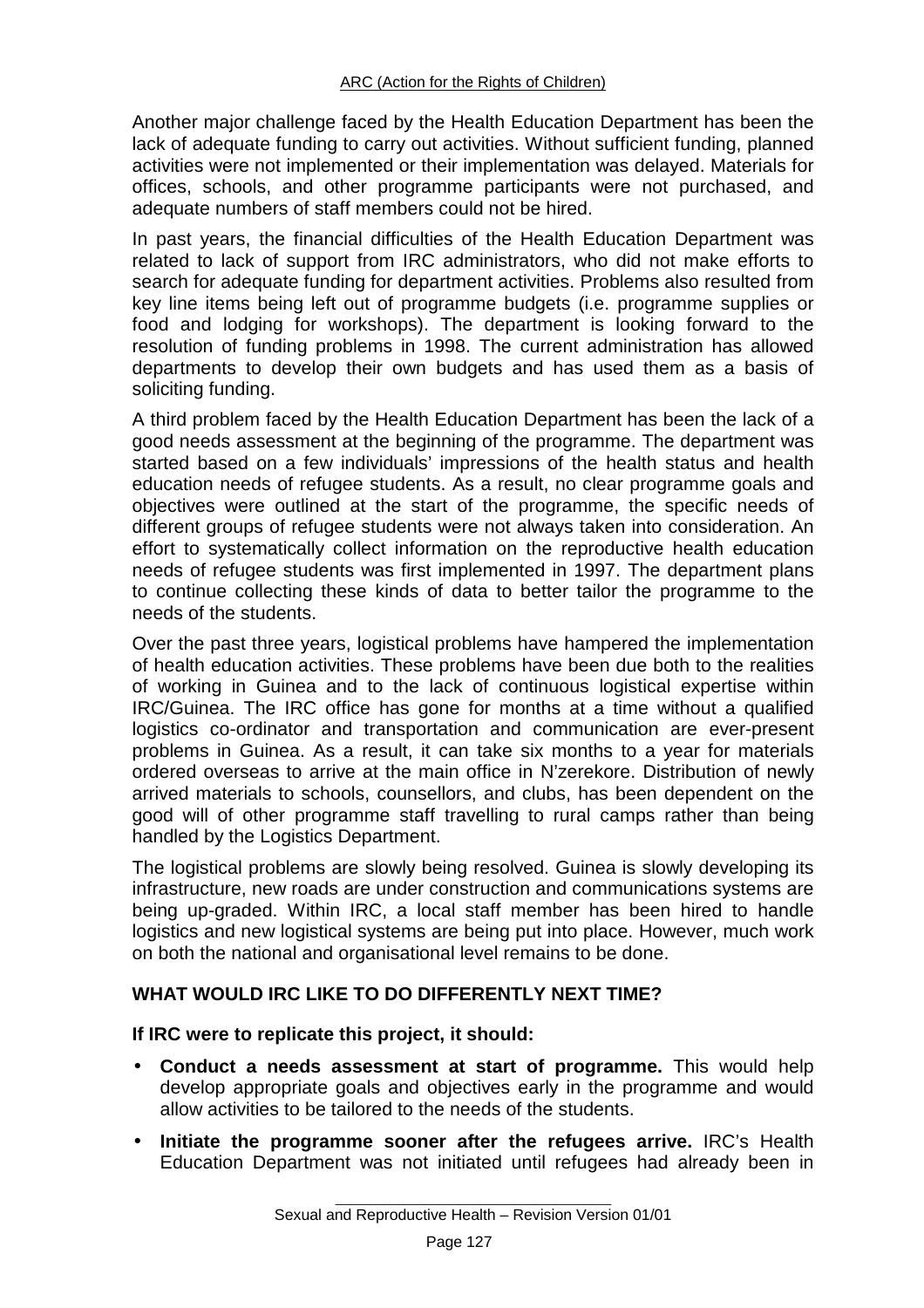Another major challenge faced by the Health Education Department has been the lack of adequate funding to carry out activities. Without sufficient funding, planned activities were not implemented or their implementation was delayed. Materials for offices, schools, and other programme participants were not purchased, and adequate numbers of staff members could not be hired.

In past years, the financial difficulties of the Health Education Department was related to lack of support from IRC administrators, who did not make efforts to search for adequate funding for department activities. Problems also resulted from key line items being left out of programme budgets (i.e. programme supplies or food and lodging for workshops). The department is looking forward to the resolution of funding problems in 1998. The current administration has allowed departments to develop their own budgets and has used them as a basis of soliciting funding.

A third problem faced by the Health Education Department has been the lack of a good needs assessment at the beginning of the programme. The department was started based on a few individuals' impressions of the health status and health education needs of refugee students. As a result, no clear programme goals and objectives were outlined at the start of the programme, the specific needs of different groups of refugee students were not always taken into consideration. An effort to systematically collect information on the reproductive health education needs of refugee students was first implemented in 1997. The department plans to continue collecting these kinds of data to better tailor the programme to the needs of the students.

Over the past three years, logistical problems have hampered the implementation of health education activities. These problems have been due both to the realities of working in Guinea and to the lack of continuous logistical expertise within IRC/Guinea. The IRC office has gone for months at a time without a qualified logistics co-ordinator and transportation and communication are ever-present problems in Guinea. As a result, it can take six months to a year for materials ordered overseas to arrive at the main office in N'zerekore. Distribution of newly arrived materials to schools, counsellors, and clubs, has been dependent on the good will of other programme staff travelling to rural camps rather than being handled by the Logistics Department.

The logistical problems are slowly being resolved. Guinea is slowly developing its infrastructure, new roads are under construction and communications systems are being up-graded. Within IRC, a local staff member has been hired to handle logistics and new logistical systems are being put into place. However, much work on both the national and organisational level remains to be done.

# **WHAT WOULD IRC LIKE TO DO DIFFERENTLY NEXT TIME?**

## **If IRC were to replicate this project, it should:**

- **Conduct a needs assessment at start of programme.** This would help develop appropriate goals and objectives early in the programme and would allow activities to be tailored to the needs of the students.
- **Initiate the programme sooner after the refugees arrive.** IRC's Health Education Department was not initiated until refugees had already been in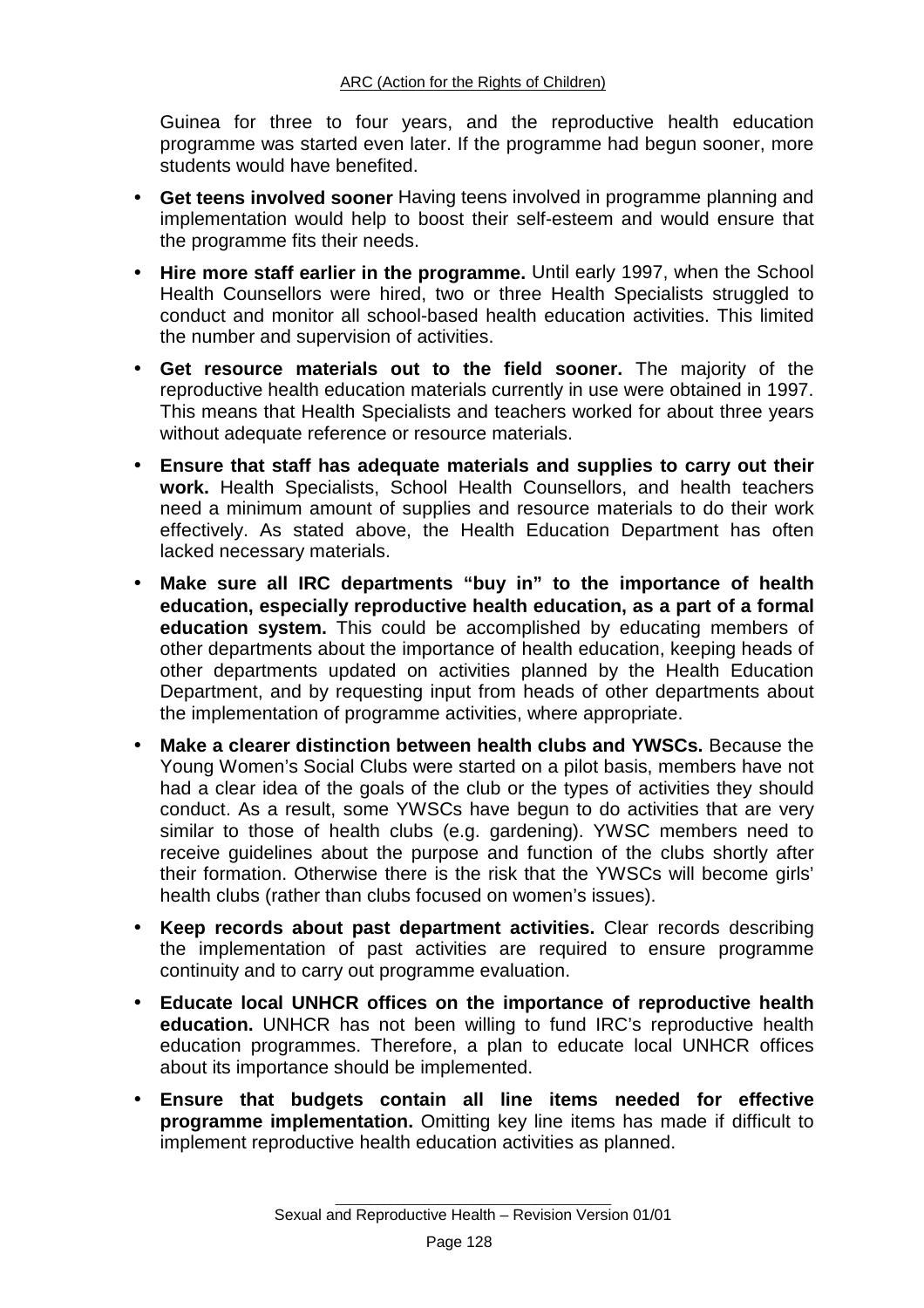Guinea for three to four years, and the reproductive health education programme was started even later. If the programme had begun sooner, more students would have benefited.

- **Get teens involved sooner** Having teens involved in programme planning and implementation would help to boost their self-esteem and would ensure that the programme fits their needs.
- Hire more staff earlier in the programme. Until early 1997, when the School Health Counsellors were hired, two or three Health Specialists struggled to conduct and monitor all school-based health education activities. This limited the number and supervision of activities.
- **Get resource materials out to the field sooner.** The majority of the reproductive health education materials currently in use were obtained in 1997. This means that Health Specialists and teachers worked for about three years without adequate reference or resource materials.
- **Ensure that staff has adequate materials and supplies to carry out their work.** Health Specialists, School Health Counsellors, and health teachers need a minimum amount of supplies and resource materials to do their work effectively. As stated above, the Health Education Department has often lacked necessary materials.
- **Make sure all IRC departments "buy in" to the importance of health education, especially reproductive health education, as a part of a formal education system.** This could be accomplished by educating members of other departments about the importance of health education, keeping heads of other departments updated on activities planned by the Health Education Department, and by requesting input from heads of other departments about the implementation of programme activities, where appropriate.
- **Make a clearer distinction between health clubs and YWSCs.** Because the Young Women's Social Clubs were started on a pilot basis, members have not had a clear idea of the goals of the club or the types of activities they should conduct. As a result, some YWSCs have begun to do activities that are very similar to those of health clubs (e.g. gardening). YWSC members need to receive guidelines about the purpose and function of the clubs shortly after their formation. Otherwise there is the risk that the YWSCs will become girls' health clubs (rather than clubs focused on women's issues).
- **Keep records about past department activities.** Clear records describing the implementation of past activities are required to ensure programme continuity and to carry out programme evaluation.
- **Educate local UNHCR offices on the importance of reproductive health education.** UNHCR has not been willing to fund IRC's reproductive health education programmes. Therefore, a plan to educate local UNHCR offices about its importance should be implemented.
- **Ensure that budgets contain all line items needed for effective programme implementation.** Omitting key line items has made if difficult to implement reproductive health education activities as planned.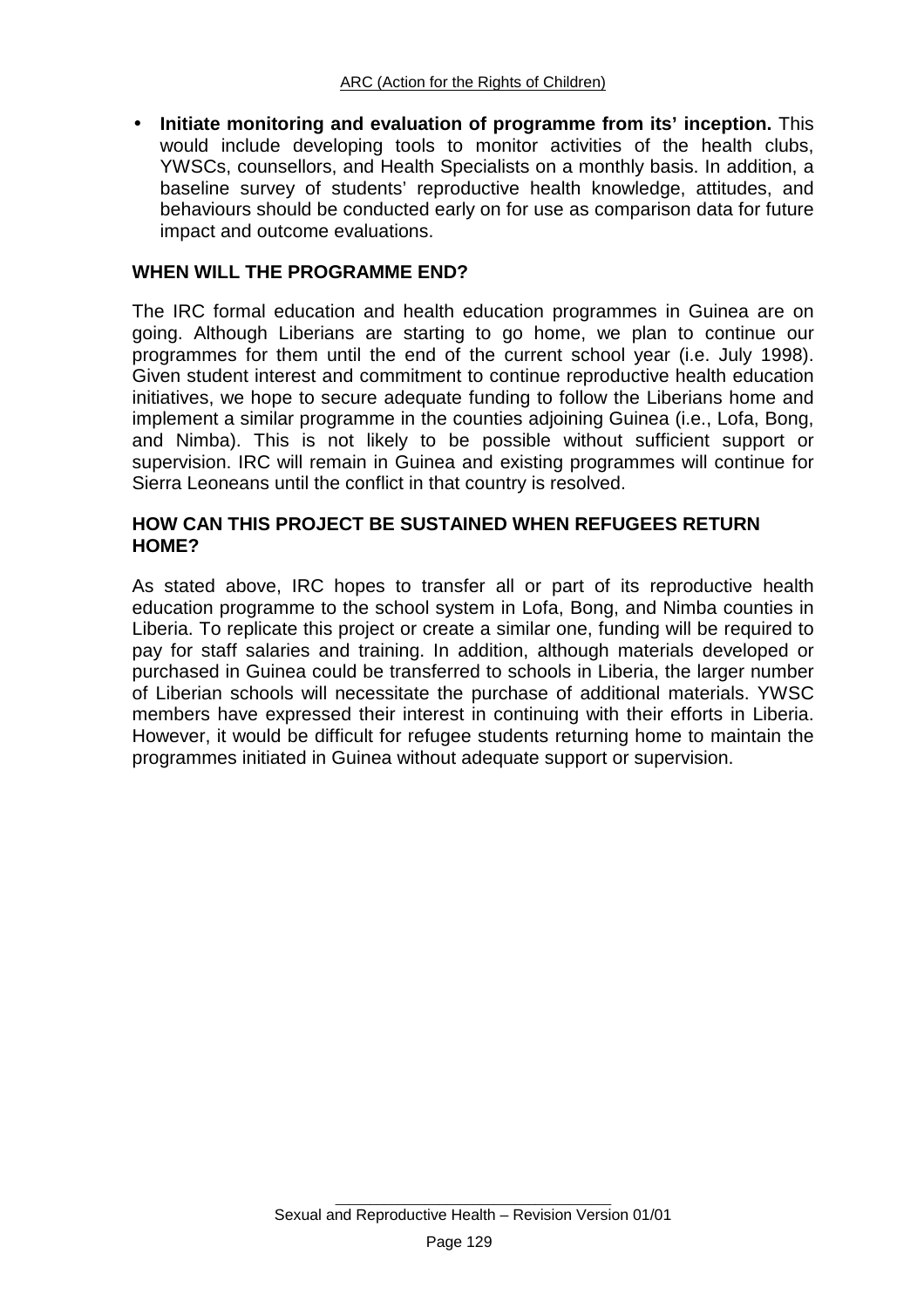• **Initiate monitoring and evaluation of programme from its' inception.** This would include developing tools to monitor activities of the health clubs, YWSCs, counsellors, and Health Specialists on a monthly basis. In addition, a baseline survey of students' reproductive health knowledge, attitudes, and behaviours should be conducted early on for use as comparison data for future impact and outcome evaluations.

### **WHEN WILL THE PROGRAMME END?**

The IRC formal education and health education programmes in Guinea are on going. Although Liberians are starting to go home, we plan to continue our programmes for them until the end of the current school year (i.e. July 1998). Given student interest and commitment to continue reproductive health education initiatives, we hope to secure adequate funding to follow the Liberians home and implement a similar programme in the counties adjoining Guinea (i.e., Lofa, Bong, and Nimba). This is not likely to be possible without sufficient support or supervision. IRC will remain in Guinea and existing programmes will continue for Sierra Leoneans until the conflict in that country is resolved.

### **HOW CAN THIS PROJECT BE SUSTAINED WHEN REFUGEES RETURN HOME?**

As stated above, IRC hopes to transfer all or part of its reproductive health education programme to the school system in Lofa, Bong, and Nimba counties in Liberia. To replicate this project or create a similar one, funding will be required to pay for staff salaries and training. In addition, although materials developed or purchased in Guinea could be transferred to schools in Liberia, the larger number of Liberian schools will necessitate the purchase of additional materials. YWSC members have expressed their interest in continuing with their efforts in Liberia. However, it would be difficult for refugee students returning home to maintain the programmes initiated in Guinea without adequate support or supervision.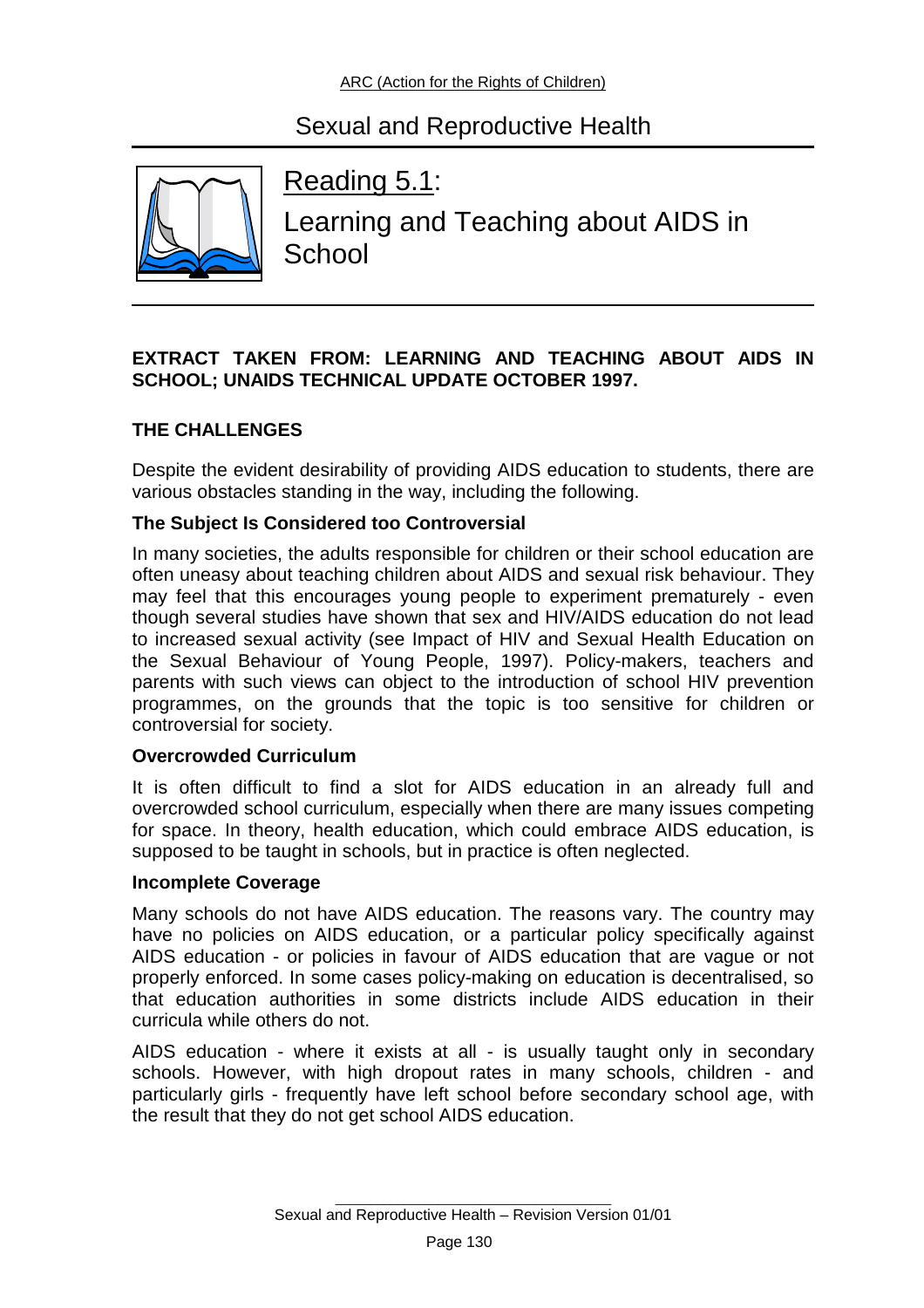# Sexual and Reproductive Health



Reading 5.1:

Learning and Teaching about AIDS in **School** 

## **EXTRACT TAKEN FROM: LEARNING AND TEACHING ABOUT AIDS IN SCHOOL; UNAIDS TECHNICAL UPDATE OCTOBER 1997.**

# **THE CHALLENGES**

Despite the evident desirability of providing AIDS education to students, there are various obstacles standing in the way, including the following.

## **The Subject Is Considered too Controversial**

In many societies, the adults responsible for children or their school education are often uneasy about teaching children about AIDS and sexual risk behaviour. They may feel that this encourages young people to experiment prematurely - even though several studies have shown that sex and HIV/AIDS education do not lead to increased sexual activity (see Impact of HIV and Sexual Health Education on the Sexual Behaviour of Young People, 1997). Policy-makers, teachers and parents with such views can object to the introduction of school HIV prevention programmes, on the grounds that the topic is too sensitive for children or controversial for society.

### **Overcrowded Curriculum**

It is often difficult to find a slot for AIDS education in an already full and overcrowded school curriculum, especially when there are many issues competing for space. In theory, health education, which could embrace AIDS education, is supposed to be taught in schools, but in practice is often neglected.

### **Incomplete Coverage**

Many schools do not have AIDS education. The reasons vary. The country may have no policies on AIDS education, or a particular policy specifically against AIDS education - or policies in favour of AIDS education that are vague or not properly enforced. In some cases policy-making on education is decentralised, so that education authorities in some districts include AIDS education in their curricula while others do not.

AIDS education - where it exists at all - is usually taught only in secondary schools. However, with high dropout rates in many schools, children - and particularly girls - frequently have left school before secondary school age, with the result that they do not get school AIDS education.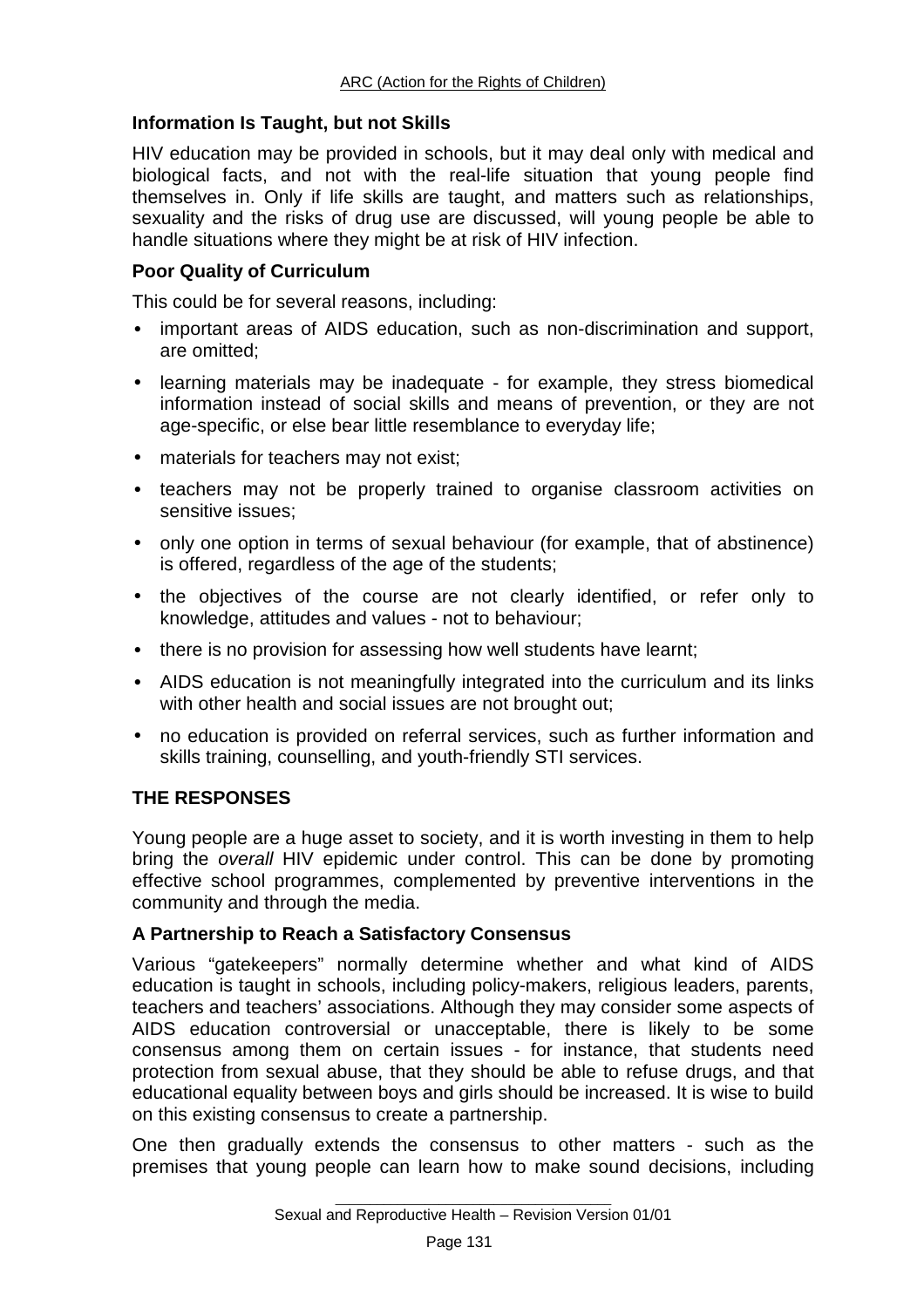## **Information Is Taught, but not Skills**

HIV education may be provided in schools, but it may deal only with medical and biological facts, and not with the real-life situation that young people find themselves in. Only if life skills are taught, and matters such as relationships, sexuality and the risks of drug use are discussed, will young people be able to handle situations where they might be at risk of HIV infection.

## **Poor Quality of Curriculum**

This could be for several reasons, including:

- important areas of AIDS education, such as non-discrimination and support, are omitted;
- learning materials may be inadequate for example, they stress biomedical information instead of social skills and means of prevention, or they are not age-specific, or else bear little resemblance to everyday life;
- materials for teachers may not exist:
- teachers may not be properly trained to organise classroom activities on sensitive issues;
- only one option in terms of sexual behaviour (for example, that of abstinence) is offered, regardless of the age of the students;
- the objectives of the course are not clearly identified, or refer only to knowledge, attitudes and values - not to behaviour;
- there is no provision for assessing how well students have learnt;
- AIDS education is not meaningfully integrated into the curriculum and its links with other health and social issues are not brought out;
- no education is provided on referral services, such as further information and skills training, counselling, and youth-friendly STI services.

## **THE RESPONSES**

Young people are a huge asset to society, and it is worth investing in them to help bring the *overall* HIV epidemic under control. This can be done by promoting effective school programmes, complemented by preventive interventions in the community and through the media.

## **A Partnership to Reach a Satisfactory Consensus**

Various "gatekeepers" normally determine whether and what kind of AIDS education is taught in schools, including policy-makers, religious leaders, parents, teachers and teachers' associations. Although they may consider some aspects of AIDS education controversial or unacceptable, there is likely to be some consensus among them on certain issues - for instance, that students need protection from sexual abuse, that they should be able to refuse drugs, and that educational equality between boys and girls should be increased. It is wise to build on this existing consensus to create a partnership.

One then gradually extends the consensus to other matters - such as the premises that young people can learn how to make sound decisions, including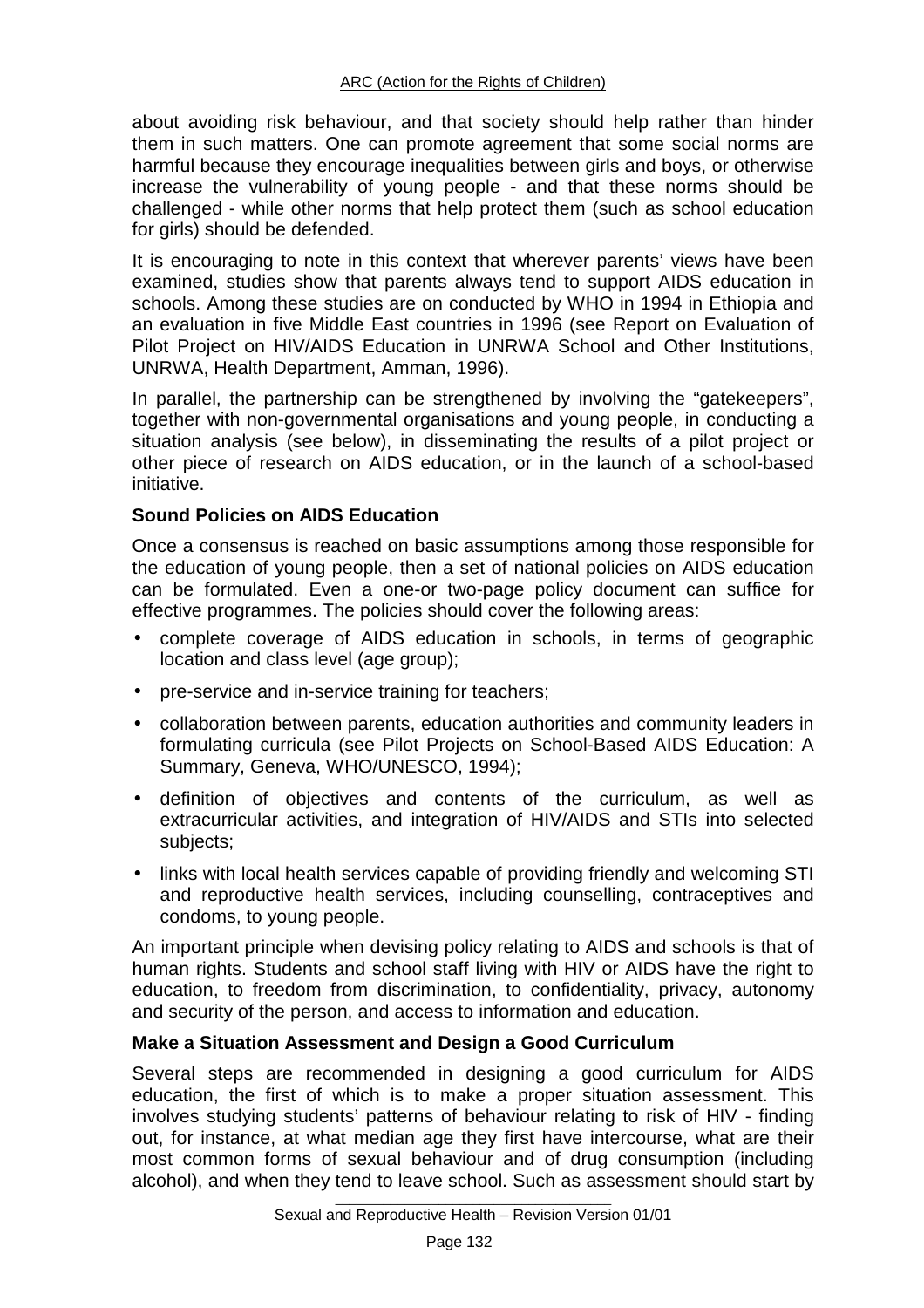about avoiding risk behaviour, and that society should help rather than hinder them in such matters. One can promote agreement that some social norms are harmful because they encourage inequalities between girls and boys, or otherwise increase the vulnerability of young people - and that these norms should be challenged - while other norms that help protect them (such as school education for girls) should be defended.

It is encouraging to note in this context that wherever parents' views have been examined, studies show that parents always tend to support AIDS education in schools. Among these studies are on conducted by WHO in 1994 in Ethiopia and an evaluation in five Middle East countries in 1996 (see Report on Evaluation of Pilot Project on HIV/AIDS Education in UNRWA School and Other Institutions, UNRWA, Health Department, Amman, 1996).

In parallel, the partnership can be strengthened by involving the "gatekeepers", together with non-governmental organisations and young people, in conducting a situation analysis (see below), in disseminating the results of a pilot project or other piece of research on AIDS education, or in the launch of a school-based initiative.

## **Sound Policies on AIDS Education**

Once a consensus is reached on basic assumptions among those responsible for the education of young people, then a set of national policies on AIDS education can be formulated. Even a one-or two-page policy document can suffice for effective programmes. The policies should cover the following areas:

- complete coverage of AIDS education in schools, in terms of geographic location and class level (age group);
- pre-service and in-service training for teachers;
- collaboration between parents, education authorities and community leaders in formulating curricula (see Pilot Projects on School-Based AIDS Education: A Summary, Geneva, WHO/UNESCO, 1994);
- definition of objectives and contents of the curriculum, as well as extracurricular activities, and integration of HIV/AIDS and STIs into selected subjects;
- links with local health services capable of providing friendly and welcoming STI and reproductive health services, including counselling, contraceptives and condoms, to young people.

An important principle when devising policy relating to AIDS and schools is that of human rights. Students and school staff living with HIV or AIDS have the right to education, to freedom from discrimination, to confidentiality, privacy, autonomy and security of the person, and access to information and education.

## **Make a Situation Assessment and Design a Good Curriculum**

Several steps are recommended in designing a good curriculum for AIDS education, the first of which is to make a proper situation assessment. This involves studying students' patterns of behaviour relating to risk of HIV - finding out, for instance, at what median age they first have intercourse, what are their most common forms of sexual behaviour and of drug consumption (including alcohol), and when they tend to leave school. Such as assessment should start by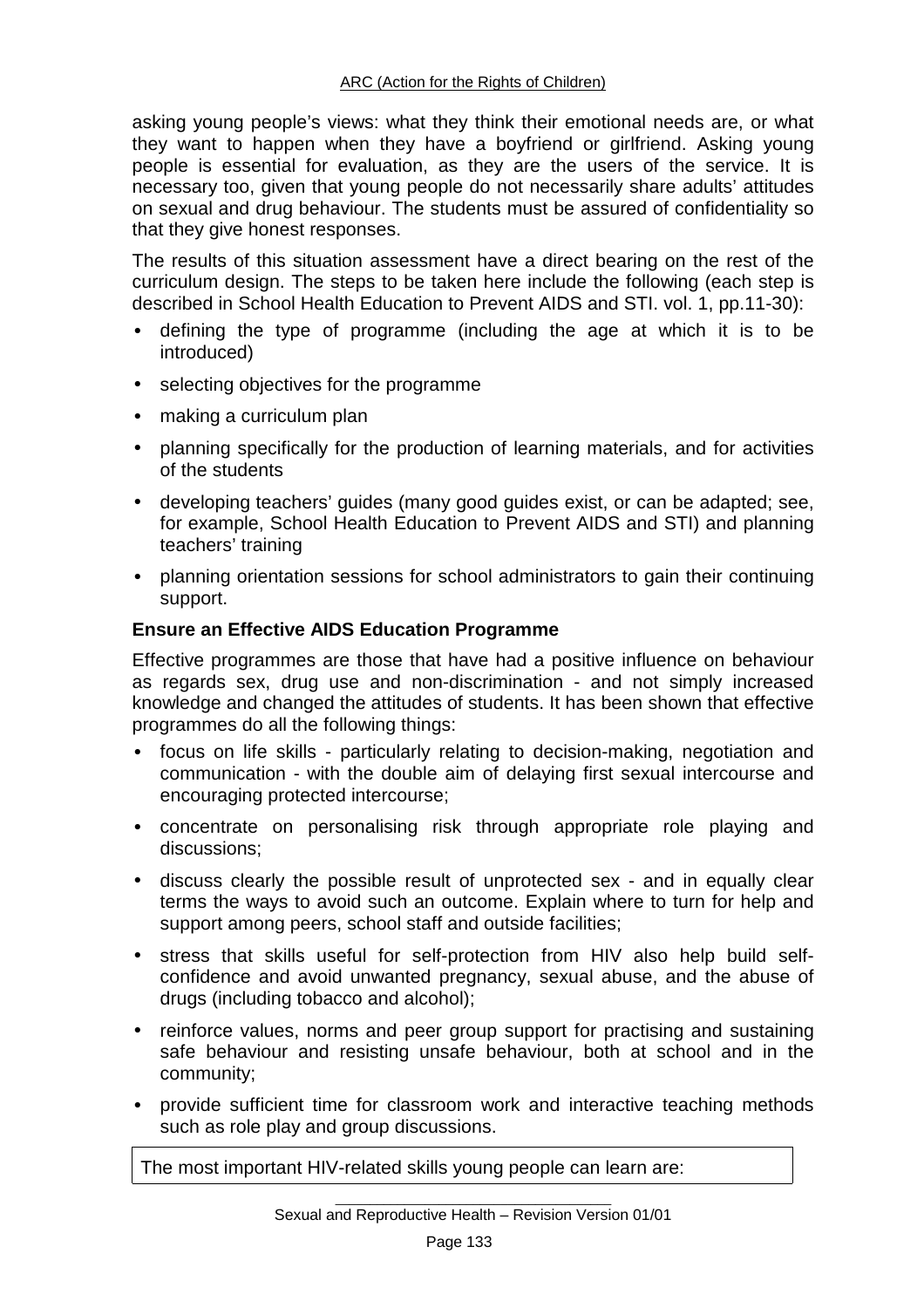asking young people's views: what they think their emotional needs are, or what they want to happen when they have a boyfriend or girlfriend. Asking young people is essential for evaluation, as they are the users of the service. It is necessary too, given that young people do not necessarily share adults' attitudes on sexual and drug behaviour. The students must be assured of confidentiality so that they give honest responses.

The results of this situation assessment have a direct bearing on the rest of the curriculum design. The steps to be taken here include the following (each step is described in School Health Education to Prevent AIDS and STI. vol. 1, pp.11-30):

- defining the type of programme (including the age at which it is to be introduced)
- selecting objectives for the programme
- making a curriculum plan
- planning specifically for the production of learning materials, and for activities of the students
- developing teachers' guides (many good guides exist, or can be adapted; see, for example, School Health Education to Prevent AIDS and STI) and planning teachers' training
- planning orientation sessions for school administrators to gain their continuing support.

## **Ensure an Effective AIDS Education Programme**

Effective programmes are those that have had a positive influence on behaviour as regards sex, drug use and non-discrimination - and not simply increased knowledge and changed the attitudes of students. It has been shown that effective programmes do all the following things:

- focus on life skills particularly relating to decision-making, negotiation and communication - with the double aim of delaying first sexual intercourse and encouraging protected intercourse;
- concentrate on personalising risk through appropriate role playing and discussions;
- discuss clearly the possible result of unprotected sex and in equally clear terms the ways to avoid such an outcome. Explain where to turn for help and support among peers, school staff and outside facilities;
- stress that skills useful for self-protection from HIV also help build selfconfidence and avoid unwanted pregnancy, sexual abuse, and the abuse of drugs (including tobacco and alcohol);
- reinforce values, norms and peer group support for practising and sustaining safe behaviour and resisting unsafe behaviour, both at school and in the community;
- provide sufficient time for classroom work and interactive teaching methods such as role play and group discussions.

The most important HIV-related skills young people can learn are: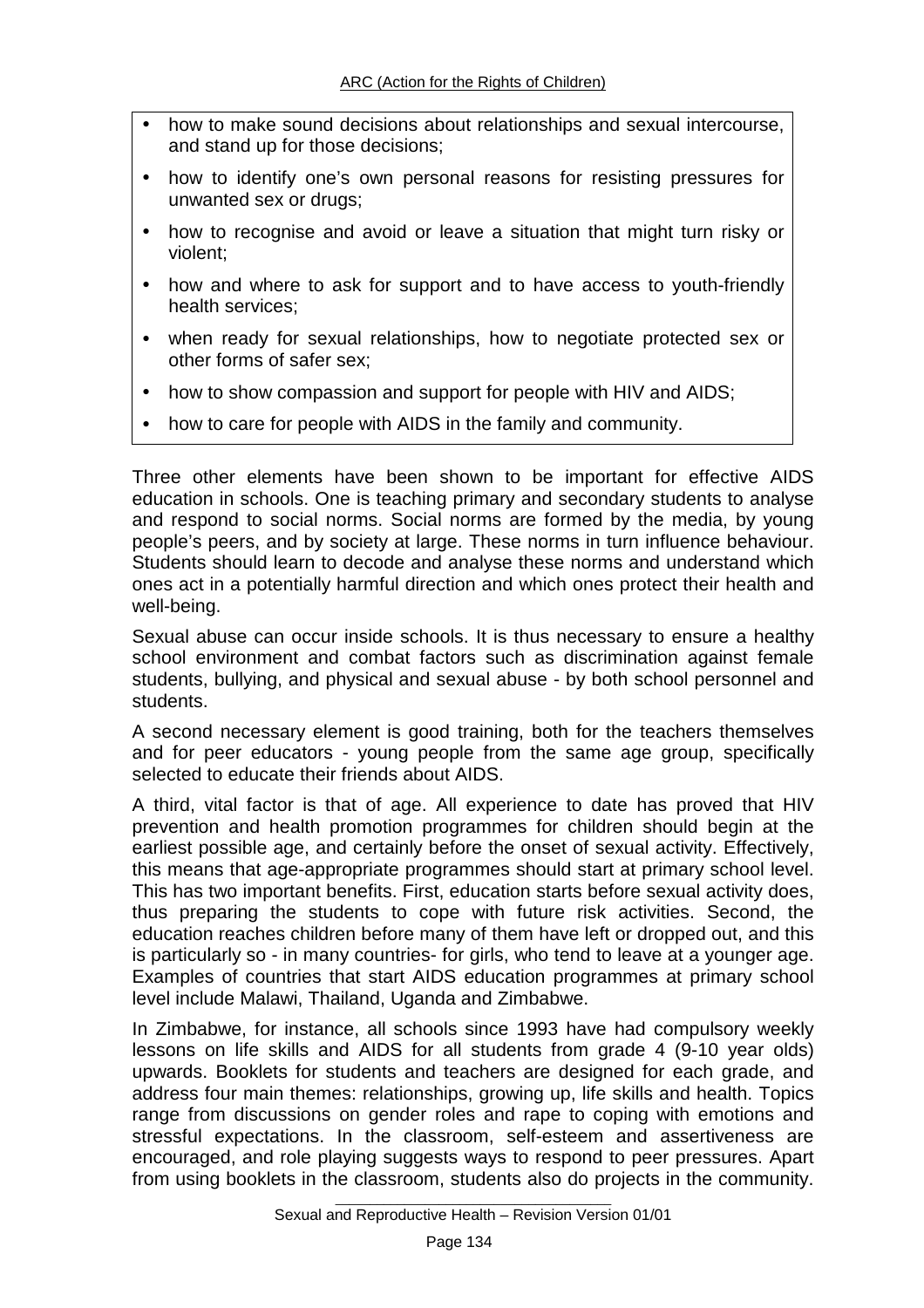- how to make sound decisions about relationships and sexual intercourse, and stand up for those decisions;
- how to identify one's own personal reasons for resisting pressures for unwanted sex or drugs;
- how to recognise and avoid or leave a situation that might turn risky or violent;
- how and where to ask for support and to have access to youth-friendly health services;
- when ready for sexual relationships, how to negotiate protected sex or other forms of safer sex;
- how to show compassion and support for people with HIV and AIDS;
- how to care for people with AIDS in the family and community.

Three other elements have been shown to be important for effective AIDS education in schools. One is teaching primary and secondary students to analyse and respond to social norms. Social norms are formed by the media, by young people's peers, and by society at large. These norms in turn influence behaviour. Students should learn to decode and analyse these norms and understand which ones act in a potentially harmful direction and which ones protect their health and well-being.

Sexual abuse can occur inside schools. It is thus necessary to ensure a healthy school environment and combat factors such as discrimination against female students, bullying, and physical and sexual abuse - by both school personnel and students.

A second necessary element is good training, both for the teachers themselves and for peer educators - young people from the same age group, specifically selected to educate their friends about AIDS.

A third, vital factor is that of age. All experience to date has proved that HIV prevention and health promotion programmes for children should begin at the earliest possible age, and certainly before the onset of sexual activity. Effectively, this means that age-appropriate programmes should start at primary school level. This has two important benefits. First, education starts before sexual activity does, thus preparing the students to cope with future risk activities. Second, the education reaches children before many of them have left or dropped out, and this is particularly so - in many countries- for girls, who tend to leave at a younger age. Examples of countries that start AIDS education programmes at primary school level include Malawi, Thailand, Uganda and Zimbabwe.

In Zimbabwe, for instance, all schools since 1993 have had compulsory weekly lessons on life skills and AIDS for all students from grade 4 (9-10 year olds) upwards. Booklets for students and teachers are designed for each grade, and address four main themes: relationships, growing up, life skills and health. Topics range from discussions on gender roles and rape to coping with emotions and stressful expectations. In the classroom, self-esteem and assertiveness are encouraged, and role playing suggests ways to respond to peer pressures. Apart from using booklets in the classroom, students also do projects in the community.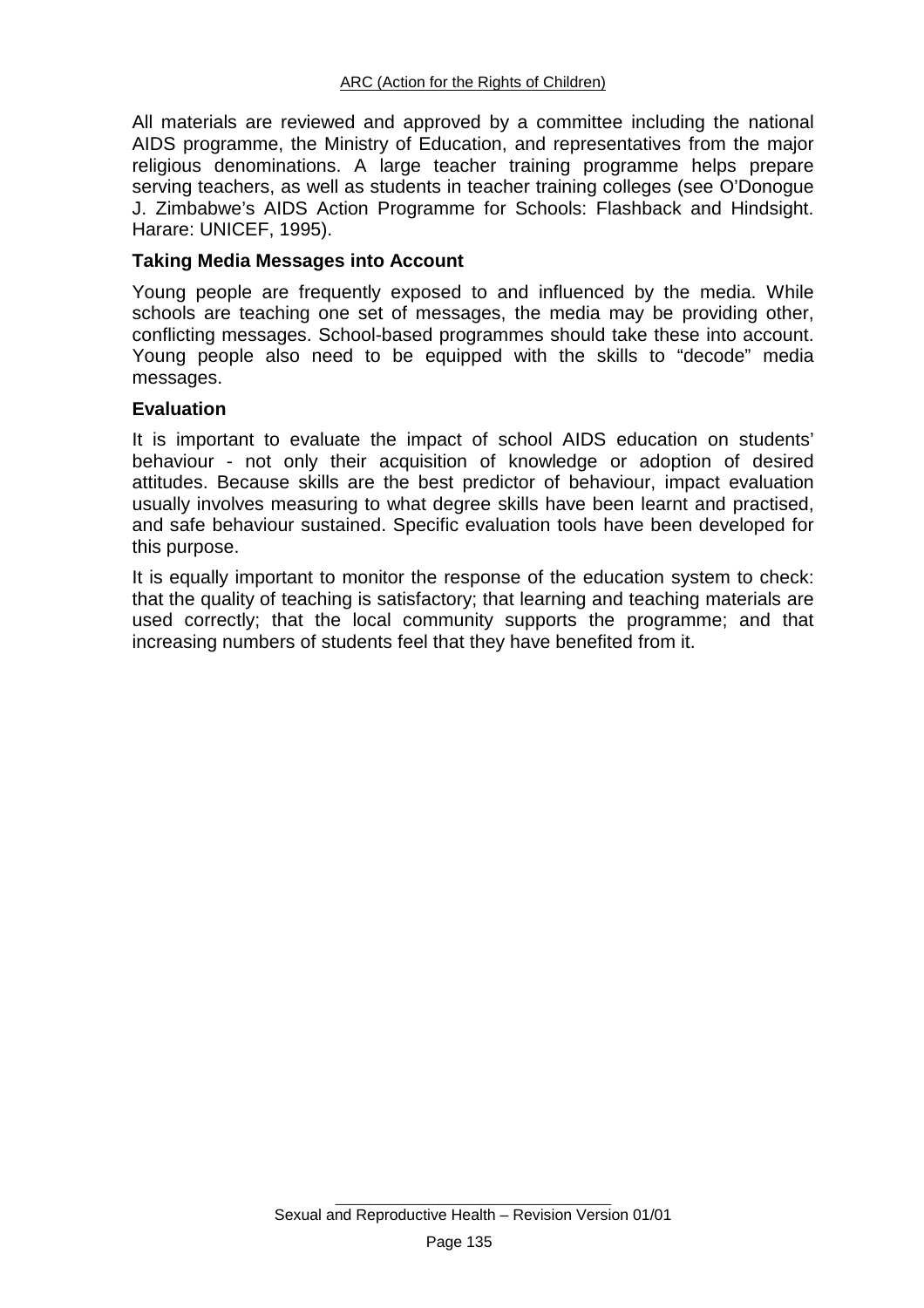All materials are reviewed and approved by a committee including the national AIDS programme, the Ministry of Education, and representatives from the major religious denominations. A large teacher training programme helps prepare serving teachers, as well as students in teacher training colleges (see O'Donogue J. Zimbabwe's AIDS Action Programme for Schools: Flashback and Hindsight. Harare: UNICEF, 1995).

## **Taking Media Messages into Account**

Young people are frequently exposed to and influenced by the media. While schools are teaching one set of messages, the media may be providing other, conflicting messages. School-based programmes should take these into account. Young people also need to be equipped with the skills to "decode" media messages.

## **Evaluation**

It is important to evaluate the impact of school AIDS education on students' behaviour - not only their acquisition of knowledge or adoption of desired attitudes. Because skills are the best predictor of behaviour, impact evaluation usually involves measuring to what degree skills have been learnt and practised, and safe behaviour sustained. Specific evaluation tools have been developed for this purpose.

It is equally important to monitor the response of the education system to check: that the quality of teaching is satisfactory; that learning and teaching materials are used correctly; that the local community supports the programme; and that increasing numbers of students feel that they have benefited from it.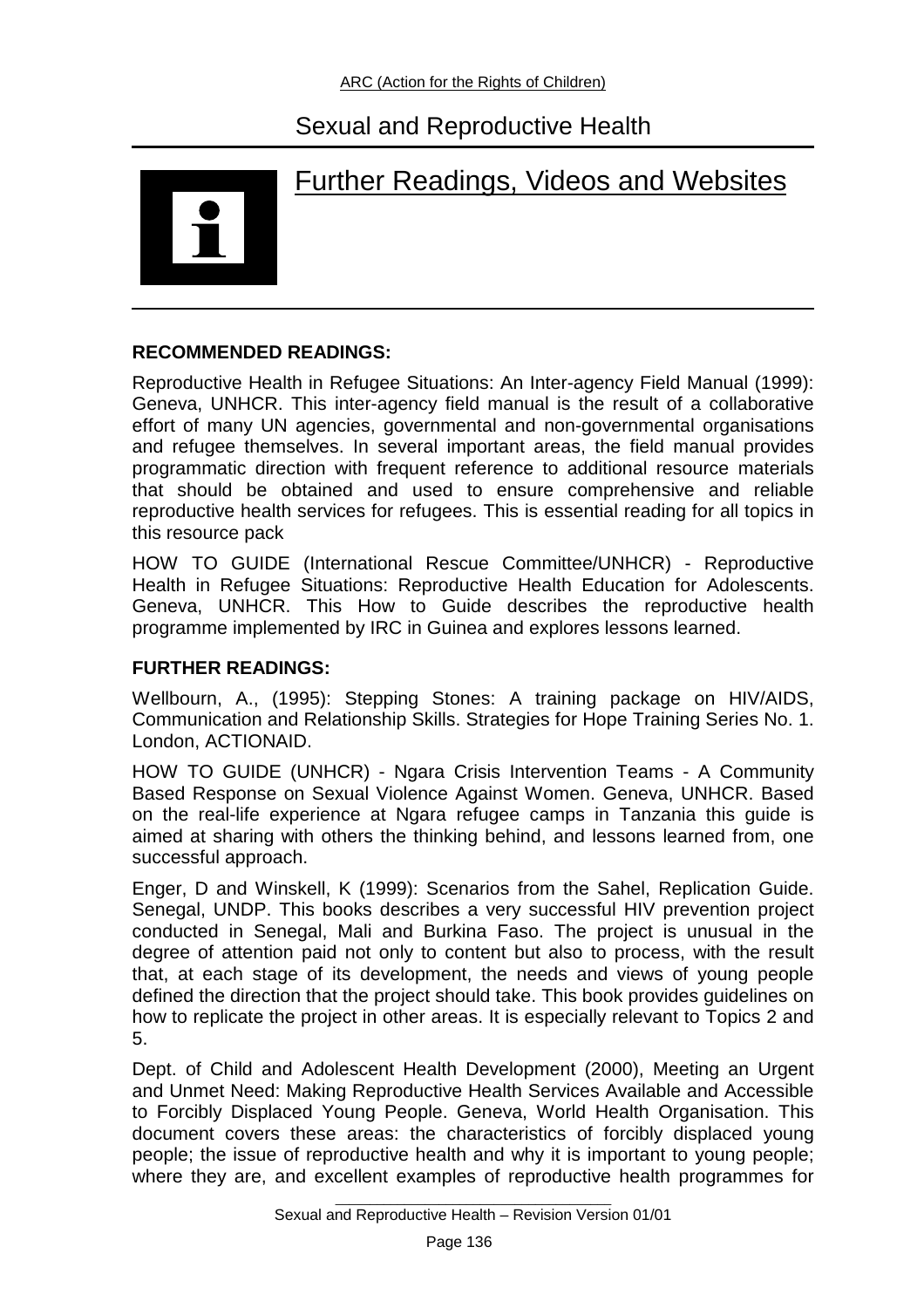# Sexual and Reproductive Health



## **RECOMMENDED READINGS:**

Reproductive Health in Refugee Situations: An Inter-agency Field Manual (1999): Geneva, UNHCR. This inter-agency field manual is the result of a collaborative effort of many UN agencies, governmental and non-governmental organisations and refugee themselves. In several important areas, the field manual provides programmatic direction with frequent reference to additional resource materials that should be obtained and used to ensure comprehensive and reliable reproductive health services for refugees. This is essential reading for all topics in this resource pack

HOW TO GUIDE (International Rescue Committee/UNHCR) - Reproductive Health in Refugee Situations: Reproductive Health Education for Adolescents. Geneva, UNHCR. This How to Guide describes the reproductive health programme implemented by IRC in Guinea and explores lessons learned.

## **FURTHER READINGS:**

Wellbourn, A., (1995): Stepping Stones: A training package on HIV/AIDS, Communication and Relationship Skills. Strategies for Hope Training Series No. 1. London, ACTIONAID.

HOW TO GUIDE (UNHCR) - Ngara Crisis Intervention Teams - A Community Based Response on Sexual Violence Against Women. Geneva, UNHCR. Based on the real-life experience at Ngara refugee camps in Tanzania this guide is aimed at sharing with others the thinking behind, and lessons learned from, one successful approach.

Enger, D and Winskell, K (1999): Scenarios from the Sahel, Replication Guide. Senegal, UNDP. This books describes a very successful HIV prevention project conducted in Senegal, Mali and Burkina Faso. The project is unusual in the degree of attention paid not only to content but also to process, with the result that, at each stage of its development, the needs and views of young people defined the direction that the project should take. This book provides guidelines on how to replicate the project in other areas. It is especially relevant to Topics 2 and 5.

Dept. of Child and Adolescent Health Development (2000), Meeting an Urgent and Unmet Need: Making Reproductive Health Services Available and Accessible to Forcibly Displaced Young People. Geneva, World Health Organisation. This document covers these areas: the characteristics of forcibly displaced young people; the issue of reproductive health and why it is important to young people; where they are, and excellent examples of reproductive health programmes for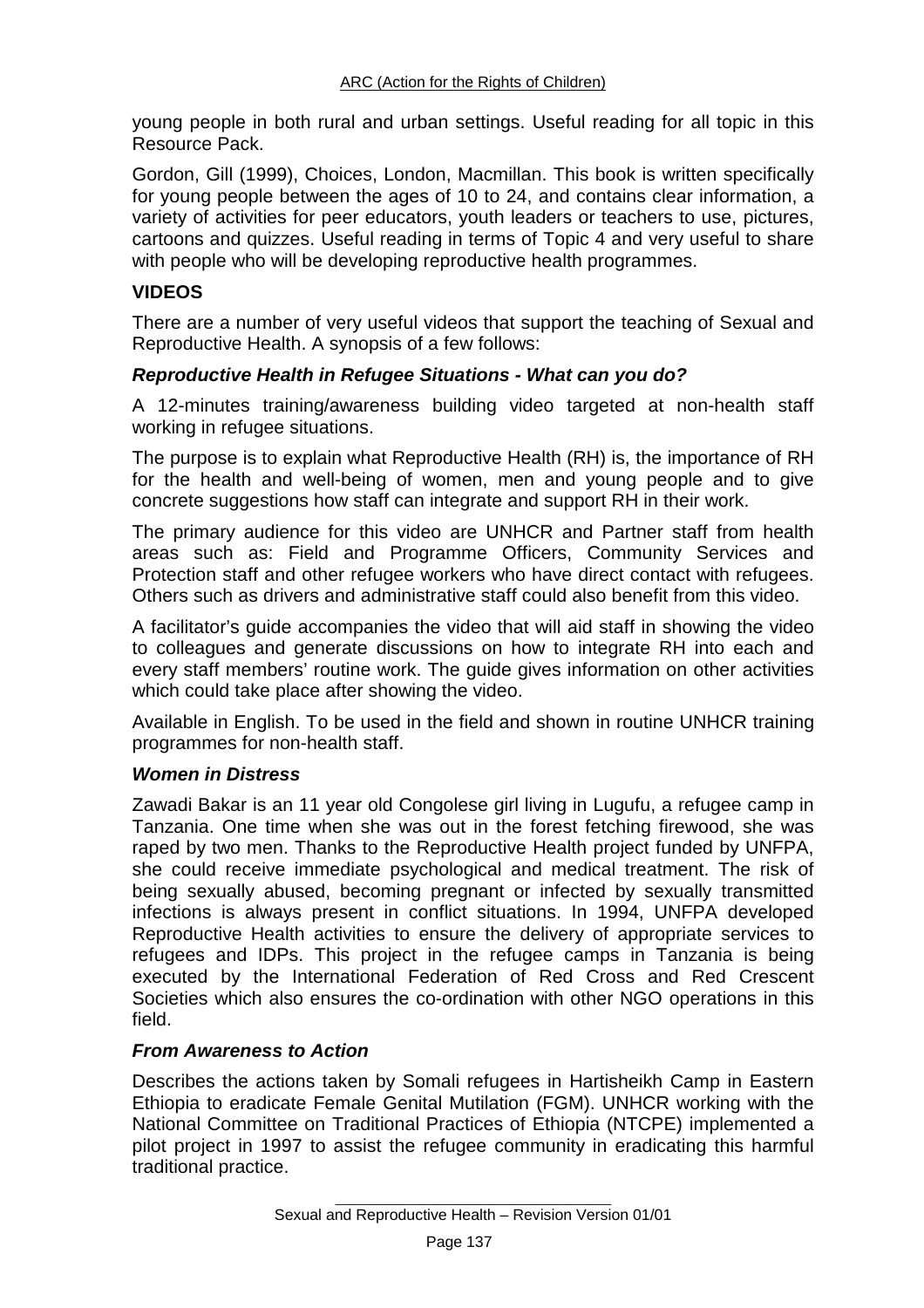young people in both rural and urban settings. Useful reading for all topic in this Resource Pack.

Gordon, Gill (1999), Choices, London, Macmillan. This book is written specifically for young people between the ages of 10 to 24, and contains clear information, a variety of activities for peer educators, youth leaders or teachers to use, pictures, cartoons and quizzes. Useful reading in terms of Topic 4 and very useful to share with people who will be developing reproductive health programmes.

## **VIDEOS**

There are a number of very useful videos that support the teaching of Sexual and Reproductive Health. A synopsis of a few follows:

## *Reproductive Health in Refugee Situations - What can you do?*

A 12-minutes training/awareness building video targeted at non-health staff working in refugee situations.

The purpose is to explain what Reproductive Health (RH) is, the importance of RH for the health and well-being of women, men and young people and to give concrete suggestions how staff can integrate and support RH in their work.

The primary audience for this video are UNHCR and Partner staff from health areas such as: Field and Programme Officers, Community Services and Protection staff and other refugee workers who have direct contact with refugees. Others such as drivers and administrative staff could also benefit from this video.

A facilitator's guide accompanies the video that will aid staff in showing the video to colleagues and generate discussions on how to integrate RH into each and every staff members' routine work. The guide gives information on other activities which could take place after showing the video.

Available in English. To be used in the field and shown in routine UNHCR training programmes for non-health staff.

## *Women in Distress*

Zawadi Bakar is an 11 year old Congolese girl living in Lugufu, a refugee camp in Tanzania. One time when she was out in the forest fetching firewood, she was raped by two men. Thanks to the Reproductive Health project funded by UNFPA, she could receive immediate psychological and medical treatment. The risk of being sexually abused, becoming pregnant or infected by sexually transmitted infections is always present in conflict situations. In 1994, UNFPA developed Reproductive Health activities to ensure the delivery of appropriate services to refugees and IDPs. This project in the refugee camps in Tanzania is being executed by the International Federation of Red Cross and Red Crescent Societies which also ensures the co-ordination with other NGO operations in this field.

## *From Awareness to Action*

Describes the actions taken by Somali refugees in Hartisheikh Camp in Eastern Ethiopia to eradicate Female Genital Mutilation (FGM). UNHCR working with the National Committee on Traditional Practices of Ethiopia (NTCPE) implemented a pilot project in 1997 to assist the refugee community in eradicating this harmful traditional practice.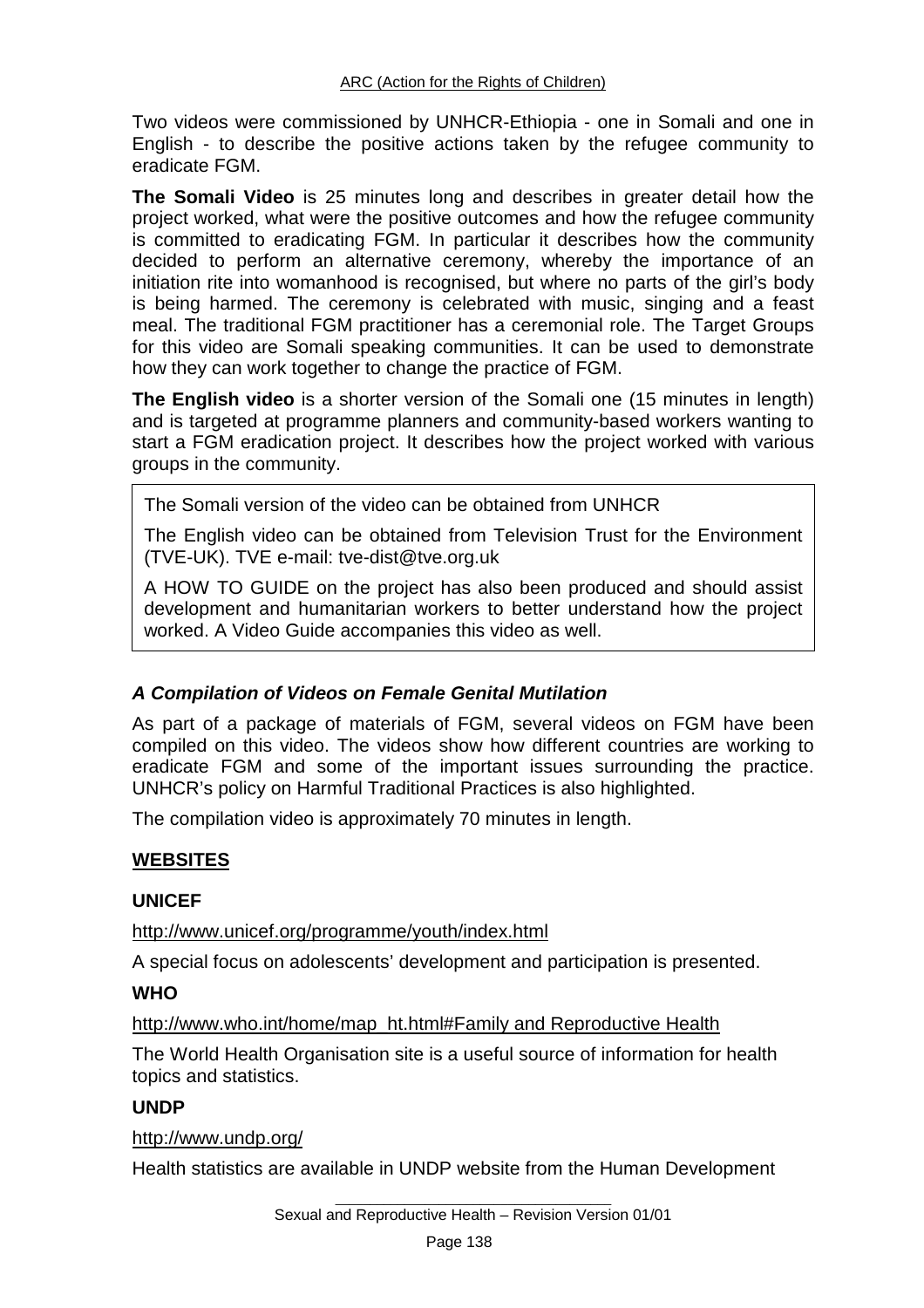Two videos were commissioned by UNHCR-Ethiopia - one in Somali and one in English - to describe the positive actions taken by the refugee community to eradicate FGM.

**The Somali Video** is 25 minutes long and describes in greater detail how the project worked, what were the positive outcomes and how the refugee community is committed to eradicating FGM. In particular it describes how the community decided to perform an alternative ceremony, whereby the importance of an initiation rite into womanhood is recognised, but where no parts of the girl's body is being harmed. The ceremony is celebrated with music, singing and a feast meal. The traditional FGM practitioner has a ceremonial role. The Target Groups for this video are Somali speaking communities. It can be used to demonstrate how they can work together to change the practice of FGM.

**The English video** is a shorter version of the Somali one (15 minutes in length) and is targeted at programme planners and community-based workers wanting to start a FGM eradication project. It describes how the project worked with various groups in the community.

The Somali version of the video can be obtained from UNHCR

The English video can be obtained from Television Trust for the Environment (TVE-UK). TVE e-mail: tve-dist@tve.org.uk

A HOW TO GUIDE on the project has also been produced and should assist development and humanitarian workers to better understand how the project worked. A Video Guide accompanies this video as well.

# *A Compilation of Videos on Female Genital Mutilation*

As part of a package of materials of FGM, several videos on FGM have been compiled on this video. The videos show how different countries are working to eradicate FGM and some of the important issues surrounding the practice. UNHCR's policy on Harmful Traditional Practices is also highlighted.

The compilation video is approximately 70 minutes in length.

## **WEBSITES**

## **UNICEF**

http://www.unicef.org/programme/youth/index.html

A special focus on adolescents' development and participation is presented.

### **WHO**

### http://www.who.int/home/map\_ht.html#Family and Reproductive Health

The World Health Organisation site is a useful source of information for health topics and statistics.

## **UNDP**

### http://www.undp.org/

Health statistics are available in UNDP website from the Human Development